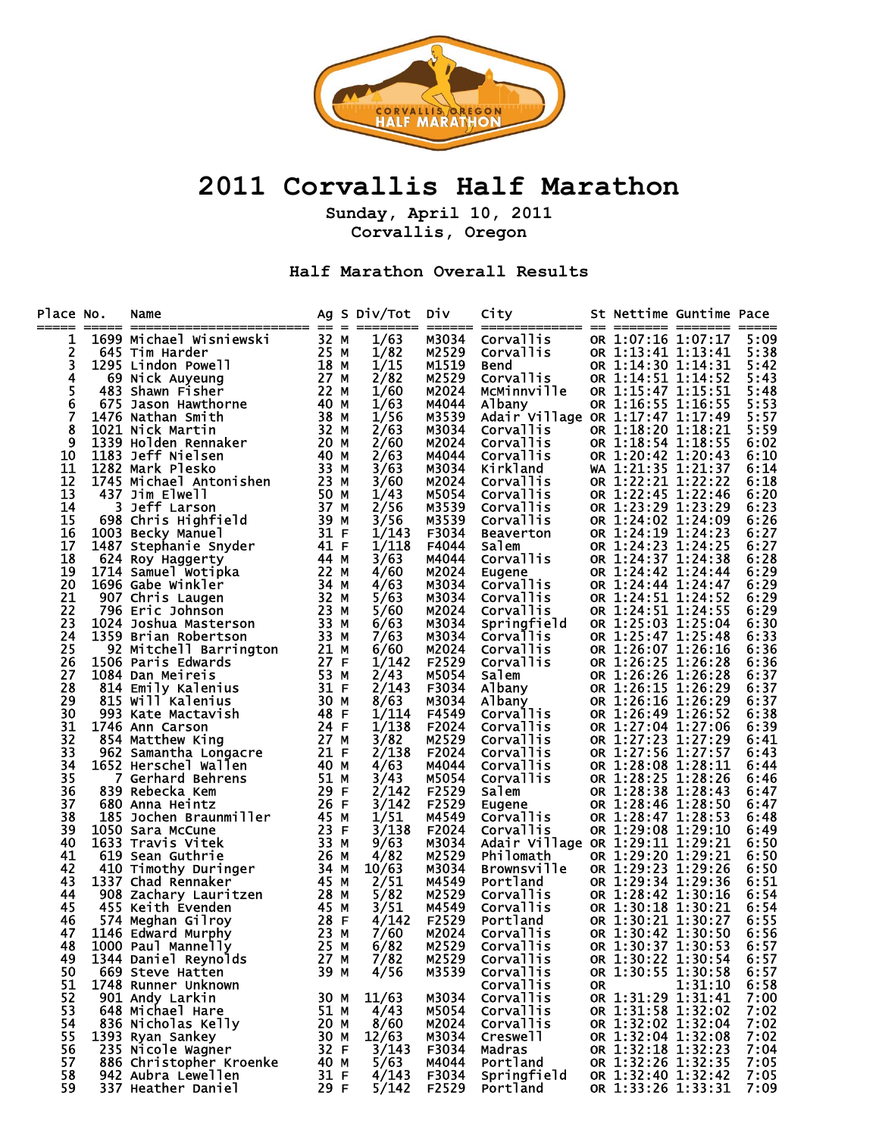

## **2011 Corvallis Half Marathon**

**Sunday, April 10, 2011 Corvallis, Oregon** 

**Half Marathon Overall Results** 

| 32 M<br>1/63<br>M3034<br>1699 Michael Wisniewski<br>Corvallis<br>OR 1:07:16 1:07:17<br>1<br><b>Corvallis</b><br>1/82<br>2<br>OR 1:13:41 1:13:41<br>645 Tim Harder<br>M2529<br>25 M<br>18 M<br>27 M<br>22 M<br>40 M<br>3<br>1/15<br>OR 1:14:30 1:14:31<br>1295 Lindon Powell<br>M1519<br><b>Bend</b><br>4<br>2/82<br>OR 1:14:51 1:14:52<br>Corvallis<br>M2529<br>69 Nick Auyeung<br>5<br>MCMinnville<br>OR 1:15:47 1:15:51<br>483 Shawn Fisher<br>1/60<br>M2024<br>6<br>1/63<br>OR 1:16:55 1:16:55<br>675 Jason Hawthorne<br>M4044<br>5:53<br>Albany<br>7<br>1/56<br>M3539<br>Adair Village OR 1:17:47 1:17:49<br>5:57<br>483 Shawn Fisher<br>1476 Nathan Smith<br>1621 Nick Martin<br>183 Heff Nielsen<br>183 Deff Nielsen<br>183 Deff Nielsen<br>183 Deff Nielsen<br>183 Deff Nielsen<br>1748 Mark Plesko<br>1743 Jim Elwell<br>3 Deff Larson<br>698 Chris Highfrield<br>183 D<br>8<br>2/63<br><b>Corvallis</b><br>OR 1:18:20 1:18:21<br>5:59<br>M3034<br>9<br>OR 1:18:54 1:18:55<br>2/60<br><b>Corvallis</b><br>M2024<br>6:02<br>OR 1:20:42 1:20:43<br>2/63<br>Corvallis<br>10<br>M4044<br>6:10<br>11<br>3/63<br>Kirkland<br>WA 1:21:35 1:21:37<br>M3034<br>6:14<br>12<br>OR 1:22:21 1:22:22<br>3/60<br>M2024<br><b>Corvallis</b><br>6:18<br>13<br>1/43<br>OR 1:22:45 1:22:46<br>M5054<br><b>Corvallis</b><br>6:20<br>14<br>2/56<br><b>Corvallis</b><br>OR 1:23:29 1:23:29<br>M3539<br>15<br>3/56<br>OR 1:24:02 1:24:09<br>M3539<br><b>Corvallis</b><br>OR 1:24:19 1:24:23<br>16<br>1/143<br>F3034<br>Beaverton<br>17<br>1/118<br>OR 1:24:23 1:24:25<br>F4044<br>Salem<br>18<br>3/63<br><b>Corvallis</b><br>OR 1:24:37 1:24:38<br>M4044<br>19<br>OR 1:24:42 1:24:44<br>4/60<br>M2024<br>Eugene<br>20<br>OR 1:24:44 1:24:47<br>4/63<br>M3034<br><b>Corvallis</b><br>6:29<br>21<br>5/63<br>OR 1:24:51 1:24:52<br>6:29<br>M3034<br><b>Corvallis</b><br>22<br>OR 1:24:51 1:24:55<br>5/60<br>M2024<br><b>Corvallis</b><br>6:29<br>23<br>Springfield<br>OR 1:25:03 1:25:04<br>6/63<br>M3034<br>6:30<br><b>Corvallis</b><br>OR 1:25:47 1:25:48<br>24<br>M3034<br>7/63<br>6:33<br>25<br>OR 1:26:07 1:26:16<br>6/60<br>M2024<br><b>Corvallis</b><br>6:36<br>26<br>F2529<br>Corvallis<br>OR 1:26:25 1:26:28<br>1/142<br>6:36<br>27<br>2/43<br>Salem<br>OR 1:26:26 1:26:28<br>M5054<br>6:37<br>OR 1:26:15 1:26:29<br>28<br>2/143<br>6:37<br>F3034<br>Albany<br>29<br>8/63<br>OR 1:26:16 1:26:29<br>M3034<br>6:37<br>Albany<br>Corvallis<br>30<br>1/114<br>OR 1:26:49 1:26:52<br>6:38<br>F4549<br>31<br>1/138<br>OR 1:27:04 1:27:06<br>F2024<br><b>Corvallis</b><br>32<br>3/82<br>OR 1:27:23 1:27:29<br>M2529<br><b>Corvallis</b><br>33<br>2/138<br>OR 1:27:56 1:27:57<br>F2024<br><b>Corvallis</b><br>34<br>OR 1:28:08 1:28:11<br>4/63<br>M4044<br><b>Corvallis</b><br>35<br>OR 1:28:25 1:28:26<br>3/43<br>M5054<br>Corvallis<br>OR 1:28:38 1:28:43<br>36<br>2/142<br>F2529<br>Salem<br>37<br>3/142<br>F2529<br>OR 1:28:46 1:28:50<br>Eugene<br>OR 1:28:47 1:28:53<br>38<br>1/51<br><b>Corvallis</b><br>M4549<br>6:48<br>39<br>And School<br>and Behical<br>debecka Kem<br>Anna Heintz<br>Jochen Braunmiller<br>3 Travis Vitek<br>3 Travis Vitek<br>3 Travis Vitek<br>3 3 M<br>3 Travis Vitek<br>410 Timothy Duringer<br>1337 Chad Rennaker<br>28 M<br>28 M<br>28 M<br>28 M<br>28 M<br>28 M<br>28<br>3/138<br>F2024<br>Corvallis<br>OR 1:29:08 1:29:10<br>6:49<br>Adair Village OR 1:29:11 1:29:21<br>40<br>9/63<br>M3034<br>6:50<br>41<br>4/82<br>M2529<br>OR 1:29:20 1:29:21<br>Philomath<br>6:50<br>42<br>OR 1:29:23 1:29:26<br>10/63<br>M3034<br><b>Brownsville</b><br>6:50<br>43<br>2/51<br>M4549<br>OR 1:29:34 1:29:36<br>6:51<br>Portland<br>OR 1:28:42 1:30:16<br>44<br>5/82<br>M2529<br>Corvallis<br>6:54<br>45<br>3/51<br>Corvallis<br>M4549<br>OR 1:30:18 1:30:21<br>6:54<br>Portland<br>OR 1:30:21 1:30:27<br>F2529<br>46<br>4/142<br>6:55<br>47<br>7/60<br>OR 1:30:42 1:30:50<br>M2024<br><b>Corvallis</b><br>OR 1:30:37 1:30:53<br>48<br>M2529<br>6/82<br><b>Corvallis</b><br>Corvallis<br>M2529<br>OR 1:30:22 1:30:54<br>7/82<br>49<br>OR 1:30:55 1:30:58<br>50<br>39 M<br>4/56<br>Corvallis<br>669 Steve Hatten<br>M3539<br>51<br>Corvallis<br>1:31:10<br>1748 Runner Unknown<br>0R<br>52<br>OR 1:31:29 1:31:41<br>901 Andy Larkin<br>11/63<br>M3034<br><b>Corvallis</b><br>30 M<br>53<br>OR 1:31:58 1:32:02<br>648 Michael Hare<br>51 M | Place No.<br>===== | Name |  | Ag S Div/Tot Div |       | City      |  | St Nettime Guntime Pace |              |
|-------------------------------------------------------------------------------------------------------------------------------------------------------------------------------------------------------------------------------------------------------------------------------------------------------------------------------------------------------------------------------------------------------------------------------------------------------------------------------------------------------------------------------------------------------------------------------------------------------------------------------------------------------------------------------------------------------------------------------------------------------------------------------------------------------------------------------------------------------------------------------------------------------------------------------------------------------------------------------------------------------------------------------------------------------------------------------------------------------------------------------------------------------------------------------------------------------------------------------------------------------------------------------------------------------------------------------------------------------------------------------------------------------------------------------------------------------------------------------------------------------------------------------------------------------------------------------------------------------------------------------------------------------------------------------------------------------------------------------------------------------------------------------------------------------------------------------------------------------------------------------------------------------------------------------------------------------------------------------------------------------------------------------------------------------------------------------------------------------------------------------------------------------------------------------------------------------------------------------------------------------------------------------------------------------------------------------------------------------------------------------------------------------------------------------------------------------------------------------------------------------------------------------------------------------------------------------------------------------------------------------------------------------------------------------------------------------------------------------------------------------------------------------------------------------------------------------------------------------------------------------------------------------------------------------------------------------------------------------------------------------------------------------------------------------------------------------------------------------------------------------------------------------------------------------------------------------------------------------------------------------------------------------------------------------------------------------------------------------------------------------------------------------------------------------------------------------------------------------------------------------------------------------------------------------------------------------------------------------------------------------------------------------------------------------------------------------------------------------------------------------------------------------------------------------------------------------------------------------------------------------------------------------------------------------------------------------------------------------------------------------------------------------------------------------------------------------------------------------------------------------------------------------------------------------------------------------------------------------------------------------------------------------------------------------------------------------------------------|--------------------|------|--|------------------|-------|-----------|--|-------------------------|--------------|
|                                                                                                                                                                                                                                                                                                                                                                                                                                                                                                                                                                                                                                                                                                                                                                                                                                                                                                                                                                                                                                                                                                                                                                                                                                                                                                                                                                                                                                                                                                                                                                                                                                                                                                                                                                                                                                                                                                                                                                                                                                                                                                                                                                                                                                                                                                                                                                                                                                                                                                                                                                                                                                                                                                                                                                                                                                                                                                                                                                                                                                                                                                                                                                                                                                                                                                                                                                                                                                                                                                                                                                                                                                                                                                                                                                                                                                                                                                                                                                                                                                                                                                                                                                                                                                                                                                                                                 |                    |      |  |                  |       |           |  |                         | 5:09         |
|                                                                                                                                                                                                                                                                                                                                                                                                                                                                                                                                                                                                                                                                                                                                                                                                                                                                                                                                                                                                                                                                                                                                                                                                                                                                                                                                                                                                                                                                                                                                                                                                                                                                                                                                                                                                                                                                                                                                                                                                                                                                                                                                                                                                                                                                                                                                                                                                                                                                                                                                                                                                                                                                                                                                                                                                                                                                                                                                                                                                                                                                                                                                                                                                                                                                                                                                                                                                                                                                                                                                                                                                                                                                                                                                                                                                                                                                                                                                                                                                                                                                                                                                                                                                                                                                                                                                                 |                    |      |  |                  |       |           |  |                         | 5:38         |
|                                                                                                                                                                                                                                                                                                                                                                                                                                                                                                                                                                                                                                                                                                                                                                                                                                                                                                                                                                                                                                                                                                                                                                                                                                                                                                                                                                                                                                                                                                                                                                                                                                                                                                                                                                                                                                                                                                                                                                                                                                                                                                                                                                                                                                                                                                                                                                                                                                                                                                                                                                                                                                                                                                                                                                                                                                                                                                                                                                                                                                                                                                                                                                                                                                                                                                                                                                                                                                                                                                                                                                                                                                                                                                                                                                                                                                                                                                                                                                                                                                                                                                                                                                                                                                                                                                                                                 |                    |      |  |                  |       |           |  |                         | 5:42         |
|                                                                                                                                                                                                                                                                                                                                                                                                                                                                                                                                                                                                                                                                                                                                                                                                                                                                                                                                                                                                                                                                                                                                                                                                                                                                                                                                                                                                                                                                                                                                                                                                                                                                                                                                                                                                                                                                                                                                                                                                                                                                                                                                                                                                                                                                                                                                                                                                                                                                                                                                                                                                                                                                                                                                                                                                                                                                                                                                                                                                                                                                                                                                                                                                                                                                                                                                                                                                                                                                                                                                                                                                                                                                                                                                                                                                                                                                                                                                                                                                                                                                                                                                                                                                                                                                                                                                                 |                    |      |  |                  |       |           |  |                         | 5:43         |
|                                                                                                                                                                                                                                                                                                                                                                                                                                                                                                                                                                                                                                                                                                                                                                                                                                                                                                                                                                                                                                                                                                                                                                                                                                                                                                                                                                                                                                                                                                                                                                                                                                                                                                                                                                                                                                                                                                                                                                                                                                                                                                                                                                                                                                                                                                                                                                                                                                                                                                                                                                                                                                                                                                                                                                                                                                                                                                                                                                                                                                                                                                                                                                                                                                                                                                                                                                                                                                                                                                                                                                                                                                                                                                                                                                                                                                                                                                                                                                                                                                                                                                                                                                                                                                                                                                                                                 |                    |      |  |                  |       |           |  |                         | 5:48         |
|                                                                                                                                                                                                                                                                                                                                                                                                                                                                                                                                                                                                                                                                                                                                                                                                                                                                                                                                                                                                                                                                                                                                                                                                                                                                                                                                                                                                                                                                                                                                                                                                                                                                                                                                                                                                                                                                                                                                                                                                                                                                                                                                                                                                                                                                                                                                                                                                                                                                                                                                                                                                                                                                                                                                                                                                                                                                                                                                                                                                                                                                                                                                                                                                                                                                                                                                                                                                                                                                                                                                                                                                                                                                                                                                                                                                                                                                                                                                                                                                                                                                                                                                                                                                                                                                                                                                                 |                    |      |  |                  |       |           |  |                         |              |
|                                                                                                                                                                                                                                                                                                                                                                                                                                                                                                                                                                                                                                                                                                                                                                                                                                                                                                                                                                                                                                                                                                                                                                                                                                                                                                                                                                                                                                                                                                                                                                                                                                                                                                                                                                                                                                                                                                                                                                                                                                                                                                                                                                                                                                                                                                                                                                                                                                                                                                                                                                                                                                                                                                                                                                                                                                                                                                                                                                                                                                                                                                                                                                                                                                                                                                                                                                                                                                                                                                                                                                                                                                                                                                                                                                                                                                                                                                                                                                                                                                                                                                                                                                                                                                                                                                                                                 |                    |      |  |                  |       |           |  |                         |              |
|                                                                                                                                                                                                                                                                                                                                                                                                                                                                                                                                                                                                                                                                                                                                                                                                                                                                                                                                                                                                                                                                                                                                                                                                                                                                                                                                                                                                                                                                                                                                                                                                                                                                                                                                                                                                                                                                                                                                                                                                                                                                                                                                                                                                                                                                                                                                                                                                                                                                                                                                                                                                                                                                                                                                                                                                                                                                                                                                                                                                                                                                                                                                                                                                                                                                                                                                                                                                                                                                                                                                                                                                                                                                                                                                                                                                                                                                                                                                                                                                                                                                                                                                                                                                                                                                                                                                                 |                    |      |  |                  |       |           |  |                         |              |
|                                                                                                                                                                                                                                                                                                                                                                                                                                                                                                                                                                                                                                                                                                                                                                                                                                                                                                                                                                                                                                                                                                                                                                                                                                                                                                                                                                                                                                                                                                                                                                                                                                                                                                                                                                                                                                                                                                                                                                                                                                                                                                                                                                                                                                                                                                                                                                                                                                                                                                                                                                                                                                                                                                                                                                                                                                                                                                                                                                                                                                                                                                                                                                                                                                                                                                                                                                                                                                                                                                                                                                                                                                                                                                                                                                                                                                                                                                                                                                                                                                                                                                                                                                                                                                                                                                                                                 |                    |      |  |                  |       |           |  |                         |              |
|                                                                                                                                                                                                                                                                                                                                                                                                                                                                                                                                                                                                                                                                                                                                                                                                                                                                                                                                                                                                                                                                                                                                                                                                                                                                                                                                                                                                                                                                                                                                                                                                                                                                                                                                                                                                                                                                                                                                                                                                                                                                                                                                                                                                                                                                                                                                                                                                                                                                                                                                                                                                                                                                                                                                                                                                                                                                                                                                                                                                                                                                                                                                                                                                                                                                                                                                                                                                                                                                                                                                                                                                                                                                                                                                                                                                                                                                                                                                                                                                                                                                                                                                                                                                                                                                                                                                                 |                    |      |  |                  |       |           |  |                         |              |
|                                                                                                                                                                                                                                                                                                                                                                                                                                                                                                                                                                                                                                                                                                                                                                                                                                                                                                                                                                                                                                                                                                                                                                                                                                                                                                                                                                                                                                                                                                                                                                                                                                                                                                                                                                                                                                                                                                                                                                                                                                                                                                                                                                                                                                                                                                                                                                                                                                                                                                                                                                                                                                                                                                                                                                                                                                                                                                                                                                                                                                                                                                                                                                                                                                                                                                                                                                                                                                                                                                                                                                                                                                                                                                                                                                                                                                                                                                                                                                                                                                                                                                                                                                                                                                                                                                                                                 |                    |      |  |                  |       |           |  |                         |              |
|                                                                                                                                                                                                                                                                                                                                                                                                                                                                                                                                                                                                                                                                                                                                                                                                                                                                                                                                                                                                                                                                                                                                                                                                                                                                                                                                                                                                                                                                                                                                                                                                                                                                                                                                                                                                                                                                                                                                                                                                                                                                                                                                                                                                                                                                                                                                                                                                                                                                                                                                                                                                                                                                                                                                                                                                                                                                                                                                                                                                                                                                                                                                                                                                                                                                                                                                                                                                                                                                                                                                                                                                                                                                                                                                                                                                                                                                                                                                                                                                                                                                                                                                                                                                                                                                                                                                                 |                    |      |  |                  |       |           |  |                         |              |
|                                                                                                                                                                                                                                                                                                                                                                                                                                                                                                                                                                                                                                                                                                                                                                                                                                                                                                                                                                                                                                                                                                                                                                                                                                                                                                                                                                                                                                                                                                                                                                                                                                                                                                                                                                                                                                                                                                                                                                                                                                                                                                                                                                                                                                                                                                                                                                                                                                                                                                                                                                                                                                                                                                                                                                                                                                                                                                                                                                                                                                                                                                                                                                                                                                                                                                                                                                                                                                                                                                                                                                                                                                                                                                                                                                                                                                                                                                                                                                                                                                                                                                                                                                                                                                                                                                                                                 |                    |      |  |                  |       |           |  |                         | 6:23         |
|                                                                                                                                                                                                                                                                                                                                                                                                                                                                                                                                                                                                                                                                                                                                                                                                                                                                                                                                                                                                                                                                                                                                                                                                                                                                                                                                                                                                                                                                                                                                                                                                                                                                                                                                                                                                                                                                                                                                                                                                                                                                                                                                                                                                                                                                                                                                                                                                                                                                                                                                                                                                                                                                                                                                                                                                                                                                                                                                                                                                                                                                                                                                                                                                                                                                                                                                                                                                                                                                                                                                                                                                                                                                                                                                                                                                                                                                                                                                                                                                                                                                                                                                                                                                                                                                                                                                                 |                    |      |  |                  |       |           |  |                         | 6:26         |
|                                                                                                                                                                                                                                                                                                                                                                                                                                                                                                                                                                                                                                                                                                                                                                                                                                                                                                                                                                                                                                                                                                                                                                                                                                                                                                                                                                                                                                                                                                                                                                                                                                                                                                                                                                                                                                                                                                                                                                                                                                                                                                                                                                                                                                                                                                                                                                                                                                                                                                                                                                                                                                                                                                                                                                                                                                                                                                                                                                                                                                                                                                                                                                                                                                                                                                                                                                                                                                                                                                                                                                                                                                                                                                                                                                                                                                                                                                                                                                                                                                                                                                                                                                                                                                                                                                                                                 |                    |      |  |                  |       |           |  |                         | 6:27         |
|                                                                                                                                                                                                                                                                                                                                                                                                                                                                                                                                                                                                                                                                                                                                                                                                                                                                                                                                                                                                                                                                                                                                                                                                                                                                                                                                                                                                                                                                                                                                                                                                                                                                                                                                                                                                                                                                                                                                                                                                                                                                                                                                                                                                                                                                                                                                                                                                                                                                                                                                                                                                                                                                                                                                                                                                                                                                                                                                                                                                                                                                                                                                                                                                                                                                                                                                                                                                                                                                                                                                                                                                                                                                                                                                                                                                                                                                                                                                                                                                                                                                                                                                                                                                                                                                                                                                                 |                    |      |  |                  |       |           |  |                         | 6:27         |
|                                                                                                                                                                                                                                                                                                                                                                                                                                                                                                                                                                                                                                                                                                                                                                                                                                                                                                                                                                                                                                                                                                                                                                                                                                                                                                                                                                                                                                                                                                                                                                                                                                                                                                                                                                                                                                                                                                                                                                                                                                                                                                                                                                                                                                                                                                                                                                                                                                                                                                                                                                                                                                                                                                                                                                                                                                                                                                                                                                                                                                                                                                                                                                                                                                                                                                                                                                                                                                                                                                                                                                                                                                                                                                                                                                                                                                                                                                                                                                                                                                                                                                                                                                                                                                                                                                                                                 |                    |      |  |                  |       |           |  |                         | 6:28         |
|                                                                                                                                                                                                                                                                                                                                                                                                                                                                                                                                                                                                                                                                                                                                                                                                                                                                                                                                                                                                                                                                                                                                                                                                                                                                                                                                                                                                                                                                                                                                                                                                                                                                                                                                                                                                                                                                                                                                                                                                                                                                                                                                                                                                                                                                                                                                                                                                                                                                                                                                                                                                                                                                                                                                                                                                                                                                                                                                                                                                                                                                                                                                                                                                                                                                                                                                                                                                                                                                                                                                                                                                                                                                                                                                                                                                                                                                                                                                                                                                                                                                                                                                                                                                                                                                                                                                                 |                    |      |  |                  |       |           |  |                         | 6:29         |
|                                                                                                                                                                                                                                                                                                                                                                                                                                                                                                                                                                                                                                                                                                                                                                                                                                                                                                                                                                                                                                                                                                                                                                                                                                                                                                                                                                                                                                                                                                                                                                                                                                                                                                                                                                                                                                                                                                                                                                                                                                                                                                                                                                                                                                                                                                                                                                                                                                                                                                                                                                                                                                                                                                                                                                                                                                                                                                                                                                                                                                                                                                                                                                                                                                                                                                                                                                                                                                                                                                                                                                                                                                                                                                                                                                                                                                                                                                                                                                                                                                                                                                                                                                                                                                                                                                                                                 |                    |      |  |                  |       |           |  |                         |              |
|                                                                                                                                                                                                                                                                                                                                                                                                                                                                                                                                                                                                                                                                                                                                                                                                                                                                                                                                                                                                                                                                                                                                                                                                                                                                                                                                                                                                                                                                                                                                                                                                                                                                                                                                                                                                                                                                                                                                                                                                                                                                                                                                                                                                                                                                                                                                                                                                                                                                                                                                                                                                                                                                                                                                                                                                                                                                                                                                                                                                                                                                                                                                                                                                                                                                                                                                                                                                                                                                                                                                                                                                                                                                                                                                                                                                                                                                                                                                                                                                                                                                                                                                                                                                                                                                                                                                                 |                    |      |  |                  |       |           |  |                         |              |
|                                                                                                                                                                                                                                                                                                                                                                                                                                                                                                                                                                                                                                                                                                                                                                                                                                                                                                                                                                                                                                                                                                                                                                                                                                                                                                                                                                                                                                                                                                                                                                                                                                                                                                                                                                                                                                                                                                                                                                                                                                                                                                                                                                                                                                                                                                                                                                                                                                                                                                                                                                                                                                                                                                                                                                                                                                                                                                                                                                                                                                                                                                                                                                                                                                                                                                                                                                                                                                                                                                                                                                                                                                                                                                                                                                                                                                                                                                                                                                                                                                                                                                                                                                                                                                                                                                                                                 |                    |      |  |                  |       |           |  |                         |              |
|                                                                                                                                                                                                                                                                                                                                                                                                                                                                                                                                                                                                                                                                                                                                                                                                                                                                                                                                                                                                                                                                                                                                                                                                                                                                                                                                                                                                                                                                                                                                                                                                                                                                                                                                                                                                                                                                                                                                                                                                                                                                                                                                                                                                                                                                                                                                                                                                                                                                                                                                                                                                                                                                                                                                                                                                                                                                                                                                                                                                                                                                                                                                                                                                                                                                                                                                                                                                                                                                                                                                                                                                                                                                                                                                                                                                                                                                                                                                                                                                                                                                                                                                                                                                                                                                                                                                                 |                    |      |  |                  |       |           |  |                         |              |
|                                                                                                                                                                                                                                                                                                                                                                                                                                                                                                                                                                                                                                                                                                                                                                                                                                                                                                                                                                                                                                                                                                                                                                                                                                                                                                                                                                                                                                                                                                                                                                                                                                                                                                                                                                                                                                                                                                                                                                                                                                                                                                                                                                                                                                                                                                                                                                                                                                                                                                                                                                                                                                                                                                                                                                                                                                                                                                                                                                                                                                                                                                                                                                                                                                                                                                                                                                                                                                                                                                                                                                                                                                                                                                                                                                                                                                                                                                                                                                                                                                                                                                                                                                                                                                                                                                                                                 |                    |      |  |                  |       |           |  |                         |              |
|                                                                                                                                                                                                                                                                                                                                                                                                                                                                                                                                                                                                                                                                                                                                                                                                                                                                                                                                                                                                                                                                                                                                                                                                                                                                                                                                                                                                                                                                                                                                                                                                                                                                                                                                                                                                                                                                                                                                                                                                                                                                                                                                                                                                                                                                                                                                                                                                                                                                                                                                                                                                                                                                                                                                                                                                                                                                                                                                                                                                                                                                                                                                                                                                                                                                                                                                                                                                                                                                                                                                                                                                                                                                                                                                                                                                                                                                                                                                                                                                                                                                                                                                                                                                                                                                                                                                                 |                    |      |  |                  |       |           |  |                         |              |
|                                                                                                                                                                                                                                                                                                                                                                                                                                                                                                                                                                                                                                                                                                                                                                                                                                                                                                                                                                                                                                                                                                                                                                                                                                                                                                                                                                                                                                                                                                                                                                                                                                                                                                                                                                                                                                                                                                                                                                                                                                                                                                                                                                                                                                                                                                                                                                                                                                                                                                                                                                                                                                                                                                                                                                                                                                                                                                                                                                                                                                                                                                                                                                                                                                                                                                                                                                                                                                                                                                                                                                                                                                                                                                                                                                                                                                                                                                                                                                                                                                                                                                                                                                                                                                                                                                                                                 |                    |      |  |                  |       |           |  |                         |              |
|                                                                                                                                                                                                                                                                                                                                                                                                                                                                                                                                                                                                                                                                                                                                                                                                                                                                                                                                                                                                                                                                                                                                                                                                                                                                                                                                                                                                                                                                                                                                                                                                                                                                                                                                                                                                                                                                                                                                                                                                                                                                                                                                                                                                                                                                                                                                                                                                                                                                                                                                                                                                                                                                                                                                                                                                                                                                                                                                                                                                                                                                                                                                                                                                                                                                                                                                                                                                                                                                                                                                                                                                                                                                                                                                                                                                                                                                                                                                                                                                                                                                                                                                                                                                                                                                                                                                                 |                    |      |  |                  |       |           |  |                         |              |
|                                                                                                                                                                                                                                                                                                                                                                                                                                                                                                                                                                                                                                                                                                                                                                                                                                                                                                                                                                                                                                                                                                                                                                                                                                                                                                                                                                                                                                                                                                                                                                                                                                                                                                                                                                                                                                                                                                                                                                                                                                                                                                                                                                                                                                                                                                                                                                                                                                                                                                                                                                                                                                                                                                                                                                                                                                                                                                                                                                                                                                                                                                                                                                                                                                                                                                                                                                                                                                                                                                                                                                                                                                                                                                                                                                                                                                                                                                                                                                                                                                                                                                                                                                                                                                                                                                                                                 |                    |      |  |                  |       |           |  |                         |              |
|                                                                                                                                                                                                                                                                                                                                                                                                                                                                                                                                                                                                                                                                                                                                                                                                                                                                                                                                                                                                                                                                                                                                                                                                                                                                                                                                                                                                                                                                                                                                                                                                                                                                                                                                                                                                                                                                                                                                                                                                                                                                                                                                                                                                                                                                                                                                                                                                                                                                                                                                                                                                                                                                                                                                                                                                                                                                                                                                                                                                                                                                                                                                                                                                                                                                                                                                                                                                                                                                                                                                                                                                                                                                                                                                                                                                                                                                                                                                                                                                                                                                                                                                                                                                                                                                                                                                                 |                    |      |  |                  |       |           |  |                         |              |
|                                                                                                                                                                                                                                                                                                                                                                                                                                                                                                                                                                                                                                                                                                                                                                                                                                                                                                                                                                                                                                                                                                                                                                                                                                                                                                                                                                                                                                                                                                                                                                                                                                                                                                                                                                                                                                                                                                                                                                                                                                                                                                                                                                                                                                                                                                                                                                                                                                                                                                                                                                                                                                                                                                                                                                                                                                                                                                                                                                                                                                                                                                                                                                                                                                                                                                                                                                                                                                                                                                                                                                                                                                                                                                                                                                                                                                                                                                                                                                                                                                                                                                                                                                                                                                                                                                                                                 |                    |      |  |                  |       |           |  |                         | 6:39         |
|                                                                                                                                                                                                                                                                                                                                                                                                                                                                                                                                                                                                                                                                                                                                                                                                                                                                                                                                                                                                                                                                                                                                                                                                                                                                                                                                                                                                                                                                                                                                                                                                                                                                                                                                                                                                                                                                                                                                                                                                                                                                                                                                                                                                                                                                                                                                                                                                                                                                                                                                                                                                                                                                                                                                                                                                                                                                                                                                                                                                                                                                                                                                                                                                                                                                                                                                                                                                                                                                                                                                                                                                                                                                                                                                                                                                                                                                                                                                                                                                                                                                                                                                                                                                                                                                                                                                                 |                    |      |  |                  |       |           |  |                         | 6:41         |
|                                                                                                                                                                                                                                                                                                                                                                                                                                                                                                                                                                                                                                                                                                                                                                                                                                                                                                                                                                                                                                                                                                                                                                                                                                                                                                                                                                                                                                                                                                                                                                                                                                                                                                                                                                                                                                                                                                                                                                                                                                                                                                                                                                                                                                                                                                                                                                                                                                                                                                                                                                                                                                                                                                                                                                                                                                                                                                                                                                                                                                                                                                                                                                                                                                                                                                                                                                                                                                                                                                                                                                                                                                                                                                                                                                                                                                                                                                                                                                                                                                                                                                                                                                                                                                                                                                                                                 |                    |      |  |                  |       |           |  |                         | 6:43         |
|                                                                                                                                                                                                                                                                                                                                                                                                                                                                                                                                                                                                                                                                                                                                                                                                                                                                                                                                                                                                                                                                                                                                                                                                                                                                                                                                                                                                                                                                                                                                                                                                                                                                                                                                                                                                                                                                                                                                                                                                                                                                                                                                                                                                                                                                                                                                                                                                                                                                                                                                                                                                                                                                                                                                                                                                                                                                                                                                                                                                                                                                                                                                                                                                                                                                                                                                                                                                                                                                                                                                                                                                                                                                                                                                                                                                                                                                                                                                                                                                                                                                                                                                                                                                                                                                                                                                                 |                    |      |  |                  |       |           |  |                         | 6:44         |
|                                                                                                                                                                                                                                                                                                                                                                                                                                                                                                                                                                                                                                                                                                                                                                                                                                                                                                                                                                                                                                                                                                                                                                                                                                                                                                                                                                                                                                                                                                                                                                                                                                                                                                                                                                                                                                                                                                                                                                                                                                                                                                                                                                                                                                                                                                                                                                                                                                                                                                                                                                                                                                                                                                                                                                                                                                                                                                                                                                                                                                                                                                                                                                                                                                                                                                                                                                                                                                                                                                                                                                                                                                                                                                                                                                                                                                                                                                                                                                                                                                                                                                                                                                                                                                                                                                                                                 |                    |      |  |                  |       |           |  |                         | 6:46         |
|                                                                                                                                                                                                                                                                                                                                                                                                                                                                                                                                                                                                                                                                                                                                                                                                                                                                                                                                                                                                                                                                                                                                                                                                                                                                                                                                                                                                                                                                                                                                                                                                                                                                                                                                                                                                                                                                                                                                                                                                                                                                                                                                                                                                                                                                                                                                                                                                                                                                                                                                                                                                                                                                                                                                                                                                                                                                                                                                                                                                                                                                                                                                                                                                                                                                                                                                                                                                                                                                                                                                                                                                                                                                                                                                                                                                                                                                                                                                                                                                                                                                                                                                                                                                                                                                                                                                                 |                    |      |  |                  |       |           |  |                         | 6:47         |
|                                                                                                                                                                                                                                                                                                                                                                                                                                                                                                                                                                                                                                                                                                                                                                                                                                                                                                                                                                                                                                                                                                                                                                                                                                                                                                                                                                                                                                                                                                                                                                                                                                                                                                                                                                                                                                                                                                                                                                                                                                                                                                                                                                                                                                                                                                                                                                                                                                                                                                                                                                                                                                                                                                                                                                                                                                                                                                                                                                                                                                                                                                                                                                                                                                                                                                                                                                                                                                                                                                                                                                                                                                                                                                                                                                                                                                                                                                                                                                                                                                                                                                                                                                                                                                                                                                                                                 |                    |      |  |                  |       |           |  |                         | 6:47         |
|                                                                                                                                                                                                                                                                                                                                                                                                                                                                                                                                                                                                                                                                                                                                                                                                                                                                                                                                                                                                                                                                                                                                                                                                                                                                                                                                                                                                                                                                                                                                                                                                                                                                                                                                                                                                                                                                                                                                                                                                                                                                                                                                                                                                                                                                                                                                                                                                                                                                                                                                                                                                                                                                                                                                                                                                                                                                                                                                                                                                                                                                                                                                                                                                                                                                                                                                                                                                                                                                                                                                                                                                                                                                                                                                                                                                                                                                                                                                                                                                                                                                                                                                                                                                                                                                                                                                                 |                    |      |  |                  |       |           |  |                         |              |
|                                                                                                                                                                                                                                                                                                                                                                                                                                                                                                                                                                                                                                                                                                                                                                                                                                                                                                                                                                                                                                                                                                                                                                                                                                                                                                                                                                                                                                                                                                                                                                                                                                                                                                                                                                                                                                                                                                                                                                                                                                                                                                                                                                                                                                                                                                                                                                                                                                                                                                                                                                                                                                                                                                                                                                                                                                                                                                                                                                                                                                                                                                                                                                                                                                                                                                                                                                                                                                                                                                                                                                                                                                                                                                                                                                                                                                                                                                                                                                                                                                                                                                                                                                                                                                                                                                                                                 |                    |      |  |                  |       |           |  |                         |              |
|                                                                                                                                                                                                                                                                                                                                                                                                                                                                                                                                                                                                                                                                                                                                                                                                                                                                                                                                                                                                                                                                                                                                                                                                                                                                                                                                                                                                                                                                                                                                                                                                                                                                                                                                                                                                                                                                                                                                                                                                                                                                                                                                                                                                                                                                                                                                                                                                                                                                                                                                                                                                                                                                                                                                                                                                                                                                                                                                                                                                                                                                                                                                                                                                                                                                                                                                                                                                                                                                                                                                                                                                                                                                                                                                                                                                                                                                                                                                                                                                                                                                                                                                                                                                                                                                                                                                                 |                    |      |  |                  |       |           |  |                         |              |
|                                                                                                                                                                                                                                                                                                                                                                                                                                                                                                                                                                                                                                                                                                                                                                                                                                                                                                                                                                                                                                                                                                                                                                                                                                                                                                                                                                                                                                                                                                                                                                                                                                                                                                                                                                                                                                                                                                                                                                                                                                                                                                                                                                                                                                                                                                                                                                                                                                                                                                                                                                                                                                                                                                                                                                                                                                                                                                                                                                                                                                                                                                                                                                                                                                                                                                                                                                                                                                                                                                                                                                                                                                                                                                                                                                                                                                                                                                                                                                                                                                                                                                                                                                                                                                                                                                                                                 |                    |      |  |                  |       |           |  |                         |              |
|                                                                                                                                                                                                                                                                                                                                                                                                                                                                                                                                                                                                                                                                                                                                                                                                                                                                                                                                                                                                                                                                                                                                                                                                                                                                                                                                                                                                                                                                                                                                                                                                                                                                                                                                                                                                                                                                                                                                                                                                                                                                                                                                                                                                                                                                                                                                                                                                                                                                                                                                                                                                                                                                                                                                                                                                                                                                                                                                                                                                                                                                                                                                                                                                                                                                                                                                                                                                                                                                                                                                                                                                                                                                                                                                                                                                                                                                                                                                                                                                                                                                                                                                                                                                                                                                                                                                                 |                    |      |  |                  |       |           |  |                         |              |
|                                                                                                                                                                                                                                                                                                                                                                                                                                                                                                                                                                                                                                                                                                                                                                                                                                                                                                                                                                                                                                                                                                                                                                                                                                                                                                                                                                                                                                                                                                                                                                                                                                                                                                                                                                                                                                                                                                                                                                                                                                                                                                                                                                                                                                                                                                                                                                                                                                                                                                                                                                                                                                                                                                                                                                                                                                                                                                                                                                                                                                                                                                                                                                                                                                                                                                                                                                                                                                                                                                                                                                                                                                                                                                                                                                                                                                                                                                                                                                                                                                                                                                                                                                                                                                                                                                                                                 |                    |      |  |                  |       |           |  |                         |              |
|                                                                                                                                                                                                                                                                                                                                                                                                                                                                                                                                                                                                                                                                                                                                                                                                                                                                                                                                                                                                                                                                                                                                                                                                                                                                                                                                                                                                                                                                                                                                                                                                                                                                                                                                                                                                                                                                                                                                                                                                                                                                                                                                                                                                                                                                                                                                                                                                                                                                                                                                                                                                                                                                                                                                                                                                                                                                                                                                                                                                                                                                                                                                                                                                                                                                                                                                                                                                                                                                                                                                                                                                                                                                                                                                                                                                                                                                                                                                                                                                                                                                                                                                                                                                                                                                                                                                                 |                    |      |  |                  |       |           |  |                         |              |
|                                                                                                                                                                                                                                                                                                                                                                                                                                                                                                                                                                                                                                                                                                                                                                                                                                                                                                                                                                                                                                                                                                                                                                                                                                                                                                                                                                                                                                                                                                                                                                                                                                                                                                                                                                                                                                                                                                                                                                                                                                                                                                                                                                                                                                                                                                                                                                                                                                                                                                                                                                                                                                                                                                                                                                                                                                                                                                                                                                                                                                                                                                                                                                                                                                                                                                                                                                                                                                                                                                                                                                                                                                                                                                                                                                                                                                                                                                                                                                                                                                                                                                                                                                                                                                                                                                                                                 |                    |      |  |                  |       |           |  |                         |              |
|                                                                                                                                                                                                                                                                                                                                                                                                                                                                                                                                                                                                                                                                                                                                                                                                                                                                                                                                                                                                                                                                                                                                                                                                                                                                                                                                                                                                                                                                                                                                                                                                                                                                                                                                                                                                                                                                                                                                                                                                                                                                                                                                                                                                                                                                                                                                                                                                                                                                                                                                                                                                                                                                                                                                                                                                                                                                                                                                                                                                                                                                                                                                                                                                                                                                                                                                                                                                                                                                                                                                                                                                                                                                                                                                                                                                                                                                                                                                                                                                                                                                                                                                                                                                                                                                                                                                                 |                    |      |  |                  |       |           |  |                         | 6:56         |
|                                                                                                                                                                                                                                                                                                                                                                                                                                                                                                                                                                                                                                                                                                                                                                                                                                                                                                                                                                                                                                                                                                                                                                                                                                                                                                                                                                                                                                                                                                                                                                                                                                                                                                                                                                                                                                                                                                                                                                                                                                                                                                                                                                                                                                                                                                                                                                                                                                                                                                                                                                                                                                                                                                                                                                                                                                                                                                                                                                                                                                                                                                                                                                                                                                                                                                                                                                                                                                                                                                                                                                                                                                                                                                                                                                                                                                                                                                                                                                                                                                                                                                                                                                                                                                                                                                                                                 |                    |      |  |                  |       |           |  |                         | 6:57         |
|                                                                                                                                                                                                                                                                                                                                                                                                                                                                                                                                                                                                                                                                                                                                                                                                                                                                                                                                                                                                                                                                                                                                                                                                                                                                                                                                                                                                                                                                                                                                                                                                                                                                                                                                                                                                                                                                                                                                                                                                                                                                                                                                                                                                                                                                                                                                                                                                                                                                                                                                                                                                                                                                                                                                                                                                                                                                                                                                                                                                                                                                                                                                                                                                                                                                                                                                                                                                                                                                                                                                                                                                                                                                                                                                                                                                                                                                                                                                                                                                                                                                                                                                                                                                                                                                                                                                                 |                    |      |  |                  |       |           |  |                         | 6:57         |
|                                                                                                                                                                                                                                                                                                                                                                                                                                                                                                                                                                                                                                                                                                                                                                                                                                                                                                                                                                                                                                                                                                                                                                                                                                                                                                                                                                                                                                                                                                                                                                                                                                                                                                                                                                                                                                                                                                                                                                                                                                                                                                                                                                                                                                                                                                                                                                                                                                                                                                                                                                                                                                                                                                                                                                                                                                                                                                                                                                                                                                                                                                                                                                                                                                                                                                                                                                                                                                                                                                                                                                                                                                                                                                                                                                                                                                                                                                                                                                                                                                                                                                                                                                                                                                                                                                                                                 |                    |      |  |                  |       |           |  |                         | 6:57         |
|                                                                                                                                                                                                                                                                                                                                                                                                                                                                                                                                                                                                                                                                                                                                                                                                                                                                                                                                                                                                                                                                                                                                                                                                                                                                                                                                                                                                                                                                                                                                                                                                                                                                                                                                                                                                                                                                                                                                                                                                                                                                                                                                                                                                                                                                                                                                                                                                                                                                                                                                                                                                                                                                                                                                                                                                                                                                                                                                                                                                                                                                                                                                                                                                                                                                                                                                                                                                                                                                                                                                                                                                                                                                                                                                                                                                                                                                                                                                                                                                                                                                                                                                                                                                                                                                                                                                                 |                    |      |  |                  |       |           |  |                         | 6:58         |
|                                                                                                                                                                                                                                                                                                                                                                                                                                                                                                                                                                                                                                                                                                                                                                                                                                                                                                                                                                                                                                                                                                                                                                                                                                                                                                                                                                                                                                                                                                                                                                                                                                                                                                                                                                                                                                                                                                                                                                                                                                                                                                                                                                                                                                                                                                                                                                                                                                                                                                                                                                                                                                                                                                                                                                                                                                                                                                                                                                                                                                                                                                                                                                                                                                                                                                                                                                                                                                                                                                                                                                                                                                                                                                                                                                                                                                                                                                                                                                                                                                                                                                                                                                                                                                                                                                                                                 |                    |      |  |                  |       |           |  |                         | 7:00         |
|                                                                                                                                                                                                                                                                                                                                                                                                                                                                                                                                                                                                                                                                                                                                                                                                                                                                                                                                                                                                                                                                                                                                                                                                                                                                                                                                                                                                                                                                                                                                                                                                                                                                                                                                                                                                                                                                                                                                                                                                                                                                                                                                                                                                                                                                                                                                                                                                                                                                                                                                                                                                                                                                                                                                                                                                                                                                                                                                                                                                                                                                                                                                                                                                                                                                                                                                                                                                                                                                                                                                                                                                                                                                                                                                                                                                                                                                                                                                                                                                                                                                                                                                                                                                                                                                                                                                                 |                    |      |  | 4/43             | M5054 | Corvallis |  |                         | 7:02         |
| OR 1:32:02 1:32:04<br>54<br>Corvallis<br>836 Nicholas Kelly<br>8/60<br>M2024<br>20 M                                                                                                                                                                                                                                                                                                                                                                                                                                                                                                                                                                                                                                                                                                                                                                                                                                                                                                                                                                                                                                                                                                                                                                                                                                                                                                                                                                                                                                                                                                                                                                                                                                                                                                                                                                                                                                                                                                                                                                                                                                                                                                                                                                                                                                                                                                                                                                                                                                                                                                                                                                                                                                                                                                                                                                                                                                                                                                                                                                                                                                                                                                                                                                                                                                                                                                                                                                                                                                                                                                                                                                                                                                                                                                                                                                                                                                                                                                                                                                                                                                                                                                                                                                                                                                                            |                    |      |  |                  |       |           |  |                         | 7:02         |
| 55<br>OR 1:32:04 1:32:08<br>1393 Ryan Sankey<br>30 M<br>12/63<br>M3034<br>Creswell<br>OR 1:32:18 1:32:23                                                                                                                                                                                                                                                                                                                                                                                                                                                                                                                                                                                                                                                                                                                                                                                                                                                                                                                                                                                                                                                                                                                                                                                                                                                                                                                                                                                                                                                                                                                                                                                                                                                                                                                                                                                                                                                                                                                                                                                                                                                                                                                                                                                                                                                                                                                                                                                                                                                                                                                                                                                                                                                                                                                                                                                                                                                                                                                                                                                                                                                                                                                                                                                                                                                                                                                                                                                                                                                                                                                                                                                                                                                                                                                                                                                                                                                                                                                                                                                                                                                                                                                                                                                                                                        |                    |      |  |                  |       |           |  |                         | 7:02         |
| 56<br>235 Nicole Wagner<br>32 F<br>3/143<br>F3034<br>Madras<br>57<br>OR 1:32:26 1:32:35<br>886 Christopher Kroenke<br>40 M<br>5/63<br>M4044<br>Portland                                                                                                                                                                                                                                                                                                                                                                                                                                                                                                                                                                                                                                                                                                                                                                                                                                                                                                                                                                                                                                                                                                                                                                                                                                                                                                                                                                                                                                                                                                                                                                                                                                                                                                                                                                                                                                                                                                                                                                                                                                                                                                                                                                                                                                                                                                                                                                                                                                                                                                                                                                                                                                                                                                                                                                                                                                                                                                                                                                                                                                                                                                                                                                                                                                                                                                                                                                                                                                                                                                                                                                                                                                                                                                                                                                                                                                                                                                                                                                                                                                                                                                                                                                                         |                    |      |  |                  |       |           |  |                         | 7:04<br>7:05 |
| 58<br>OR 1:32:40 1:32:42<br>942 Aubra Lewellen<br>31 F<br>4/143<br>F3034<br>Springfield                                                                                                                                                                                                                                                                                                                                                                                                                                                                                                                                                                                                                                                                                                                                                                                                                                                                                                                                                                                                                                                                                                                                                                                                                                                                                                                                                                                                                                                                                                                                                                                                                                                                                                                                                                                                                                                                                                                                                                                                                                                                                                                                                                                                                                                                                                                                                                                                                                                                                                                                                                                                                                                                                                                                                                                                                                                                                                                                                                                                                                                                                                                                                                                                                                                                                                                                                                                                                                                                                                                                                                                                                                                                                                                                                                                                                                                                                                                                                                                                                                                                                                                                                                                                                                                         |                    |      |  |                  |       |           |  |                         | 7:05         |
| 59<br>29 F<br>OR 1:33:26 1:33:31<br>337 Heather Daniel<br>5/142<br>F2529<br>Portland                                                                                                                                                                                                                                                                                                                                                                                                                                                                                                                                                                                                                                                                                                                                                                                                                                                                                                                                                                                                                                                                                                                                                                                                                                                                                                                                                                                                                                                                                                                                                                                                                                                                                                                                                                                                                                                                                                                                                                                                                                                                                                                                                                                                                                                                                                                                                                                                                                                                                                                                                                                                                                                                                                                                                                                                                                                                                                                                                                                                                                                                                                                                                                                                                                                                                                                                                                                                                                                                                                                                                                                                                                                                                                                                                                                                                                                                                                                                                                                                                                                                                                                                                                                                                                                            |                    |      |  |                  |       |           |  |                         | 7:09         |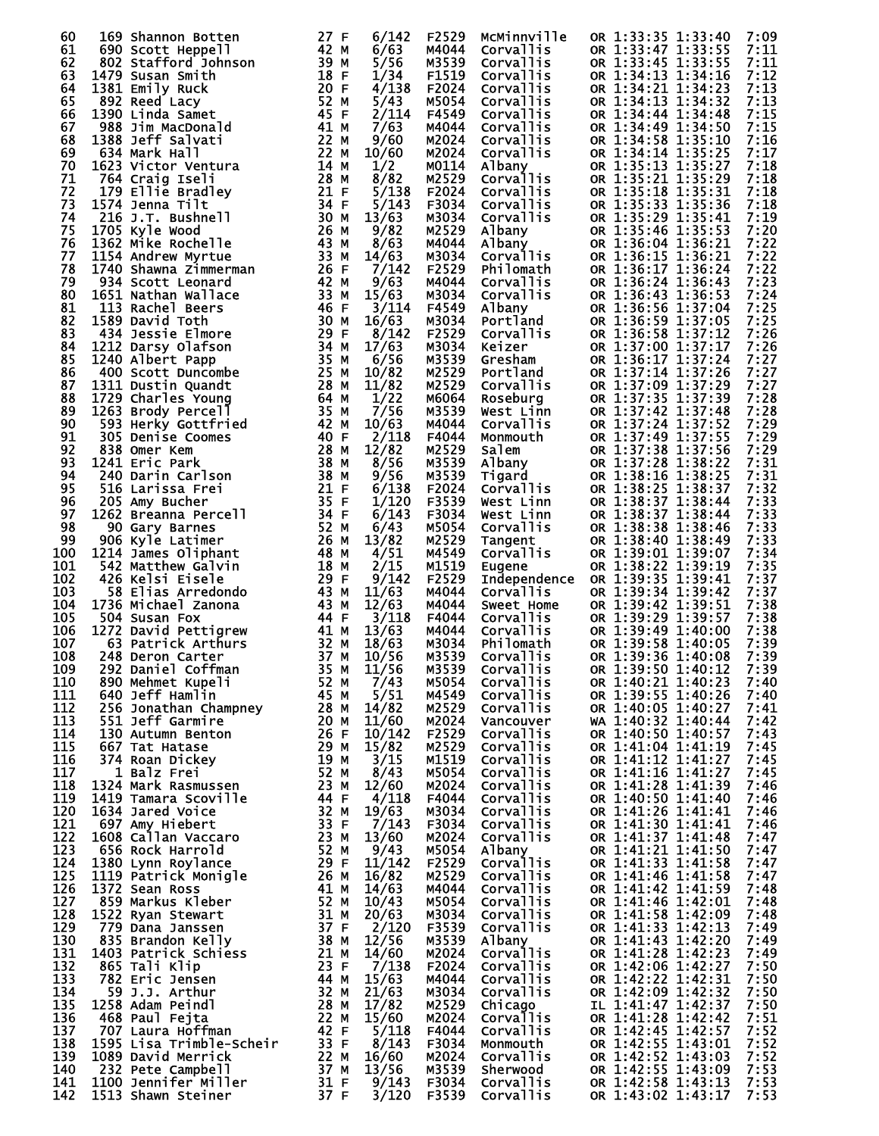| 60         |     | 169 Shannon Botten                            | 27 F         | 6/142          | F2529          | MCMinnville                          | OR 1:33:35 1:33:40                       | 7:09         |
|------------|-----|-----------------------------------------------|--------------|----------------|----------------|--------------------------------------|------------------------------------------|--------------|
| 61         |     | 690 Scott Heppell                             | 42 M         | 6/63           | M4044          | <b>Corvallis</b>                     | OR 1:33:47 1:33:55                       | 7:11         |
| 62         |     | 802 Stafford Johnson                          | 39 M         | 5/56           | M3539          | <b>Corvallis</b>                     | OR 1:33:45 1:33:55                       | 7:11         |
| 63<br>64   |     | 1479 Susan Smith<br>1381 Emily Ruck           | 18 F<br>20 F | 1/34<br>4/138  | F1519<br>F2024 | <b>Corvallis</b><br>Corvallis        | OR 1:34:13 1:34:16<br>OR 1:34:21 1:34:23 | 7:12<br>7:13 |
| 65         |     | 892 Reed Lacy                                 | 52 M         | 5/43           | M5054          | Corvallis                            | OR 1:34:13 1:34:32                       | 7:13         |
| 66         |     | 1390 Linda Samet                              | 45 F         | 2/114          | F4549          | <b>Corvallis</b>                     | OR 1:34:44 1:34:48                       | 7:15         |
| 67         |     | 988 Jim MacDonald                             | 41 M         | 7/63           | M4044          | <b>Corvallis</b>                     | OR 1:34:49 1:34:50                       | 7:15         |
| 68         |     | 1388 Jeff Salvati                             | 22 M         | 9/60           | M2024          | Corvallis                            | OR 1:34:58 1:35:10                       | 7:16         |
| 69         |     | 634 Mark Hall                                 | 22 M         | 10/60          | M2024          | Corvallis                            | OR 1:34:14 1:35:25                       | 7:17         |
| 70         |     | 1623 Victor Ventura                           | 14 M         | 1/2            | M0114          | Albany                               | OR 1:35:13 1:35:27                       | 7:18         |
| 71         |     | 764 Craig Iseli                               | 28 M         | 8/82           | M2529          | <b>Corvallis</b>                     | OR 1:35:21 1:35:29                       | 7:18         |
| 72<br>73   |     | 179 Ellie Bradley<br>1574 Jenna Tilt          | 21 F<br>34 F | 5/138<br>5/143 | F2024<br>F3034 | Corvallis<br>Corvallis               | OR 1:35:18 1:35:31<br>OR 1:35:33 1:35:36 | 7:18<br>7:18 |
| 74         |     | 216 J.T. Bushnell                             | 30 M         | 13/63          | M3034          | Corvallis                            | OR 1:35:29 1:35:41                       | 7:19         |
| 75         |     | 1705 Kyle Wood                                | 26 M         | 9/82           | M2529          | Albany                               | OR 1:35:46 1:35:53                       | 7:20         |
| 76         |     | 1362 Mike Rochelle                            | 43 M         | 8/63           | M4044          | Albany                               | OR 1:36:04 1:36:21                       | 7:22         |
| 77         |     | 1154 Andrew Myrtue                            | 33 M         | 14/63          | M3034          | Corvallis                            | OR 1:36:15 1:36:21                       | 7:22         |
| 78         |     | 1740 Shawna Zimmerman                         | 26 F         | 7/142          | F2529          | Philomath                            | OR 1:36:17 1:36:24                       | 7:22         |
| 79         |     | 934 Scott Leonard                             | 42 M         | 9/63           | M4044          | Corvallis                            | OR 1:36:24 1:36:43                       | 7:23         |
| 80         |     | 1651 Nathan Wallace                           | 33 M         | 15/63          | M3034          | Corvallis                            | OR 1:36:43 1:36:53                       | 7:24         |
| 81         |     | 113 Rachel Beers                              | 46 F         | 3/114          | F4549          | Albany                               | OR 1:36:56 1:37:04                       | 7:25         |
| 82<br>83   |     | 1589 David Toth<br>434 Jessie Elmore          | 30 M<br>29 F | 16/63<br>8/142 | M3034<br>F2529 | Portland<br>Corvallis                | OR 1:36:59 1:37:05<br>OR 1:36:58 1:37:12 | 7:25<br>7:26 |
| 84         |     | 1212 Darsy Olafson                            | 34 M         | 17/63          | M3034          | Keizer                               | OR 1:37:00 1:37:17                       | 7:26         |
| 85         |     | 1240 Albert Papp                              | 35 M         | 6/56           | M3539          | Gresham                              | OR 1:36:17 1:37:24                       | 7:27         |
| 86         |     | 400 Scott Duncombe                            | 25 M         | 10/82          | M2529          | Portland                             | OR 1:37:14 1:37:26                       | 7:27         |
| 87         |     | 1311 Dustin Quandt                            | 28 M         | 11/82          | M2529          | Corvallis                            | OR 1:37:09 1:37:29                       | 7:27         |
| 88         |     | 1729 Charles Young                            | 64 M         | 1/22           | M6064          | Roseburg                             | OR 1:37:35 1:37:39                       | 7:28         |
| 89         |     | 1263 Brody Percell                            | 35 M         | 7/56           | M3539          | West Linn                            | OR 1:37:42 1:37:48                       | 7:28         |
| 90         |     | 593 Herky Gottfried                           | 42 M         | 10/63          | M4044          | Corvallis                            | OR 1:37:24 1:37:52                       | 7:29         |
| 91<br>92   |     | 305 Denise Coomes                             | 40 F<br>28 M | 2/118          | F4044<br>M2529 | Monmouth                             | OR 1:37:49 1:37:55                       | 7:29<br>7:29 |
| 93         |     | 838 Omer Kem<br>1241 Eric Park                | 38 M         | 12/82<br>8/56  | M3539          | Salem<br>Albany                      | OR 1:37:38 1:37:56<br>OR 1:37:28 1:38:22 | 7:31         |
| 94         |     | 240 Darin Carlson                             | 38 M         | 9/56           | M3539          | Tigard                               | OR 1:38:16 1:38:25                       | 7:31         |
| 95         |     | 516 Larissa Frei                              | 21 F         | 6/138          | F2024          | <b>Corvallis</b>                     | OR 1:38:25 1:38:37                       | 7:32         |
| 96         |     | 205 Amy Bucher                                | 35 F         | 1/120          | F3539          | West Linn                            | OR 1:38:37 1:38:44                       | 7:33         |
| 97         |     | 1262 Breanna Percell                          | 34 F         | 6/143          | F3034          | West Linn                            | OR 1:38:37 1:38:44                       | 7:33         |
| 98         |     | 90 Gary Barnes                                | 52 M         | 6/43           | M5054          | Corvallis                            | OR 1:38:38 1:38:46                       | 7:33         |
| 99         |     | 906 Kyle Latimer                              | 26 M         | 13/82          | M2529          | Tangent                              | OR 1:38:40 1:38:49                       | 7:33         |
| 100        |     | 1214 James Oliphant                           | 48 M         | 4/51           | M4549          | <b>Corvallis</b>                     | OR 1:39:01 1:39:07                       | 7:34         |
| 101<br>102 |     | 542 Matthew Galvin<br>426 Kelsi Eisele        | 18 M<br>29 F | 2/15<br>9/142  | M1519<br>F2529 | Eugene                               | OR 1:38:22 1:39:19<br>OR 1:39:35 1:39:41 | 7:35<br>7:37 |
| 103        |     | 58 Elias Arredondo                            | 43 M         | 11/63          | M4044          | Independence<br>Corvallis            | OR 1:39:34 1:39:42                       | 7:37         |
| 104        |     | 1736 Michael Zanona                           | 43 M         | 12/63          | M4044          | Sweet Home                           | OR 1:39:42 1:39:51                       | 7:38         |
| 105        |     | 504 Susan Fox                                 | 44 F         | 3/118          | F4044          | Corvallis                            | OR 1:39:29 1:39:57                       | 7:38         |
| 106        |     | 1272 David Pettigrew                          | 41 M         | 13/63          | M4044          | Corvallis                            | OR 1:39:49 1:40:00                       | 7:38         |
| 107        |     | 63 Patrick Arthurs                            | 32 M         | 18/63          | M3034          | Philomath                            | OR 1:39:58 1:40:05                       | 7:39         |
| 108        |     | 248 Deron Carter                              | 37 M         | 10/56          | M3539          | Corvallis                            | OR 1:39:36 1:40:08                       | 7:39         |
| 109        | 292 | Daniel Coffman                                | 35 M         | 11/56          | M3539          | Corvallis                            | OR 1:39:50 1:40:12                       | 7:39         |
| 110<br>111 |     | 890 Mehmet Kupeli<br>640 Jeff Hamlin          | 52 M<br>45 M | 7/43<br>5/51   | M5054<br>M4549 | Corvallis<br>Corvallis               | OR 1:40:21 1:40:23<br>OR 1:39:55 1:40:26 | 7:40<br>7:40 |
| 112        |     | 256 Jonathan Champney                         | 28 M         | 14/82          | M2529          | <b>Corvallis</b>                     | OR 1:40:05 1:40:27                       | 7:41         |
| 113        |     | 551 Jeff Garmire                              | 20 M         | 11/60          | M2024          | Vancouver                            | WA 1:40:32 1:40:44                       | 7:42         |
| 114        |     | 130 Autumn Benton                             | 26 F         | 10/142         | F2529          | Corvallis                            | OR 1:40:50 1:40:57                       | 7:43         |
| 115        |     | 667 Tat Hatase                                | 29 M         | 15/82          | M2529          | <b>Corvallis</b>                     | OR 1:41:04 1:41:19                       | 7:45         |
| 116        |     | 374 Roan Dickey                               | 19 M         | 3/15           | M1519          | Corvallis                            | OR 1:41:12 1:41:27                       | 7:45         |
| 117        |     | 1 Balz Frei                                   | 52 M         | 8/43           | M5054          | <b>Corvallis</b>                     | OR 1:41:16 1:41:27                       | 7:45         |
| 118<br>119 |     | 1324 Mark Rasmussen<br>1419 Tamara Scoville   | 23 M<br>44 F | 12/60<br>4/118 | M2024<br>F4044 | Corvallis<br><b>Corvallis</b>        | OR 1:41:28 1:41:39<br>OR 1:40:50 1:41:40 | 7:46<br>7:46 |
| 120        |     | 1634 Jared Voice                              | 32 M         | 19/63          | M3034          | Corvallis                            | OR 1:41:26 1:41:41                       | 7:46         |
| 121        |     | 697 Amy Hiebert                               | 33 F         | 7/143          | F3034          | Corvallis                            | OR 1:41:30 1:41:41                       | 7:46         |
| 122        |     | 1608 Callan Vaccaro                           | 23 M         | 13/60          | M2024          | Corvallis                            | OR 1:41:37 1:41:48                       | 7:47         |
| 123        |     | 656 Rock Harrold                              | 52 M         | 9/43           | M5054          | Albany                               | OR 1:41:21 1:41:50                       | 7:47         |
| 124        |     | 1380 Lynn Roylance                            | 29 F         | 11/142         | F2529          | Corvallis                            | OR 1:41:33 1:41:58                       | 7:47         |
| 125        |     | 1119 Patrick Monigle                          | 26 M         | 16/82          | M2529          | <b>Corvallis</b>                     | OR 1:41:46 1:41:58                       | 7:47         |
| 126        |     | 1372 Sean Ross                                | 41 M         | 14/63          | M4044          | Corvallis                            | OR 1:41:42 1:41:59                       | 7:48         |
| 127        |     | 859 Markus Kleber                             | 52 M         | 10/43          | M5054          | <b>Corvallis</b><br>Corvallis        | OR 1:41:46 1:42:01                       | 7:48         |
| 128<br>129 |     | 1522 Ryan Stewart<br>779 Dana Janssen         | 31 M<br>37 F | 20/63<br>2/120 | M3034<br>F3539 | Corvallis                            | OR 1:41:58 1:42:09<br>OR 1:41:33 1:42:13 | 7:48<br>7:49 |
| 130        |     | 835 Brandon Kelly                             | 38 M         | 12/56          | M3539          | Albany                               | OR 1:41:43 1:42:20                       | 7:49         |
| 131        |     | 1403 Patrick Schiess                          | 21 M         | 14/60          | M2024          | Corvallis                            | OR 1:41:28 1:42:23                       | 7:49         |
| 132        |     | 865 Tali Klip                                 | 23 F         | 7/138          | F2024          | <b>Corvallis</b>                     | OR 1:42:06 1:42:27                       | 7:50         |
| 133        |     | 782 Eric Jensen                               | 44 M         | 15/63          | M4044          | Corvallis                            | OR 1:42:22 1:42:31                       | 7:50         |
| 134        |     | 59 J.J. Arthur                                | 32 M         | 21/63          | M3034          | Corvallis                            | OR 1:42:09 1:42:32                       | 7:50         |
| 135        |     | 1258 Adam Peindl                              | 28 M         | 17/82          | M2529          | Chicago                              | IL 1:41:47 1:42:37                       | 7:50         |
| 136        |     | 468 Paul Fejta                                | 22 M<br>42 F | 15/60          | M2024          | <b>Corvallis</b><br><b>Corvallis</b> | OR 1:41:28 1:42:42                       | 7:51         |
| 137<br>138 |     | 707 Laura Hoffman<br>1595 Lisa Trimble-Scheir | 33 F         | 5/118<br>8/143 | F4044<br>F3034 | Monmouth                             | OR 1:42:45 1:42:57<br>OR 1:42:55 1:43:01 | 7:52<br>7:52 |
| 139        |     | 1089 David Merrick                            | 22 M         | 16/60          | M2024          | <b>Corvallis</b>                     | OR 1:42:52 1:43:03                       | 7:52         |
| 140        |     | 232 Pete Campbell                             | 37 M         | 13/56          | M3539          | Sherwood                             | OR 1:42:55 1:43:09                       | 7:53         |
| 141        |     | 1100 Jennifer Miller                          | 31 F         | 9/143          | F3034          | <b>Corvallis</b>                     | OR 1:42:58 1:43:13                       | 7:53         |
| 142        |     | 1513 Shawn Steiner                            | 37 F         | 3/120          | F3539          | <b>Corvallis</b>                     | OR 1:43:02 1:43:17                       | 7:53         |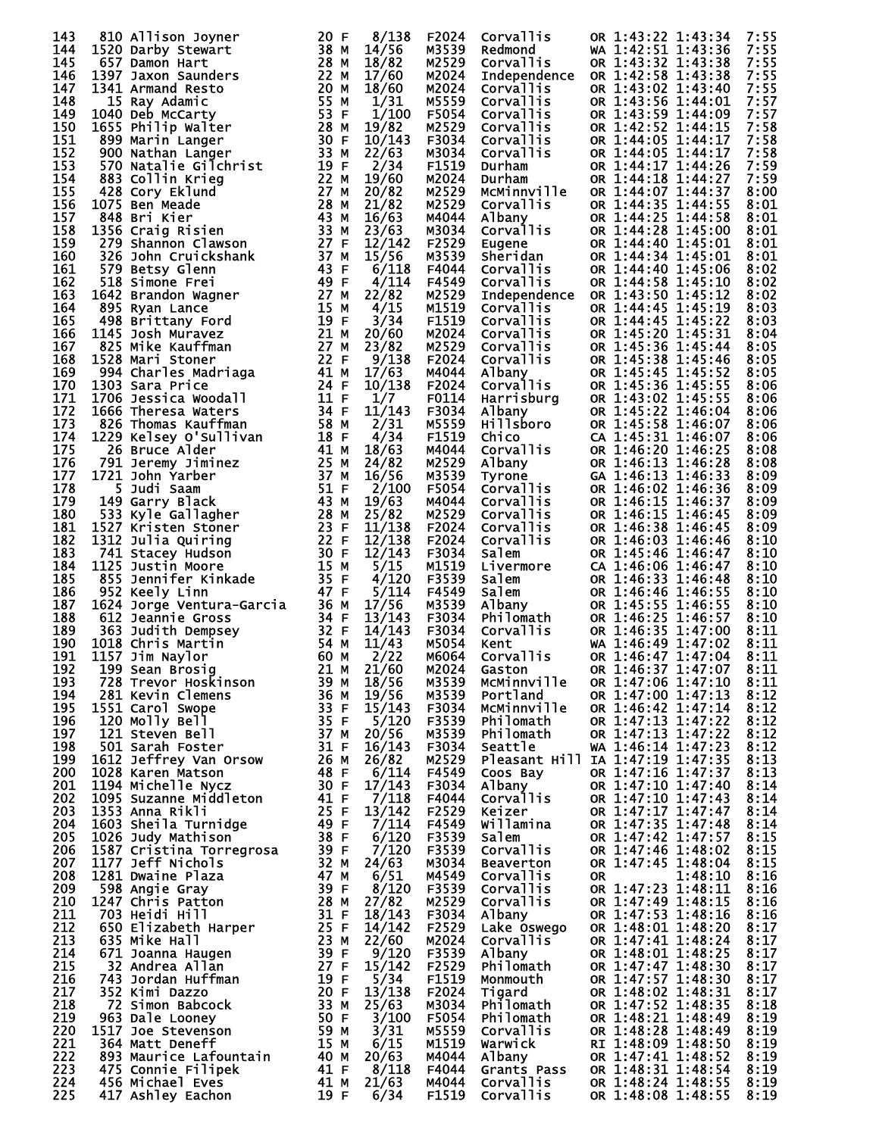| 143        | 810 Allison Joyner                                                                                                                                                                                                                                                          | 20 F              | 8/138            | F2024          | Corvallis                           | OR 1:43:22 1:43:34<br>7:55                               |  |
|------------|-----------------------------------------------------------------------------------------------------------------------------------------------------------------------------------------------------------------------------------------------------------------------------|-------------------|------------------|----------------|-------------------------------------|----------------------------------------------------------|--|
| 144        | 810 ATTISON JOYNET<br>1520 Darby Stewart<br>657 Damon Hart<br>1397 Jaxon Saunders                                                                                                                                                                                           | 38 M              | 14/56            | M3539          | Redmond                             | WA 1:42:51 1:43:36<br>7:55                               |  |
| 145        |                                                                                                                                                                                                                                                                             | 28 M              | 18/82            | M2529          | Corvallis                           | OR 1:43:32 1:43:38<br>7:55                               |  |
| 146        |                                                                                                                                                                                                                                                                             | 22 M              | 17/60            | M2024          | Independence                        | OR 1:42:58 1:43:38<br>7:55                               |  |
| 147<br>148 | 1341 Armand Resto<br>1397 Jaxon Saunders<br>1341 Armand Resto<br>1040 beb McCarty<br>1655 Philip Walter<br>899 Marin Langer<br>900 Nathan Langer<br>770 Natalie Gilchrist<br>883 Collin Krieg<br>428 Cory Eklund<br>1075 Ben Meade<br>848 Bri Kier<br>1356 Craig Risien<br> | 20 M              | 18/60            | M2024<br>M5559 | <b>Corvallis</b>                    | OR 1:43:02 1:43:40<br>7:55<br>OR 1:43:56 1:44:01<br>7:57 |  |
| 149        |                                                                                                                                                                                                                                                                             |                   | 1/31<br>1/100    | F5054          | Corvallis<br>Corvallis              | OR 1:43:59 1:44:09<br>7:57                               |  |
| 150        |                                                                                                                                                                                                                                                                             |                   | 19/82            | M2529          | Corvallis                           | OR 1:42:52 1:44:15<br>7:58                               |  |
| 151        |                                                                                                                                                                                                                                                                             |                   | 10/143           | F3034          | Corvallis                           | 7:58<br>OR 1:44:05 1:44:17                               |  |
| 152        |                                                                                                                                                                                                                                                                             |                   | 22/63            | M3034          | Corvallis                           | 7:58<br>OR 1:44:05 1:44:17                               |  |
| 153        |                                                                                                                                                                                                                                                                             |                   | 2/34             | F1519          | Durham                              | 7:59<br>OR 1:44:17 1:44:26                               |  |
| 154        |                                                                                                                                                                                                                                                                             |                   | 19/60            | M2024          | Durham                              | 7:59<br>OR 1:44:18 1:44:27                               |  |
| 155        |                                                                                                                                                                                                                                                                             |                   | 20/82            | M2529          | MCMinnville                         | OR 1:44:07 1:44:37<br>8:00                               |  |
| 156        |                                                                                                                                                                                                                                                                             |                   | 21/82            | M2529          | Corvallis                           | OR 1:44:35 1:44:55<br>8:01                               |  |
| 157<br>158 |                                                                                                                                                                                                                                                                             |                   | 16/63<br>23/63   | M4044<br>M3034 | Albany<br>Corvallis                 | OR 1:44:25 1:44:58<br>8:01<br>OR 1:44:28 1:45:00<br>8:01 |  |
| 159        |                                                                                                                                                                                                                                                                             |                   | 12/142           | F2529          | Eugene                              | OR 1:44:40 1:45:01<br>8:01                               |  |
| 160        |                                                                                                                                                                                                                                                                             |                   | 15/56            | M3539          | Sheridan                            | OR 1:44:34 1:45:01<br>8:01                               |  |
| 161        |                                                                                                                                                                                                                                                                             |                   | 6/118            | F4044          | Corvallis                           | OR 1:44:40 1:45:06<br>8:02                               |  |
| 162        |                                                                                                                                                                                                                                                                             |                   | 4/114            | F4549          | <b>Corvallis</b>                    | OR 1:44:58 1:45:10<br>8:02                               |  |
| 163        |                                                                                                                                                                                                                                                                             |                   | 22/82            | M2529          | Independence                        | OR 1:43:50 1:45:12<br>8:02                               |  |
| 164        |                                                                                                                                                                                                                                                                             |                   | 4/15             | M1519          | <b>Corvallis</b>                    | OR 1:44:45 1:45:19<br>8:03                               |  |
| 165        |                                                                                                                                                                                                                                                                             |                   | 3/34             | F1519          | Corvallis                           | OR 1:44:45 1:45:22<br>8:03                               |  |
| 166<br>167 |                                                                                                                                                                                                                                                                             |                   | 20/60<br>23/82   | M2024<br>M2529 | Corvallis<br>Corvallis              | OR 1:45:20 1:45:31<br>8:04<br>OR 1:45:36 1:45:44<br>8:05 |  |
| 168        |                                                                                                                                                                                                                                                                             |                   | 9/138            | F2024          | <b>Corvallis</b>                    | OR 1:45:38 1:45:46<br>8:05                               |  |
| 169        |                                                                                                                                                                                                                                                                             |                   | 17/63            | M4044          | Albany                              | OR 1:45:45 1:45:52<br>8:05                               |  |
| 170        |                                                                                                                                                                                                                                                                             |                   | 10/138           | F2024          | Corvallis                           | OR 1:45:36 1:45:55<br>8:06                               |  |
| 171        |                                                                                                                                                                                                                                                                             |                   | 1/7              | F0114          | Harrisburg                          | OR 1:43:02 1:45:55<br>8:06                               |  |
| 172        |                                                                                                                                                                                                                                                                             |                   | 11/143           | F3034          |                                     | OR 1:45:22 1:46:04<br>8:06                               |  |
| 173        |                                                                                                                                                                                                                                                                             |                   | 2/31             | M5559          | sany<br>Hillsboro<br>Chico          | OR 1:45:58 1:46:07<br>8:06                               |  |
| 174        |                                                                                                                                                                                                                                                                             |                   | 4/34             | F1519          | ان<br>Corvallis<br>منابع            | CA 1:45:31 1:46:07<br>8:06                               |  |
| 175<br>176 |                                                                                                                                                                                                                                                                             |                   | 18/63            | M4044          | Albany                              | OR 1:46:20 1:46:25<br>8:08                               |  |
| 177        |                                                                                                                                                                                                                                                                             |                   | 24/82<br>16/56   | M2529<br>M3539 | <b>Tyrone</b>                       | OR 1:46:13 1:46:28<br>8:08<br>GA 1:46:13 1:46:33<br>8:09 |  |
| 178        |                                                                                                                                                                                                                                                                             |                   | 2/100            | F5054          | <b>Corvallis</b>                    | OR 1:46:02 1:46:36<br>8:09                               |  |
| 179        |                                                                                                                                                                                                                                                                             |                   | 19/63            | M4044          | Corvallis                           | OR 1:46:15 1:46:37<br>8:09                               |  |
| 180        |                                                                                                                                                                                                                                                                             |                   | 25/82            | M2529          | Corvallis                           | OR 1:46:15 1:46:45<br>8:09                               |  |
| 181        | 373 Simone Frei<br>49 Simone Frei<br>49 Spinone Frei<br>49 Brittany Ford<br>498 Brittany Ford<br>1145 Josh Muravez<br>825 Mike Kauffman<br>1225 Mike Kauffman<br>1228 Mari Stoner<br>994 Charles Madriaga<br>1303 Sara Price<br>1206 Jessica Woodall                        |                   | 11/138           | F2024          | Corvallis                           | OR 1:46:38 1:46:45<br>8:09                               |  |
| 182        |                                                                                                                                                                                                                                                                             |                   | 12/138           | F2024          | Corvallis                           | OR 1:46:03 1:46:46<br>8:10                               |  |
| 183        |                                                                                                                                                                                                                                                                             |                   | 12/143           | F3034          | Salem                               | OR 1:45:46 1:46:47<br>8:10                               |  |
| 184        |                                                                                                                                                                                                                                                                             |                   | 5/15             | M1519          | Livermore                           | CA 1:46:06 1:46:47<br>8:10                               |  |
| 185<br>186 |                                                                                                                                                                                                                                                                             |                   | 4/120<br>5/114   | F3539<br>F4549 | Salem<br>Salem                      | OR 1:46:33 1:46:48<br>8:10<br>OR 1:46:46 1:46:55<br>8:10 |  |
| 187        |                                                                                                                                                                                                                                                                             |                   | 17/56            | M3539          | Albany                              | OR 1:45:55 1:46:55<br>8:10                               |  |
| 188        | 1624 Jorge Ventura-Garcia 36 M<br>612 Jeannie Gross 34 F<br>612 Jeannie Gross 34 F<br>363 Judith Dempsey 32 F<br>1018 Chris Martin 54 M<br>1157 Jim Naylor 60 M<br>199 Sean Brosig. 21 M<br>728 Tanuary 1157.                                                               |                   | 13/143           | F3034          |                                     | OR 1:46:25 1:46:57<br>8:10                               |  |
| 189        |                                                                                                                                                                                                                                                                             |                   | 14/143           | F3034          | Philomath<br>Corvallis<br>Corvallis | OR 1:46:35 1:47:00<br>8:11                               |  |
| 190        |                                                                                                                                                                                                                                                                             |                   | 11/43            | M5054          | Kent                                | WA 1:46:49 1:47:02<br>8:11                               |  |
| 191        |                                                                                                                                                                                                                                                                             |                   | 2/22             | M6064          | Corvallis                           | OR 1:46:47 1:47:04<br>8:11                               |  |
| 192        |                                                                                                                                                                                                                                                                             |                   | 21/60            | M2024          | Gaston                              | OR 1:46:37 1:47:07<br>8:11                               |  |
| 193<br>194 | 728 Trevor Hoskinson<br>281 Kevin Clemens                                                                                                                                                                                                                                   | 39 M<br>36 M      | 18/56<br>19/56   | M3539<br>M3539 | McMinnville<br>Portland             | OR 1:47:06 1:47:10<br>8:11<br>OR 1:47:00 1:47:13<br>8:12 |  |
| 195        | 1551 Carol Swope                                                                                                                                                                                                                                                            | 33 F              | 15/143           | F3034          | MCMinnville                         | OR 1:46:42 1:47:14<br>8:12                               |  |
| 196        | 120 Molly Bell                                                                                                                                                                                                                                                              | 35 F              | 5/120            | F3539          | Philomath                           | OR 1:47:13 1:47:22<br>8:12                               |  |
| 197        | 121 Steven Bell                                                                                                                                                                                                                                                             | 37 M              | 20/56            | M3539          | Philomath                           | OR 1:47:13 1:47:22<br>8:12                               |  |
| 198        | 501 Sarah Foster                                                                                                                                                                                                                                                            | 31 F              | 16/143           | F3034          | Seattle                             | WA 1:46:14 1:47:23<br>8:12                               |  |
| 199        | 1612 Jeffrey Van Orsow                                                                                                                                                                                                                                                      | 26 M              | 26/82            | M2529          |                                     | Pleasant Hill IA 1:47:19 1:47:35<br>8:13                 |  |
| 200        | 1028 Karen Matson                                                                                                                                                                                                                                                           | 48 F              | 6/114            | F4549          | Coos Bay                            | OR 1:47:16 1:47:37<br>8:13                               |  |
| 201<br>202 | 1194 Michelle Nycz<br>1095 Suzanne Middleton                                                                                                                                                                                                                                | 30 F<br>41 F      | 17/143<br>7/118  | F3034<br>F4044 | Albany<br>Corvallis                 | OR 1:47:10 1:47:40<br>8:14<br>OR 1:47:10 1:47:43<br>8:14 |  |
| 203        | 1353 Anna Rikli                                                                                                                                                                                                                                                             | 25 F              | 13/142           | F2529          | Keizer                              | OR 1:47:17 1:47:47<br>8:14                               |  |
| 204        | 1603 Sheila Turnidge                                                                                                                                                                                                                                                        | 49 F              | 7/114            | F4549          | Willamina                           | OR 1:47:35 1:47:48<br>8:14                               |  |
| 205        | 1026 Judy Mathison                                                                                                                                                                                                                                                          | 38 F              | 6/120            | F3539          | Salem                               | OR 1:47:42 1:47:57<br>8:15                               |  |
| 206        | 1587 Cristina Torregrosa                                                                                                                                                                                                                                                    | 39 F              | 7/120            | F3539          | Corvallis                           | OR 1:47:46 1:48:02<br>8:15                               |  |
| 207        | 1177 Jeff Nichols                                                                                                                                                                                                                                                           | 32 M              | 24/63            | M3034          | <b>Beaverton</b>                    | OR 1:47:45 1:48:04<br>8:15                               |  |
| 208        | 1281 Dwaine Plaza                                                                                                                                                                                                                                                           | 47 M              | 6/51             | M4549          | Corvallis                           | 1:48:10<br>8:16<br>0R                                    |  |
| 209        | 598 Angie Gray                                                                                                                                                                                                                                                              | 39 F              | 8/120            | F3539          | Corvallis                           | OR 1:47:23 1:48:11<br>8:16                               |  |
| 210<br>211 | 1247 Chris Patton                                                                                                                                                                                                                                                           | 28 M<br>31 F      | 27/82            | M2529          | Corvallis                           | OR 1:47:49 1:48:15<br>8:16                               |  |
| 212        | 703 Heidi Hill<br>650 Elizabeth Harper                                                                                                                                                                                                                                      | 25 F              | 18/143<br>14/142 | F3034<br>F2529 | Albany<br>Lake Oswego               | OR 1:47:53 1:48:16<br>8:16<br>OR 1:48:01 1:48:20<br>8:17 |  |
| 213        | 635 Mike Hall                                                                                                                                                                                                                                                               | 23 M              | 22/60            | M2024          | <b>Corvallis</b>                    | OR 1:47:41 1:48:24<br>8:17                               |  |
| 214        | 671 Joanna Haugen                                                                                                                                                                                                                                                           |                   | 9/120            | F3539          | Albany                              | OR 1:48:01 1:48:25<br>8:17                               |  |
| 215        | 32 Andrea Allan                                                                                                                                                                                                                                                             | $\frac{39}{27}$ F | 15/142           | F2529          | Philomath                           | OR 1:47:47 1:48:30<br>8:17                               |  |
| 216        | 743 Jordan Huffman                                                                                                                                                                                                                                                          | 19 F              | 5/34             | F1519          | Monmouth                            | OR 1:47:57 1:48:30<br>8:17                               |  |
| 217        |                                                                                                                                                                                                                                                                             |                   |                  | F2024          | Tigard                              | OR 1:48:02 1:48:31<br>8:17                               |  |
|            | 352 Kimi Dazzo                                                                                                                                                                                                                                                              | 20 F              | 13/138           |                |                                     |                                                          |  |
| 218        | 72 Simon Babcock                                                                                                                                                                                                                                                            | 33 M              | 25/63            | M3034          | Philomath                           | OR 1:47:52 1:48:35<br>8:18                               |  |
| 219        | 963 Dale Looney                                                                                                                                                                                                                                                             | 50 F              | 3/100            | F5054          | Philomath                           | OR 1:48:21 1:48:49<br>8:19                               |  |
| 220        | 1517 Joe Stevenson                                                                                                                                                                                                                                                          | 59 M              | 3/31             | M5559          | Corvallis                           | OR 1:48:28 1:48:49<br>8:19                               |  |
| 221        | 364 Matt Deneff                                                                                                                                                                                                                                                             | 15 M              | 6/15             | M1519          | Warwick<br>Albany                   | RI 1:48:09 1:48:50<br>8:19<br>8:19                       |  |
| 222<br>223 | 893 Maurice Lafountain<br>475 Connie Filipek                                                                                                                                                                                                                                | 40 M<br>41 F      | 20/63<br>8/118   | M4044<br>F4044 | Grants Pass                         | OR 1:47:41 1:48:52<br>OR 1:48:31 1:48:54<br>8:19         |  |
| 224<br>225 | 456 Michael Eves<br>417 Ashley Eachon                                                                                                                                                                                                                                       | 41 M<br>19 F      | 21/63<br>6/34    | M4044<br>F1519 | Corvallis<br>Corvallis              | OR 1:48:24 1:48:55<br>8:19<br>8:19<br>OR 1:48:08 1:48:55 |  |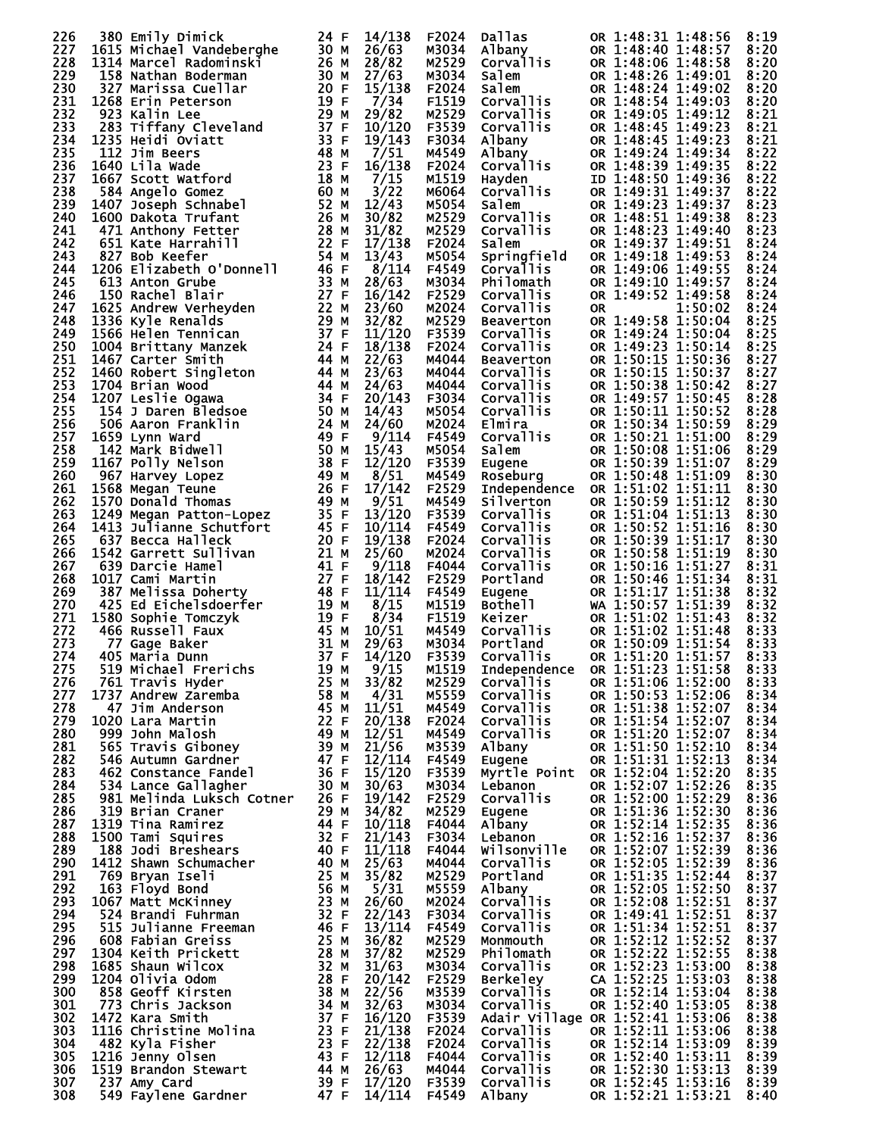| 226        | 380 Emily Dimick                                                                                                                                                                                                                                                | 24 F | 14/138           | F2024          | Dallas                 | OR 1:48:31 1:48:56                                               | 8:19         |
|------------|-----------------------------------------------------------------------------------------------------------------------------------------------------------------------------------------------------------------------------------------------------------------|------|------------------|----------------|------------------------|------------------------------------------------------------------|--------------|
| 227        | 1615 Michael Vandeberghe                                                                                                                                                                                                                                        | 30 M | 26/63            | M3034          | Albany                 | OR 1:48:40 1:48:57                                               | 8:20         |
| 228        | 1314 Marcel Radominski                                                                                                                                                                                                                                          | 26 M | 28/82            | M2529          | Corvallis              | OR 1:48:06 1:48:58                                               | 8:20         |
|            |                                                                                                                                                                                                                                                                 |      |                  |                |                        |                                                                  |              |
| 229        | 158 Nathan Boderman                                                                                                                                                                                                                                             | 30 M | 27/63            | M3034          | Salem                  | OR 1:48:26 1:49:01                                               | 8:20         |
| 230        | 327 Marissa Cuellar                                                                                                                                                                                                                                             | 20 F | 15/138           | F2024          | Salem                  | OR 1:48:24 1:49:02                                               | 8:20         |
| 231        | 1268 Erin Peterson                                                                                                                                                                                                                                              | 19 F | 7/34             | F1519          | Corvallis              | OR 1:48:54 1:49:03                                               | 8:20         |
| 232        | 923 Kalin Lee                                                                                                                                                                                                                                                   | 29 M | 29/82            | M2529          | Corvallis              | OR 1:49:05 1:49:12                                               | 8:21         |
| 233        | <b>923 Kalin Lee<br/>283 Tiffany Cleveland<br/>1235 Heidi Oviatt<br/>112 Jim Beers<br/>1640 Lila Wade<br/>1667 Scott Watford</b>                                                                                                                                | 37 F | 10/120           | F3539          | Corvallis              | OR 1:48:45 1:49:23                                               | 8:21         |
| 234        | 1235 Heidi Oviatt                                                                                                                                                                                                                                               | 33 F | 19/143           | F3034          | Albany                 | OR 1:48:45 1:49:23                                               | 8:21         |
| 235        |                                                                                                                                                                                                                                                                 | 48 M | 7/51             | M4549          | Albany                 | OR 1:49:24 1:49:34                                               | 8:22         |
| 236        | 1640 Lila Wade                                                                                                                                                                                                                                                  | 23 F | 16/138           | F2024          | Corvallis              | OR 1:48:39 1:49:35                                               | 8:22         |
| 237        | 1667 Scott Watford                                                                                                                                                                                                                                              | 18 M | 7/15             | M1519          |                        | ID 1:48:50 1:49:36                                               |              |
|            | 166/ SCOTT WALTURE<br>584 Angelo Gomez<br>1407 Joseph Schnabel<br>1600 Dakota Trufant<br>471 Anthony Fetter<br>651 Kate Harrahill<br>827 Bob Keefer<br>1206 Elizabeth O'Donnell<br>1206 Elizabeth O'Donnell                                                     |      |                  |                | Hayden                 |                                                                  | 8:22         |
| 238        |                                                                                                                                                                                                                                                                 | 60 M | 3/22             | M6064          | Corvallis              | OR 1:49:31 1:49:37                                               | 8:22         |
| 239        |                                                                                                                                                                                                                                                                 | 52 M | 12/43            | M5054          | Salem                  | OR 1:49:23 1:49:37                                               | 8:23         |
| 240        |                                                                                                                                                                                                                                                                 | 26 M | 30/82            | M2529          | Corvallis<br>Corvallis | OR 1:48:51 1:49:38                                               | 8:23         |
| 241        |                                                                                                                                                                                                                                                                 | 28 M | 31/82            | M2529          | Corvallis              | OR 1:48:23 1:49:40                                               | 8:23         |
| 242        |                                                                                                                                                                                                                                                                 | 22 F | 17/138           | F2024          | Salem                  | OR 1:49:37 1:49:51                                               | 8:24         |
| 243        |                                                                                                                                                                                                                                                                 | 54 M | 13/43            | M5054          | Springfield            | OR 1:49:18 1:49:53                                               | 8:24         |
| 244        |                                                                                                                                                                                                                                                                 | 46 F | 8/114            | F4549          | <b>Corvallis</b>       | OR 1:49:06 1:49:55                                               | 8:24         |
| 245        | 150 Rachel Blair<br>1625 Andrew Verheyden<br>1336 Kyle Renalds<br>1566 Helen Tennican<br>1004 Brittany Manzek<br>1467 Carter Smith<br>1460 Robert Singleton<br>1704 Brian Wood<br>207 Leslie Ogawa<br>154 J Daren Bledsoe<br>506 Aaron Franklin<br>159 Lynn war | 33 M | 28/63            | M3034          | Philomath              | OR 1:49:10 1:49:57                                               | 8:24         |
|            |                                                                                                                                                                                                                                                                 | 27 F |                  |                |                        |                                                                  |              |
| 246        |                                                                                                                                                                                                                                                                 |      | 16/142           | F2529          | Corvallis              | OR 1:49:52 1:49:58                                               | 8:24         |
| 247        |                                                                                                                                                                                                                                                                 | 22 M | 23/60            | M2024          | Corvallis              | 1:50:02<br><b>OR</b>                                             | 8:24         |
| 248        |                                                                                                                                                                                                                                                                 | 29 M | 32/82            | M2529          | Beaverton              | OR 1:49:58 1:50:04                                               | 8:25         |
| 249        |                                                                                                                                                                                                                                                                 | 37 F | 11/120           | F3539          | Corvallis              | OR 1:49:24 1:50:04                                               | 8:25         |
| 250        |                                                                                                                                                                                                                                                                 | 24 F | 18/138           | F2024          | Corvallis              | OR 1:49:23 1:50:14                                               | 8:25         |
| 251        |                                                                                                                                                                                                                                                                 | 44 M | 22/63            | M4044          | <b>Beaverton</b>       | OR 1:50:15 1:50:36                                               | 8:27         |
| 252        |                                                                                                                                                                                                                                                                 | 44 M | 23/63            | M4044          | Corvallis              | OR 1:50:15 1:50:37                                               | 8:27         |
|            |                                                                                                                                                                                                                                                                 |      |                  |                |                        |                                                                  |              |
| 253        |                                                                                                                                                                                                                                                                 | 44 M | 24/63            | M4044          | Corvallis              | OR 1:50:38 1:50:42                                               | 8:27         |
| 254        |                                                                                                                                                                                                                                                                 | 34 F | 20/143           | F3034          | Corvallis              | OR 1:49:57 1:50:45                                               | 8:28         |
| 255        |                                                                                                                                                                                                                                                                 | 50 M | 14/43            | M5054          | Corvallis              | OR 1:50:11 1:50:52                                               | 8:28         |
| 256        |                                                                                                                                                                                                                                                                 | 24 M | 24/60            | M2024          | Elmira                 | OR 1:50:34 1:50:59                                               | 8:29         |
| 257        |                                                                                                                                                                                                                                                                 | 49 F | 9/114            | F4549          | Corvallis              | OR 1:50:21 1:51:00                                               | 8:29         |
| 258        |                                                                                                                                                                                                                                                                 | 50 M | 15/43            | M5054          | Salem                  | OR 1:50:08 1:51:06                                               | 8:29         |
|            |                                                                                                                                                                                                                                                                 |      |                  |                |                        |                                                                  |              |
| 259        |                                                                                                                                                                                                                                                                 | 38 F | 12/120           | F3539          | Eugene                 | OR 1:50:39 1:51:07                                               | 8:29         |
| 260        | 967 Harvey Lopez                                                                                                                                                                                                                                                | 49 M | 8/51             | M4549          | Roseburg               | OR 1:50:48 1:51:09                                               | 8:30         |
| 261        | 1568 Megan Teune                                                                                                                                                                                                                                                | 26 F | 17/142           | F2529          |                        | Independence OR 1:51:02 1:51:11                                  | 8:30         |
| 262        | 1570 Donald Thomas                                                                                                                                                                                                                                              | 49 M | 9/51             | M4549          | Silverton              | OR 1:50:59 1:51:12                                               | 8:30         |
| 263        | 1249 Megan Patton-Lopez                                                                                                                                                                                                                                         | 35 F | 13/120           | F3539          | <b>Corvallis</b>       | OR 1:51:04 1:51:13                                               | 8:30         |
| 264        | 1413 Julianne Schutfort                                                                                                                                                                                                                                         | 45 F | 10/114           | F4549          | <b>Corvallis</b>       | OR 1:50:52 1:51:16                                               | 8:30         |
|            |                                                                                                                                                                                                                                                                 |      |                  |                |                        | OR 1:50:39 1:51:17                                               |              |
| 265        | 637 Becca Halleck                                                                                                                                                                                                                                               | 20 F | 19/138           | F2024          | Corvallis              |                                                                  | 8:30         |
| 266        | 1542 Garrett Sullivan                                                                                                                                                                                                                                           | 21 M | 25/60            | M2024          | Corvallis              | OR 1:50:58 1:51:19                                               | 8:30         |
| 267        | 639 Darcie Hamel                                                                                                                                                                                                                                                | 41 F | 9/118            | F4044          | Corvallis              | OR 1:50:16 1:51:27                                               | 8:31         |
| 268        | 1017 Cami Martin                                                                                                                                                                                                                                                | 27 F | 18/142           | F2529          | Portland               | OR 1:50:46 1:51:34                                               | 8:31         |
| 269        |                                                                                                                                                                                                                                                                 | 48 F | 11/114           | F4549          | Eugene                 | OR 1:51:17 1:51:38                                               | 8:32         |
| 270        |                                                                                                                                                                                                                                                                 | 19 M | 8/15             | M1519          | Bothell                | WA 1:50:57 1:51:39                                               | 8:32         |
| 271        | 387 Melissa Doherty<br>425 Ed Eichelsdoerfer<br>580 Sophie Tomczyk<br>466 Russell Faux<br>77 Gage Baker<br>405 Maria Dunn<br>519 Michael Frerichs<br>761 Travis Hyder<br>1580 Sophie Tomczyk                                                                    | 19 F | 8/34             | F1519          | Keizer                 | OR 1:51:02 1:51:43                                               |              |
|            |                                                                                                                                                                                                                                                                 |      |                  |                |                        |                                                                  | 8:32         |
| 272        |                                                                                                                                                                                                                                                                 | 45 M | 10/51            | M4549          | Corvallis<br>Portland  | OR 1:51:02 1:51:48                                               | 8:33         |
| 273        |                                                                                                                                                                                                                                                                 | 31 M | 29/63            | M3034          | Portland               | OR 1:50:09 1:51:54                                               | 8:33         |
| 274        |                                                                                                                                                                                                                                                                 | 37 F | 14/120           | F3539          | Corvallis              | OR 1:51:20 1:51:57                                               | 8:33         |
| 275        | 519 Michael Frerichs 19 M<br>761 Travis Hyder 125 M                                                                                                                                                                                                             |      | 9/15             | M1519          |                        | Independence OR 1:51:23 $1:51:58$                                | 8:33         |
| 276        |                                                                                                                                                                                                                                                                 |      | 33/82            | M2529          | Corvallis              | OR 1:51:06 1:52:00                                               | 8:33         |
| 277        |                                                                                                                                                                                                                                                                 |      | 4/31             | M5559          | Corvallis              | OR 1:50:53 1:52:06                                               | 8:34         |
| 278        |                                                                                                                                                                                                                                                                 |      | 11/51            | M4549          | Corvallis              | OR 1:51:38 1:52:07                                               | 8:34         |
|            |                                                                                                                                                                                                                                                                 |      |                  |                |                        |                                                                  |              |
| 279        |                                                                                                                                                                                                                                                                 |      | 20/138           | F2024          | Corvallis              | OR 1:51:54 1:52:07                                               | 8:34         |
| 280        |                                                                                                                                                                                                                                                                 |      | 12/51            | M4549          | Corvallis              | OR 1:51:20 1:52:07<br>OR 1:51:50 1:52:10                         | 8:34         |
| 281        |                                                                                                                                                                                                                                                                 |      | 21/56            | M3539          | Albany                 |                                                                  | 8:34         |
| 282        |                                                                                                                                                                                                                                                                 |      | 12/114           | F4549          | Eugene                 | OR 1:51:31 1:52:13                                               | 8:34         |
| 283        | 761 Travis Hyder<br>1737 Andrew Zaremba<br>1737 Andrew Zaremba<br>1020 Lara Martin<br>1020 Lara Martin<br>999 John Malosh<br>565 Travis Giboney<br>546 Autumn Gardner<br>462 Constance Fandel<br>534 Lance Gallagher<br>534 Lance Gallagher<br>1791             |      | 15/120           | F3539          |                        | Myrtle Point OR 1:52:04 1:52:20                                  | 8:35         |
| 284        |                                                                                                                                                                                                                                                                 |      | 30/63            | M3034          | Lebanon                | OR 1:52:07 1:52:26                                               | 8:35         |
| 285        | 981 Melinda Luksch Cotner                                                                                                                                                                                                                                       | 26 F | 19/142           | F2529          | Corvallis              | OR 1:52:00 1:52:29                                               | 8:36         |
|            |                                                                                                                                                                                                                                                                 |      |                  |                |                        | OR 1:51:36 1:52:30                                               |              |
| 286        | 319 Brian Craner                                                                                                                                                                                                                                                | 29 M | 34/82            | M2529          | Eugene                 |                                                                  | 8:36         |
| 287        | 1319 Tina Ramirez                                                                                                                                                                                                                                               | 44 F | 10/118           | F4044          | Albany                 | OR 1:52:14 1:52:35                                               | 8:36         |
| 288        | 1500 Tami Squires                                                                                                                                                                                                                                               | 32 F | 21/143           | F3034          | Lebanon                | OR 1:52:16 1:52:37                                               | 8:36         |
| 289        | 188 Jodi Breshears                                                                                                                                                                                                                                              | 40 F | 11/118           | F4044          | Wilsonville            | OR 1:52:07 1:52:39                                               | 8:36         |
| 290        |                                                                                                                                                                                                                                                                 |      | 25/63            | M4044          | <b>Corvallis</b>       | OR 1:52:05 1:52:39                                               | 8:36         |
| 291        |                                                                                                                                                                                                                                                                 |      | 35/82            | M2529          | Portland               | OR 1:51:35 1:52:44                                               | 8:37         |
| 292        |                                                                                                                                                                                                                                                                 |      | 5/31             | M5559          |                        | OR 1:52:05 1:52:50                                               | 8:37         |
|            |                                                                                                                                                                                                                                                                 |      |                  |                | Albany                 |                                                                  |              |
| 293        |                                                                                                                                                                                                                                                                 |      | 26/60            | M2024          | Corvallis              | OR 1:52:08 1:52:51                                               | 8:37         |
| 294        |                                                                                                                                                                                                                                                                 |      | 22/143           | F3034          | Corvallis              | OR 1:49:41 1:52:51                                               | 8:37         |
| 295        |                                                                                                                                                                                                                                                                 |      | 13/114           | F4549          | Corvallis              | OR 1:51:34 1:52:51                                               | 8:37         |
| 296        |                                                                                                                                                                                                                                                                 |      | 36/82            | M2529          | Monmouth               | OR 1:52:12 1:52:52                                               | 8:37         |
| 297        |                                                                                                                                                                                                                                                                 |      | 37/82            | M2529          | Philomath              | OR 1:52:22 1:52:55                                               | 8:38         |
| 298        |                                                                                                                                                                                                                                                                 |      | 31/63            | M3034          | Corvallis              | OR 1:52:23 1:53:00                                               | 8:38         |
|            |                                                                                                                                                                                                                                                                 |      |                  |                |                        |                                                                  |              |
| 299        |                                                                                                                                                                                                                                                                 |      | 20/142           | F2529          | Berkeley               | CA 1:52:25 1:53:03                                               | 8:38         |
| 300        |                                                                                                                                                                                                                                                                 |      | 22/56            | M3539          | Corvallis              | OR 1:52:14 1:53:04                                               | 8:38         |
| 301        |                                                                                                                                                                                                                                                                 |      | 32/63            | M3034          | Corvallis              | OR 1:52:40 1:53:05                                               | 8:38         |
| 302        |                                                                                                                                                                                                                                                                 |      | 16/120           | F3539          |                        |                                                                  | 8:38         |
| 303        |                                                                                                                                                                                                                                                                 |      | 21/138           | F2024          |                        | Adair Village OR 1:52:41 1:53:06<br>Corvallis OR 1:52:11 1:53:06 | 8:38         |
| 304        |                                                                                                                                                                                                                                                                 |      | 22/138           | F2024          | Corvallis              | OR 1:52:14 1:53:09                                               | 8:39         |
|            |                                                                                                                                                                                                                                                                 |      |                  |                |                        |                                                                  |              |
|            |                                                                                                                                                                                                                                                                 |      |                  |                |                        |                                                                  |              |
| 305        |                                                                                                                                                                                                                                                                 |      | 12/118           | F4044          | Corvallis              | OR 1:52:40 1:53:11                                               | 8:39         |
| 306        | 188 Jodi Breshears 40 F<br>1412 Shawn Schumacher 40 M<br>769 Bryan Iseli 25 M<br>163 Floyd Bond 56 M<br>1067 Matt McKinney 23 M<br>524 Brandi Fuhrmann 32 M F<br>524 Brandi Fuhrmann 32 M F<br>515 Julianne Freeman 46 F<br>608 Fabian Greiss                   |      | 26/63            | M4044          | Corvallis              | OR 1:52:30 1:53:13                                               | 8:39         |
| 307<br>308 | 482 Kyla Fisici<br>1216 Jenny Olsen (1994)<br>1519 Brandon Stewart (1994)<br>1995 Amy Card (1995)<br>549 Faylene Gardner                                                                                                                                        | 47 F | 17/120<br>14/114 | F3539<br>F4549 | Corvallis<br>Albany    | OR 1:52:45 1:53:16<br>OR 1:52:21 1:53:21                         | 8:39<br>8:40 |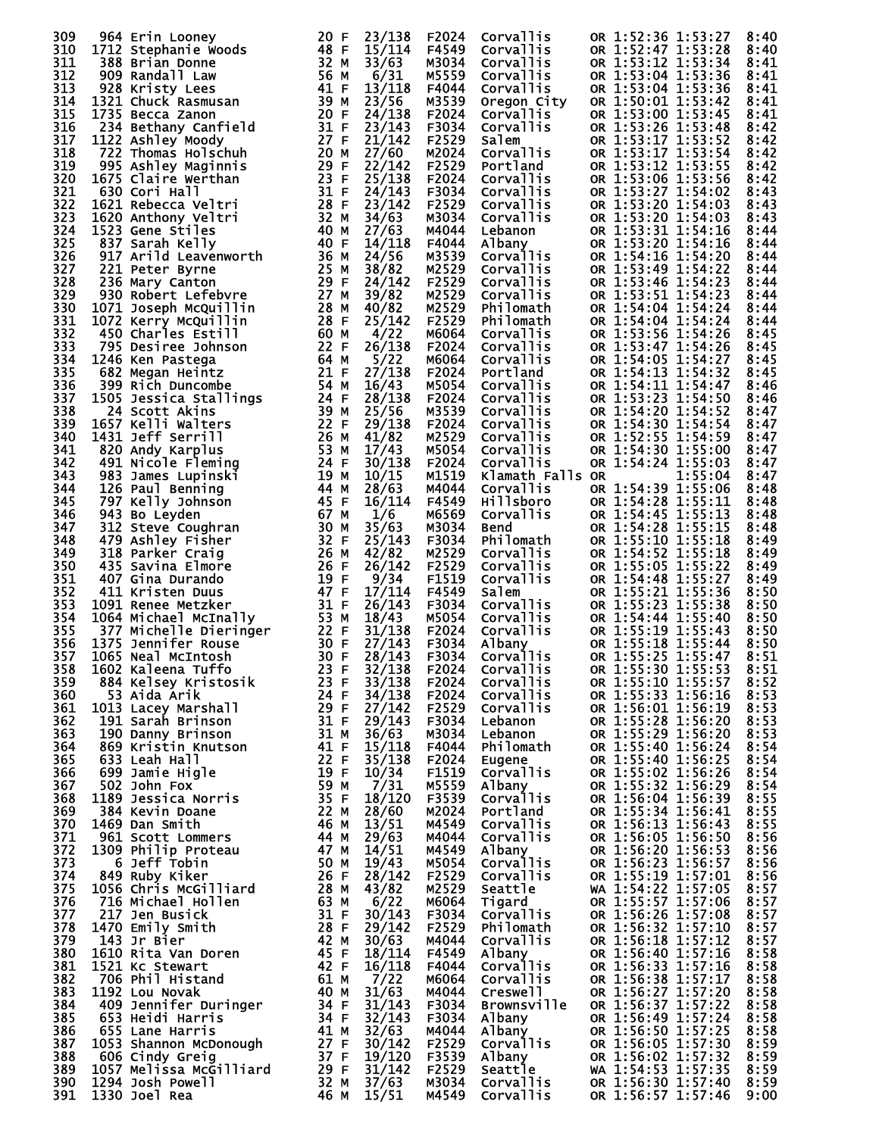| 309        | 964 Erin Looney                                                                                                                                                                | 20 F         | 23/138           | F2024          | Corvallis                    | OR 1:52:36 1:53:27                       | 8:40         |
|------------|--------------------------------------------------------------------------------------------------------------------------------------------------------------------------------|--------------|------------------|----------------|------------------------------|------------------------------------------|--------------|
| 310        | 1712 Stephanie Woods                                                                                                                                                           | 48 F         | 15/114           | F4549          | Corvallis                    | OR 1:52:47 1:53:28                       | 8:40         |
| 311        | 388 Brian Donne                                                                                                                                                                | 32 M         | 33/63            | M3034          | Corvallis                    | OR 1:53:12 1:53:34                       | 8:41         |
| 312        | 909 Randall Law                                                                                                                                                                | 56 M         | 6/31             | M5559          | <b>Corvallis</b>             | OR 1:53:04 1:53:36                       | 8:41         |
| 313        | 928 Kristy Lees                                                                                                                                                                | 41 F         | 13/118           | F4044          | <b>Corvallis</b>             | OR 1:53:04 1:53:36                       | 8:41         |
| 314        | 1321 Chuck Rasmusan                                                                                                                                                            | 39 M         | 23/56            | M3539          | Oregon City                  | OR 1:50:01 1:53:42                       | 8:41         |
| 315        | 1735 Becca Zanon                                                                                                                                                               | 20 F         | 24/138           | F2024          | <b>Corvallis</b>             | OR 1:53:00 1:53:45                       | 8:41         |
| 316        | 234 Bethany Canfield                                                                                                                                                           | 31 F         | 23/143           | F3034          | Corvallis                    | OR 1:53:26 1:53:48                       | 8:42         |
| 317        | 1122 Ashley Moody                                                                                                                                                              | 27 F         | 21/142           | F2529          | Salem                        | OR 1:53:17 1:53:52                       | 8:42         |
| 318        | 722 Thomas Holschuh                                                                                                                                                            | 20 M         | 27/60            | M2024          | Corvallis                    | OR 1:53:17 1:53:54                       | 8:42         |
| 319        | 995 Ashley Maginnis                                                                                                                                                            | 29 F<br>23 F | 22/142<br>25/138 | F2529          | Portland<br><b>Corvallis</b> | OR 1:53:12 1:53:55                       | 8:42         |
| 320<br>321 | 1675 Claire Werthan<br>630 Cori Hall                                                                                                                                           | 31 F         | 24/143           | F2024<br>F3034 | Corvallis                    | OR 1:53:06 1:53:56<br>OR 1:53:27 1:54:02 | 8:42<br>8:43 |
| 322        | 1621 Rebecca Veltri                                                                                                                                                            | 28 F         | 23/142           | F2529          | Corvallis                    | OR 1:53:20 1:54:03                       | 8:43         |
| 323        | 1620 Anthony Veltri                                                                                                                                                            | 32 M         | 34/63            | M3034          | Corvallis                    | OR 1:53:20 1:54:03                       | 8:43         |
| 324        | 1523 Gene Stiles                                                                                                                                                               | 40 M         | 27/63            | M4044          | Lebanon                      | OR 1:53:31 1:54:16                       | 8:44         |
| 325        | 837 Sarah Kelly                                                                                                                                                                | 40 F         | 14/118           | F4044          | Albany                       | OR 1:53:20 1:54:16                       | 8:44         |
| 326        | 917 Arild Leavenworth                                                                                                                                                          | 36 M         | 24/56            | M3539          | Corvallis                    | OR 1:54:16 1:54:20                       | 8:44         |
| 327        | 221 Peter Byrne                                                                                                                                                                | 25 M         | 38/82            | M2529          | <b>Corvallis</b>             | OR 1:53:49 1:54:22                       | 8:44         |
| 328        | 236 Mary Canton                                                                                                                                                                | 29 F         | 24/142           | F2529          | Corvallis                    | OR 1:53:46 1:54:23                       | 8:44         |
| 329        | 930 Robert Lefebvre                                                                                                                                                            | 27 M         | 39/82            | M2529          | <b>Corvallis</b>             | OR 1:53:51 1:54:23                       | 8:44         |
| 330        | 1071 Joseph McQuillin                                                                                                                                                          | 28 M         | 40/82            | M2529          | Philomath                    | OR 1:54:04 1:54:24                       | 8:44         |
| 331        | 1072 Kerry McQuillin                                                                                                                                                           | 28 F         | 25/142           | F2529          | Philomath                    | OR 1:54:04 1:54:24                       | 8:44         |
| 332        | 450 Charles Estill                                                                                                                                                             | 60 M         | 4/22             | M6064          | Corvallis                    | OR 1:53:56 1:54:26                       | 8:45         |
| 333        | 795 Desiree Johnson                                                                                                                                                            | 22 F         | 26/138           | F2024          | Corvallis                    | OR 1:53:47 1:54:26                       | 8:45         |
| 334        | 1246 Ken Pastega                                                                                                                                                               | 64 M         | 5/22             | M6064          | Corvallis                    | OR 1:54:05 1:54:27                       | 8:45         |
| 335        | 682 Megan Heintz                                                                                                                                                               | 21 F         | 27/138           | F2024          | Portland                     | OR 1:54:13 1:54:32                       | 8:45         |
| 336        | 399 Rich Duncombe                                                                                                                                                              | 54 M         | 16/43            | M5054          | Corvallis                    | OR 1:54:11 1:54:47                       | 8:46         |
| 337        | 1505 Jessica Stallings                                                                                                                                                         | 24 F         | 28/138           | F2024          | Corvallis                    | OR 1:53:23 1:54:50                       | 8:46         |
| 338        | 24 Scott Akins                                                                                                                                                                 | 39 M         | 25/56            | M3539          | Corvallis                    | OR 1:54:20 1:54:52                       | 8:47         |
| 339        | 1657 Kelli Walters                                                                                                                                                             | 22 F         | 29/138           | F2024          | <b>Corvallis</b>             | OR 1:54:30 1:54:54                       | 8:47         |
| 340<br>341 | 1431 Jeff Serrill                                                                                                                                                              | 26 M<br>53 M | 41/82<br>17/43   | M2529<br>M5054 | Corvallis<br>Corvallis       | OR 1:52:55 1:54:59<br>OR 1:54:30 1:55:00 | 8:47<br>8:47 |
| 342        | 820 Andy Karplus<br>491 Nicole Fleming                                                                                                                                         | 24 F         | 30/138           | F2024          | Corvallis                    | OR 1:54:24 1:55:03                       | 8:47         |
| 343        | 983 James Lupinski                                                                                                                                                             | 19 M         | 10/15            | M1519          | Klamath Falls OR             | 1:55:04                                  | 8:47         |
| 344        | 126 Paul Benning                                                                                                                                                               | 44 M         | 28/63            | M4044          | Corvallis                    | OR 1:54:39 1:55:06                       | 8:48         |
| 345        | 797 Kelly Johnson                                                                                                                                                              | 45 F         | 16/114           | F4549          | <b>Hillsboro</b>             | OR 1:54:28 1:55:11                       | 8:48         |
| 346        | 943 Bo Leyden                                                                                                                                                                  | 67 M         | 1/6              | M6569          | Corvallis                    | OR 1:54:45 1:55:13                       | 8:48         |
| 347        | 312 Steve Coughran                                                                                                                                                             | 30 M         | 35/63            | M3034          | <b>Bend</b>                  | OR 1:54:28 1:55:15                       | 8:48         |
| 348        | 479 Ashley Fisher                                                                                                                                                              | 32 F         | 25/143           | F3034          | Philomath                    | OR 1:55:10 1:55:18                       | 8:49         |
| 349        | 318 Parker Craig                                                                                                                                                               | 26 M         | 42/82            | M2529          | <b>Corvallis</b>             | OR 1:54:52 1:55:18                       | 8:49         |
| 350        | 435 Savina Elmore                                                                                                                                                              | 26 F         | 26/142           | F2529          | Corvallis                    | OR 1:55:05 1:55:22                       | 8:49         |
| 351        | 407 Gina Durando                                                                                                                                                               | 19 F         | 9/34             | F1519          | Corvallis                    | OR 1:54:48 1:55:27                       | 8:49         |
| 352        | 411 Kristen Duus                                                                                                                                                               | 47 F         | 17/114           | F4549          | Salem                        | OR 1:55:21 1:55:36                       | 8:50         |
| 353        | 1091 Renee Metzker                                                                                                                                                             | 31 F         | 26/143           | F3034          | Corvallis                    | OR 1:55:23 1:55:38                       | 8:50         |
| 354<br>355 | 1064 Michael McInally<br>O64 Michael McInally        53 M<br>377 Michelle Dieringer      22 F<br>375 Jennifer Rouse              30 F<br>065 Neal McIntosh                30 F | 53 M         | 18/43<br>31/138  | M5054<br>F2024 | Corvallis<br>Corvallis       | OR 1:54:44 1:55:40<br>OR 1:55:19 1:55:43 | 8:50<br>8:50 |
| 356        | 1375 Jennifer Rouse                                                                                                                                                            |              | 27/143           | F3034          | Albany                       | OR 1:55:18 1:55:44                       | 8:50         |
| 357        | 1065 Neal McIntosh                                                                                                                                                             | 30 F         | 28/143           | F3034          | Corvallis                    | OR 1:55:25 1:55:47                       | 8:51         |
| 358        | 23 F<br>1602 Kaleena Tuffo                                                                                                                                                     |              | 32/138           | F2024          | Corvallis                    | OR 1:55:30 1:55:53                       | 8:51         |
| 359        | 884 Kelsey Kristosik                                                                                                                                                           | 23 F         | 33/138           | F2024          | Corvallis                    | OR 1:55:10 1:55:57                       | 8:52         |
| 360        | 53 Aida Arik                                                                                                                                                                   | 24 F         | 34/138           | F2024          | Corvallis                    | OR 1:55:33 1:56:16                       | 8:53         |
| 361        | 1013 Lacey Marshall                                                                                                                                                            | 29 F         | 27/142           | F2529          | Corvallis                    | OR 1:56:01 1:56:19                       | 8:53         |
| 362        | 191 Sarah Brinson                                                                                                                                                              | 31 F         | 29/143           | F3034          | Lebanon                      | OR 1:55:28 1:56:20                       | 8:53         |
| 363        | 190 Danny Brinson                                                                                                                                                              | 31 M         | 36/63            | M3034          | Lebanon                      | OR 1:55:29 1:56:20                       | 8:53         |
| 364        | 869 Kristin Knutson                                                                                                                                                            | 41 F         | 15/118           | F4044          | Philomath                    | OR 1:55:40 1:56:24                       | 8:54         |
| 365        | 633 Leah Hall                                                                                                                                                                  | 22 F         | 35/138           | F2024          | Eugene                       | OR 1:55:40 1:56:25                       | 8:54         |
| 366        | 699 Jamie Higle                                                                                                                                                                | 19 F         | 10/34            | F1519          | Corvallis                    | OR 1:55:02 1:56:26                       | 8:54         |
| 367        | 502 John Fox                                                                                                                                                                   | 59 M         | 7/31             | M5559          | Albany                       | OR 1:55:32 1:56:29                       | 8:54         |
| 368        | 1189 Jessica Norris                                                                                                                                                            | 35 F         | 18/120           | F3539          | <b>Corvallis</b>             | OR 1:56:04 1:56:39                       | 8:55         |
| 369        | 384 Kevin Doane                                                                                                                                                                | 22 M         | 28/60            | M2024          | Portland                     | OR 1:55:34 1:56:41                       | 8:55         |
| 370        | 1469 Dan Smith<br>961 Scott Lommers                                                                                                                                            | 46 M<br>44 M | 13/51            | M4549          | Corvallis                    | OR 1:56:13 1:56:43                       | 8:55<br>8:56 |
| 371<br>372 | 1309 Philip Proteau                                                                                                                                                            | 47 M         | 29/63<br>14/51   | M4044<br>M4549 | Corvallis<br>Albany          | OR 1:56:05 1:56:50<br>OR 1:56:20 1:56:53 | 8:56         |
| 373        | 6 Jeff Tobin                                                                                                                                                                   | 50 M         | 19/43            | M5054          | Corvallis                    | OR 1:56:23 1:56:57                       | 8:56         |
| 374        | 849 Ruby Kiker                                                                                                                                                                 | 26 F         | 28/142           | F2529          | Corvallis                    | OR 1:55:19 1:57:01                       | 8:56         |
| 375        | 1056 Chris McGilliard                                                                                                                                                          | 28 M         | 43/82            | M2529          | Seattle                      | WA 1:54:22 1:57:05                       | 8:57         |
| 376        | 716 Michael Hollen                                                                                                                                                             | 63 M         | 6/22             | M6064          | Tigard                       | OR 1:55:57 1:57:06                       | 8:57         |
| 377        | 217 Jen Busick                                                                                                                                                                 | 31 F         | 30/143           | F3034          | Corvallis                    | OR 1:56:26 1:57:08                       | 8:57         |
| 378        | 1470 Emily Smith                                                                                                                                                               | 28 F         | 29/142           | F2529          | Philomath                    | OR 1:56:32 1:57:10                       | 8:57         |
| 379        | 143 Jr Bier                                                                                                                                                                    | 42 M         | 30/63            | M4044          | Corvallis                    | OR 1:56:18 1:57:12                       | 8:57         |
| 380        | 1610 Rita Van Doren                                                                                                                                                            | 45 F         | 18/114           | F4549          | Albany                       | OR 1:56:40 1:57:16                       | 8:58         |
| 381        | 1521 Kc Stewart                                                                                                                                                                | 42 F         | 16/118           | F4044          | Corvallis                    | OR 1:56:33 1:57:16                       | 8:58         |
| 382        | 706 Phil Histand                                                                                                                                                               | 61 M         | 7/22             | M6064          | Corvallis                    | OR 1:56:38 1:57:17                       | 8:58         |
| 383        | 1192 Lou Novak                                                                                                                                                                 | 40 M         | 31/63            | M4044          | Creswell                     | OR 1:56:27 1:57:20                       | 8:58         |
| 384<br>385 | 409 Jennifer Duringer<br>653 Heidi Harris                                                                                                                                      | 34 F<br>34 F | 31/143<br>32/143 | F3034<br>F3034 | <b>Brownsville</b><br>Albany | OR 1:56:37 1:57:22<br>OR 1:56:49 1:57:24 | 8:58<br>8:58 |
| 386        | 655 Lane Harris                                                                                                                                                                | 41 M         | 32/63            | M4044          | Albany                       | OR 1:56:50 1:57:25                       | 8:58         |
| 387        | 1053 Shannon McDonough                                                                                                                                                         | 27 F         | 30/142           | F2529          | Corvallis                    | OR 1:56:05 1:57:30                       | 8:59         |
| 388        | 606 Cindy Greig                                                                                                                                                                | 37 F         | 19/120           | F3539          | Albany                       | OR 1:56:02 1:57:32                       | 8:59         |
| 389        | 1057 Melissa McGilliard                                                                                                                                                        | 29 F         | 31/142           | F2529          | Seattle                      | WA 1:54:53 1:57:35                       | 8:59         |
| 390        | 1294 Josh Powell                                                                                                                                                               | 32 M         | 37/63            | M3034          | Corvallis                    | OR 1:56:30 1:57:40                       | 8:59         |
| 391        | 1330 Joel Rea                                                                                                                                                                  | 46 M         | 15/51            | M4549          | Corvallis                    | OR 1:56:57 1:57:46                       | 9:00         |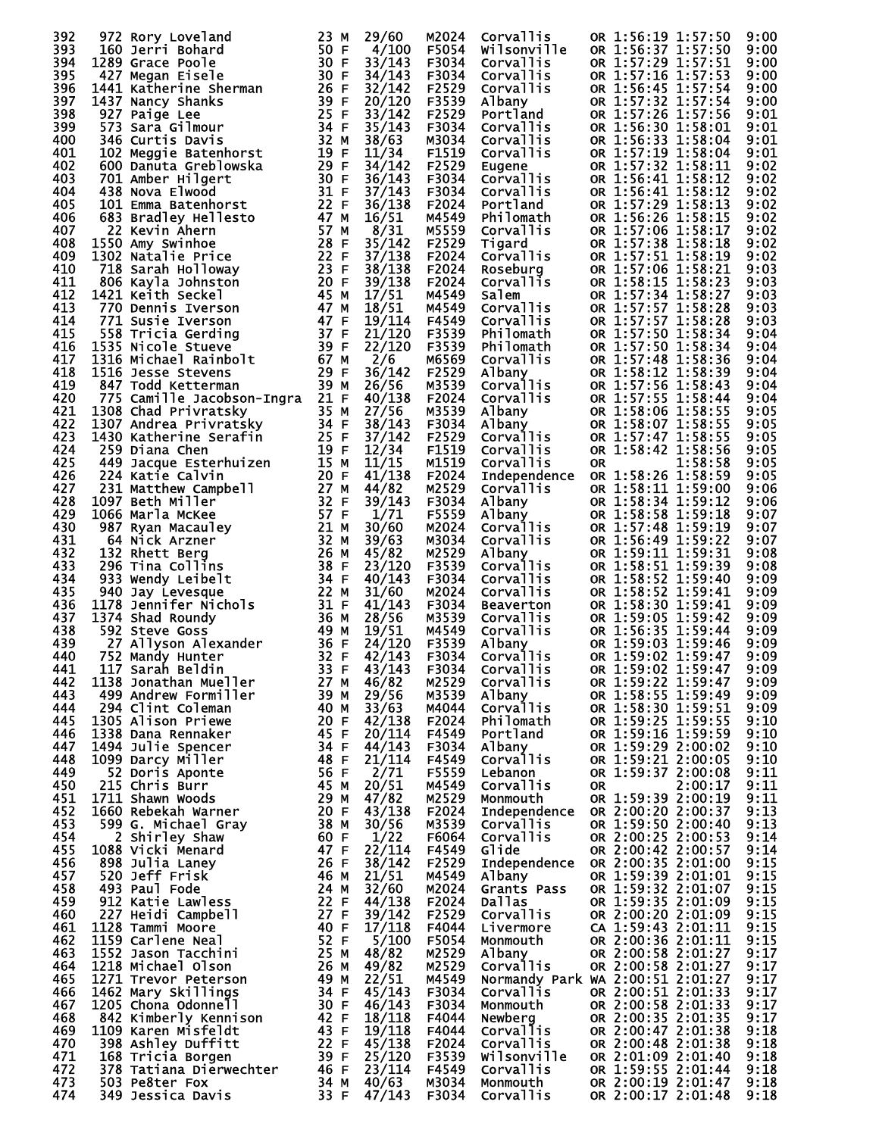| 392        | 972 Rory Loveland                                                                                                                         | 23 M         | 29/60            | M2024          | Corvallis                        | OR 1:56:19 1:57:50                       |         | 9:00         |
|------------|-------------------------------------------------------------------------------------------------------------------------------------------|--------------|------------------|----------------|----------------------------------|------------------------------------------|---------|--------------|
| 393        | 160 Jerri Bohard                                                                                                                          | 50 F         | 4/100            | F5054          | Wilsonville                      | OR 1:56:37 1:57:50                       |         | 9:00         |
| 394        | 1289 Grace Poole                                                                                                                          | 30 F         | 33/143           | F3034          | Corvallis                        | OR 1:57:29 1:57:51                       |         | 9:00         |
| 395<br>396 | 427 Megan Eisele<br>1441 Katherine Sherman                                                                                                | 30 F<br>26 F | 34/143<br>32/142 | F3034<br>F2529 | Corvallis<br>Corvallis           | OR 1:57:16 1:57:53<br>OR 1:56:45 1:57:54 |         | 9:00<br>9:00 |
| 397        | 1437 Nancy Shanks                                                                                                                         | 39 F         | 20/120           | F3539          | Albany                           | OR 1:57:32 1:57:54                       |         | 9:00         |
| 398        | 927 Paige Lee                                                                                                                             | 25 F         | 33/142           | F2529          | Portland                         | OR 1:57:26 1:57:56                       |         | 9:01         |
| 399        | 573 Sara Gilmour                                                                                                                          | 34 F         | 35/143           | F3034          | Corvallis                        | OR 1:56:30 1:58:01                       |         | 9:01         |
| 400        | 346 Curtis Davis                                                                                                                          | 32 M         | 38/63            | M3034          | Corvallis                        | OR 1:56:33 1:58:04                       |         | 9:01         |
| 401        | 102 Meggie Batenhorst                                                                                                                     | 19 F         | 11/34            | F1519          | Corvallis                        | OR 1:57:19 1:58:04                       |         | 9:01         |
| 402        | 600 Danuta Greblowska                                                                                                                     | 29 F         | 34/142           | F2529          | Eugene                           | OR 1:57:32 1:58:11                       |         | 9:02         |
| 403        | 701 Amber Hilgert                                                                                                                         | 30 F<br>31 F | 36/143           | F3034<br>F3034 | Corvallis                        | OR 1:56:41 1:58:12                       |         | 9:02         |
| 404<br>405 | 438 Nova Elwood<br>101 Emma Batenhorst                                                                                                    | 22 F         | 37/143<br>36/138 | F2024          | Corvallis<br>Portland            | OR 1:56:41 1:58:12<br>OR 1:57:29 1:58:13 |         | 9:02<br>9:02 |
| 406        | 683 Bradley Hellesto                                                                                                                      | 47 M         | 16/51            | M4549          | Philomath                        | OR 1:56:26 1:58:15                       |         | 9:02         |
| 407        | 22 Kevin Ahern                                                                                                                            | 57 M         | 8/31             | M5559          | <b>Corvallis</b>                 | OR 1:57:06 1:58:17                       |         | 9:02         |
| 408        | 1550 Amy Swinhoe                                                                                                                          | 28 F         | 35/142           | F2529          | Tigard                           | OR 1:57:38 1:58:18                       |         | 9:02         |
| 409        | 1302 Natalie Price                                                                                                                        | 22 F         | 37/138           | F2024          | Corvallis                        | OR 1:57:51 1:58:19                       |         | 9:02         |
| 410        | 718 Sarah Holloway                                                                                                                        | 23 F         | 38/138           | F2024          | Roseburg                         | OR 1:57:06 1:58:21                       |         | 9:03         |
| 411        | 806 Kayla Johnston                                                                                                                        | 20 F         | 39/138           | F2024          | <b>Corvallis</b>                 | OR 1:58:15 1:58:23                       |         | 9:03         |
| 412        | 1421 Keith Seckel                                                                                                                         | 45 M         | 17/51            | M4549          | Salem                            | OR 1:57:34 1:58:27                       |         | 9:03         |
| 413<br>414 | 770 Dennis Iverson                                                                                                                        | 47 M<br>47 F | 18/51<br>19/114  | M4549<br>F4549 | Corvallis                        | OR 1:57:57 1:58:28<br>OR 1:57:57 1:58:28 |         | 9:03         |
| 415        | 771 Susie Iverson<br><b>Seraing<br/> 1316 Michael Rainbolt<br/> 1316 Jesse Stevens<br/> 847 Todd Kettermar<br/> 775 Campion Continues</b> | 37 F         | 21/120           | F3539          | Corvallis<br>Philomath           | OR 1:57:50 1:58:34                       |         | 9:03<br>9:04 |
| 416        |                                                                                                                                           | 39 F         | 22/120           | F3539          | Philomath                        | OR 1:57:50 1:58:34                       |         | 9:04         |
| 417        |                                                                                                                                           | 67 M         | 2/6              | M6569          | <b>Corvallis</b>                 | OR 1:57:48 1:58:36                       |         | 9:04         |
| 418        |                                                                                                                                           | 29 F         | 36/142           | F2529          | Albany                           | OR 1:58:12 1:58:39                       |         | 9:04         |
| 419        |                                                                                                                                           | 39 M         | 26/56            | M3539          | Corvallis                        | OR 1:57:56 1:58:43                       |         | 9:04         |
| 420        | 775 Camille Jacobson-Ingra 21 F                                                                                                           |              | 40/138           | F2024          | Corvallis                        | OR 1:57:55 1:58:44                       |         | 9:04         |
| 421        | 1308 Chad Privratsky<br>$3\overline{5}$ M<br>$34$ F<br>$25$ F                                                                             |              | 27/56            | M3539          | Albany                           | OR 1:58:06 1:58:55                       |         | 9:05         |
| 422        | 1307 Andrea Privratsky                                                                                                                    |              | 38/143           | F3034          | Albany                           | OR 1:58:07 1:58:55                       |         | 9:05         |
| 423<br>424 | 1430 Katherine Serafin<br>259 Diana Chen                                                                                                  | 19 F         | 37/142           | F2529<br>F1519 | Corvallis                        | OR 1:57:47 1:58:55<br>OR 1:58:42 1:58:56 |         | 9:05         |
| 425        | 449 Jacque Esterhuizen                                                                                                                    | 15 M         | 12/34<br>11/15   | M1519          | Corvallis<br>Corvallis           | <b>OR</b>                                | 1:58:58 | 9:05<br>9:05 |
| 426        | 224 Katie Calvin                                                                                                                          | 20 F         | 41/138           | F2024          | Independence                     | OR 1:58:26 1:58:59                       |         | 9:05         |
| 427        | 231 Matthew Campbell                                                                                                                      | 27 M         | 44/82            | M2529          | Corvallis                        | OR 1:58:11 1:59:00                       |         | 9:06         |
| 428        | 1097 Beth Miller                                                                                                                          | 32 F         | 39/143           | F3034          | Albany                           | OR 1:58:34 1:59:12                       |         | 9:06         |
| 429        | 1066 Marla McKee                                                                                                                          | 57 F         | 1/71             | F5559          | Albany                           | OR 1:58:58 1:59:18                       |         | 9:07         |
| 430        | 987 Ryan Macauley                                                                                                                         | 21 M         | 30/60            | M2024          | Corvallis                        | OR 1:57:48 1:59:19                       |         | 9:07         |
| 431        | 64 Nick Arzner                                                                                                                            | 32 M         | 39/63            | M3034          | <b>Corvallis</b>                 | OR 1:56:49 1:59:22                       |         | 9:07         |
| 432        | 132 Rhett Berg                                                                                                                            | 26 M<br>38 F | 45/82            | M2529          | Albany                           | OR 1:59:11 1:59:31                       |         | 9:08         |
| 433<br>434 | 296 Tina Collins<br>933 Wendy Leibelt                                                                                                     | 34 F         | 23/120<br>40/143 | F3539<br>F3034 | Corvallis<br>Corvallis           | OR 1:58:51 1:59:39<br>OR 1:58:52 1:59:40 |         | 9:08<br>9:09 |
| 435        | 940 Jay Levesque                                                                                                                          | 22 M         | 31/60            | M2024          | Corvallis                        | OR 1:58:52 1:59:41                       |         | 9:09         |
| 436        |                                                                                                                                           | 31 F         | 41/143           | F3034          | Beaverton                        | OR 1:58:30 1:59:41                       |         | 9:09         |
| 437        | 1178 Jennifer Nichols<br>1374 Shad Roundy                                                                                                 | 36 M         | 28/56            | M3539          | Corvallis                        | OR 1:59:05 1:59:42                       |         | 9:09         |
| 438        | 592 Steve Goss                                                                                                                            | 49 M         | 19/51            | M4549          | Corvallis                        | OR 1:56:35 1:59:44                       |         | 9:09         |
| 439        | 27 Allyson Alexander                                                                                                                      | 36 F         | 24/120           | F3539          | Albany                           | OR 1:59:03 1:59:46                       |         | 9:09         |
| 440        | 752 Mandy Hunter                                                                                                                          | 32 F         | 42/143           | F3034          | Corvallis                        | OR 1:59:02 1:59:47                       |         | 9:09         |
| 441<br>442 | 117 Sarah Beldin<br>1138 Jonathan Mueller                                                                                                 | 33 F<br>27 M | 43/143<br>46/82  | F3034<br>M2529 | Corvallis<br>Corvallis           | OR 1:59:02 1:59:47<br>OR 1:59:22 1:59:47 |         | 9:09<br>9:09 |
| 443        | 499 Andrew Formiller                                                                                                                      | 39 M         | 29/56            | M3539          | Albany                           | OR 1:58:55 1:59:49                       |         | 9:09         |
| 444        | 294 Clint Coleman                                                                                                                         | 40 M         | 33/63            | M4044          | Corvallis                        | OR 1:58:30 1:59:51                       |         | 9:09         |
| 445        | 1305 Alison Priewe                                                                                                                        | 20 F         | 42/138           | F2024          | Philomath                        | OR 1:59:25 1:59:55                       |         | 9:10         |
| 446        | 1338 Dana Rennaker                                                                                                                        | 45 F         | 20/114           | F4549          | Portland                         | OR 1:59:16 1:59:59                       |         | 9:10         |
| 447        | 1494 Julie Spencer                                                                                                                        | 34 F         | 44/143           | F3034          | Albany                           | OR 1:59:29 2:00:02                       |         | 9:10         |
| 448        | 1099 Darcy Miller                                                                                                                         | 48 F         | 21/114           | F4549          | Corvallis                        | OR 1:59:21 2:00:05                       |         | 9:10         |
| 449<br>450 | 52 Doris Aponte<br>215 Chris Burr                                                                                                         | 56 F         | 2/71<br>20/51    | F5559          | Lebanon                          | OR 1:59:37 2:00:08                       |         | 9:11         |
| 451        | 1711 Shawn Woods                                                                                                                          | 45 M<br>29 M | 47/82            | M4549<br>M2529 | <b>Corvallis</b><br>Monmouth     | <b>OR</b><br>OR 1:59:39 2:00:19          | 2:00:17 | 9:11<br>9:11 |
| 452        | 1660 Rebekah Warner                                                                                                                       | 20 F         | 43/138           | F2024          | <b>Independence</b>              | OR 2:00:20 2:00:37                       |         | 9:13         |
| 453        | 599 G. Michael Gray                                                                                                                       | 38 M         | 30/56            | M3539          | Corvallis                        | OR 1:59:50 2:00:40                       |         | 9:13         |
| 454        | 2 Shirley Shaw                                                                                                                            | 60 F         | 1/22             | F6064          | Corvallis                        | OR 2:00:25 2:00:53                       |         | 9:14         |
| 455        | 1088 Vicki Menard                                                                                                                         | 47 F         | 22/114           | F4549          | Glide                            | OR 2:00:42 2:00:57                       |         | 9:14         |
| 456        | 898 Julia Laney                                                                                                                           | 26 F         | 38/142           | F2529          | <b>Independence</b>              | OR 2:00:35 2:01:00                       |         | 9:15         |
| 457        | 520 Jeff Frisk                                                                                                                            | 46 M         | 21/51            | M4549          | Albany                           | OR 1:59:39 2:01:01                       |         | 9:15         |
| 458        | 493 Paul Fode                                                                                                                             | 24 M         | 32/60            | M2024          | Grants Pass                      | OR 1:59:32 2:01:07                       |         | 9:15         |
| 459<br>460 | 912 Katie Lawless<br>227 Heidi Campbell                                                                                                   | 22 F<br>27 F | 44/138<br>39/142 | F2024<br>F2529 | Dallas<br>Corvallis              | OR 1:59:35 2:01:09<br>OR 2:00:20 2:01:09 |         | 9:15<br>9:15 |
| 461        | 1128 Tammi Moore                                                                                                                          | 40 F         | 17/118           | F4044          | Livermore                        | CA 1:59:43 2:01:11                       |         | 9:15         |
| 462        | 1159 Carlene Neal                                                                                                                         | 52 F         | 5/100            | F5054          | Monmouth                         | OR 2:00:36 2:01:11                       |         | 9:15         |
| 463        | 1552 Jason Tacchini                                                                                                                       | 25 M         | 48/82            | M2529          | Albany                           | OR 2:00:58 2:01:27                       |         | 9:17         |
| 464        | 1218 Michael Olson                                                                                                                        | 26 M         | 49/82            | M2529          | Corvallis                        | OR 2:00:58 2:01:27                       |         | 9:17         |
| 465        | 1271 Trevor Peterson                                                                                                                      | 49 M         | 22/51            | M4549          | Normandy Park WA 2:00:51 2:01:27 |                                          |         | 9:17         |
| 466        | 1462 Mary Skillings                                                                                                                       | 34 F         | 45/143           | F3034          | <b>Corvallis</b>                 | OR 2:00:51 2:01:33                       |         | 9:17         |
| 467        | 1205 Chona Odonnell                                                                                                                       | 30 F         | 46/143           | F3034          | Monmouth                         | OR 2:00:58 2:01:33                       |         | 9:17         |
| 468<br>469 | 842 Kimberly Kennison<br>1109 Karen Misfeldt                                                                                              | 42 F<br>43 F | 18/118<br>19/118 | F4044<br>F4044 | Newberg<br>Corvallis             | OR 2:00:35 2:01:35<br>OR 2:00:47 2:01:38 |         | 9:17<br>9:18 |
| 470        | 398 Ashley Duffitt                                                                                                                        | 22 F         | 45/138           | F2024          | <b>Corvallis</b>                 | OR 2:00:48 2:01:38                       |         | 9:18         |
| 471        | 168 Tricia Borgen                                                                                                                         | 39 F         | 25/120           | F3539          | Wilsonville                      | OR 2:01:09 2:01:40                       |         | 9:18         |
| 472        | 378 Tatiana Dierwechter                                                                                                                   | 46 F         | 23/114           | F4549          | <b>Corvallis</b>                 | OR 1:59:55 2:01:44                       |         | 9:18         |
| 473        | 503 Pe8ter Fox                                                                                                                            | 34 M         | 40/63            | M3034          | Monmouth                         | OR 2:00:19 2:01:47                       |         | 9:18         |
| 474        | 349 Jessica Davis                                                                                                                         | 33 F         | 47/143           | F3034          | <b>Corvallis</b>                 | OR 2:00:17 2:01:48                       |         | 9:18         |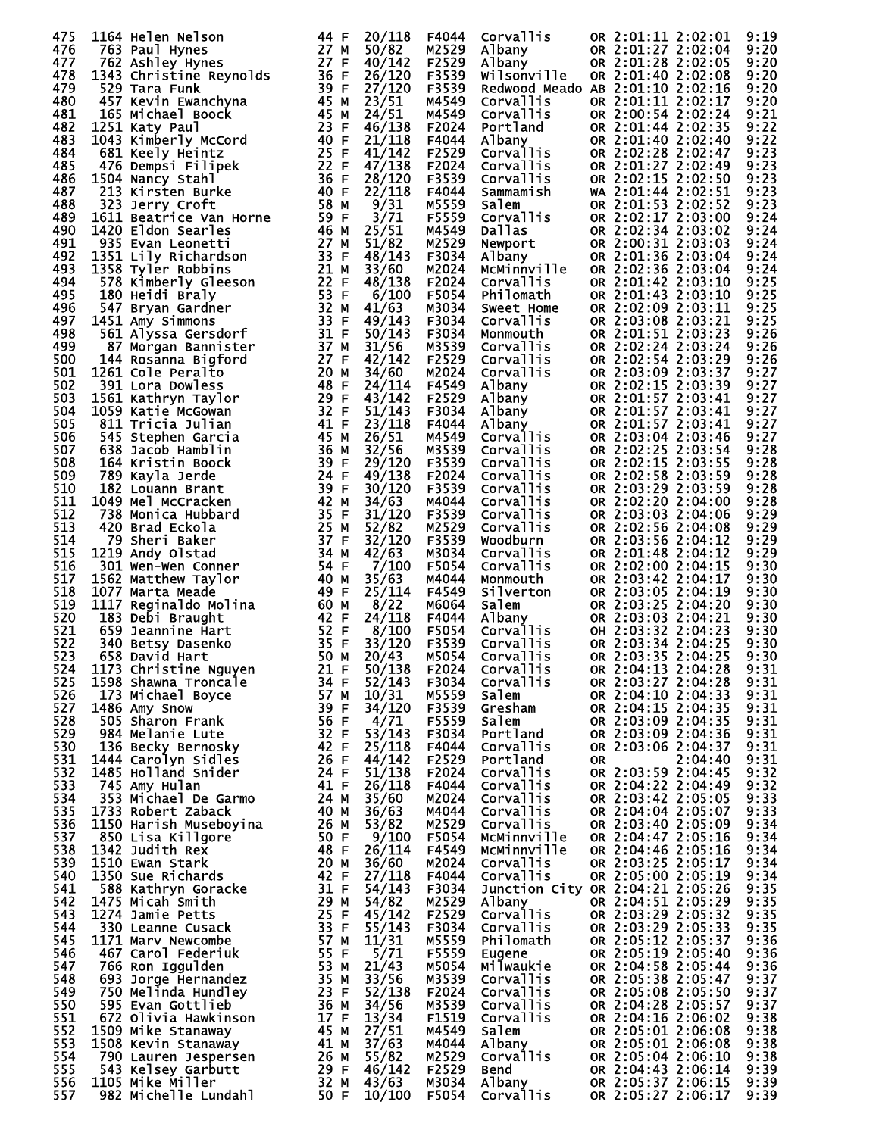| 475 | 1164 Helen Nelson                                                                                                                                                                                                                                                                                                                                                                                                                                                                                     | 44 F                                                                                              | 20/118        | F4044        | Corvallis                                  |     | OR 2:01:11 2:02:01 |         | 9:19 |
|-----|-------------------------------------------------------------------------------------------------------------------------------------------------------------------------------------------------------------------------------------------------------------------------------------------------------------------------------------------------------------------------------------------------------------------------------------------------------------------------------------------------------|---------------------------------------------------------------------------------------------------|---------------|--------------|--------------------------------------------|-----|--------------------|---------|------|
| 476 |                                                                                                                                                                                                                                                                                                                                                                                                                                                                                                       |                                                                                                   | 50/82         | M2529        | Albany                                     |     | OR 2:01:27 2:02:04 |         | 9:20 |
| 477 |                                                                                                                                                                                                                                                                                                                                                                                                                                                                                                       |                                                                                                   | 40/142        | F2529        | Albany                                     |     | OR 2:01:28 2:02:05 |         | 9:20 |
| 478 |                                                                                                                                                                                                                                                                                                                                                                                                                                                                                                       |                                                                                                   | 26/120        | F3539        | Wilsonville                                |     | OR 2:01:40 2:02:08 |         | 9:20 |
| 479 |                                                                                                                                                                                                                                                                                                                                                                                                                                                                                                       |                                                                                                   | 27/120        | F3539        | Redwood Meado AB 2:01:10 2:02:16           |     |                    |         | 9:20 |
|     |                                                                                                                                                                                                                                                                                                                                                                                                                                                                                                       |                                                                                                   |               |              |                                            |     |                    |         |      |
| 480 |                                                                                                                                                                                                                                                                                                                                                                                                                                                                                                       |                                                                                                   | 23/51         | M4549        | Corvallis                                  |     | OR 2:01:11 2:02:17 |         | 9:20 |
| 481 |                                                                                                                                                                                                                                                                                                                                                                                                                                                                                                       |                                                                                                   | 24/51         | M4549        | Corvallis                                  |     | OR 2:00:54 2:02:24 |         | 9:21 |
| 482 |                                                                                                                                                                                                                                                                                                                                                                                                                                                                                                       |                                                                                                   | 46/138        | F2024        | Portland                                   |     | OR 2:01:44 2:02:35 |         | 9:22 |
| 483 |                                                                                                                                                                                                                                                                                                                                                                                                                                                                                                       |                                                                                                   | 21/118        | F4044        | Albany                                     |     | OR 2:01:40 2:02:40 |         | 9:22 |
|     |                                                                                                                                                                                                                                                                                                                                                                                                                                                                                                       |                                                                                                   |               |              |                                            |     |                    |         |      |
| 484 |                                                                                                                                                                                                                                                                                                                                                                                                                                                                                                       |                                                                                                   | 41/142        | F2529        | Corvallis                                  |     | OR 2:02:28 2:02:47 |         | 9:23 |
| 485 |                                                                                                                                                                                                                                                                                                                                                                                                                                                                                                       |                                                                                                   | 47/138        | F2024        | Corvallis                                  |     | OR 2:01:27 2:02:49 |         | 9:23 |
| 486 |                                                                                                                                                                                                                                                                                                                                                                                                                                                                                                       |                                                                                                   | 28/120        | F3539        | <b>Corvallis</b>                           |     | OR 2:02:15 2:02:50 |         | 9:23 |
| 487 |                                                                                                                                                                                                                                                                                                                                                                                                                                                                                                       |                                                                                                   | 22/118        | F4044        | Sammamish                                  |     | WA 2:01:44 2:02:51 |         | 9:23 |
|     |                                                                                                                                                                                                                                                                                                                                                                                                                                                                                                       |                                                                                                   |               |              |                                            |     |                    |         |      |
| 488 |                                                                                                                                                                                                                                                                                                                                                                                                                                                                                                       |                                                                                                   | 9/31          | M5559        | Salem                                      |     | OR 2:01:53 2:02:52 |         | 9:23 |
| 489 |                                                                                                                                                                                                                                                                                                                                                                                                                                                                                                       |                                                                                                   | 3/71          | F5559        | Corvallis                                  |     | OR 2:02:17 2:03:00 |         | 9:24 |
| 490 |                                                                                                                                                                                                                                                                                                                                                                                                                                                                                                       |                                                                                                   | 25/51         | M4549        | Dallas                                     |     | OR 2:02:34 2:03:02 |         | 9:24 |
| 491 |                                                                                                                                                                                                                                                                                                                                                                                                                                                                                                       |                                                                                                   | 51/82         | M2529        | <b>∈wport</b><br>Albany<br>мсм÷            |     | OR 2:00:31 2:03:03 |         | 9:24 |
|     |                                                                                                                                                                                                                                                                                                                                                                                                                                                                                                       |                                                                                                   |               |              |                                            |     |                    |         |      |
| 492 |                                                                                                                                                                                                                                                                                                                                                                                                                                                                                                       |                                                                                                   | 48/143        | F3034        |                                            |     | OR 2:01:36 2:03:04 |         | 9:24 |
| 493 |                                                                                                                                                                                                                                                                                                                                                                                                                                                                                                       |                                                                                                   | 33/60         | M2024        | <b>MCMinnville</b>                         |     | OR 2:02:36 2:03:04 |         | 9:24 |
| 494 |                                                                                                                                                                                                                                                                                                                                                                                                                                                                                                       |                                                                                                   | 48/138        | F2024        | Corvallis                                  |     | OR 2:01:42 2:03:10 |         | 9:25 |
| 495 |                                                                                                                                                                                                                                                                                                                                                                                                                                                                                                       |                                                                                                   | 6/100         | F5054        | Philomath                                  |     | OR 2:01:43 2:03:10 |         | 9:25 |
|     |                                                                                                                                                                                                                                                                                                                                                                                                                                                                                                       |                                                                                                   |               |              |                                            |     |                    |         |      |
| 496 |                                                                                                                                                                                                                                                                                                                                                                                                                                                                                                       |                                                                                                   | 41/63         | M3034        | Sweet Home                                 |     | OR 2:02:09 2:03:11 |         | 9:25 |
| 497 |                                                                                                                                                                                                                                                                                                                                                                                                                                                                                                       |                                                                                                   | 49/143        | F3034        | Corvallis                                  |     | OR 2:03:08 2:03:21 |         | 9:25 |
| 498 |                                                                                                                                                                                                                                                                                                                                                                                                                                                                                                       |                                                                                                   | 50/143        | F3034        | Monmouth                                   |     | OR 2:01:51 2:03:23 |         | 9:26 |
| 499 |                                                                                                                                                                                                                                                                                                                                                                                                                                                                                                       |                                                                                                   | 31/56         | M3539        | <b>Corvallis</b>                           |     | OR 2:02:24 2:03:24 |         | 9:26 |
|     | 1164 Helen Nelson<br>763 Paul Hynes<br>27 Melen Nelson<br>1363 Christine Reynolds<br>529 Tara Funk<br>537 Kevin Ewanchyna<br>165 Michael Boock<br>1251 Katy Paul<br>1043 Kimberly McCord<br>681 Keely Heintz<br>476 Dempsi Filipek<br>40 681 Keely H<br>1431 Amy Simmons<br>561 Alyssa Gersdorf 31 F<br>87 Morgan Bannister 37 M<br>144 Rosanna Bigford 27 F<br>144 Rosanna Bigford 27 F<br>1261 Cole Peralto 20 M<br>1561 Kathryn Taylor 489 F<br>1561 Kathryn Taylor 29 F<br>1561 Kathryn Taylor 29 |                                                                                                   |               |              |                                            |     |                    |         |      |
| 500 |                                                                                                                                                                                                                                                                                                                                                                                                                                                                                                       |                                                                                                   | 42/142        | F2529        | Corvallis                                  |     | OR 2:02:54 2:03:29 |         | 9:26 |
| 501 |                                                                                                                                                                                                                                                                                                                                                                                                                                                                                                       |                                                                                                   | 34/60         | M2024        | Corvallis                                  |     | OR 2:03:09 2:03:37 |         | 9:27 |
| 502 |                                                                                                                                                                                                                                                                                                                                                                                                                                                                                                       |                                                                                                   | 24/114        | F4549        | Albany                                     |     | OR 2:02:15 2:03:39 |         | 9:27 |
| 503 |                                                                                                                                                                                                                                                                                                                                                                                                                                                                                                       |                                                                                                   | 43/142        | F2529        | Albany<br>Albany                           |     | OR 2:01:57 2:03:41 |         | 9:27 |
|     |                                                                                                                                                                                                                                                                                                                                                                                                                                                                                                       |                                                                                                   |               |              |                                            |     |                    |         |      |
| 504 |                                                                                                                                                                                                                                                                                                                                                                                                                                                                                                       |                                                                                                   | 51/143        | F3034        |                                            |     | OR 2:01:57 2:03:41 |         | 9:27 |
| 505 |                                                                                                                                                                                                                                                                                                                                                                                                                                                                                                       |                                                                                                   | 23/118        | F4044        | Albaný<br>Corvallis                        |     | OR 2:01:57 2:03:41 |         | 9:27 |
| 506 |                                                                                                                                                                                                                                                                                                                                                                                                                                                                                                       |                                                                                                   | 26/51         | M4549        |                                            |     | OR 2:03:04 2:03:46 |         | 9:27 |
| 507 |                                                                                                                                                                                                                                                                                                                                                                                                                                                                                                       |                                                                                                   |               | M3539        | <b>Corvallis</b>                           |     | OR 2:02:25 2:03:54 |         | 9:28 |
|     |                                                                                                                                                                                                                                                                                                                                                                                                                                                                                                       |                                                                                                   | 32/56         |              |                                            |     |                    |         |      |
| 508 |                                                                                                                                                                                                                                                                                                                                                                                                                                                                                                       |                                                                                                   | 29/120        | F3539        | Corvallis                                  |     | OR 2:02:15 2:03:55 |         | 9:28 |
| 509 |                                                                                                                                                                                                                                                                                                                                                                                                                                                                                                       |                                                                                                   | 49/138        | F2024        | Corvallis                                  |     | OR 2:02:58 2:03:59 |         | 9:28 |
| 510 |                                                                                                                                                                                                                                                                                                                                                                                                                                                                                                       |                                                                                                   | 30/120        | F3539        | Corvallis                                  |     | OR 2:03:29 2:03:59 |         | 9:28 |
| 511 |                                                                                                                                                                                                                                                                                                                                                                                                                                                                                                       |                                                                                                   | 34/63         | M4044        | <b>Corvallis</b>                           |     | OR 2:02:20 2:04:00 |         | 9:28 |
|     |                                                                                                                                                                                                                                                                                                                                                                                                                                                                                                       |                                                                                                   |               |              |                                            |     |                    |         |      |
| 512 |                                                                                                                                                                                                                                                                                                                                                                                                                                                                                                       |                                                                                                   | 31/120        | F3539        | Corvallis                                  |     | OR 2:03:03 2:04:06 |         | 9:29 |
| 513 |                                                                                                                                                                                                                                                                                                                                                                                                                                                                                                       |                                                                                                   | 52/82         | M2529        | Corvallis                                  |     | OR 2:02:56 2:04:08 |         | 9:29 |
| 514 |                                                                                                                                                                                                                                                                                                                                                                                                                                                                                                       |                                                                                                   | 32/120        | F3539        | Woodburn                                   |     | OR 2:03:56 2:04:12 |         | 9:29 |
| 515 |                                                                                                                                                                                                                                                                                                                                                                                                                                                                                                       |                                                                                                   | 42/63         | M3034        | <b>Corvallis</b>                           |     | OR 2:01:48 2:04:12 |         | 9:29 |
|     |                                                                                                                                                                                                                                                                                                                                                                                                                                                                                                       |                                                                                                   |               |              |                                            |     |                    |         |      |
| 516 |                                                                                                                                                                                                                                                                                                                                                                                                                                                                                                       |                                                                                                   | 7/100         | <b>F5054</b> | Corvallis                                  |     | OR 2:02:00 2:04:15 |         | 9:30 |
| 517 |                                                                                                                                                                                                                                                                                                                                                                                                                                                                                                       |                                                                                                   | 35/63         | M4044        | Monmouth                                   |     | OR 2:03:42 2:04:17 |         | 9:30 |
| 518 |                                                                                                                                                                                                                                                                                                                                                                                                                                                                                                       |                                                                                                   | 25/114        | F4549        | Silverton                                  |     | OR 2:03:05 2:04:19 |         | 9:30 |
| 519 |                                                                                                                                                                                                                                                                                                                                                                                                                                                                                                       |                                                                                                   |               | M6064        | Salem<br>Albany<br>Corvallis<br>Esternalis |     | OR 2:03:25 2:04:20 |         | 9:30 |
|     |                                                                                                                                                                                                                                                                                                                                                                                                                                                                                                       |                                                                                                   | 8/22          |              |                                            |     |                    |         |      |
| 520 |                                                                                                                                                                                                                                                                                                                                                                                                                                                                                                       |                                                                                                   | 24/118        | F4044        |                                            |     | OR 2:03:03 2:04:21 |         | 9:30 |
| 521 |                                                                                                                                                                                                                                                                                                                                                                                                                                                                                                       |                                                                                                   | 8/100         | F5054        |                                            |     | OH 2:03:32 2:04:23 |         | 9:30 |
| 522 |                                                                                                                                                                                                                                                                                                                                                                                                                                                                                                       |                                                                                                   | 33/120        | F3539        |                                            |     | OR 2:03:34 2:04:25 |         | 9:30 |
| 523 |                                                                                                                                                                                                                                                                                                                                                                                                                                                                                                       |                                                                                                   | 20/43         | M5054        | <b>Corvallis</b>                           |     | OR 2:03:35 2:04:25 |         | 9:30 |
|     |                                                                                                                                                                                                                                                                                                                                                                                                                                                                                                       |                                                                                                   |               |              |                                            |     |                    |         |      |
| 524 | 1173 Christine Nguyen 21 F                                                                                                                                                                                                                                                                                                                                                                                                                                                                            |                                                                                                   | 50/138        | F2024        | Corvallis                                  |     | OR 2:04:13 2:04:28 |         | 9:31 |
| 525 | 1598 Shawna Troncale                                                                                                                                                                                                                                                                                                                                                                                                                                                                                  | 34 F<br>34 F<br>57 M<br>39 F<br>56 F                                                              | 52/143        | F3034        | Corvallis                                  |     | OR 2:03:27 2:04:28 |         | 9:31 |
| 526 | 173 Michael Boyce                                                                                                                                                                                                                                                                                                                                                                                                                                                                                     | 57 M                                                                                              | 10/31         | M5559        | salem                                      |     | OR 2:04:10 2:04:33 |         | 9:31 |
| 527 | 1486 Amy Snow                                                                                                                                                                                                                                                                                                                                                                                                                                                                                         |                                                                                                   | 34/120        | F3539        | Gresham                                    |     | OR 2:04:15 2:04:35 |         | 9:31 |
|     |                                                                                                                                                                                                                                                                                                                                                                                                                                                                                                       |                                                                                                   |               |              |                                            |     |                    |         |      |
| 528 | 505 Sharon Frank                                                                                                                                                                                                                                                                                                                                                                                                                                                                                      |                                                                                                   | 4/71          | F5559        | Salem                                      |     | OR 2:03:09 2:04:35 |         | 9:31 |
| 529 | 984 Melanie Lute                                                                                                                                                                                                                                                                                                                                                                                                                                                                                      |                                                                                                   | 53/143        | F3034        | Portland                                   |     | OR 2:03:09 2:04:36 |         | 9:31 |
| 530 | 136 Becky Bernosky                                                                                                                                                                                                                                                                                                                                                                                                                                                                                    | $\frac{1}{2}$ $\frac{1}{2}$ $\frac{1}{2}$ $\frac{1}{2}$ $\frac{1}{2}$ $\frac{1}{2}$ $\frac{1}{2}$ | 25/118        | F4044        | Corvallis                                  |     | OR 2:03:06 2:04:37 |         | 9:31 |
| 531 | 1444 Carolyn Sidles                                                                                                                                                                                                                                                                                                                                                                                                                                                                                   |                                                                                                   | 44/142        | F2529        | Portland                                   | OR. |                    | 2:04:40 | 9:31 |
| 532 | 1485 Holland Snider                                                                                                                                                                                                                                                                                                                                                                                                                                                                                   | 26 F<br>24 F                                                                                      | 51/138        | F2024        | <b>Corvallis</b>                           |     | OR 2:03:59 2:04:45 |         | 9:32 |
|     |                                                                                                                                                                                                                                                                                                                                                                                                                                                                                                       |                                                                                                   |               |              |                                            |     |                    |         |      |
| 533 | 745 Amy Hulan                                                                                                                                                                                                                                                                                                                                                                                                                                                                                         | 41 F                                                                                              | 26/118        | F4044        | Corvallis                                  |     | OR 2:04:22 2:04:49 |         | 9:32 |
| 534 | 353 Michael De Garmo                                                                                                                                                                                                                                                                                                                                                                                                                                                                                  | 24 M                                                                                              | 35/60         | M2024        | Corvallis                                  |     | OR 2:03:42 2:05:05 |         | 9:33 |
| 535 | 1733 Robert Zaback                                                                                                                                                                                                                                                                                                                                                                                                                                                                                    | 40 M                                                                                              | 36/63         | M4044        | Corvallis                                  |     | OR 2:04:04 2:05:07 |         | 9:33 |
| 536 | 1150 Harish Museboyina                                                                                                                                                                                                                                                                                                                                                                                                                                                                                | 26 M                                                                                              | 53/82         | M2529        | Corvallis                                  |     | OR 2:03:40 2:05:09 |         | 9:34 |
|     |                                                                                                                                                                                                                                                                                                                                                                                                                                                                                                       |                                                                                                   |               |              |                                            |     |                    |         |      |
| 537 | 850 Lisa Killgore                                                                                                                                                                                                                                                                                                                                                                                                                                                                                     | 50 F                                                                                              | 9/100         | F5054        | McMinnville                                |     | OR 2:04:47 2:05:16 |         | 9:34 |
| 538 | 1342 Judith Rex                                                                                                                                                                                                                                                                                                                                                                                                                                                                                       | 48 F                                                                                              | 26/114        | F4549        | MCMinnville                                |     | OR 2:04:46 2:05:16 |         | 9:34 |
| 539 | 1510 Ewan Stark                                                                                                                                                                                                                                                                                                                                                                                                                                                                                       | 42 F                                                                                              | 36/60         | M2024        | <b>Corvallis</b>                           |     | OR 2:03:25 2:05:17 |         | 9:34 |
| 540 | 1350 Sue Richards                                                                                                                                                                                                                                                                                                                                                                                                                                                                                     |                                                                                                   | 27/118        | F4044        | Corvallis                                  |     | OR 2:05:00 2:05:19 |         | 9:34 |
|     |                                                                                                                                                                                                                                                                                                                                                                                                                                                                                                       |                                                                                                   |               |              |                                            |     |                    |         |      |
| 541 | 588 Kathryn Goracke                                                                                                                                                                                                                                                                                                                                                                                                                                                                                   | $\frac{31}{20}$ F                                                                                 | 54/143        | F3034        | Junction City OR 2:04:21 2:05:26           |     |                    |         | 9:35 |
| 542 | 1475 Micah Smith                                                                                                                                                                                                                                                                                                                                                                                                                                                                                      | 29 M                                                                                              | 54/82         | M2529        | Albany                                     |     | OR 2:04:51 2:05:29 |         | 9:35 |
| 543 | 1274 Jamie Petts                                                                                                                                                                                                                                                                                                                                                                                                                                                                                      | 25 F                                                                                              | 45/142        | F2529        | Corvallis                                  |     | OR 2:03:29 2:05:32 |         | 9:35 |
| 544 | 330 Leanne Cusack                                                                                                                                                                                                                                                                                                                                                                                                                                                                                     | $\frac{2}{3}$ F                                                                                   | 55/143        | F3034        | Corvallis                                  |     | OR 2:03:29 2:05:33 |         | 9:35 |
|     |                                                                                                                                                                                                                                                                                                                                                                                                                                                                                                       |                                                                                                   |               |              |                                            |     |                    |         |      |
| 545 | 1171 Marv Newcombe                                                                                                                                                                                                                                                                                                                                                                                                                                                                                    | 57 M<br>55 F                                                                                      | 11/31         | M5559        | Philomath                                  |     | OR 2:05:12 2:05:37 |         | 9:36 |
| 546 | 467 Carol Federiuk                                                                                                                                                                                                                                                                                                                                                                                                                                                                                    |                                                                                                   | 5/71          | F5559        | Eugene                                     |     | OR 2:05:19 2:05:40 |         | 9:36 |
| 547 | 766 Ron Iggulden                                                                                                                                                                                                                                                                                                                                                                                                                                                                                      | 53 M<br>35 M                                                                                      | 21/43         | M5054        | Milwaukie                                  |     | OR 2:04:58 2:05:44 |         | 9:36 |
| 548 | 693 Jorge Hernandez                                                                                                                                                                                                                                                                                                                                                                                                                                                                                   |                                                                                                   | 33/56         | M3539        | Corvallis                                  |     | OR 2:05:38 2:05:47 |         | 9:37 |
|     |                                                                                                                                                                                                                                                                                                                                                                                                                                                                                                       |                                                                                                   |               |              |                                            |     |                    |         |      |
| 549 | 750 Melinda Hundley                                                                                                                                                                                                                                                                                                                                                                                                                                                                                   | 23 F<br>36 M                                                                                      | 52/138        | F2024        | Corvallis                                  |     | OR 2:05:08 2:05:50 |         | 9:37 |
| 550 | 595 Evan Gottlieb                                                                                                                                                                                                                                                                                                                                                                                                                                                                                     |                                                                                                   | 34/56         | M3539        | Corvallis                                  |     | OR 2:04:28 2:05:57 |         | 9:37 |
| 551 | 672 Olivia Hawkinson                                                                                                                                                                                                                                                                                                                                                                                                                                                                                  |                                                                                                   | 13/34         | F1519        | Corvallis                                  |     | OR 2:04:16 2:06:02 |         | 9:38 |
| 552 | 1509 Mike Stanaway                                                                                                                                                                                                                                                                                                                                                                                                                                                                                    | 17 F<br>45 M                                                                                      | 27/51         | M4549        | Salem                                      |     | OR 2:05:01 2:06:08 |         | 9:38 |
|     |                                                                                                                                                                                                                                                                                                                                                                                                                                                                                                       |                                                                                                   |               |              |                                            |     |                    |         |      |
| 553 | 1508 Kevin Stanaway                                                                                                                                                                                                                                                                                                                                                                                                                                                                                   |                                                                                                   |               | M4044        | Albany                                     |     | OR 2:05:01 2:06:08 |         | 9:38 |
| 554 | 790 Lauren Jespersen                                                                                                                                                                                                                                                                                                                                                                                                                                                                                  |                                                                                                   |               | M2529        | Corvallis                                  |     | OR 2:05:04 2:06:10 |         | 9:38 |
| 555 | 543 Kelsey Garbutt                                                                                                                                                                                                                                                                                                                                                                                                                                                                                    |                                                                                                   | 46/142        | F2529        | Bend                                       |     | OR 2:04:43 2:06:14 |         | 9:39 |
| 556 | 41 M 37/63<br>26 M 55/82<br>29 F 46/142<br>32 M 43/63<br>1105 Mike Miller                                                                                                                                                                                                                                                                                                                                                                                                                             |                                                                                                   |               | M3034        | Albany                                     |     | OR 2:05:37 2:06:15 |         | 9:39 |
| 557 | 50 F<br>982 Michelle Lundahl                                                                                                                                                                                                                                                                                                                                                                                                                                                                          |                                                                                                   | <b>10/100</b> | F5054        | Corvallis                                  |     | OR 2:05:27 2:06:17 |         | 9:39 |
|     |                                                                                                                                                                                                                                                                                                                                                                                                                                                                                                       |                                                                                                   |               |              |                                            |     |                    |         |      |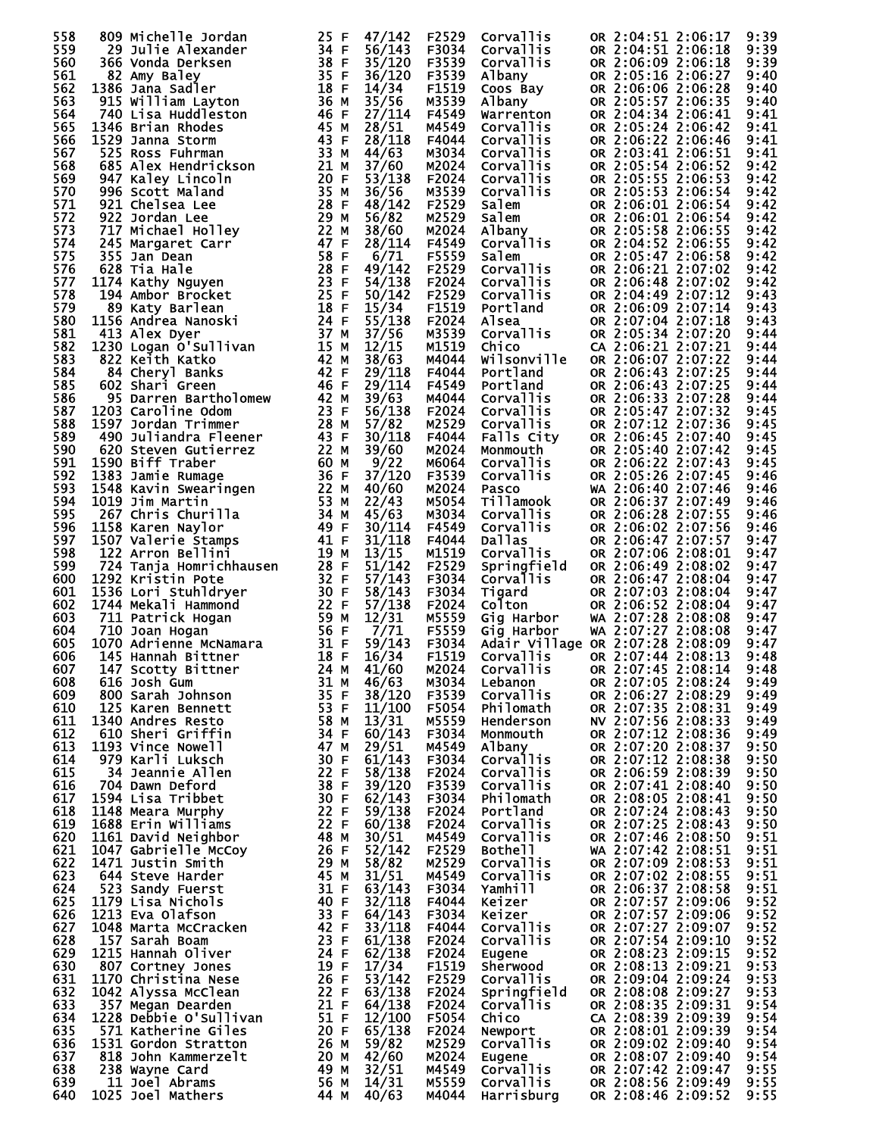| 558        | 809 Michelle Jordan                                                                                                                                                                                                                                                   | 25 F              | 47/142           | F2529          | Corvallis                                                                             | OR 2:04:51 2:06:17                       | 9:39         |
|------------|-----------------------------------------------------------------------------------------------------------------------------------------------------------------------------------------------------------------------------------------------------------------------|-------------------|------------------|----------------|---------------------------------------------------------------------------------------|------------------------------------------|--------------|
| 559        | 29 Julie Alexander                                                                                                                                                                                                                                                    |                   | 56/143           | F3034          | Corvallis                                                                             | OR 2:04:51 2:06:18                       | 9:39         |
| 560        | 366 Vonda Derksen                                                                                                                                                                                                                                                     |                   | 35/120           | F3539          | Corvallis                                                                             | OR 2:06:09 2:06:18                       | 9:39         |
| 561<br>562 | 82 Amy Baley<br>1386 Jana Sadler                                                                                                                                                                                                                                      |                   | 36/120           | F3539<br>F1519 | Albany                                                                                | OR 2:05:16 2:06:27                       | 9:40         |
| 563        | 915 William Layton                                                                                                                                                                                                                                                    |                   | 14/34<br>35/56   | M3539          | Coos Bay<br>Albany <sup>1</sup>                                                       | OR 2:06:06 2:06:28<br>OR 2:05:57 2:06:35 | 9:40<br>9:40 |
| 564        | 740 Lisa Huddleston                                                                                                                                                                                                                                                   |                   | 27/114           | F4549          | Warrenton                                                                             | OR 2:04:34 2:06:41                       | 9:41         |
| 565        | 1346 Brian Rhodes                                                                                                                                                                                                                                                     |                   | 28/51            | M4549          | Corvallis                                                                             | OR 2:05:24 2:06:42                       | 9:41         |
| 566        | 1346 Brian Rhodes<br>1529 Janna Storm<br>525 Ross Fuhrman<br>685 Alex Hendrickson<br>947 Kaley Lincoln<br>996 Scott Maland<br>921 Chelsea Lee<br>922 Jordan Lee<br>717 Michael Holley<br>245 Margaret Carr<br>628 Jan Dean<br>628 Tia Hale<br>1174 Kathy Nguyen<br>19 | 43 F              | 28/118           | F4044          | Corvallis                                                                             | OR 2:06:22 2:06:46                       | 9:41         |
| 567        |                                                                                                                                                                                                                                                                       | 33 M              | 44/63            | M3034          | Corvallis                                                                             | OR 2:03:41 2:06:51                       | 9:41         |
| 568        |                                                                                                                                                                                                                                                                       | 21 M              | 37/60            | M2024          | Corvallis                                                                             | OR 2:05:54 2:06:52                       | 9:42         |
| 569        |                                                                                                                                                                                                                                                                       | 20 F              | 53/138           | F2024          | Corvallis                                                                             | OR 2:05:55 2:06:53                       | 9:42         |
| 570<br>571 |                                                                                                                                                                                                                                                                       | 35 M<br>28 F      | 36/56<br>48/142  | M3539<br>F2529 | Corvallis<br>Corvallis<br>Calem<br>Salem<br>Albany<br>Corvallis<br>Salem<br>Corvallis | OR 2:05:53 2:06:54<br>OR 2:06:01 2:06:54 | 9:42<br>9:42 |
| 572        |                                                                                                                                                                                                                                                                       | 29 M              | 56/82            | M2529          |                                                                                       | OR 2:06:01 2:06:54                       | 9:42         |
| 573        |                                                                                                                                                                                                                                                                       | 22 M              | 38/60            | M2024          |                                                                                       | OR 2:05:58 2:06:55                       | 9:42         |
| 574        |                                                                                                                                                                                                                                                                       | 47 F              | 28/114           | F4549          |                                                                                       | OR 2:04:52 2:06:55                       | 9:42         |
| 575        |                                                                                                                                                                                                                                                                       | 58 F              | 6/71             | F5559          |                                                                                       | OR 2:05:47 2:06:58                       | 9:42         |
| 576        |                                                                                                                                                                                                                                                                       | 28 F              | 49/142           | F2529          |                                                                                       | OR 2:06:21 2:07:02                       | 9:42         |
| 577        |                                                                                                                                                                                                                                                                       | 23 F              | 54/138           | F2024          | Corvallis                                                                             | OR 2:06:48 2:07:02                       | 9:42         |
| 578        |                                                                                                                                                                                                                                                                       | 25 F              | 50/142           | F2529          | Corvallis<br>Portland                                                                 | OR 2:04:49 2:07:12                       | 9:43         |
| 579<br>580 |                                                                                                                                                                                                                                                                       | 18 F<br>24 F      | 15/34<br>55/138  | F1519<br>F2024 |                                                                                       | OR 2:06:09 2:07:14<br>OR 2:07:04 2:07:18 | 9:43<br>9:43 |
| 581        | 413 Alex Dyer                                                                                                                                                                                                                                                         | 37 M              | 37/56            | M3539          | ے۔<br>Corvallis<br>Chico                                                              | OR 2:05:34 2:07:20                       | 9:44         |
| 582        | 1230 Logan O'Sullivan                                                                                                                                                                                                                                                 | 15 M              | 12/15            | M1519          |                                                                                       | CA 2:06:21 2:07:21                       | 9:44         |
| 583        | 822 Keith Katko                                                                                                                                                                                                                                                       | 42 M              | 38/63            | M4044          | wilsonville                                                                           | OR 2:06:07 2:07:22                       | 9:44         |
| 584        | 84 Cheryl Banks                                                                                                                                                                                                                                                       | 42 F              | 29/118           | F4044          | Portland                                                                              | OR 2:06:43 2:07:25                       | 9:44         |
| 585        | 602 Shari Green                                                                                                                                                                                                                                                       | 46 F              | 29/114           | F4549          |                                                                                       | OR 2:06:43 2:07:25                       | 9:44         |
| 586        |                                                                                                                                                                                                                                                                       | 42 M              | 39/63            | M4044          | <b>Portland<br/>Corvallis<br/>Corvallis<br/>Corvallis</b>                             | OR 2:06:33 2:07:28                       | 9:44         |
| 587<br>588 | 1203 Caroline Odom                                                                                                                                                                                                                                                    | 23 F<br>28 M      | 56/138<br>57/82  | F2024<br>M2529 | Corvallis                                                                             | OR 2:05:47 2:07:32                       | 9:45         |
| 589        | <b>95 Darren Bartholomew<br/>1203 Caroline Odom<br/>1597 Jordan Trimmer<br/>490 Juliandra Fleener</b><br>1597 Jordan Trimmer                                                                                                                                          | 43 F              | 30/118           | F4044          | Corvallis<br>Falls City                                                               | OR 2:07:12 2:07:36<br>OR 2:06:45 2:07:40 | 9:45<br>9:45 |
| 590        |                                                                                                                                                                                                                                                                       | 22 M              | 39/60            | M2024          | Monmouth                                                                              | OR 2:05:40 2:07:42                       | 9:45         |
| 591        |                                                                                                                                                                                                                                                                       | 60 M              | 9/22             | M6064          | Corvallis                                                                             | OR 2:06:22 2:07:43                       | 9:45         |
| 592        |                                                                                                                                                                                                                                                                       | 36 F              | 37/120           | F3539          | Corvallis                                                                             | OR 2:05:26 2:07:45                       | 9:46         |
| 593        |                                                                                                                                                                                                                                                                       | 22 M              | 40/60            | M2024          | Pasco                                                                                 | WA 2:06:40 2:07:46                       | 9:46         |
| 594        |                                                                                                                                                                                                                                                                       | 53 M              | 22/43            | M5054          | Tillamook                                                                             | OR 2:06:37 2:07:49                       | 9:46         |
| 595<br>596 |                                                                                                                                                                                                                                                                       |                   | 45/63<br>30/114  | M3034<br>F4549 | Corvallis<br>Corvallis                                                                | OR 2:06:28 2:07:55<br>OR 2:06:02 2:07:56 | 9:46<br>9:46 |
| 597        | The Contractor of the Case of the Case of the Case of the Case of the Case of the Case of the Case of the Case of the Case of the Case of the Case of the Case of the Case of the Case of the Case of the Case of the Case of<br>1507 Valerie Stamps                  |                   | 31/118           | F4044          | <b>Dallas</b>                                                                         | OR 2:06:47 2:07:57                       | 9:47         |
| 598        | 122 Arron Bellini                                                                                                                                                                                                                                                     | 19 M              | 13/15            | M1519          | Corvallis                                                                             | OR 2:07:06 2:08:01                       | 9:47         |
| 599        |                                                                                                                                                                                                                                                                       | 28 F              | 51/142           | F2529          | Springfield                                                                           | OR 2:06:49 2:08:02                       | 9:47         |
| 600        |                                                                                                                                                                                                                                                                       | 32 F              | 57/143           | F3034          | <b>Corvallis</b>                                                                      | OR 2:06:47 2:08:04                       | 9:47         |
| 601        |                                                                                                                                                                                                                                                                       | 30 F              | 58/143           | F3034          | Tigard                                                                                | OR 2:07:03 2:08:04                       | 9:47         |
| 602        | 122 Arron Bellini<br>724 Tanja Homrichhausen<br>1292 Kristin Pote<br>1536 Lori Stuhldryer<br>1744 Mekali Hammond<br>711 Patrick Hogan<br>710 Joan Hogan<br>1070 Adrienne McNamara<br>145 Hannah Bittner<br>147 Scotty Bittner                                         | 22 F<br>59 M      | 57/138<br>12/31  | F2024<br>M5559 | Colton<br>Gig Harbor                                                                  | OR 2:06:52 2:08:04<br>WA 2:07:28 2:08:08 | 9:47<br>9:47 |
| 603<br>604 |                                                                                                                                                                                                                                                                       | 56 F              | 7/71             | F5559          | Gig Harbor                                                                            | WA 2:07:27 2:08:08                       | 9:47         |
| 605        |                                                                                                                                                                                                                                                                       | 31 F              | 59/143           | F3034          | Adair Village OR 2:07:28 2:08:09                                                      |                                          | 9:47         |
| 606        |                                                                                                                                                                                                                                                                       | 18 F              | 16/34            | F1519          | <b>Corvallis</b>                                                                      | OR 2:07:44 2:08:13                       | 9:48         |
| 607        | 24 M<br>147 Scotty Bittner                                                                                                                                                                                                                                            |                   | 41/60            | M2024          | Corvallis                                                                             | OR 2:07:45 2:08:14                       | 9:48         |
| 608        | $\frac{1}{2}$<br>616 Josh Gum                                                                                                                                                                                                                                         | 31 M              | 46/63            | M3034          | Lebanon                                                                               | OR 2:07:05 2:08:24                       | 9:49         |
| 609        | 800 Sarah Johnson<br>125 Karen Bennett                                                                                                                                                                                                                                | 35 F<br>53 F      | 38/120<br>11/100 | F3539<br>F5054 | Corvallis<br>Philomath                                                                | OR 2:06:27 2:08:29<br>OR 2:07:35 2:08:31 | 9:49         |
| 610<br>611 | 1340 Andres Resto                                                                                                                                                                                                                                                     | 58 M              | 13/31            | M5559          | Henderson                                                                             | NV 2:07:56 2:08:33                       | 9:49<br>9:49 |
| 612        | 610 Sheri Griffin                                                                                                                                                                                                                                                     | 34 F              | 60/143           | F3034          | Monmouth                                                                              | OR 2:07:12 2:08:36                       | 9:49         |
| 613        | 1193 Vince Nowell                                                                                                                                                                                                                                                     | 47 M              | 29/51            | M4549          | Albany                                                                                | OR 2:07:20 2:08:37                       | 9:50         |
| 614        | 979 Karli Luksch                                                                                                                                                                                                                                                      | 30 F              | 61/143           | F3034          | <b>Corvallis</b>                                                                      | OR 2:07:12 2:08:38                       | 9:50         |
| 615        | 34 Jeannie Allen                                                                                                                                                                                                                                                      | 22 F              | 58/138           | F2024          | Corvallis                                                                             | OR 2:06:59 2:08:39                       | 9:50         |
| 616        | 704 Dawn Deford                                                                                                                                                                                                                                                       | 38 F              | 39/120           | F3539          | <b>Corvallis</b>                                                                      | OR 2:07:41 2:08:40                       | 9:50         |
| 617<br>618 | 1594 Lisa Tribbet<br>1148 Meara Murphy                                                                                                                                                                                                                                | 30 F<br>22 F      | 62/143           | F3034          | Philomath<br>Portland                                                                 | OR 2:08:05 2:08:41                       | 9:50         |
| 619        | 1688 Erin Williams                                                                                                                                                                                                                                                    | $\overline{22}$ F | 59/138<br>60/138 | F2024<br>F2024 | Corvallis                                                                             | OR 2:07:24 2:08:43<br>OR 2:07:25 2:08:43 | 9:50<br>9:50 |
| 620        | 1161 David Neighbor                                                                                                                                                                                                                                                   | 48 M              | 30/51            | M4549          | <b>Corvallis</b>                                                                      | OR 2:07:46 2:08:50                       | 9:51         |
| 621        | 1047 Gabrielle McCoy                                                                                                                                                                                                                                                  | 26 F              | 52/142           | F2529          | Bothe <sub>11</sub>                                                                   | WA 2:07:42 2:08:51                       | 9:51         |
| 622        | 1471 Justin Smith                                                                                                                                                                                                                                                     | 29 M              | 58/82            | M2529          | Corvallis                                                                             | OR 2:07:09 2:08:53                       | 9:51         |
| 623        | 644 Steve Harder                                                                                                                                                                                                                                                      | 45 M              | 31/51            | M4549          | Corvallis                                                                             | OR 2:07:02 2:08:55                       | 9:51         |
| 624        | 523 Sandy Fuerst                                                                                                                                                                                                                                                      | 31 F              | 63/143           | F3034          | Yamhill                                                                               | OR 2:06:37 2:08:58                       | 9:51         |
| 625        | 1179 Lisa Nichols                                                                                                                                                                                                                                                     | 40 F              | 32/118           | F4044          | Keizer                                                                                | OR 2:07:57 2:09:06                       | 9:52         |
| 626<br>627 | 1213 Eva Olafson<br>1048 Marta McCracken                                                                                                                                                                                                                              | 33 F<br>42 F      | 64/143<br>33/118 | F3034<br>F4044 | Keizer<br>Corvallis                                                                   | OR 2:07:57 2:09:06<br>OR 2:07:27 2:09:07 | 9:52<br>9:52 |
| 628        | 157 Sarah Boam                                                                                                                                                                                                                                                        | 23 F              | 61/138           | F2024          | Corvallis                                                                             | OR 2:07:54 2:09:10                       | 9:52         |
| 629        | 1215 Hannah Oliver                                                                                                                                                                                                                                                    | 24 F              | 62/138           | F2024          | Eugene                                                                                | OR 2:08:23 2:09:15                       | 9:52         |
| 630        | 807 Cortney Jones                                                                                                                                                                                                                                                     | 19 F              | 17/34            | F1519          | Sherwood                                                                              | OR 2:08:13 2:09:21                       | 9:53         |
| 631        | 1170 Christina Nese                                                                                                                                                                                                                                                   | 26 F              | 53/142           | F2529          | Corvallis                                                                             | OR 2:09:04 2:09:24                       | 9:53         |
| 632        | 1042 Alyssa McClean                                                                                                                                                                                                                                                   |                   | 22 F $63/138$    | F2024          | Springfield                                                                           | OR 2:08:08 2:09:27                       | 9:53         |
| 633        | 357 Megan Dearden                                                                                                                                                                                                                                                     | 21 F              | 64/138           | F2024          | Corvallis                                                                             | OR 2:08:35 2:09:31                       | 9:54         |
| 634<br>635 | 1228 Debbie O'Sullivan<br>571 Katherine Giles                                                                                                                                                                                                                         | 51 F<br>20 F      | 12/100<br>65/138 | F5054<br>F2024 | Chico                                                                                 | CA 2:08:39 2:09:39<br>OR 2:08:01 2:09:39 | 9:54<br>9:54 |
| 636        | 1531 Gordon Stratton                                                                                                                                                                                                                                                  | 26 M              | 59/82            | M2529          | Newport<br>Corvallis                                                                  | OR 2:09:02 2:09:40                       | 9:54         |
| 637        | 818 John Kammerzelt                                                                                                                                                                                                                                                   | 20 M              | 42/60            | M2024          | Eugene                                                                                | OR 2:08:07 2:09:40                       | 9:54         |
| 638        | 238 Wayne Card                                                                                                                                                                                                                                                        | 49 M              | 32/51            | M4549          | <b>Corvallis</b>                                                                      | OR 2:07:42 2:09:47                       | 9:55         |
| 639        | 11 Joel Abrams                                                                                                                                                                                                                                                        | 56 M              | 14/31            | M5559          | Corvallis                                                                             | OR 2:08:56 2:09:49                       | 9:55         |
| 640        | 1025 Joel Mathers                                                                                                                                                                                                                                                     | 44 M              | 40/63            | M4044          | Harrisburg                                                                            | OR 2:08:46 2:09:52                       | 9:55         |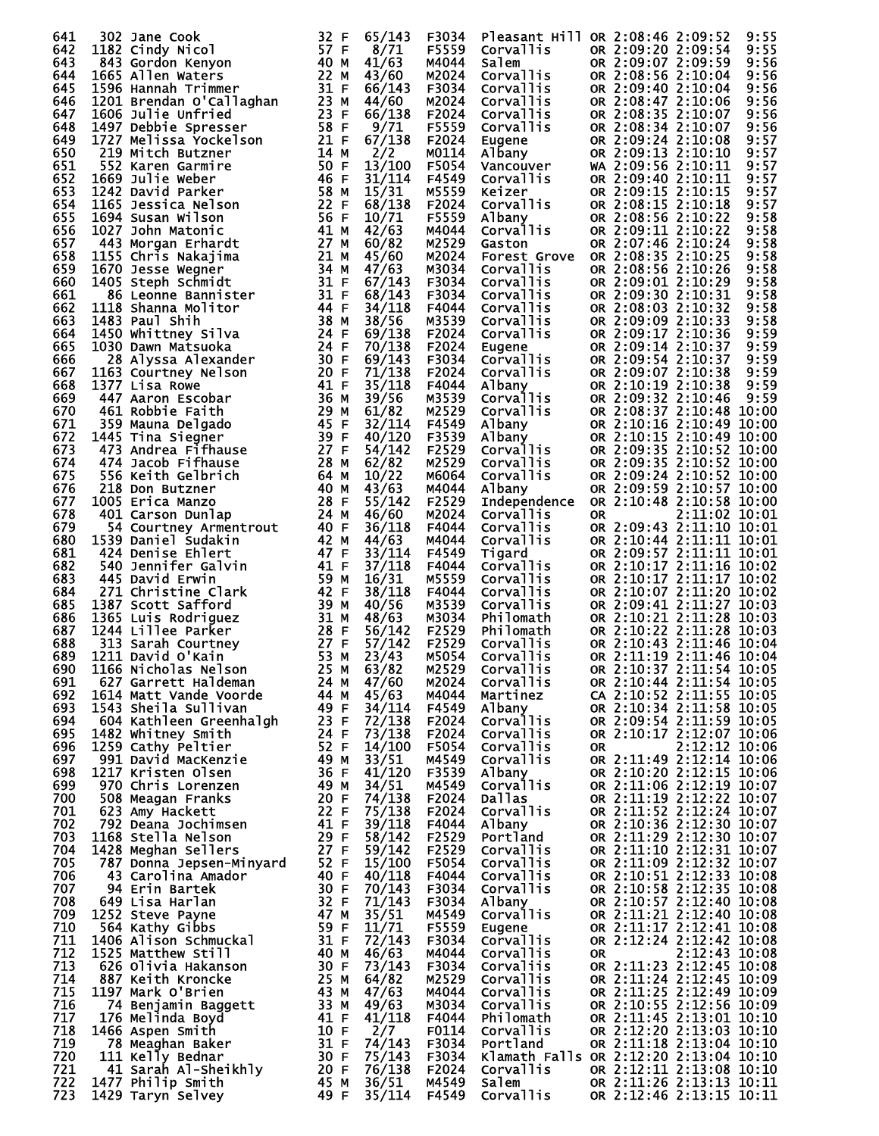| 641        | 302 Jane Cook                                   | 32 F         | 65/143           | F3034          | Pleasant Hill OR 2:08:46 2:09:52       |           |                                                      |               | 9:55         |
|------------|-------------------------------------------------|--------------|------------------|----------------|----------------------------------------|-----------|------------------------------------------------------|---------------|--------------|
| 642<br>643 | 1182 Cindy Nicol                                | 57 F         | 8/71             | F5559<br>M4044 | <b>Corvallis</b>                       |           | OR 2:09:20 2:09:54                                   |               | 9:55         |
| 644        | 843 Gordon Kenyon<br>1665 Allen Waters          | 40 M<br>22 M | 41/63<br>43/60   | M2024          | Salem<br>Corvallis                     |           | OR 2:09:07 2:09:59<br>OR 2:08:56 2:10:04             |               | 9:56<br>9:56 |
| 645        | 1596 Hannah Trimmer                             | 31 F         | 66/143           | F3034          | Corvallis                              |           | OR 2:09:40 2:10:04                                   |               | 9:56         |
| 646        | 1201 Brendan O'Callaghan                        | 23 M         | 44/60            | M2024          | Corvallis                              |           | OR 2:08:47 2:10:06                                   |               | 9:56         |
| 647<br>648 | 1606 Julie Unfried                              | 23 F<br>58 F | 66/138<br>9/71   | F2024<br>F5559 | Corvallis<br>Corvallis                 |           | OR 2:08:35 2:10:07<br>OR 2:08:34 2:10:07             |               | 9:56<br>9:56 |
| 649        | 1497 Debbie Spresser<br>1727 Melissa Yockelson  | 21 F         | 67/138           | F2024          | Eugene                                 |           | OR 2:09:24 2:10:08                                   |               | 9:57         |
| 650        | 219 Mitch Butzner                               | 14 M         | 2/2              | M0114          | Albany                                 |           | OR 2:09:13 2:10:10                                   |               | 9:57         |
| 651        | 552 Karen Garmire                               | 50 F         | 13/100           | F5054          | Vancouver                              |           | WA 2:09:56 2:10:11                                   |               | 9:57         |
| 652        | 1669 Julie Weber<br>1242 David Parker           | 46 F<br>58 M | 31/114           | F4549<br>M5559 | Corvallis                              |           | OR 2:09:40 2:10:11<br>OR 2:09:15 2:10:15             |               | 9:57         |
| 653<br>654 | 1165 Jessica Nelson                             | 22 F         | 15/31<br>68/138  | F2024          | Keizer<br>Corvallis                    |           | OR 2:08:15 2:10:18                                   |               | 9:57<br>9:57 |
| 655        | 1694 Susan Wilson                               | 56 F         | 10/71            | F5559          | Albany                                 |           | OR 2:08:56 2:10:22                                   |               | 9:58         |
| 656        | 1027 John Matonic                               | 41 M         | 42/63            | M4044          | Corvallis                              |           | OR 2:09:11 2:10:22                                   |               | 9:58         |
| 657<br>658 | 443 Morgan Erhardt<br>1155 Chris Nakajima       | 27 M<br>21 M | 60/82<br>45/60   | M2529<br>M2024 | Gaston<br><b>Forest Grove</b>          |           | OR 2:07:46 2:10:24<br>OR 2:08:35 2:10:25             |               | 9:58         |
| 659        | 1670 Jesse Wegner                               | 34 M         | 47/63            | M3034          | Corvallis                              |           | OR 2:08:56 2:10:26                                   |               | 9:58<br>9:58 |
| 660        | 1405 Steph Schmidt                              | 31 F         | 67/143           | F3034          | Corvallis                              |           | OR 2:09:01 2:10:29                                   |               | 9:58         |
| 661        | 86 Leonne Bannister                             | 31 F         | 68/143           | F3034          | Corvallis                              |           | OR 2:09:30 2:10:31                                   |               | 9:58         |
| 662<br>663 | 1118 Shanna Molitor<br>1483 Paul Shih           | 44 F<br>38 M | 34/118<br>38/56  | F4044<br>M3539 | Corvallis<br>Corvallis                 |           | OR 2:08:03 2:10:32<br>OR 2:09:09 2:10:33             |               | 9:58<br>9:58 |
| 664        | 1450 Whittney Silva                             | 24 F         | 69/138           | F2024          | Corvallis                              |           | OR 2:09:17 2:10:36                                   |               | 9:59         |
| 665        | 1030 Dawn Matsuoka                              | 24 F         | 70/138           | F2024          | Eugene                                 |           | OR 2:09:14 2:10:37                                   |               | 9:59         |
| 666        | 28 Alyssa Alexander                             | 30 F         | 69/143           | F3034          | <b>Corvallis</b>                       |           | OR 2:09:54 2:10:37                                   |               | 9:59         |
| 667        | 1163 Courtney Nelson<br>1377 Lisa Rowe          | 20 F<br>41 F | 71/138           | F2024          | Corvallis                              |           | OR 2:09:07 2:10:38                                   |               | 9:59         |
| 668<br>669 | 447 Aaron Escobar                               | 36 M         | 35/118<br>39/56  | F4044<br>M3539 | Albany<br>Corvallis                    |           | OR 2:10:19 2:10:38<br>OR 2:09:32 2:10:46             |               | 9:59<br>9:59 |
| 670        | 461 Robbie Faith                                | 29 M         | 61/82            | M2529          | Corvallis                              |           | OR 2:08:37 2:10:48 10:00                             |               |              |
| 671        | 359 Mauna Delgado                               | 45 F         | 32/114           | F4549          | Albany                                 |           | OR 2:10:16 2:10:49 10:00                             |               |              |
| 672        | 1445 Tina Siegner                               | 39 F         | 40/120           | F3539          | Albany                                 |           | OR 2:10:15 2:10:49 10:00                             |               |              |
| 673<br>674 | 473 Andrea Fifhause<br>474 Jacob Fifhause       | 27 F<br>28 M | 54/142<br>62/82  | F2529<br>M2529 | Corvallis<br>Corvallis                 |           | OR 2:09:35 2:10:52 10:00<br>OR 2:09:35 2:10:52 10:00 |               |              |
| 675        | 556 Keith Gelbrich                              | 64 M         | 10/22            | M6064          | Corvallis                              |           | OR 2:09:24 2:10:52 10:00                             |               |              |
| 676        | 218 Don Butzner                                 | 40 M         | 43/63            | M4044          | Albany                                 |           | OR 2:09:59 2:10:57 10:00                             |               |              |
| 677        | 1005 Erica Manzo                                | 28 F         | 55/142           | F2529          | Independence                           |           | OR 2:10:48 2:10:58 10:00                             |               |              |
| 678<br>679 | 401 Carson Dunlap<br>54 Courtney Armentrout     | 24 M<br>40 F | 46/60<br>36/118  | M2024<br>F4044 | Corvallis<br><b>Corvallis</b>          | <b>OR</b> | OR 2:09:43 2:11:10 10:01                             | 2:11:02 10:01 |              |
| 680        | 1539 Daniel Sudakin                             | 42 M         | 44/63            | M4044          | Corvallis                              |           | OR 2:10:44 2:11:11 10:01                             |               |              |
| 681        | 424 Denise Ehlert                               | 47 F         | 33/114           | F4549          | Tigard                                 |           | OR 2:09:57 2:11:11 10:01                             |               |              |
| 682        | 540 Jennifer Galvin                             | 41 F         | 37/118           | F4044          | <b>Corvallis</b>                       |           | OR 2:10:17 2:11:16 10:02                             |               |              |
| 683<br>684 | 445 David Erwin<br>271 Christine Clark          | 59 M<br>42 F | 16/31<br>38/118  | M5559<br>F4044 | Corvallis<br><b>Corvallis</b>          |           | OR 2:10:17 2:11:17 10:02<br>OR 2:10:07 2:11:20 10:02 |               |              |
| 685        | 1387 Scott Safford                              | 39 M         | 40/56            | M3539          | Corvallis                              |           | OR 2:09:41 2:11:27 10:03                             |               |              |
| 686        | 1365 Luis Rodriguez                             | 31 M         | 48/63            | M3034          | Philomath                              |           | OR 2:10:21 2:11:28 10:03                             |               |              |
| 687        | 1244 Lillee Parker                              | 28 F         | 56/142           | F2529          | Philomath                              |           | OR 2:10:22 2:11:28 10:03                             |               |              |
| 688<br>689 | 313 Sarah Courtney<br>1211 David O'Kain         | 27 F<br>53 M | 57/142<br>23/43  | F2529<br>M5054 | Corvallis<br>Corvallis                 |           | OR 2:10:43 2:11:46 10:04<br>OR 2:11:19 2:11:46 10:04 |               |              |
| 690        | 1166 Nicholas Nelson                            | 25 M         | 63/82            | M2529          | <b>Corvallis</b>                       |           | OR 2:10:37 2:11:54 10:05                             |               |              |
| 691        | 627 Garrett Haldeman                            | 24 M         | 47/60            | M2024          | Corvallis                              |           | OR 2:10:44 2:11:54 10:05                             |               |              |
| 692        | 1614 Matt Vande Voorde                          | 44 M         | 45/63            | M4044          | Martinez                               |           | CA 2:10:52 2:11:55 10:05                             |               |              |
| 693<br>694 | 1543 Sheila Sullivan<br>604 Kathleen Greenhalgh | 49 F<br>23 F | 34/114<br>72/138 | F4549<br>F2024 | Albany<br><b>Corvallis</b>             |           | OR 2:10:34 2:11:58 10:05<br>OR 2:09:54 2:11:59 10:05 |               |              |
| 695        | 1482 Whitney Smith                              | 24 F         | 73/138           | F2024          | Corvallis                              |           | OR 2:10:17 2:12:07 10:06                             |               |              |
| 696        | 1259 Cathy Peltier                              | 52 F         | 14/100           | F5054          | <b>Corvallis</b>                       | 0R        |                                                      | 2:12:12 10:06 |              |
| 697        | 991 David MacKenzie                             | 49 M         | 33/51            | M4549          | Corvallis                              |           | OR 2:11:49 2:12:14 10:06                             |               |              |
| 698<br>699 | 1217 Kristen Olsen<br>970 Chris Lorenzen        | 36 F<br>49 M | 41/120<br>34/51  | F3539<br>M4549 | Albany<br>Corvallis                    |           | OR 2:10:20 2:12:15 10:06<br>OR 2:11:06 2:12:19 10:07 |               |              |
| 700        | 508 Meagan Franks                               | 20 F         | 74/138           | F2024          | Dallas                                 |           | OR 2:11:19 2:12:22 10:07                             |               |              |
| 701        | 623 Amy Hackett                                 | 22 F         | 75/138           | F2024          | Corvallis                              |           | OR 2:11:52 2:12:24 10:07                             |               |              |
| 702        | 792 Deana Jochimsen                             | 41 F         | 39/118           | F4044          | Albany                                 |           | OR 2:10:36 2:12:30 10:07                             |               |              |
| 703<br>704 | 1168 Stella Nelson<br>1428 Meghan Sellers       | 29 F<br>27 F | 58/142<br>59/142 | F2529<br>F2529 | Portland<br><b>Corvallis</b>           |           | OR 2:11:29 2:12:30 10:07<br>OR 2:11:10 2:12:31 10:07 |               |              |
| 705        | 787 Donna Jepsen-Minyard                        | 52 F         | 15/100           | F5054          | <b>Corvallis</b>                       |           | OR 2:11:09 2:12:32 10:07                             |               |              |
| 706        | 43 Carolina Amador                              | 40 F         | 40/118           | F4044          | Corvallis                              |           | OR 2:10:51 2:12:33 10:08                             |               |              |
| 707        | 94 Erin Bartek                                  | 30 F         | 70/143           | F3034          | Corvallis                              |           | OR 2:10:58 2:12:35 10:08                             |               |              |
| 708<br>709 | 649 Lisa Harlan<br>1252 Steve Payne             | 32 F<br>47 M | 71/143<br>35/51  | F3034<br>M4549 | Albany<br><b>Corvallis</b>             |           | OR 2:10:57 2:12:40 10:08<br>OR 2:11:21 2:12:40 10:08 |               |              |
| 710        | 564 Kathy Gibbs                                 | 59 F         | 11/71            | F5559          | Eugene                                 |           | OR 2:11:17 2:12:41 10:08                             |               |              |
| 711        | 1406 Alison Schmuckal                           | 31 F         | 72/143           | F3034          | <b>Corvallis</b>                       |           | OR 2:12:24 2:12:42 10:08                             |               |              |
| 712        | 1525 Matthew Still                              | 40 M         | 46/63            | M4044          | Corvallis                              | OR        |                                                      | 2:12:43 10:08 |              |
| 713<br>714 | 626 Olivia Hakanson<br>887 Keith Kroncke        | 30 F<br>25 M | 73/143<br>64/82  | F3034<br>M2529 | Corvaliis<br>Corvallis                 |           | OR 2:11:23 2:12:45 10:08<br>OR 2:11:24 2:12:45 10:09 |               |              |
| 715        | 1197 Mark O'Brien                               | 43 M         | 47/63            | M4044          | <b>Corvallis</b>                       |           | OR 2:11:25 2:12:49 10:09                             |               |              |
| 716        | 74 Benjamin Baggett                             | 33 M         | 49/63            | M3034          | Corvallis                              |           | OR 2:10:55 2:12:56 10:09                             |               |              |
| 717        | 176 Melinda Boyd                                | 41 F         | 41/118           | F4044          | Philomath                              |           | OR 2:11:45 2:13:01 10:10                             |               |              |
| 718<br>719 | 1466 Aspen Smith<br>78 Meaghan Baker            | 10 F<br>31 F | 2/7<br>74/143    | F0114<br>F3034 | <b>Corvallis</b><br>Portland           |           | OR 2:12:20 2:13:03 10:10<br>OR 2:11:18 2:13:04 10:10 |               |              |
| 720        | 111 Kelly Bednar                                | 30 F         | 75/143           | F3034          | Klamath Falls OR 2:12:20 2:13:04 10:10 |           |                                                      |               |              |
| 721        | 41 Sarah Al-Sheikhly                            | 20 F         | 76/138           | F2024          | <b>Corvallis</b>                       |           | OR 2:12:11 2:13:08 10:10                             |               |              |
| 722        | 1477 Philip Smith                               | 45 M         | 36/51            | M4549          | Salem                                  |           | OR 2:11:26 2:13:13 10:11                             |               |              |
| 723        | 1429 Taryn Selvey                               | 49 F         | 35/114           | F4549          | Corvallis                              |           | OR 2:12:46 2:13:15 10:11                             |               |              |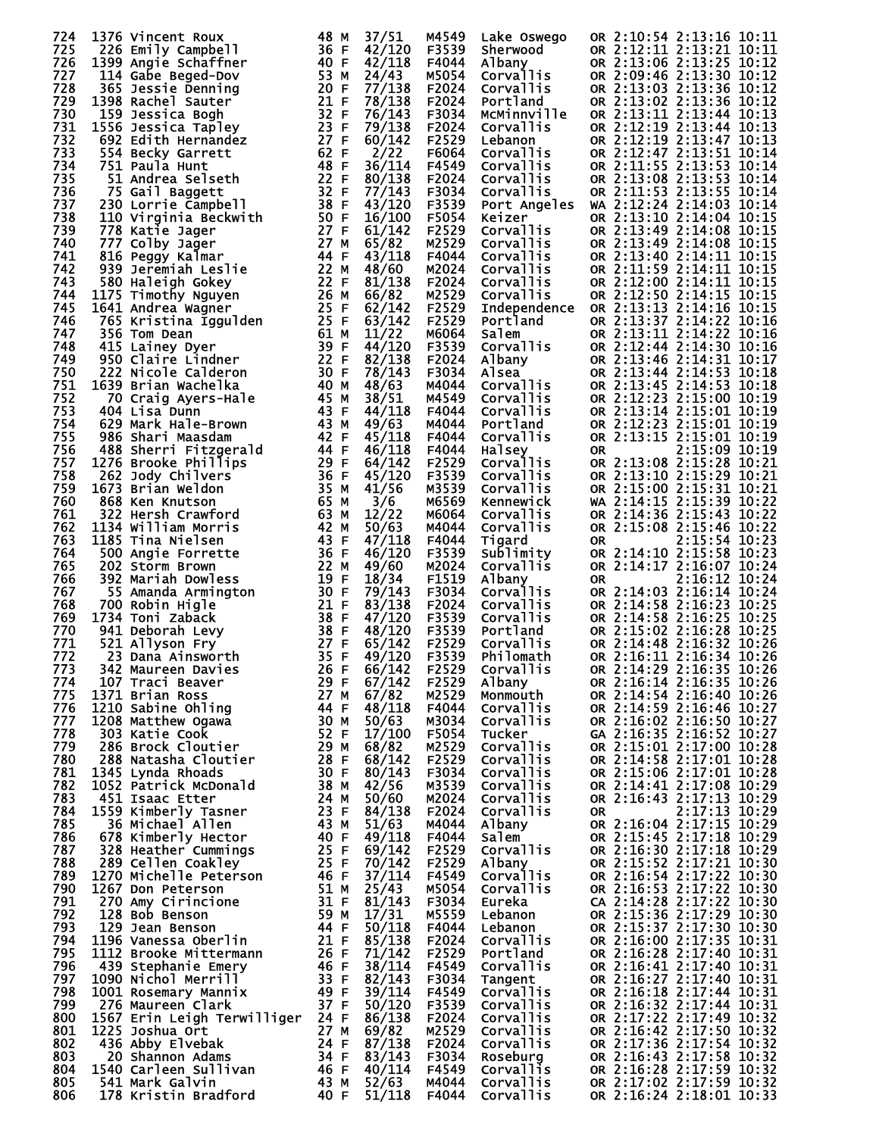| 724        | 1376 Vincent Roux                              | 48 M         | 37/51            | M4549          | Lake Oswego                   | OR 2:10:54 2:13:16 10:11                             |
|------------|------------------------------------------------|--------------|------------------|----------------|-------------------------------|------------------------------------------------------|
| 725        | 226 Emily Campbell                             | 36 F         | 42/120           | F3539          | Sherwood                      | OR 2:12:11 2:13:21 10:11                             |
| 726<br>727 | 1399 Angie Schaffner<br>114 Gabe Beged-Dov     | 40 F<br>53 M | 42/118<br>24/43  | F4044<br>M5054 | Albany<br>Corvallis           | OR 2:13:06 2:13:25 10:12<br>OR 2:09:46 2:13:30 10:12 |
| 728        | 365 Jessie Denning                             | 20 F         | 77/138           | F2024          | Corvallis                     | OR 2:13:03 2:13:36 10:12                             |
| 729        | 1398 Rachel Sauter                             | 21 F         | 78/138           | F2024          | Portland                      | OR 2:13:02 2:13:36 10:12                             |
| 730        | 159 Jessica Bogh                               | 32 F         | 76/143           | F3034          | McMinnville                   | OR 2:13:11 2:13:44 10:13                             |
| 731        | 1556 Jessica Tapley                            | 23 F         | 79/138           | F2024          | <b>Corvallis</b>              | OR 2:12:19 2:13:44 10:13                             |
| 732<br>733 | 692 Edith Hernandez<br>554 Becky Garrett       | 27 F<br>62 F | 60/142<br>2/22   | F2529<br>F6064 | Lebanon<br>Corvallis          | OR 2:12:19 2:13:47 10:13<br>OR 2:12:47 2:13:51 10:14 |
| 734        | 751 Paula Hunt                                 | 48 F         | 36/114           | F4549          | Corvallis                     | OR 2:11:55 2:13:53 10:14                             |
| 735        | 51 Andrea Selseth                              | 22 F         | 80/138           | F2024          | Corvallis                     | OR 2:13:08 2:13:53 10:14                             |
| 736        | 75 Gail Baggett                                | 32 F         | 77/143           | F3034          | Corvallis                     | OR 2:11:53 2:13:55 10:14                             |
| 737        | 230 Lorrie Campbell                            | 38 F         | 43/120           | F3539          | Port Angeles                  | WA 2:12:24 2:14:03 10:14                             |
| 738<br>739 | 110 Virginia Beckwith<br>778 Katie Jager       | 50 F<br>27 F | 16/100<br>61/142 | F5054<br>F2529 | Keizer                        | OR 2:13:10 2:14:04 10:15<br>OR 2:13:49 2:14:08 10:15 |
| 740        | 777 Colby Jager                                | 27 M         | 65/82            | M2529          | Corvallis<br>Corvallis        | OR 2:13:49 2:14:08 10:15                             |
| 741        | 816 Peggy Kalmar                               | 44 F         | 43/118           | F4044          | Corvallis                     | OR 2:13:40 2:14:11 10:15                             |
| 742        | 939 Jeremiah Leslie                            | 22 M         | 48/60            | M2024          | Corvallis                     | OR 2:11:59 2:14:11 10:15                             |
| 743<br>744 | 580 Haleigh Gokey                              | 22 F         | 81/138           | F2024          | Corvallis                     | OR 2:12:00 2:14:11 10:15                             |
| 745        | 1175 Timothy Nguyen<br>1641 Andrea Wagner      | 26 M<br>25 F | 66/82<br>62/142  | M2529<br>F2529 | Corvallis<br>Independence     | OR 2:12:50 2:14:15 10:15<br>OR 2:13:13 2:14:16 10:15 |
| 746        | 765 Kristina İggulden                          | 25 F         | 63/142           | F2529          | Portland                      | OR 2:13:37 2:14:22 10:16                             |
| 747        | 356 Tom Dean                                   | 61 M         | 11/22            | M6064          | Salem                         | OR 2:13:11 2:14:22 10:16                             |
| 748        | 415 Lainey Dyer                                | 39 F         | 44/120           | F3539          | saiem<br>Corvallis            | OR 2:12:44 2:14:30 10:16                             |
| 749        | 950 Claire Lindner                             | 22 F<br>30 F | 82/138           | F2024          | Albany<br>Alsea               | OR 2:13:46 2:14:31 10:17                             |
| 750<br>751 | 222 Nicole Calderon<br>1639 Brian Wachelka     | 40 M         | 78/143<br>48/63  | F3034<br>M4044 | Corvallis                     | OR 2:13:44 2:14:53 10:18<br>OR 2:13:45 2:14:53 10:18 |
| 752        | 70 Craig Ayers-Hale                            | 45 M         | 38/51            | M4549          | Corvallis                     | OR 2:12:23 2:15:00 10:19                             |
| 753        | 404 Lisa Dunn                                  | 43 F         | 44/118           | F4044          | Corvallis                     | OR 2:13:14 2:15:01 10:19                             |
| 754        | 629 Mark Hale-Brown                            | 43 M         | 49/63            | M4044          | Portland                      | OR 2:12:23 2:15:01 10:19                             |
| 755<br>756 | 986 Shari Maasdam                              | 42 F<br>44 F | 45/118<br>46/118 | F4044<br>F4044 | Corvallis<br>Halsey           | OR 2:13:15 2:15:01 10:19<br>2:15:09 10:19            |
| 757        | 488 Sherri Fitzgerald<br>1276 Brooke Phillips  | 29 F         | 64/142           | F2529          | Corvallis                     | <b>OR</b><br>OR 2:13:08 2:15:28 10:21                |
| 758        | 262 Jody Chilvers                              | 36 F         | 45/120           | F3539          | Corvallis                     | OR 2:13:10 2:15:29 10:21                             |
| 759        | 1673 Brian Weldon                              | 35 M         | 41/56            | M3539          | Corvallis                     | OR 2:15:00 2:15:31 10:21                             |
| 760        | 868 Ken Knutson                                | 65 M         | 3/6              | M6569          | Kennewick                     | WA 2:14:15 2:15:39 10:22                             |
| 761<br>762 | 322 Hersh Crawford<br>1134 William Morris      | 63 M<br>42 M | 12/22<br>50/63   | M6064<br>M4044 | <b>Corvallis</b><br>Corvallis | OR 2:14:36 2:15:43 10:22<br>OR 2:15:08 2:15:46 10:22 |
| 763        | 1185 Tina Nielsen                              | 43 F         | 47/118           | F4044          | Tigard                        | 2:15:54 10:23<br>0R                                  |
| 764        | 500 Angie Forrette                             | 36 F         | 46/120           | F3539          | sublimity                     | OR 2:14:10 2:15:58 10:23                             |
| 765        | 202 Storm Brown                                | 22 M         | 49/60            | M2024          | <b>Corvallis</b>              | OR 2:14:17 2:16:07 10:24                             |
| 766        | 392 Mariah Dowless                             | 19 F         | 18/34            | F1519          | Albany                        | 2:16:12 10:24<br><b>OR</b>                           |
| 767<br>768 | 55 Amanda Armington<br>700 Robin Higle         | 30 F<br>21 F | 79/143<br>83/138 | F3034<br>F2024 | Corvallis<br><b>Corvallis</b> | OR 2:14:03 2:16:14 10:24<br>OR 2:14:58 2:16:23 10:25 |
| 769        | 1734 Toni Zaback                               | 38 F         | 47/120           | F3539          | Corvallis                     | OR 2:14:58 2:16:25 10:25                             |
| 770        | 941 Deborah Levy                               | 38 F         | 48/120           | F3539          | Portland                      | OR 2:15:02 2:16:28 10:25                             |
| 771        | 521 Allyson Fry                                | 27 F         | 65/142           | F2529          | Corvallis                     | OR 2:14:48 2:16:32 10:26                             |
| 772<br>773 | 23 Dana Ainsworth<br>342 Maureen Davies        | 35 F<br>26 F | 49/120<br>66/142 | F3539<br>F2529 | Philomath<br><b>Corvallis</b> | OR 2:16:11 2:16:34 10:26<br>OR 2:14:29 2:16:35 10:26 |
| 774        | 107 Traci Beaver                               | 29 F         | 67/142           | F2529          | Albany                        | OR 2:16:14 2:16:35 10:26                             |
| 775        | 1371 Brian Ross                                | 27 M         | 67/82            | M2529          | Monmouth                      | OR 2:14:54 2:16:40 10:26                             |
| 776        | 1210 Sabine Ohling                             | 44 F         | 48/118           | F4044          | Corvallis                     | OR 2:14:59 2:16:46 10:27                             |
| 777        | 1208 Matthew Ogawa                             | 30 M         | 50/63            | M3034          | Corvallis                     | OR 2:16:02 2:16:50 10:27                             |
| 778<br>779 | 303 Katie Cook<br>286 Brock Cloutier           | 52 F<br>29 M | 17/100<br>68/82  | F5054<br>M2529 | Tucker<br>Corvallis           | GA 2:16:35 2:16:52 10:27<br>OR 2:15:01 2:17:00 10:28 |
| 780        | 288 Natasha Cloutier                           | 28 F         | 68/142           | F2529          | Corvallis                     | OR 2:14:58 2:17:01 10:28                             |
| 781        | 1345 Lynda Rhoads                              | 30 F         | 80/143           | F3034          | Corvallis                     | OR 2:15:06 2:17:01 10:28                             |
| 782        | 1052 Patrick McDonald                          | 38 M         | 42/56            | M3539          | Corvallis                     | OR 2:14:41 2:17:08 10:29                             |
| 783<br>784 | 451 Isaac Etter<br>1559 Kimberly Tasner        | 24 M<br>23 F | 50/60<br>84/138  | M2024<br>F2024 | Corvallis<br>Corvallis        | OR 2:16:43 2:17:13 10:29<br>2:17:13 10:29<br>0R      |
| 785        | 36 Michael Allen                               | 43 M         | 51/63            | M4044          | Albany                        | OR 2:16:04 2:17:15 10:29                             |
| 786        | 678 Kimberly Hector                            | 40 F         | 49/118           | F4044          | Salem                         | OR 2:15:45 2:17:18 10:29                             |
| 787        | 328 Heather Cummings                           | 25 F         | 69/142           | F2529          | Corvallis                     | OR 2:16:30 2:17:18 10:29                             |
| 788        | 289 Cellen Coakley                             | 25 F         | 70/142           | F2529          | Albany                        | OR 2:15:52 2:17:21 10:30                             |
| 789<br>790 | 1270 Michelle Peterson<br>1267 Don Peterson    | 46 F<br>51 M | 37/114<br>25/43  | F4549<br>M5054 | <b>Corvallis</b><br>Corvallis | OR 2:16:54 2:17:22 10:30<br>OR 2:16:53 2:17:22 10:30 |
| 791        | 270 Amy Cirincione                             | 31 F         | 81/143           | F3034          | Eureka                        | CA 2:14:28 2:17:22 10:30                             |
| 792        | 128 Bob Benson                                 | 59 M         | 17/31            | M5559          | Lebanon                       | OR 2:15:36 2:17:29 10:30                             |
| 793        | 129 Jean Benson                                | 44 F         | 50/118           | F4044          | Lebanon                       | OR 2:15:37 2:17:30 10:30                             |
| 794        | 1196 Vanessa Oberlin                           | 21 F         | 85/138           | F2024          | Corvallis<br>Portland         | OR 2:16:00 2:17:35 10:31                             |
| 795<br>796 | 1112 Brooke Mittermann<br>439 Stephanie Emery  | 26 F<br>46 F | 71/142<br>38/114 | F2529<br>F4549 | Corvallis                     | OR 2:16:28 2:17:40 10:31<br>OR 2:16:41 2:17:40 10:31 |
| 797        | 1090 Nichol Merrill                            | 33 F         | 82/143           | F3034          | Tangent                       | OR 2:16:27 2:17:40 10:31                             |
| 798        | 1001 Rosemary Mannix                           | 49 F         | 39/114           | F4549          | Corvallis                     | OR 2:16:18 2:17:44 10:31                             |
| 799        | 276 Maureen Clark                              | 37 F         | 50/120           | F3539          | Corvallis                     | OR 2:16:32 2:17:44 10:31                             |
| 800<br>801 | 1567 Erin Leigh Terwilliger<br>1225 Joshua Ort | 24 F<br>27 M | 86/138<br>69/82  | F2024<br>M2529 | Corvallis<br>Corvallis        | OR 2:17:22 2:17:49 10:32<br>OR 2:16:42 2:17:50 10:32 |
| 802        | 436 Abby Elvebak                               | 24 F         | 87/138           | F2024          | Corvallis                     | OR 2:17:36 2:17:54 10:32                             |
| 803        | 20 Shannon Adams                               | 34 F         | 83/143           | F3034          | Roseburg                      | OR 2:16:43 2:17:58 10:32                             |
| 804        | 1540 Carleen Sullivan                          | 46 F         | 40/114           | F4549          | <b>Corvallis</b>              | OR 2:16:28 2:17:59 10:32                             |
| 805        | 541 Mark Galvin<br>178 Kristin Bradford        | 43 M<br>40 F | 52/63<br>51/118  | M4044          | Corvallis                     | OR 2:17:02 2:17:59 10:32                             |
| 806        |                                                |              |                  | F4044          | <b>Corvallis</b>              | OR 2:16:24 2:18:01 10:33                             |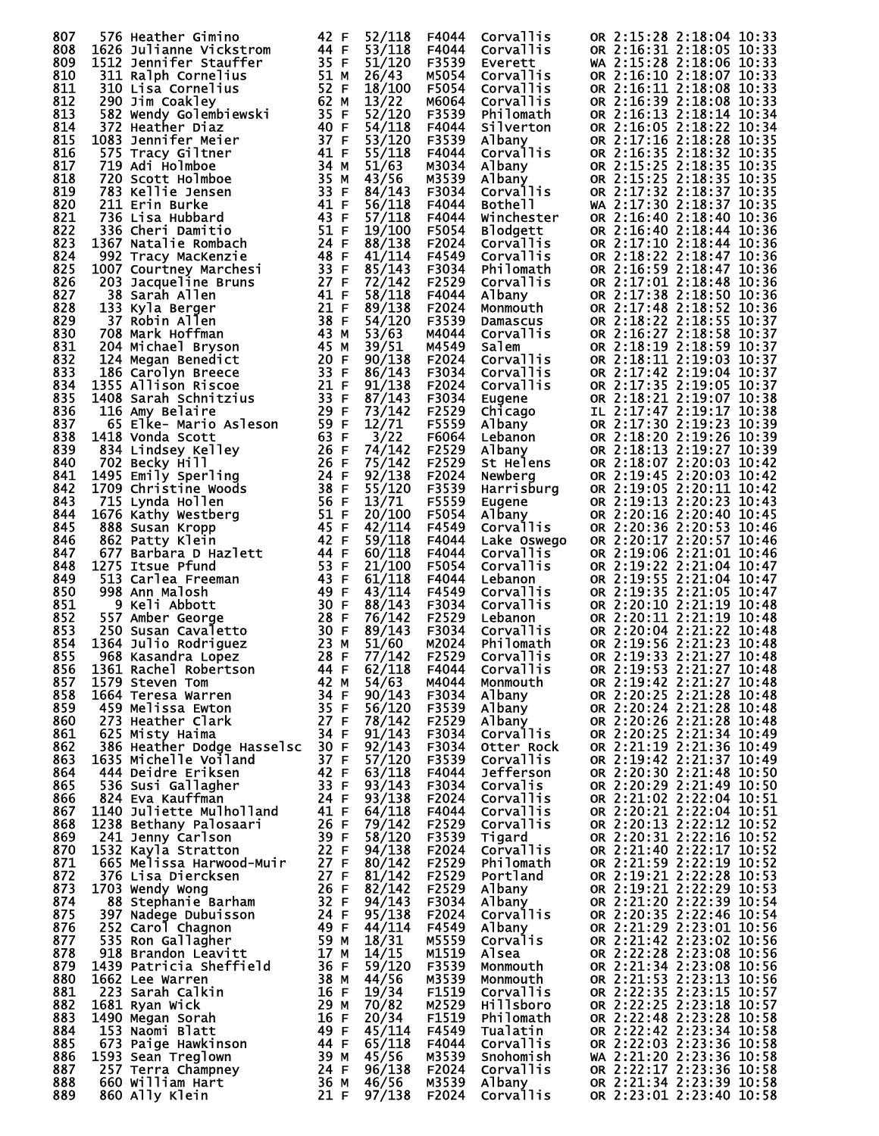| 807        | 576 Heather Gimino                                       | 42 F         | 52/118                    | F4044          | Corvallis                    | OR 2:15:28 2:18:04 10:33                                                         |
|------------|----------------------------------------------------------|--------------|---------------------------|----------------|------------------------------|----------------------------------------------------------------------------------|
| 808        | 1626 Julianne Vickstrom                                  | 44 F         | 53/118                    | F4044          | <b>Corvallis</b>             | OR 2:16:31 2:18:05 10:33                                                         |
| 809<br>810 | 1512 Jennifer Stauffer<br>311 Ralph Cornelius            | 35 F<br>51 M | 51/120<br>26/43           | F3539<br>M5054 | Everett<br>Corvallis         | WA 2:15:28 2:18:06 10:33<br>OR 2:16:10 2:18:07 10:33                             |
| 811        | 310 Lisa Cornelius                                       | 52 F         | 18/100                    | F5054          | Corvallis                    | OR 2:16:11 2:18:08 10:33                                                         |
| 812        | 290 Jim Coakley                                          | 62 M         | 13/22                     | M6064          | Corvallis                    | OR 2:16:39 2:18:08 10:33                                                         |
| 813        | 582 Wendy Golembiewski                                   | 35 F         | 52/120                    | F3539          | Philomath                    | OR 2:16:13 2:18:14 10:34                                                         |
| 814        | 372 Heather Diaz                                         | 40 F         | 54/118                    | F4044          | Silverton                    | OR 2:16:05 2:18:22 10:34                                                         |
| 815        | 1083 Jennifer Meier                                      | 37 F         | 53/120                    | F3539          | Albany                       | OR 2:17:16 2:18:28 10:35                                                         |
| 816        | 575 Tracy Giltner                                        | 41 F         | 55/118                    | F4044          | Corvallis                    | OR 2:16:35 2:18:32 10:35                                                         |
| 817        | 719 Adi Holmboe                                          | 34 M         | 51/63                     | M3034          | Albany                       | OR 2:15:25 2:18:35 10:35                                                         |
| 818        | 720 Scott Holmboe                                        | 35 M         | 43/56                     | M3539          | Albany                       | OR 2:15:25 2:18:35 10:35                                                         |
| 819        | 783 Kellie Jensen                                        | 33 F         | 84/143                    | F3034          | Corvallis                    | OR 2:17:32 2:18:37 10:35                                                         |
| 820        | 211 Erin Burke                                           | 41 F         | 56/118                    | F4044          | Bothe <sub>11</sub>          | WA 2:17:30 2:18:37 10:35                                                         |
| 821<br>822 | 736 Lisa Hubbard                                         | 43 F<br>51 F | 57/118                    | F4044          | Winchester                   | OR 2:16:40 2:18:40 10:36                                                         |
| 823        | 336 Cheri Damitio<br>1367 Natalie Rombach                | 24 F         | 19/100<br>88/138          | F5054<br>F2024 | <b>Blodgett</b><br>Corvallis | OR 2:16:40 2:18:44 10:36<br>OR 2:17:10 2:18:44 10:36                             |
| 824        | 992 Tracy MacKenzie                                      | 48 F         | 41/114                    | F4549          | Corvallis                    | OR 2:18:22 2:18:47 10:36                                                         |
| 825        | 1007 Courtney Marchesi                                   | 33 F         | 85/143                    | F3034          | Philomath                    | OR 2:16:59 2:18:47 10:36                                                         |
| 826        | 203 Jacqueline Bruns                                     | 27 F         | 72/142                    | F2529          | Corvallis                    | OR 2:17:01 2:18:48 10:36                                                         |
| 827        | 38 Sarah Allen                                           | 41 F         | 58/118                    | F4044          | Albany                       | OR 2:17:38 2:18:50 10:36                                                         |
| 828        | 133 Kyla Berger                                          | 21 F         | 89/138                    | F2024          | Monmouth                     | OR 2:17:48 2:18:52 10:36                                                         |
| 829        | 37 Robin Allen                                           | 38 F         | 54/120                    | F3539          | Damascus                     | OR 2:18:22 2:18:55 10:37                                                         |
| 830        | 708 Mark Hoffman                                         | 43 M         | 53/63                     | M4044          | Corvallis                    | OR 2:16:27 2:18:58 10:37                                                         |
| 831        | 204 Michael Bryson                                       | 45 M         | 39/51                     | M4549          | Salem                        | OR 2:18:19 2:18:59 10:37                                                         |
| 832        | 124 Megan Benedict                                       | 20 F         | 90/138                    | F2024          | Corvallis                    | OR 2:18:11 2:19:03 10:37                                                         |
| 833        | 186 Carolyn Breece                                       | 33 F         | 86/143                    | F3034          | Corvallis                    | OR 2:17:42 2:19:04 10:37                                                         |
| 834        | 1355 Allison Riscoe                                      | 21 F<br>33 F | 91/138<br>87/143          | F2024          | Corvallis                    | OR 2:17:35 2:19:05 10:37<br>OR 2:18:21 2:19:07 10:38                             |
| 835<br>836 | 1408 Sarah Schnitzius<br>116 Amy Belaire                 | 29 F         | 73/142                    | F3034<br>F2529 | Eugene<br>Chicago            | IL 2:17:47 2:19:17 10:38                                                         |
| 837        | 65 Elke- Mario Asleson                                   | 59 F         | 12/71                     | F5559          | Albany                       | OR 2:17:30 2:19:23 10:39                                                         |
| 838        | 1418 Vonda Scott                                         | 63 F         | 3/22                      | F6064          | Lebanon                      | OR 2:18:20 2:19:26 10:39                                                         |
| 839        | 834 Lindsey Kelley                                       | 26 F         | 74/142                    | F2529          | Albany                       | OR 2:18:13 2:19:27 10:39                                                         |
| 840        | 702 Becky Hill                                           | 26 F         | 75/142                    | F2529          | St Helens                    | OR 2:18:07 2:20:03 10:42                                                         |
| 841        | 1495 Emily Sperling                                      | 24 F         | 92/138                    | F2024          | Newberg                      | OR 2:19:45 2:20:03 10:42                                                         |
| 842        | 1709 Christine Woods                                     | 38 F         | 55/120                    | F3539          | Harrisburg                   | OR 2:19:05 2:20:11 10:42                                                         |
| 843        | 715 Lynda Hollen                                         | 56 F         | 13/71                     | F5559          | Eugene                       | OR 2:19:13 2:20:23 10:43                                                         |
| 844        | 1676 Kathy Westberg                                      | 51 F         | 20/100                    | F5054          | Albany                       | OR 2:20:16 2:20:40 10:45                                                         |
| 845        | 888 Susan Kropp                                          | 45 F         | 42/114                    | F4549          | Corvallis                    | OR 2:20:36 2:20:53 10:46                                                         |
| 846        | 862 Patty Klein                                          | 42 F         | 59/118                    | F4044          | Lake Oswego                  | OR 2:20:17 2:20:57 10:46                                                         |
| 847<br>848 | 677 Barbara D Hazlett<br>1275 Itsue Pfund                | 44 F<br>53 F | 60/118<br>21/100          | F4044<br>F5054 | Corvallis<br>Corvallis       | OR 2:19:06 2:21:01 10:46<br>OR 2:19:22 2:21:04 10:47                             |
| 849        | 513 Carlea Freeman                                       | 43 F         | 61/118                    | F4044          | Lebanon                      | OR 2:19:55 2:21:04 10:47                                                         |
| 850        | 998 Ann Malosh                                           | 49 F         | 43/114                    | F4549          | Corvallis                    | OR 2:19:35 2:21:05 10:47                                                         |
| 851        | 9 Keli Abbott                                            | 30 F         | 88/143                    | F3034          | Corvallis                    | OR 2:20:10 2:21:19 10:48                                                         |
| 852        | 557 Amber George                                         | 28 F         | 76/142                    | F2529          | Lebanon                      | OR 2:20:11 2:21:19 10:48                                                         |
| 853        | 250 Susan Cavaletto                                      | 30 F         | 89/143                    | F3034          | Corvallis                    | OR 2:20:04 2:21:22 10:48                                                         |
| 854        | 1364 Julio Rodriguez                                     | 23 M         | 51/60                     | M2024          | Philomath                    | OR 2:19:56 2:21:23 10:48                                                         |
| 855        | 968 Kasandra Lopez                                       | 28 F         | 77/142                    | F2529          | Corvallis                    | OR 2:19:33 2:21:27 10:48                                                         |
| 856        | 1361 Rachel Robertson                                    | 44 F         | 62/118                    | F4044          | Corvallis                    | OR 2:19:53 2:21:27 10:48                                                         |
| 857        | 1579 Steven Tom                                          | 42 M         | 54/63                     | M4044          | Monmouth                     | OR 2:19:42 2:21:27 10:48                                                         |
| 858        | 1664 Teresa Warren                                       | 34 F         | 90/143                    | F3034          | Albany                       | OR 2:20:25 2:21:28 10:48                                                         |
| 859<br>860 | 459 Melissa Ewton<br>273 Heather Clark                   | 35 F<br>27 F | 56/120<br>78/142          | F3539<br>F2529 | Albany<br>Albany             | OR 2:20:24 2:21:28 10:48<br>OR 2:20:26 2:21:28 10:48                             |
| 861        | 625 Misty Haima                                          | 34 F         | 91/143                    | F3034          | Corvallis                    | OR 2:20:25 2:21:34 10:49                                                         |
| 862        | 386 Heather Dodge Hasselsc                               | 30 F         | 92/143                    | F3034          | Otter Rock                   | OR 2:21:19 2:21:36 10:49                                                         |
| 863        | 1635 Michelle Voiland                                    | 37 F         | 57/120                    | F3539          | <b>Corvallis</b>             | OR 2:19:42 2:21:37 10:49                                                         |
| 864        | 444 Deidre Eriksen                                       | 42 F         | 63/118                    | F4044          | Jefferson                    | OR 2:20:30 2:21:48 10:50                                                         |
| 865        | 536 Susi Gallagher                                       | 33 F         | 93/143                    | F3034          | Corvalis                     | OR 2:20:29 2:21:49 10:50                                                         |
| 866        | 824 Eva Kauffman                                         | 24 F         | 93/138                    | F2024          | <b>Corvallis</b>             | OR 2:21:02 2:22:04 10:51                                                         |
| 867        | 1140 Juliette Mulholland                                 | 41 F         | 64/118                    | F4044          | Corvallis                    | OR 2:20:21 2:22:04 10:51                                                         |
| 868        | 1238 Bethany Palosaari                                   | 26 F         | 79/142                    | F2529          | <b>Corvallis</b>             | OR 2:20:13 2:22:12 10:52                                                         |
| 869<br>870 | 241 Jenny Carlson                                        | 39 F<br>22 F | 58/120<br>94/138          | F3539          | Tigard                       | OR 2:20:31 2:22:16 10:52<br>OR 2:21:40 2:22:17 10:52                             |
|            | 1532 Kayla Stratton                                      | 27 F         |                           | F2024          | Corvallis                    | OR 2:21:59 2:22:19 10:52                                                         |
| 871<br>872 | 665 Melissa Harwood-Muir<br>376 Lisa Diercksen           | 27 F         | 80/142<br>81/142          | F2529<br>F2529 | Philomath<br>Portland        | OR 2:19:21 2:22:28 10:53                                                         |
| 873        | 1703 Wendy Wong                                          | 26 F         | 82/142                    | F2529          | Albany                       | OR 2:19:21 2:22:29 10:53                                                         |
| 874        | 88 Stephanie Barham                                      | 32 F         | 94/143                    | F3034          | Albany                       | OR 2:21:20 2:22:39 10:54                                                         |
| 875        | 397 Nadege Dubuisson                                     | 24 F         | 95/138                    | F2024          | Corvallis                    | OR 2:20:35 2:22:46 10:54                                                         |
| 876        | 252 Carol Chagnon                                        | 49 F         | 44/114                    | F4549          | Albany                       | OR 2:21:29 2:23:01 10:56                                                         |
| 877        | 535 Ron Gallagher                                        | 59 M         | 18/31                     | M5559          | Corvalis                     | OR 2:21:42 2:23:02 10:56                                                         |
| 878        | 918 Brandon Leavitt                                      | 17 M         | 14/15                     | M1519          | Alsea                        | OR 2:22:28 2:23:08 10:56                                                         |
| 879        | 1439 Patricia Sheffield                                  | 36 F         | 59/120                    | F3539          | Monmouth                     | OR 2:21:34 2:23:08 10:56                                                         |
| 880        | 1662 Lee Warren                                          | 38 M         | 44/56                     | M3539          | Monmouth                     | OR 2:21:53 2:23:13 10:56                                                         |
|            |                                                          | 16 F         | 19/34                     | F1519          | <b>Corvallis</b>             | OR 2:22:35 2:23:15 10:57                                                         |
| 881        | 223 Sarah Calkin                                         |              |                           |                |                              |                                                                                  |
| 882        | 1681 Ryan Wick                                           | 29 M         | 70/82                     | M2529          | <b>Hillsboro</b>             | OR 2:22:25 2:23:18 10:57                                                         |
| 883        | 1490 Megan Sorah                                         | 16 F         | 20/34                     | F1519          | Philomath                    | OR 2:22:48 2:23:28 10:58                                                         |
| 884        | 153 Naomi Blatt                                          | 49 F         | 45/114                    | F4549          | Tualatin                     | OR 2:22:42 2:23:34 10:58                                                         |
| 885        | 673 Paige Hawkinson                                      | 44 F         | 65/118                    | F4044          | <b>Corvallis</b>             | OR 2:22:03 2:23:36 10:58                                                         |
| 886        | 1593 Sean Treglown                                       | 39 M         | 45/56                     | M3539          | Snohomish                    | WA 2:21:20 2:23:36 10:58                                                         |
| 887<br>888 | 257 Terra Champney<br>660 William Hart<br>860 Ally Klein | 24 F<br>36 M | 96/138<br>46/56<br>97/138 | F2024<br>M3539 | <b>Corvallis</b><br>Albany   | OR 2:22:17 2:23:36 10:58<br>OR 2:21:34 2:23:39 10:58<br>OR 2:23:01 2:23:40 10:58 |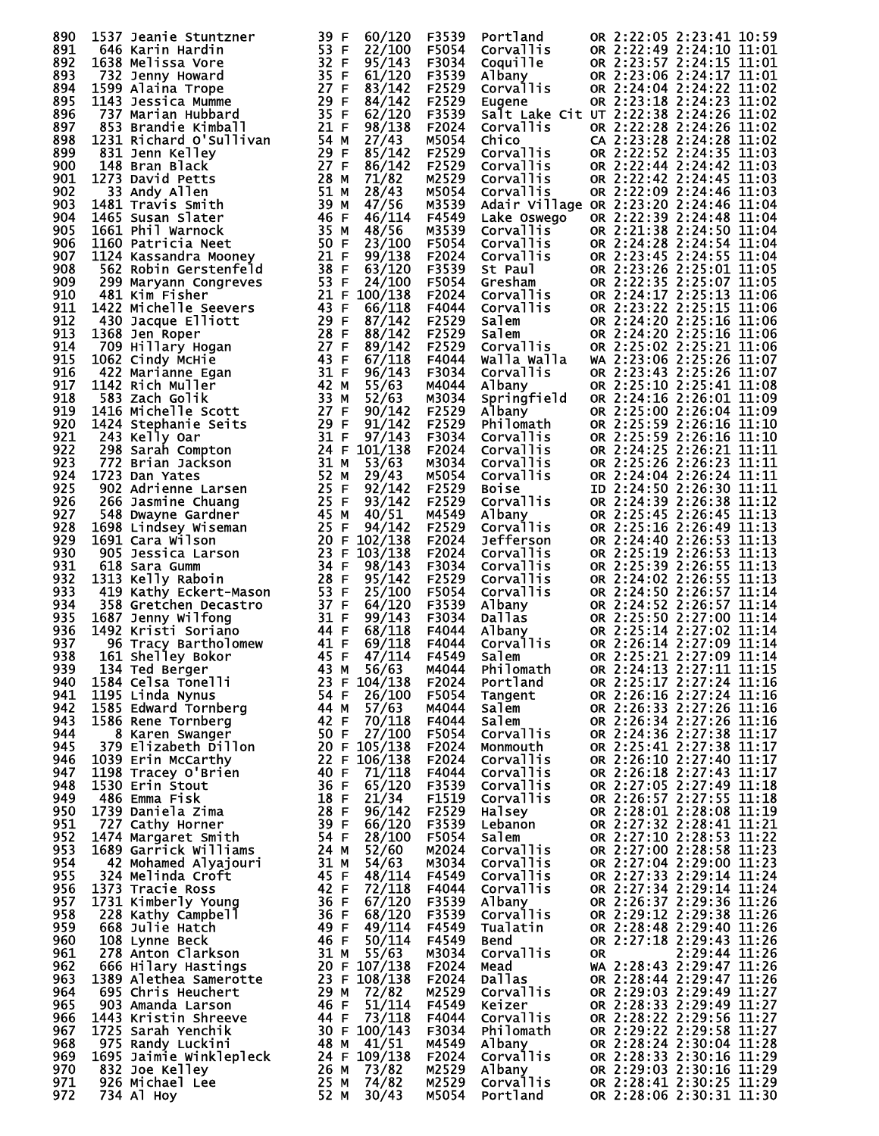| 890        | 1537 Jeanie Stuntzner                                                                                                                                                                                                                                        | 39 F         | 60/120                     | F3539          | Portland                                                 |    | OR 2:22:05 2:23:41 10:59                             |  |
|------------|--------------------------------------------------------------------------------------------------------------------------------------------------------------------------------------------------------------------------------------------------------------|--------------|----------------------------|----------------|----------------------------------------------------------|----|------------------------------------------------------|--|
| 891        | 646 Karin Hardin                                                                                                                                                                                                                                             | 53 F<br>32 F | 22/100                     | F5054          | Corvallis                                                |    | OR 2:22:49 2:24:10 11:01                             |  |
| 892<br>893 | 1638 Melissa Vore<br>732 Jenny Howard                                                                                                                                                                                                                        | 35 F         | 95/143<br>61/120           | F3034<br>F3539 | Coquille<br>Albany                                       |    | OR 2:23:57 2:24:15 11:01<br>OR 2:23:06 2:24:17 11:01 |  |
| 894        | 1599 Alaina Trope                                                                                                                                                                                                                                            | 27 F         | 83/142                     | F2529          | Corvallis                                                |    | OR 2:24:04 2:24:22 11:02                             |  |
| 895        | 1143 Jessica Mumme                                                                                                                                                                                                                                           |              | 84/142                     | F2529          | Eugene                                                   |    | OR 2:23:18 2:24:23 11:02                             |  |
| 896        | <b>SALE 29 F</b><br>1 29 F 29 F<br>11 21 F AM<br>11 24 M 29 F<br>27 F 28 M<br>27 F 28 M<br>51 M<br>737 Marian Hubbard                                                                                                                                        |              | 62/120                     | F3539          | Salt Lake Cit UT 2:22:38 2:24:26 11:02                   |    |                                                      |  |
| 897        | 853 Brandie Kimball                                                                                                                                                                                                                                          |              | 98/138                     | F2024          | <b>Corvallis</b>                                         |    | OR 2:22:28 2:24:26 11:02                             |  |
| 898        | 1231 Richard O'Sullivan                                                                                                                                                                                                                                      |              | 27/43                      | M5054          | Chico                                                    |    | CA 2:23:28 2:24:28 11:02                             |  |
| 899<br>900 | 831 Jenn Kelley<br>148 Bran Black                                                                                                                                                                                                                            |              | 85/142<br>86/142           | F2529<br>F2529 | Corvallis<br>Corvallis                                   |    | OR 2:22:52 2:24:35 11:03<br>OR 2:22:44 2:24:42 11:03 |  |
| 901        | 1273 David Petts                                                                                                                                                                                                                                             |              | 71/82                      | M2529          | Corvallis                                                |    | OR 2:22:42 2:24:45 11:03                             |  |
| 902        | 33 Andy Allen                                                                                                                                                                                                                                                | 51 M         | 28/43                      | M5054          | Corvallis                                                |    | OR 2:22:09 2:24:46 11:03                             |  |
| 903        | 1481 Travis Smith                                                                                                                                                                                                                                            | 39 M         | 47/56                      | M3539          | Adair Village OR 2:23:20 2:24:46 11:04                   |    |                                                      |  |
| 904        | 1465 Susan Slater                                                                                                                                                                                                                                            | 46 F         | 46/114                     | F4549          | Lake Oswego                                              |    | OR 2:22:39 2:24:48 11:04                             |  |
| 905        |                                                                                                                                                                                                                                                              |              | 48/56                      | M3539          | <b>Corvallis<br/>Corvallis<br/>Corvallis<br/>St Paul</b> |    | OR 2:21:38 2:24:50 11:04                             |  |
| 906<br>907 |                                                                                                                                                                                                                                                              |              | 23/100<br>99/138           | F5054<br>F2024 |                                                          |    | OR 2:24:28 2:24:54 11:04<br>OR 2:23:45 2:24:55 11:04 |  |
| 908        |                                                                                                                                                                                                                                                              |              | 63/120                     | F3539          |                                                          |    | OR 2:23:26 2:25:01 11:05                             |  |
| 909        |                                                                                                                                                                                                                                                              |              | 24/100                     | F5054          | Gresham                                                  |    | OR 2:22:35 2:25:07 11:05                             |  |
| 910        |                                                                                                                                                                                                                                                              |              | 100/138                    | F2024          | Corvallis                                                |    | OR 2:24:17 2:25:13 11:06                             |  |
| 911        |                                                                                                                                                                                                                                                              |              | 66/118                     | F4044          | Corvallis                                                |    | OR 2:23:22 2:25:15 11:06                             |  |
| 912<br>913 |                                                                                                                                                                                                                                                              |              | 87/142                     | F2529<br>F2529 | Salem<br>Salem                                           |    | OR 2:24:20 2:25:16 11:06                             |  |
| 914        |                                                                                                                                                                                                                                                              |              | 88/142<br>89/142           | F2529          | <b>Corvallis</b><br>Wallis                               |    | OR 2:24:20 2:25:16 11:06<br>OR 2:25:02 2:25:21 11:06 |  |
| 915        |                                                                                                                                                                                                                                                              |              | 67/118                     | F4044          | Walla Walla                                              |    | WA 2:23:06 2:25:26 11:07                             |  |
| 916        |                                                                                                                                                                                                                                                              |              | 96/143                     | F3034          | Corvallis                                                |    | OR 2:23:43 2:25:26 11:07                             |  |
| 917        |                                                                                                                                                                                                                                                              |              | 55/63                      | M4044          | Albany<br>Springfield                                    |    | OR 2:25:10 2:25:41 11:08                             |  |
| 918        |                                                                                                                                                                                                                                                              |              | 52/63                      | M3034          |                                                          |    | OR 2:24:16 2:26:01 11:09                             |  |
| 919        |                                                                                                                                                                                                                                                              |              | 90/142                     | F2529          | Albany<br>Albany<br>Philomath                            |    | OR 2:25:00 2:26:04 11:09                             |  |
| 920<br>921 |                                                                                                                                                                                                                                                              |              | 91/142<br>97/143           | F2529<br>F3034 |                                                          |    | OR 2:25:59 2:26:16 11:10<br>OR 2:25:59 2:26:16 11:10 |  |
| 922        |                                                                                                                                                                                                                                                              |              | 101/138                    | F2024          | Corvallis<br>Corvallis<br>Corvallis                      |    | OR 2:24:25 2:26:21 11:11                             |  |
| 923        |                                                                                                                                                                                                                                                              |              | 53/63                      | M3034          | Corvallis                                                |    | OR 2:25:26 2:26:23 11:11                             |  |
| 924        |                                                                                                                                                                                                                                                              |              | 29/43                      | M5054          | Corvallis                                                |    | OR 2:24:04 2:26:24 11:11                             |  |
| 925        |                                                                                                                                                                                                                                                              |              | 92/142                     | F2529          | <b>Boise</b>                                             |    | ID 2:24:50 2:26:30 11:11                             |  |
| 926        |                                                                                                                                                                                                                                                              |              | 93/142                     | F2529          | Corvallis                                                |    | OR 2:24:39 2:26:38 11:12                             |  |
| 927<br>928 |                                                                                                                                                                                                                                                              |              | 40/51<br>94/142            | M4549<br>F2529 | Albany<br>Corvallis                                      |    | OR 2:25:45 2:26:45 11:13<br>OR 2:25:16 2:26:49 11:13 |  |
| 929        |                                                                                                                                                                                                                                                              |              | 20 F 102/138               | F2024          | Jefferson                                                |    |                                                      |  |
| 930        | 1481 Travis Smith<br>1665 Susan Slater<br>1661 Phil Warnock<br>1160 Patricia Neet<br>1124 Kassandra Mooney<br>562 Robin Gerstenfeld<br>299 Maryann Congreves<br>1422 Michelle Seevers<br>1422 Michelle Seevers<br>1422 Michelle Seevers<br>1422 Michelle See |              | 103/138                    | F2024          | Corvallis                                                |    | OR 2:24:40 2:26:53 11:13<br>OR 2:25:19 2:26:53 11:13 |  |
| 931        |                                                                                                                                                                                                                                                              |              | 98/143                     | F3034          | Corvallis                                                |    | OR 2:25:39 2:26:55 11:13                             |  |
| 932        |                                                                                                                                                                                                                                                              |              | 95/142                     | F2529          | Corvallis                                                |    | OR 2:24:02 2:26:55 11:13                             |  |
| 933<br>934 |                                                                                                                                                                                                                                                              |              | 25/100<br>64/120           | F5054<br>F3539 | Corvallis<br>Albany                                      |    | OR 2:24:50 2:26:57 11:14<br>OR 2:24:52 2:26:57 11:14 |  |
| 935        |                                                                                                                                                                                                                                                              |              | 99/143                     | F3034          | Albany<br>Dallas<br>Albany<br>Corvallis<br>Salom         |    | OR 2:25:50 2:27:00 11:14                             |  |
| 936        |                                                                                                                                                                                                                                                              |              | 68/118                     | F4044          |                                                          |    | OR 2:25:14 2:27:02 11:14                             |  |
| 937        | 96 Tracy Bartholomew                                                                                                                                                                                                                                         | 41 F         | 69/118                     | F4044          |                                                          |    | OR 2:26:14 2:27:09 11:14                             |  |
| 938        | 161 Shelley Bokor                                                                                                                                                                                                                                            | 45 F         | 47/114                     | F4549          |                                                          |    | OR 2:25:21 2:27:09 11:14                             |  |
| 939        | 134 Ted Berger                                                                                                                                                                                                                                               | 43 M         | 56/63                      | M4044          | Philomath                                                |    | OR 2:24:13 2:27:11 11:15                             |  |
| 940<br>941 | 1584 Celsa Tonelli                                                                                                                                                                                                                                           | 23 F<br>54 F | 104/138<br>26/100          | F2024<br>F5054 | Portland<br>Tangent                                      |    | OR 2:25:17 2:27:24 11:16<br>OR 2:26:16 2:27:24 11:16 |  |
| 942        | 1195 Linda Nynus<br>1585 Edward Tornberg                                                                                                                                                                                                                     | 44 M         | 57/63                      | M4044          | Salem                                                    |    | OR 2:26:33 2:27:26 11:16                             |  |
| 943        | 1586 Rene Tornberg                                                                                                                                                                                                                                           | 42 F         | 70/118                     | F4044          | Salem                                                    |    | OR 2:26:34 2:27:26 11:16                             |  |
| 944        | 8 Karen Swanger                                                                                                                                                                                                                                              | 50 F         | 27/100                     | F5054          | Corvallis                                                |    | OR 2:24:36 2:27:38 11:17                             |  |
| 945        | 379 Elizabeth Dillon                                                                                                                                                                                                                                         |              | 20 F 105/138               | F2024          | Monmouth                                                 |    | OR 2:25:41 2:27:38 11:17                             |  |
| 946        | 1039 Erin McCarthy                                                                                                                                                                                                                                           | 22 F<br>40 F | 106/138                    | F2024          | Corvallis<br>Corvallis                                   |    | OR 2:26:10 2:27:40 11:17                             |  |
| 947<br>948 | 1198 Tracey O'Brien<br>1530 Erin Stout                                                                                                                                                                                                                       | 36 F         | 71/118<br>65/120           | F4044<br>F3539 | Corvallis                                                |    | OR 2:26:18 2:27:43 11:17<br>OR 2:27:05 2:27:49 11:18 |  |
| 949        | 486 Emma Fisk                                                                                                                                                                                                                                                | 18 F         | 21/34                      | F1519          | Corvallis                                                |    | OR 2:26:57 2:27:55 11:18                             |  |
| 950        | 1739 Daniela Zima                                                                                                                                                                                                                                            | 28 F         | 96/142                     | F2529          | Halsey                                                   |    | OR 2:28:01 2:28:08 11:19                             |  |
| 951        | 727 Cathy Horner                                                                                                                                                                                                                                             | 39 F         | 66/120                     | F3539          | Lebanon                                                  |    | OR 2:27:32 2:28:41 11:21                             |  |
| 952        | 1474 Margaret Smith                                                                                                                                                                                                                                          | 54 F         | 28/100                     | F5054          | Salem                                                    |    | OR 2:27:10 2:28:53 11:22                             |  |
| 953<br>954 | 1689 Garrick Williams                                                                                                                                                                                                                                        | 24 M<br>31 M | 52/60                      | M2024          | <b>Corvallis</b>                                         |    | OR 2:27:00 2:28:58 11:23<br>OR 2:27:04 2:29:00 11:23 |  |
| 955        | 42 Mohamed Alyajouri<br>324 Melinda Croft                                                                                                                                                                                                                    | 45 F         | 54/63<br>48/114            | M3034<br>F4549 | Corvallis<br>Corvallis                                   |    | OR 2:27:33 2:29:14 11:24                             |  |
| 956        | 1373 Tracie Ross                                                                                                                                                                                                                                             | 42 F         | 72/118                     | F4044          | Corvallis                                                |    | OR 2:27:34 2:29:14 11:24                             |  |
| 957        | 1731 Kimberly Young                                                                                                                                                                                                                                          | 36 F         | 67/120                     | F3539          | Albany                                                   |    | OR 2:26:37 2:29:36 11:26                             |  |
| 958        | 228 Kathy Campbell                                                                                                                                                                                                                                           | 36 F         | 68/120                     | F3539          | <b>Corvallis</b>                                         |    | OR 2:29:12 2:29:38 11:26                             |  |
| 959        | 668 Julie Hatch                                                                                                                                                                                                                                              | 49 F         | 49/114                     | F4549          | Tualatin                                                 |    | OR 2:28:48 2:29:40 11:26                             |  |
| 960<br>961 | 108 Lynne Beck                                                                                                                                                                                                                                               | 46 F<br>31 M | 50/114<br>55/63            | F4549<br>M3034 | Bend<br>Corvallis                                        |    | OR 2:27:18 2:29:43 11:26<br>2:29:44 11:26            |  |
| 962        | 278 Anton Clarkson<br>666 Hilary Hastings                                                                                                                                                                                                                    |              | 20 F 107/138               | F2024          | Mead                                                     | OR | WA 2:28:43 2:29:47 11:26                             |  |
| 963        | 1389 Alethea Samerotte                                                                                                                                                                                                                                       |              | 23 F 108/138               | F2024          | Dallas                                                   |    | OR 2:28:44 2:29:47 11:26                             |  |
| 964        | 695 Chris Heuchert                                                                                                                                                                                                                                           | 29 M         | 72/82                      | M2529          | Corvallis                                                |    | OR 2:29:03 2:29:49 11:27                             |  |
| 965        | 903 Amanda Larson                                                                                                                                                                                                                                            | 46 F         | 51/114                     | F4549          | Keizer                                                   |    | OR 2:28:33 2:29:49 11:27                             |  |
| 966        | 1443 Kristin Shreeve                                                                                                                                                                                                                                         | 44 F         | 73/118                     | F4044          | Corvallis                                                |    | OR 2:28:22 2:29:56 11:27                             |  |
| 967<br>968 | 1725 Sarah Yenchik<br>975 Randy Luckini                                                                                                                                                                                                                      |              | 30 F 100/143<br>48 M 41/51 | F3034<br>M4549 | Philomath<br>Albany                                      |    | OR 2:29:22 2:29:58 11:27<br>OR 2:28:24 2:30:04 11:28 |  |
| 969        | 1695 Jaimie Winklepleck                                                                                                                                                                                                                                      |              | 24 F 109/138               | F2024          | Corvallis                                                |    | OR 2:28:33 2:30:16 11:29                             |  |
| 970        | 832 Joe Kelley                                                                                                                                                                                                                                               | 26 M         | 73/82                      | M2529          | Albany                                                   |    | OR 2:29:03 2:30:16 11:29                             |  |
| 971        | 926 Michael Lee                                                                                                                                                                                                                                              | 25 M         | 74/82                      | M2529          | Corvallis                                                |    | OR 2:28:41 2:30:25 11:29                             |  |
| 972        | 734 Al Hoy                                                                                                                                                                                                                                                   | 52 M         | 30/43                      | M5054          | Portland                                                 |    | OR 2:28:06 2:30:31 11:30                             |  |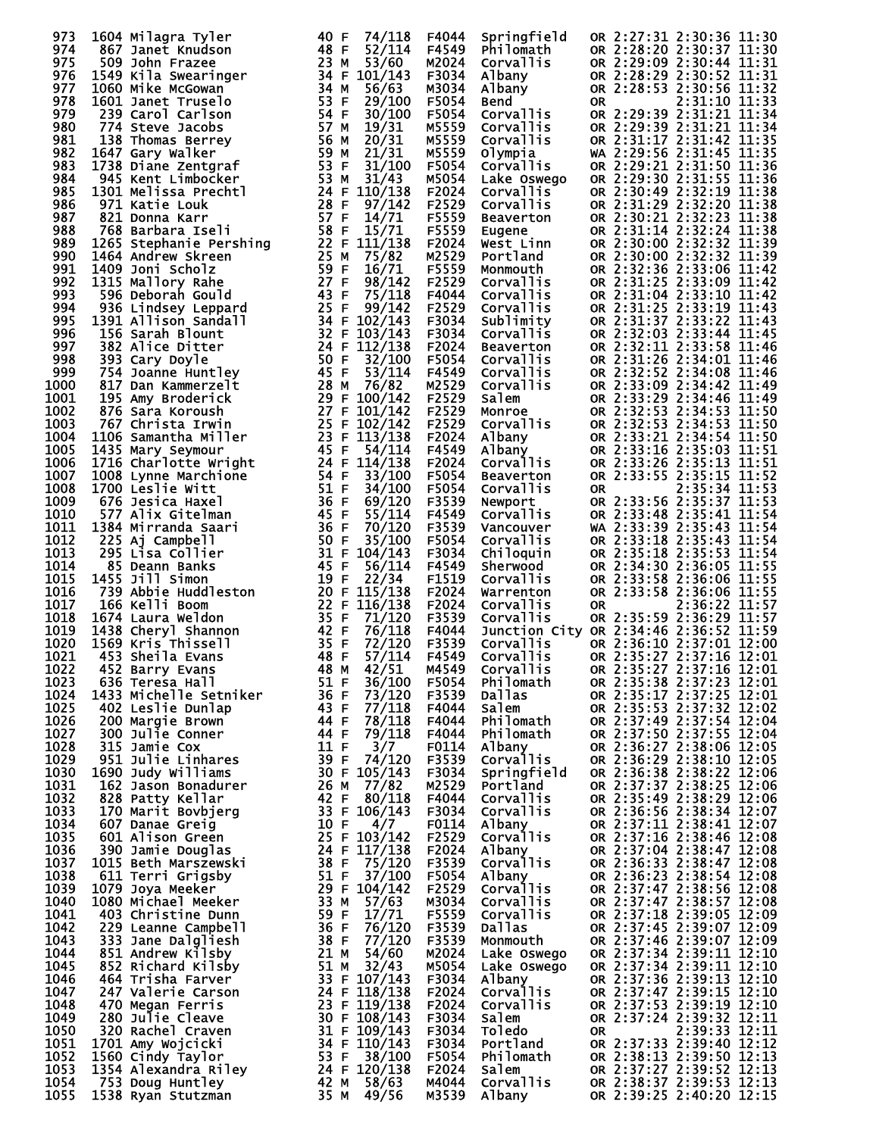| 973          | 1604 Milagra Tyler                                                                                                                                                                                                                                    | 40 F         | 74/118                       | F4044          | Springfield                            |           | OR 2:27:31 2:30:36 11:30                             |               |  |
|--------------|-------------------------------------------------------------------------------------------------------------------------------------------------------------------------------------------------------------------------------------------------------|--------------|------------------------------|----------------|----------------------------------------|-----------|------------------------------------------------------|---------------|--|
| 974<br>975   | 867 Janet Knudson<br>509 John Frazee                                                                                                                                                                                                                  | 48 F<br>23 M | 52/114<br>53/60              | F4549<br>M2024 | Philomath<br>Corvallis                 |           | OR 2:28:20 2:30:37 11:30<br>OR 2:29:09 2:30:44 11:31 |               |  |
| 976          | 1549 Kila Swearinger<br>1060 Mike McGowan                                                                                                                                                                                                             |              | 34 F 101/143                 | F3034          | Albany                                 |           | OR 2:28:29 2:30:52 11:31                             |               |  |
| 977          | 1060 Mike McGowan                                                                                                                                                                                                                                     | 34 M         | 56/63                        | M3034          | Albany                                 |           | OR 2:28:53 2:30:56 11:32                             |               |  |
| 978          | 1601 Janet Truselo                                                                                                                                                                                                                                    | 53 F         | 29/100                       | F5054          | <b>Bend</b>                            | <b>OR</b> |                                                      | 2:31:10 11:33 |  |
| 979<br>980   | 239 Carol Carlson<br>774 Steve Jacobs                                                                                                                                                                                                                 | 54 F<br>57 M | 30/100<br>19/31              | F5054<br>M5559 | Corvallis<br>Corvallis                 |           | OR 2:29:39 2:31:21 11:34<br>OR 2:29:39 2:31:21 11:34 |               |  |
| 981          | 138 Thomas Berrey                                                                                                                                                                                                                                     | 56 M         | 20/31                        | M5559          | Corvallis                              |           | OR 2:31:17 2:31:42 11:35                             |               |  |
| 982          | 1647 Gary Walker                                                                                                                                                                                                                                      | 59 M         | 21/31                        | M5559          | Olympia                                |           | WA 2:29:56 2:31:45 11:35                             |               |  |
| 983          | 1738 Diane Zentgraf                                                                                                                                                                                                                                   | 53 F         | 31/100                       | F5054          | Corvallis                              |           | OR 2:29:21 2:31:50 11:36                             |               |  |
| 984<br>985   | 945 Kent Limbocker                                                                                                                                                                                                                                    | 53 M         | 31/43                        | M5054<br>F2024 | Lake Oswego<br>Corvallis <sup>7</sup>  |           | OR 2:29:30 2:31:55 11:36<br>OR 2:30:49 2:32:19 11:38 |               |  |
| 986          |                                                                                                                                                                                                                                                       |              |                              | F2529          | Corvallis                              |           | OR 2:31:29 2:32:20 11:38                             |               |  |
| 987          |                                                                                                                                                                                                                                                       |              |                              | F5559          | Beaverton                              |           | OR 2:30:21 2:32:23 11:38                             |               |  |
| 988          | 301 Melissa<br>971 Katie Louk<br>821 Donna Karr<br>768 Barbara Iseli<br>1265 Stephanie Pershing<br>1464 Andrew Skreen<br>22 F 111/138<br>1464 Andrew Skreen<br>25 M 75/82<br>1409 Joni Scholz<br>89 F 16/71<br>89 F 16/71<br>89 F 16/71<br>89 F 16/71 |              |                              | F5559          | ∟ugene<br>West_Linn<br>Beri-           |           | OR 2:31:14 2:32:24 11:38                             |               |  |
| 989<br>990   |                                                                                                                                                                                                                                                       |              |                              | F2024<br>M2529 | Portland                               |           | OR 2:30:00 2:32:32 11:39<br>OR 2:30:00 2:32:32 11:39 |               |  |
| 991          |                                                                                                                                                                                                                                                       |              |                              | F5559          | Monmouth                               |           | OR 2:32:36 2:33:06 11:42                             |               |  |
| 992          |                                                                                                                                                                                                                                                       |              |                              | F2529          | Corvallis                              |           | OR 2:31:25 2:33:09 11:42                             |               |  |
| 993<br>994   | 936 Lindsey Leppard                                                                                                                                                                                                                                   | 25 F         | 99/142                       | F4044<br>F2529 | Corvallis<br>Corvallis                 |           | OR 2:31:04 2:33:10 11:42<br>OR 2:31:25 2:33:19 11:43 |               |  |
| 995          | 1391 Allison Sandall                                                                                                                                                                                                                                  |              | 34 F 102/143                 | F3034          | Sublimity                              |           | OR 2:31:37 2:33:22 11:43                             |               |  |
| 996          | 156 Sarah Blount                                                                                                                                                                                                                                      |              | 32 F 103/143                 | F3034          | <b>Corvallis</b>                       |           | OR 2:32:03 2:33:44 11:45                             |               |  |
| 997          | 382 Alice Ditter                                                                                                                                                                                                                                      |              | 24 F 112/138                 | F2024          | Beaverton                              |           | OR 2:32:11 2:33:58 11:46                             |               |  |
| 998<br>999   | 393 Cary Doyle<br>754 Joanne Huntley                                                                                                                                                                                                                  | 50 F<br>45 F | 32/100<br>53/114             | F5054<br>F4549 | <b>Corvallis</b><br>Corvallis          |           | OR 2:31:26 2:34:01 11:46<br>OR 2:32:52 2:34:08 11:46 |               |  |
| 1000         | 817 Dan Kammerzelt                                                                                                                                                                                                                                    | 28 M         | 76/82                        | M2529          | <b>Corvallis</b>                       |           | OR 2:33:09 2:34:42 11:49                             |               |  |
| 1001         | 195 Amy Broderick                                                                                                                                                                                                                                     |              | 29 F 100/142                 | F2529          | Salem                                  |           | OR 2:33:29 2:34:46 11:49                             |               |  |
| 1002         | 876 Sara Koroush                                                                                                                                                                                                                                      |              | 27 F 101/142                 | F2529          | Monroe<br>Corvallis                    |           | OR 2:32:53 2:34:53 11:50                             |               |  |
| 1003<br>1004 | 767 Christa Irwin<br>1106 Samantha Miller                                                                                                                                                                                                             |              | 25 F 102/142<br>23 F 113/138 | F2529<br>F2024 | Albany                                 |           | OR 2:32:53 2:34:53 11:50<br>OR 2:33:21 2:34:54 11:50 |               |  |
| 1005         | 1435 Mary Seymour                                                                                                                                                                                                                                     | 45 F         | 54/114                       | F4549          | Albany                                 |           | OR 2:33:16 2:35:03 11:51                             |               |  |
| 1006         |                                                                                                                                                                                                                                                       |              | 24 F 114/138                 | F2024          | Corvallis                              |           | OR 2:33:26 2:35:13 11:51                             |               |  |
| 1007         |                                                                                                                                                                                                                                                       | 54 F         | 33/100                       | F5054          | Beaverton                              |           | OR 2:33:55 2:35:15 11:52                             |               |  |
| 1008<br>1009 | <b>1716 Charlotte Wright<br/>1008 Lynne Marchione<br/>1700 Leslie Witt<br/>676 Jesica Haxel</b><br>676 Jesica Haxel                                                                                                                                   | 51 F<br>36 F | 34/100<br>69/120             | F5054<br>F3539 | Corvallis<br>Newport                   | <b>OR</b> | OR 2:33:56 2:35:37 11:53                             | 2:35:34 11:53 |  |
| 1010         | 577 Alix Gitelman                                                                                                                                                                                                                                     | 45 F         | 55/114                       | F4549          | <b>Corvallis</b>                       |           | OR 2:33:48 2:35:41 11:54                             |               |  |
| 1011         | 1384 Mirranda Saari                                                                                                                                                                                                                                   | 36 F         | 70/120                       | F3539          | Vancouver                              |           | WA 2:33:39 2:35:43 11:54                             |               |  |
| 1012         | 225 Aj Campbell                                                                                                                                                                                                                                       | 50 F         | 35/100<br>$31$ F $104/143$   | F5054          | Corvallis                              |           | OR 2:33:18 2:35:43 11:54                             |               |  |
| 1013<br>1014 | 295 Lisa Collier<br>85 Deann Banks                                                                                                                                                                                                                    | 45 F         | 56/114                       | F3034<br>F4549 | Chiloquin<br>Sherwood                  |           | OR 2:35:18 2:35:53 11:54<br>OR 2:34:30 2:36:05 11:55 |               |  |
| 1015         | 1455 Jill Simon                                                                                                                                                                                                                                       | 19 F         | 22/34                        | F1519          | Corvallis                              |           | OR 2:33:58 2:36:06 11:55                             |               |  |
| 1016         | 739 Abbie Huddleston                                                                                                                                                                                                                                  |              | 20 F 115/138                 | F2024          | Warrenton                              |           | OR 2:33:58 2:36:06 11:55                             |               |  |
| 1017<br>1018 | 166 Kelli Boom<br>1674 Laura Weldon                                                                                                                                                                                                                   | 35 F         | 22 F 116/138<br>71/120       | F2024<br>F3539 | Corvallis<br>Corvallis                 | <b>OR</b> | OR 2:35:59 2:36:29 11:57                             | 2:36:22 11:57 |  |
| 1019         | 1438 Cheryl Shannon                                                                                                                                                                                                                                   | 42 F         | 76/118                       | F4044          | Junction City OR 2:34:46 2:36:52 11:59 |           |                                                      |               |  |
| 1020         | 1569 Kris Thissell                                                                                                                                                                                                                                    | 35 F         | 72/120                       | F3539          | Corvallis                              |           | OR 2:36:10 2:37:01 12:00                             |               |  |
| 1021         | 453 Sheila Evans                                                                                                                                                                                                                                      | 48 F         | 57/114                       | F4549          | Corvallis                              |           | OR 2:35:27 2:37:16 12:01                             |               |  |
| 1022<br>1023 | 452 Barry Evans<br>636 Teresa Hall                                                                                                                                                                                                                    | 48 M<br>51 F | 42/51<br>36/100              | M4549<br>F5054 | Corvallis<br>Philomath                 |           | OR 2:35:27 2:37:16 12:01<br>OR 2:35:38 2:37:23 12:01 |               |  |
| 1024         | 1433 Michelle Setniker                                                                                                                                                                                                                                | 36 F         | 73/120                       | F3539          | <b>Dallas</b>                          |           | OR 2:35:17 2:37:25 12:01                             |               |  |
| 1025         | 402 Leslie Dunlap                                                                                                                                                                                                                                     | 43 F         | 77/118                       | F4044          | Salem                                  |           | OR 2:35:53 2:37:32 12:02                             |               |  |
| 1026<br>1027 | 200 Margie Brown<br>300 Julie Conner                                                                                                                                                                                                                  | 44 F<br>44 F | 78/118<br>79/118             | F4044<br>F4044 | Philomath<br>Philomath                 |           | OR 2:37:49 2:37:54 12:04<br>OR 2:37:50 2:37:55 12:04 |               |  |
| 1028         | 315 Jamie Cox                                                                                                                                                                                                                                         | 11 F         | 3/7                          | F0114          | Albany                                 |           | OR 2:36:27 2:38:06 12:05                             |               |  |
| 1029         | 951 Julie Linhares                                                                                                                                                                                                                                    | 39 F         | 74/120                       | F3539          | <b>Corvallis</b>                       |           | OR 2:36:29 2:38:10 12:05                             |               |  |
| 1030         | 1690 Judy Williams                                                                                                                                                                                                                                    |              | 30 F 105/143<br>77/82        | F3034          | Springfield<br>Portland                |           | OR 2:36:38 2:38:22 12:06                             |               |  |
| 1031<br>1032 | 162 Jason Bonadurer<br>828 Patty Kellar                                                                                                                                                                                                               | 26 M<br>42 F | 80/118                       | M2529<br>F4044 | Corvallis                              |           | OR 2:37:37 2:38:25 12:06<br>OR 2:35:49 2:38:29 12:06 |               |  |
| 1033         | 170 Marit Bovbjerg                                                                                                                                                                                                                                    |              | 33 F 106/143                 | F3034          | <b>Corvallis</b>                       |           | OR 2:36:56 2:38:34 12:07                             |               |  |
| 1034         | 607 Danae Greig                                                                                                                                                                                                                                       | 10 F         | 4/7                          | F0114          | Albany                                 |           | OR 2:37:11 2:38:41 12:07                             |               |  |
| 1035<br>1036 | 601 Alison Green<br>390 Jamie Douglas                                                                                                                                                                                                                 |              | 25 F 103/142<br>24 F 117/138 | F2529<br>F2024 | Corvallis<br>Albany                    |           | OR 2:37:16 2:38:46 12:08<br>OR 2:37:04 2:38:47 12:08 |               |  |
| 1037         | 1015 Beth Marszewski                                                                                                                                                                                                                                  | 38 F         | 75/120                       | F3539          | Corvallis                              |           | OR 2:36:33 2:38:47 12:08                             |               |  |
| 1038         | 611 Terri Grigsby                                                                                                                                                                                                                                     | 51 F         | 37/100                       | F5054          | Albany                                 |           | OR 2:36:23 2:38:54 12:08                             |               |  |
| 1039         | 1079 Joya Meeker                                                                                                                                                                                                                                      |              | 29 F 104/142                 | F2529          | Corvallis                              |           | OR 2:37:47 2:38:56 12:08                             |               |  |
| 1040<br>1041 | 1080 Michael Meeker<br>403 Christine Dunn                                                                                                                                                                                                             | 33 M<br>59 F | 57/63<br>17/71               | M3034<br>F5559 | Corvallis<br><b>Corvallis</b>          |           | OR 2:37:47 2:38:57 12:08<br>OR 2:37:18 2:39:05 12:09 |               |  |
| 1042         | 229 Leanne Campbell                                                                                                                                                                                                                                   | 36 F         | 76/120                       | F3539          | Dallas                                 |           | OR 2:37:45 2:39:07 12:09                             |               |  |
| 1043         | 333 Jane Dalgliesh                                                                                                                                                                                                                                    | 38 F         | 77/120                       | F3539          | Monmouth                               |           | OR 2:37:46 2:39:07 12:09                             |               |  |
| 1044         | 851 Andrew Kilsby                                                                                                                                                                                                                                     | 21 M         | 54/60                        | M2024          | Lake Oswego                            |           | OR 2:37:34 2:39:11 12:10                             |               |  |
| 1045<br>1046 | 852 Richard Kilsby<br>464 Trisha Farver                                                                                                                                                                                                               | 51 M         | 32/43<br>33 F 107/143        | M5054<br>F3034 | Lake Oswego<br>Albany                  |           | OR 2:37:34 2:39:11 12:10<br>OR 2:37:36 2:39:13 12:10 |               |  |
| 1047         | 247 Valerie Carson                                                                                                                                                                                                                                    |              | 24 F 118/138                 | F2024          | Corvallis                              |           | OR 2:37:47 2:39:15 12:10                             |               |  |
| 1048         | 470 Megan Ferris                                                                                                                                                                                                                                      |              | 23 F 119/138                 | F2024          | Corvallis                              |           | OR 2:37:53 2:39:19 12:10                             |               |  |
| 1049<br>1050 | 280 Julie Cleave<br>320 Rachel Craven                                                                                                                                                                                                                 |              | 30 F 108/143<br>31 F 109/143 | F3034<br>F3034 | Salem<br><b>Toledo</b>                 | 0R        | OR 2:37:24 2:39:32 12:11                             | 2:39:33 12:11 |  |
| 1051         | 1701 Amy Wojcicki                                                                                                                                                                                                                                     |              | 34 F 110/143                 | F3034          | Portland                               |           | OR 2:37:33 2:39:40 12:12                             |               |  |
| 1052         | 1560 Cindy Taylor                                                                                                                                                                                                                                     | 53 F         | 38/100                       | F5054          | Philomath                              |           | OR 2:38:13 2:39:50 12:13                             |               |  |
| 1053         | 1354 Alexandra Riley                                                                                                                                                                                                                                  |              | 24 F 120/138                 | F2024          | Salem                                  |           | OR 2:37:27 2:39:52 12:13                             |               |  |
| 1054<br>1055 | 753 Doug Huntley<br>1538 Ryan Stutzman                                                                                                                                                                                                                |              | 42 M 58/63<br>35 M 49/56     | M4044<br>M3539 | Corvallis<br>Albany                    |           | OR 2:38:37 2:39:53 12:13<br>OR 2:39:25 2:40:20 12:15 |               |  |
|              |                                                                                                                                                                                                                                                       |              |                              |                |                                        |           |                                                      |               |  |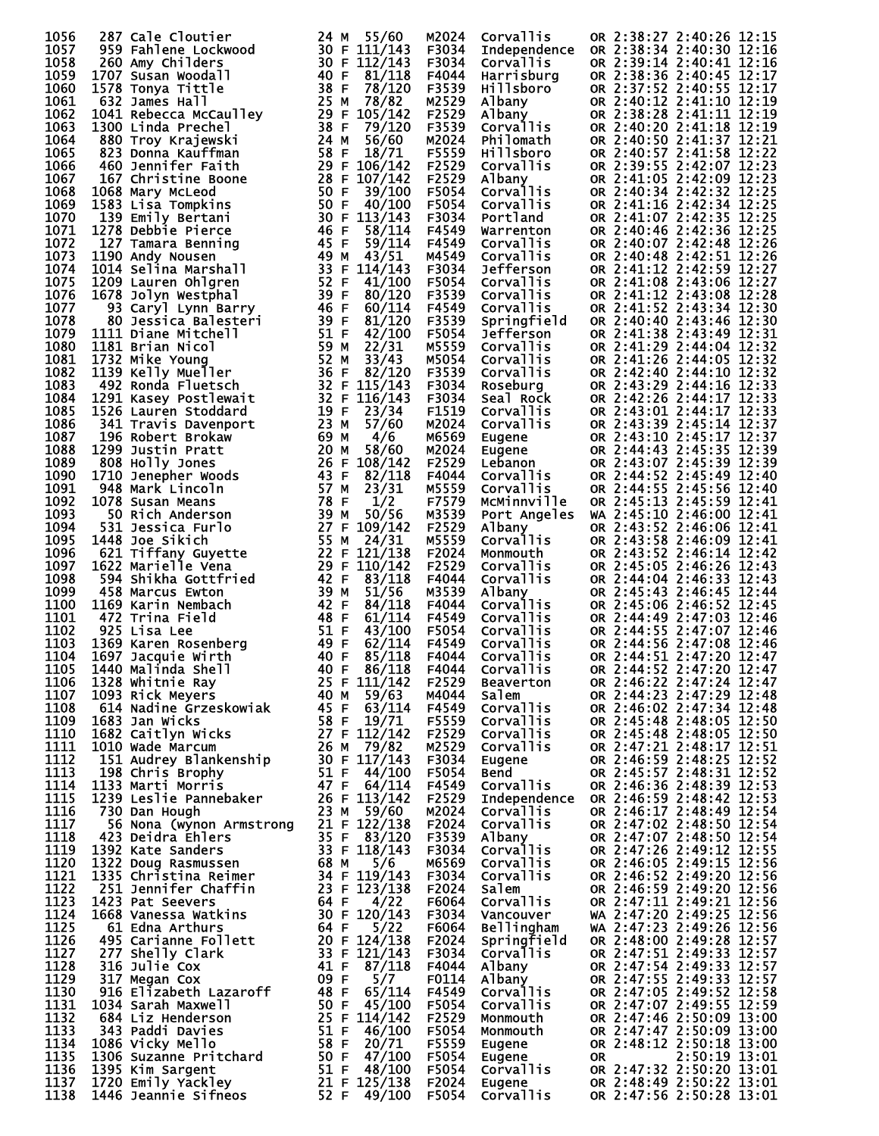| 1056         | 287 Cale Cloutier                                                                                                                                                                                          | 24 M 55/60                                             | M2024          | Corvallis                                | OR 2:38:27 2:40:26 12:15                             |
|--------------|------------------------------------------------------------------------------------------------------------------------------------------------------------------------------------------------------------|--------------------------------------------------------|----------------|------------------------------------------|------------------------------------------------------|
| 1057         | 959 Fahlene Lockwood                                                                                                                                                                                       | 30 F 111/143                                           | F3034          | Independence                             | OR 2:38:34 2:40:30 12:16                             |
| 1058<br>1059 | 260 Amy Childers<br>1707 Susan Woodall                                                                                                                                                                     | 30 F 112/143<br>40 F<br>81/118                         | F3034<br>F4044 | Corvallis<br>Harrisburg                  | OR 2:39:14 2:40:41 12:16<br>OR 2:38:36 2:40:45 12:17 |
| 1060         | 1578 Tonya Tittle                                                                                                                                                                                          | 38 F<br>78/120                                         | F3539          | Hillsboro                                | OR 2:37:52 2:40:55 12:17                             |
| 1061         | 632 James Hall                                                                                                                                                                                             | 25 M<br>78/82                                          | M2529          | Albany                                   | OR 2:40:12 2:41:10 12:19                             |
| 1062         | 1041 Rebecca McCaulley<br>1300 Linda Brechel                                                                                                                                                               | 29 F 105/142                                           | F2529          | Albany<br>Corvallis                      | OR 2:38:28 2:41:11 12:19                             |
| 1063         | 1300 Linda Prechel                                                                                                                                                                                         | 38 F<br>79/120                                         | F3539          |                                          | OR 2:40:20 2:41:18 12:19                             |
| 1064<br>1065 | 880 Troy Krajewski<br>823 Donna Kauffman                                                                                                                                                                   | 24 M<br>56/60<br>58 F 18/71                            | M2024<br>F5559 | Philomath<br><b>Hillsboro</b>            | OR 2:40:50 2:41:37 12:21<br>OR 2:40:57 2:41:58 12:22 |
| 1066         | 460 Jennifer Faith                                                                                                                                                                                         | 29 F 106/142                                           | F2529          | Corvallis                                | OR 2:39:55 2:42:07 12:23                             |
| 1067         | 167 Christine Boone                                                                                                                                                                                        | 28 F 107/142                                           | F2529          | Albany                                   | OR 2:41:05 2:42:09 12:23                             |
| 1068         | 1068 Mary McLeod                                                                                                                                                                                           | 50 F<br>39/100                                         | F5054          | Corvallis                                | OR 2:40:34 2:42:32 12:25                             |
| 1069         | 1583 Lisa Tompkins                                                                                                                                                                                         | 50 F<br>40/100                                         | F5054          | Corvallis                                | OR 2:41:16 2:42:34 12:25                             |
| 1070<br>1071 | 139 Emily Bertani<br>1278 Debbie Pierce                                                                                                                                                                    | 30 F 113/143<br>46 F<br>58/114                         | F3034<br>F4549 | Portland<br>Warrenton                    | OR 2:41:07 2:42:35 12:25<br>OR 2:40:46 2:42:36 12:25 |
| 1072         | 127 Tamara Benning                                                                                                                                                                                         | 45 F<br>59/114                                         | F4549          | Corvallis                                | OR 2:40:07 2:42:48 12:26                             |
| 1073         | 1190 Andy Nousen                                                                                                                                                                                           | 49 M $43/51$                                           | M4549          | <b>Corvallis</b>                         | OR 2:40:48 2:42:51 12:26                             |
| 1074         | 1014 Selina Marshall                                                                                                                                                                                       | 33 F 114/143                                           | F3034          | Jefferson                                | OR 2:41:12 2:42:59 12:27                             |
| 1075         | 1209 Lauren Ohlgren                                                                                                                                                                                        | 52 F<br>41/100                                         | F5054          | Corvallis                                | OR 2:41:08 2:43:06 12:27                             |
| 1076<br>1077 | 1678 Jolyn Westphal<br>93 Caryl Lynn Barry                                                                                                                                                                 | 39 F<br>80/120<br>46 F 60/114                          | F3539<br>F4549 | Corvallis<br>Corvallis                   | OR 2:41:12 2:43:08 12:28<br>OR 2:41:52 2:43:34 12:30 |
| 1078         | 80 Jessica Balesteri                                                                                                                                                                                       | 39 F<br>81/120                                         | F3539          | Springfield                              | OR 2:40:40 2:43:46 12:30                             |
| 1079         | 1111 Diane Mitchell                                                                                                                                                                                        | 51 F<br>42/100                                         | F5054          | Jefferson                                | OR 2:41:38 2:43:49 12:31                             |
| 1080         | 1181 Brian Nicol                                                                                                                                                                                           | 59 M<br>22/31                                          | M5559          | Corvallis                                | OR 2:41:29 2:44:04 12:32                             |
| 1081         | 1732 Mike Young                                                                                                                                                                                            | 52 M<br>33/43                                          | M5054          | Corvallis                                | OR 2:41:26 2:44:05 12:32                             |
| 1082<br>1083 | 1139 Kelly Mueller<br>492 Ronda Fluetsch                                                                                                                                                                   | 36 F<br>82/120<br>32 F 115/143                         | F3539<br>F3034 | Corvallis<br>Roseburg                    | OR 2:42:40 2:44:10 12:32<br>OR 2:43:29 2:44:16 12:33 |
| 1084         | 1291 Kasey Postlewait                                                                                                                                                                                      | $32$ F $116/143$                                       | F3034          | Seal Rock                                | OR 2:42:26 2:44:17 12:33                             |
| 1085         | 1526 Lauren Stoddard                                                                                                                                                                                       | 19 F $23/34$                                           | F1519          | Corvallis                                | OR 2:43:01 2:44:17 12:33                             |
| 1086         | 341 Travis Davenport                                                                                                                                                                                       | 23M<br>57/60                                           | M2024          | Corvallis                                | OR 2:43:39 2:45:14 12:37                             |
| 1087         | 196 Robert Brokaw                                                                                                                                                                                          | 69 M<br>4/6                                            | M6569          | Corvallis<br>Eugene<br>Eugene<br>Lebanon | OR 2:43:10 2:45:17 12:37                             |
| 1088<br>1089 | <b>1299 Justin Pratt<br/>808 Holly Jones<br/>1710 Jenepher Woods<br/>948 Mark Lincoln</b>                                                                                                                  | 20 M<br>58/60<br>26 F 108/142                          | M2024<br>F2529 |                                          | OR 2:44:43 2:45:35 12:39<br>OR 2:43:07 2:45:39 12:39 |
| 1090         |                                                                                                                                                                                                            | 43 F<br>82/118                                         | F4044          | Corvallis                                | OR 2:44:52 2:45:49 12:40                             |
| 1091         |                                                                                                                                                                                                            | 57 M<br>23/31                                          | M5559          | Corvallis                                | OR 2:44:55 2:45:56 12:40                             |
| 1092         | 1078 Susan Means                                                                                                                                                                                           | 78 F<br>1/2                                            | F7579          | McMinnville                              | OR 2:45:13 2:45:59 12:41                             |
| 1093         |                                                                                                                                                                                                            | 39 M<br>50/56                                          | M3539          | Port Angeles                             | WA 2:45:10 2:46:00 12:41                             |
| 1094<br>1095 | 1448 Joe Sikich                                                                                                                                                                                            | 27 F 109/142<br>55 M 24/31                             | F2529<br>M5559 | Albany<br>Corvallis                      | OR 2:43:52 2:46:06 12:41<br>OR 2:43:58 2:46:09 12:41 |
| 1096         |                                                                                                                                                                                                            | 22 F 121/138                                           | F2024          | Monmouth                                 | OR 2:43:52 2:46:14 12:42                             |
| 1097         | <b>1078 Susain Means<br/>50 Rich Anderson<br/>531 Jessica Furlo<br/>1448 Joe Sikich<br/>621 Tiffany Guyette<br/>1622 Marielle Vena<br/>594 Shikha Gottfried<br/>458 Marcus Ewton</b><br>1622 Marielle Vena | 29 F 110/142                                           | F2529          | Corvallis                                | OR 2:45:05 2:46:26 12:43                             |
| 1098         |                                                                                                                                                                                                            | 42 F<br>83/118                                         | F4044          | Corvallis                                | OR 2:44:04 2:46:33 12:43                             |
| 1099         | 458 Marcus Ewton                                                                                                                                                                                           | 39 M<br>51/56                                          | M3539          | Albany                                   | OR 2:45:43 2:46:45 12:44                             |
| 1100<br>1101 | 1169 Karin Nembach<br>472 Trina Field                                                                                                                                                                      | 42 F<br>84/118<br>48 F<br>61/114                       | F4044<br>F4549 | Corvallis<br>Corvallis                   | OR 2:45:06 2:46:52 12:45<br>OR 2:44:49 2:47:03 12:46 |
| 1102         | 925 Lisa Lee                                                                                                                                                                                               | 51 F<br>43/100                                         | F5054          | Corvallis                                | OR 2:44:55 2:47:07 12:46                             |
| 1103         | 31 F<br>49 F<br>40 F<br>40 F<br>1369 Karen Rosenberg                                                                                                                                                       | 62/114                                                 | F4549          | Corvallis                                | OR 2:44:56 2:47:08 12:46                             |
| 1104         | 1697 Jacquie Wirth                                                                                                                                                                                         | 85/118                                                 | F4044          | Corvallis                                | OR 2:44:51 2:47:20 12:47                             |
|              | 1105 1440 Malinda Shell                                                                                                                                                                                    | 40 F<br>86/118                                         | F4044          | Corvallis                                | OR 2:44:52 2:47:20 12:47<br>OR 2:46:22 2:47:24 12:47 |
| 1106<br>1107 | 1328 Whitnie Ray<br>1093 Rick Meyers                                                                                                                                                                       | 25 F 111/142<br>40 M 59/63                             | F2529<br>M4044 | <b>Beaverton</b><br>Salem                | OR 2:44:23 2:47:29 12:48                             |
| 1108         | 614 Nadine Grzeskowiak                                                                                                                                                                                     | 45 F<br>63/114                                         | F4549          | Corvallis                                | OR 2:46:02 2:47:34 12:48                             |
| 1109         | 1683 Jan Wicks                                                                                                                                                                                             | 58 F 19/71                                             | F5559          | Corvallis                                | OR 2:45:48 2:48:05 12:50                             |
| 1110         | 1682 Caitlyn Wicks                                                                                                                                                                                         | 27 F 112/142                                           | F2529          | Corvallis                                | OR 2:45:48 2:48:05 12:50                             |
| 1111<br>1112 | 1010 Wade Marcum<br>151 Audrey Blankenship                                                                                                                                                                 | 26 M $79/82$<br>30 F $117/143$                         | M2529<br>F3034 | Corvallis                                | OR 2:47:21 2:48:17 12:51<br>OR 2:46:59 2:48:25 12:52 |
| 1113         | 198 Chris Brophy                                                                                                                                                                                           | 51 F $44/100$                                          | F5054          | Eugene<br><b>Bend</b>                    | OR 2:45:57 2:48:31 12:52                             |
| 1114         | 1133 Marti Morris                                                                                                                                                                                          | $47$ F 64/114                                          | F4549          | Corvallis                                | OR 2:46:36 2:48:39 12:53                             |
| 1115         | 1239 Leslie Pannebaker                                                                                                                                                                                     | 26 F 113/142                                           | F2529          | Independence                             | OR 2:46:59 2:48:42 12:53                             |
| 1116         | 730 Dan Hough                                                                                                                                                                                              | 23 M $59/60$                                           | M2024          | <b>Corvallis</b>                         | OR 2:46:17 2:48:49 12:54<br>OR 2:47:02 2:48:50 12:54 |
| 1117<br>1118 | 56 Nona (wynon Armstrong<br>423 Deidra Ehlers                                                                                                                                                              | 21 F 122/138<br>35 F 83/120                            | F2024<br>F3539 | <b>Corvallis</b><br>Albany               | OR 2:47:07 2:48:50 12:54                             |
| 1119         |                                                                                                                                                                                                            |                                                        | F3034          | Corvallis                                | OR 2:47:26 2:49:12 12:55                             |
| 1120         | 423 Deixing<br>1392 Kate Sanders<br>1322 Doug Rasmussen<br>1335 Christina Reimer<br>1335 Christina Reimer<br>134 F 119/143<br>1357 129/138<br>14 F 4/22<br>129/138<br>129/143<br>129/143                   |                                                        | M6569          | <b>Corvallis</b>                         | OR 2:46:05 2:49:15 12:56                             |
| 1121         |                                                                                                                                                                                                            |                                                        | F3034          | Corvallis                                | OR 2:46:52 2:49:20 12:56                             |
| 1122         |                                                                                                                                                                                                            |                                                        | F2024          | salem                                    | OR 2:46:59 2:49:20 12:56                             |
| 1123<br>1124 |                                                                                                                                                                                                            |                                                        | F6064<br>F3034 | Corvallis<br>Vancouver                   | OR 2:47:11 2:49:21 12:56<br>WA 2:47:20 2:49:25 12:56 |
| 1125         | 61 Edna Arthurs                                                                                                                                                                                            | 64 F<br>5/22                                           | F6064          | <b>Bellingham</b>                        | WA 2:47:23 2:49:26 12:56                             |
| 1126         | 61 Eana Arthur.<br>495 Carianne Follett<br>מדרי chally Clark                                                                                                                                               | 20 F 124/138                                           | F2024          | Springfield                              | OR 2:48:00 2:49:28 12:57                             |
| 1127         |                                                                                                                                                                                                            | 33 F 121/143                                           | F3034          | <b>Corvallis</b>                         | OR 2:47:51 2:49:33 12:57                             |
| 1128         | 316 Julie Cox                                                                                                                                                                                              | 41 F $87/118$                                          | F4044          | Albany                                   | OR 2:47:54 2:49:33 12:57                             |
| 1129<br>1130 | 317 Megan Cox<br>916 Elizabeth Lazaroff                                                                                                                                                                    | 09 F<br>5/7<br>48 F<br>65/114                          | F0114<br>F4549 | Albany<br>Corvallis                      | OR 2:47:55 2:49:33 12:57<br>OR 2:47:05 2:49:52 12:58 |
| 1131         | 1034 Sarah Maxwell                                                                                                                                                                                         | 50 F $45/100$                                          | F5054          | Corvallis                                | OR 2:47:07 2:49:55 12:59                             |
| 1132         | 684 Liz Henderson                                                                                                                                                                                          |                                                        | F2529          | Monmouth                                 | OR 2:47:46 2:50:09 13:00                             |
| 1133         | 343 Paddi Davies                                                                                                                                                                                           |                                                        | F5054          | Monmouth                                 | OR 2:47:47 2:50:09 13:00                             |
| 1134         | 1086 Vicky Mello                                                                                                                                                                                           | 25 + 117/100<br>51 F 46/100<br>58 F 20/71<br>-- 47/100 | F5559          | Eugene                                   | OR 2:48:12 2:50:18 13:00                             |
| 1135<br>1136 | 1306 Suzanne Pritchard<br>1306 Suzanne Pritchard<br>1395 Kim Sargent<br>1720 Emily Yackley 21 F 125/138                                                                                                    |                                                        | F5054<br>F5054 | Eugene<br>Corvallis                      | 2:50:19 13:01<br>OR.<br>OR 2:47:32 2:50:20 13:01     |
| 1137         | 1720 Emily Yackley                                                                                                                                                                                         |                                                        | F2024          | Eugene                                   | OR 2:48:49 2:50:22 13:01                             |
| 1138         | 1446 Jeannie Sifneos 52 F $49/100$                                                                                                                                                                         |                                                        | F5054          | Corvallis                                | OR 2:47:56 2:50:28 13:01                             |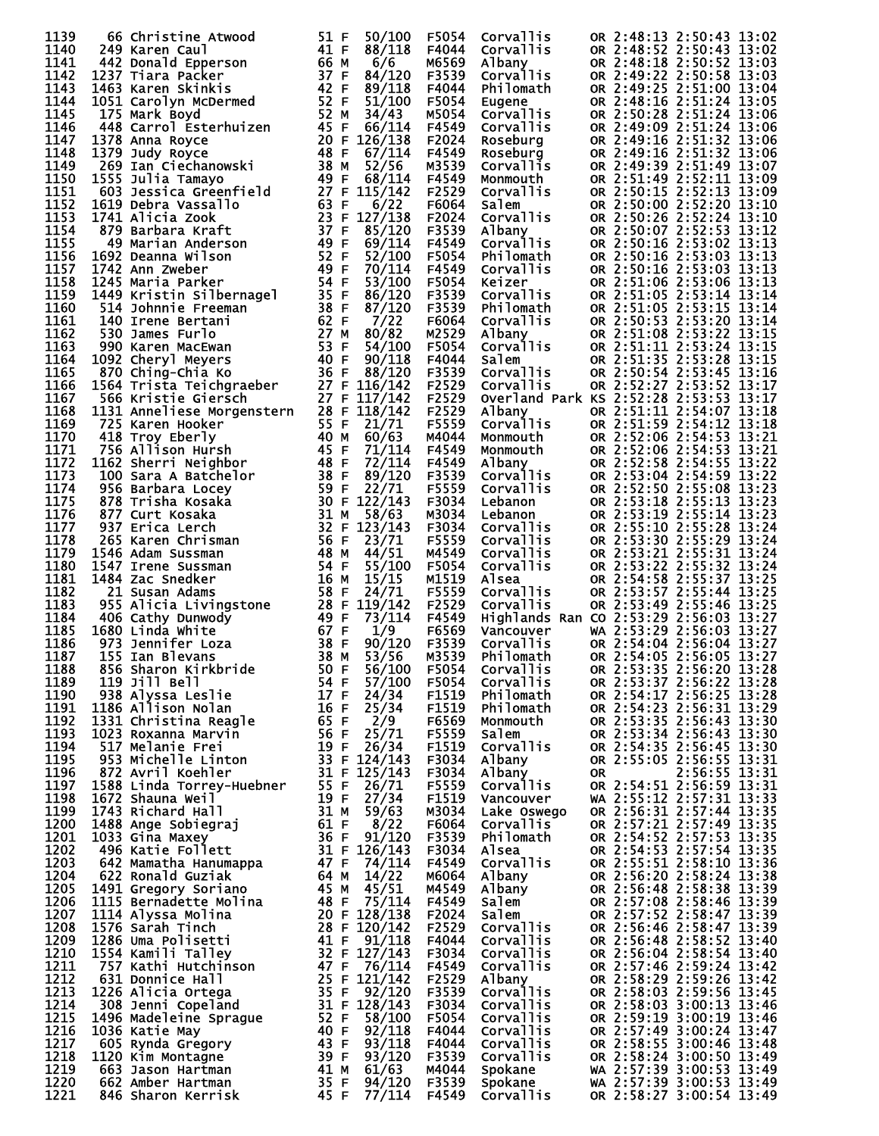| 1139                 | 66 Christine Atwood                                                                                                                                                                                                                               | 51 F         | 50/100           | F5054          | Corvallis                                                                                                                                                                                                                                                                                                    |           |                          | OR 2:48:13 2:50:43 13:02                             |  |
|----------------------|---------------------------------------------------------------------------------------------------------------------------------------------------------------------------------------------------------------------------------------------------|--------------|------------------|----------------|--------------------------------------------------------------------------------------------------------------------------------------------------------------------------------------------------------------------------------------------------------------------------------------------------------------|-----------|--------------------------|------------------------------------------------------|--|
| 1140                 |                                                                                                                                                                                                                                                   | 41 F         | 88/118           | F4044          | Corvallis                                                                                                                                                                                                                                                                                                    |           |                          | OR 2:48:52 2:50:43 13:02                             |  |
| 1141                 |                                                                                                                                                                                                                                                   | 66 M         | 6/6              | M6569          | Albany                                                                                                                                                                                                                                                                                                       |           |                          | OR 2:48:18 2:50:52 13:03                             |  |
| 1142                 |                                                                                                                                                                                                                                                   | 37 F         | 84/120           | F3539          | <b>Corvallis</b>                                                                                                                                                                                                                                                                                             |           |                          | OR 2:49:22 2:50:58 13:03                             |  |
| 1143                 |                                                                                                                                                                                                                                                   | 42 F         | 89/118           | F4044          | Philomath                                                                                                                                                                                                                                                                                                    |           |                          | OR 2:49:25 2:51:00 13:04                             |  |
| 1144<br>1145         |                                                                                                                                                                                                                                                   | 52 F<br>52 M | 51/100<br>34/43  | F5054          | Eugene                                                                                                                                                                                                                                                                                                       |           |                          | OR 2:48:16 2:51:24 13:05<br>OR 2:50:28 2:51:24 13:06 |  |
| 1146                 | 249 Karen Caul<br>442 Donald Epperson<br>1237 Tiara Packer<br>1463 Karen Skinkis<br>1051 Carolyn McDermed<br>175 Mark Boyd<br>448 Carrol Esterhuizen<br>1378 Anna Royce<br>1378 Anna Royce                                                        | 45 F         | 66/114           | M5054<br>F4549 | <b>Corvallis</b><br>Corvallis                                                                                                                                                                                                                                                                                |           |                          | OR 2:49:09 2:51:24 13:06                             |  |
| 1147                 |                                                                                                                                                                                                                                                   | 20 F         | 126/138          | F2024          | Roseburg                                                                                                                                                                                                                                                                                                     |           |                          | OR 2:49:16 2:51:32 13:06                             |  |
| 1148                 | 1379 Judy Royce                                                                                                                                                                                                                                   | 48 F         | 67/114           | F4549          | Roseburg                                                                                                                                                                                                                                                                                                     |           |                          | OR 2:49:16 2:51:32 13:06                             |  |
| 1149                 |                                                                                                                                                                                                                                                   | 38 M         | 52/56            | M3539          | Corvallis                                                                                                                                                                                                                                                                                                    |           |                          | OR 2:49:39 2:51:49 13:07                             |  |
| 1150                 | 1555 Julia Tamayo                                                                                                                                                                                                                                 | 49 F         | 68/114           | F4549          |                                                                                                                                                                                                                                                                                                              |           |                          | OR 2:51:49 2:52:11 13:09                             |  |
| 1151                 | uay Royce<br>269 Ian Ciechanowski<br>555 Julia Tamayo<br>603 Jessica C                                                                                                                                                                            |              | $27$ F $115/142$ | F2529          |                                                                                                                                                                                                                                                                                                              |           |                          | OR 2:50:15 2:52:13 13:09                             |  |
| 1152                 |                                                                                                                                                                                                                                                   |              | 6/22             | F6064          |                                                                                                                                                                                                                                                                                                              |           |                          | OR 2:50:00 2:52:20 13:10                             |  |
| 1153                 |                                                                                                                                                                                                                                                   |              | 23 F $127/138$   | F2024          |                                                                                                                                                                                                                                                                                                              |           |                          | OR 2:50:26 2:52:24 13:10                             |  |
| 1154<br>1155         |                                                                                                                                                                                                                                                   |              | 85/120<br>69/114 | F3539<br>F4549 |                                                                                                                                                                                                                                                                                                              |           |                          | OR 2:50:07 2:52:53 13:12<br>OR 2:50:16 2:53:02 13:13 |  |
| 1156                 |                                                                                                                                                                                                                                                   |              | 52/100           | F5054          |                                                                                                                                                                                                                                                                                                              |           |                          | OR 2:50:16 2:53:03 13:13                             |  |
| 1157                 | 269 Ian Clechanowski<br>1555 Julia Tamayo 497 F<br>603 Jesica Greenfield 27 F<br>1619 Debra Vassallo 63<br>1741 Alicia Zook 23<br>879 Barbara Kraft 37 F F F<br>49 Marian Anderson 499<br>1742 Ann Zweber 494<br>1742 Ann Zweber 494<br>1744 Kri  |              | 70/114           | F4549          | Corvallis<br>Corvallis<br>Salem<br>Corvallis<br>Salem<br>Corvallis<br>Albany<br>Corvallis<br>Keizer<br>Corvallis<br>Philomath<br>Corvallis<br>Albany<br>Corvallis<br>Albany<br>Corvallis<br>Albany<br>Corvallis<br>Salem<br>Corvallis<br>Salem<br>Corvallis<br>Salem<br>Corvallis<br>Salem<br>Corvallis<br>S |           |                          | OR 2:50:16 2:53:03 13:13                             |  |
| 1158                 |                                                                                                                                                                                                                                                   |              | 53/100           | F5054          |                                                                                                                                                                                                                                                                                                              |           |                          | OR 2:51:06 2:53:06 13:13                             |  |
| 1159                 |                                                                                                                                                                                                                                                   |              | 86/120           | F3539          |                                                                                                                                                                                                                                                                                                              |           |                          | OR 2:51:05 2:53:14 13:14                             |  |
| 1160                 |                                                                                                                                                                                                                                                   |              | 87/120           | F3539          |                                                                                                                                                                                                                                                                                                              |           |                          | OR 2:51:05 2:53:15 13:14                             |  |
| 1161                 |                                                                                                                                                                                                                                                   |              | 7/22             | F6064          |                                                                                                                                                                                                                                                                                                              |           |                          | OR 2:50:53 2:53:20 13:14                             |  |
| 1162                 |                                                                                                                                                                                                                                                   |              | 80/82            | M2529          |                                                                                                                                                                                                                                                                                                              |           |                          | OR 2:51:08 2:53:22 13:15                             |  |
| 1163                 |                                                                                                                                                                                                                                                   |              | 54/100           | F5054          |                                                                                                                                                                                                                                                                                                              |           |                          | OR 2:51:11 2:53:24 13:15                             |  |
| 1164<br>1165         |                                                                                                                                                                                                                                                   |              | 90/118<br>88/120 | F4044<br>F3539 |                                                                                                                                                                                                                                                                                                              |           |                          | OR 2:51:35 2:53:28 13:15<br>OR 2:50:54 2:53:45 13:16 |  |
| 1166                 |                                                                                                                                                                                                                                                   |              | 27 F 116/142     | F2529          | Corvallis                                                                                                                                                                                                                                                                                                    |           |                          | OR 2:52:27 2:53:52 13:17                             |  |
| 1167                 |                                                                                                                                                                                                                                                   |              | 27 F 117/142     | F2529          | Overland Park KS 2:52:28 2:53:53 13:17                                                                                                                                                                                                                                                                       |           |                          |                                                      |  |
| 1168                 | 1131 Anneliese Morgenstern 28 F 118/142                                                                                                                                                                                                           |              |                  | F2529          | Albany                                                                                                                                                                                                                                                                                                       |           |                          | OR 2:51:11 2:54:07 13:18                             |  |
| 1169                 |                                                                                                                                                                                                                                                   |              |                  | F5559          | Corvallis<br>Monmouth<br>Monmouth<br>Albany<br>Corvallis<br>Corvallis                                                                                                                                                                                                                                        |           |                          | OR 2:51:59 2:54:12 13:18                             |  |
| 1170                 |                                                                                                                                                                                                                                                   |              |                  | M4044          |                                                                                                                                                                                                                                                                                                              |           |                          | OR 2:52:06 2:54:53 13:21                             |  |
| 1171                 |                                                                                                                                                                                                                                                   |              |                  | F4549          |                                                                                                                                                                                                                                                                                                              |           |                          | OR 2:52:06 2:54:53 13:21                             |  |
| 1172                 |                                                                                                                                                                                                                                                   |              |                  | F4549          |                                                                                                                                                                                                                                                                                                              |           |                          | OR 2:52:58 2:54:55 13:22                             |  |
| 1173<br>1174         |                                                                                                                                                                                                                                                   |              |                  | F3539<br>F5559 |                                                                                                                                                                                                                                                                                                              |           |                          | OR 2:53:04 2:54:59 13:22<br>OR 2:52:50 2:55:08 13:23 |  |
| 1175                 |                                                                                                                                                                                                                                                   |              |                  | F3034          |                                                                                                                                                                                                                                                                                                              |           |                          | OR 2:53:18 2:55:13 13:23                             |  |
| 1176                 |                                                                                                                                                                                                                                                   |              |                  | M3034          | <b>Coronal</b><br>Lebanon<br>Corvallis<br>Corvallis<br>Corvallis<br>Corvallis                                                                                                                                                                                                                                |           |                          | OR 2:53:19 2:55:14 13:23                             |  |
| 1177                 |                                                                                                                                                                                                                                                   |              |                  | F3034          |                                                                                                                                                                                                                                                                                                              |           |                          | OR 2:55:10 2:55:28 13:24                             |  |
| 1178                 |                                                                                                                                                                                                                                                   |              |                  | F5559          |                                                                                                                                                                                                                                                                                                              |           |                          | OR 2:53:30 2:55:29 13:24                             |  |
| 1179                 |                                                                                                                                                                                                                                                   |              |                  | M4549          |                                                                                                                                                                                                                                                                                                              |           |                          | OR 2:53:21 2:55:31 13:24                             |  |
| 1180                 |                                                                                                                                                                                                                                                   |              |                  | F5054          |                                                                                                                                                                                                                                                                                                              |           |                          | OR 2:53:22 2:55:32 13:24                             |  |
| 1181                 |                                                                                                                                                                                                                                                   |              |                  | M1519          | Alsea                                                                                                                                                                                                                                                                                                        |           |                          | OR 2:54:58 2:55:37 13:25                             |  |
| 1182<br>1183         |                                                                                                                                                                                                                                                   |              |                  | F5559          | Corvallis                                                                                                                                                                                                                                                                                                    |           |                          | OR 2:53:57 2:55:44 13:25                             |  |
| 1184                 |                                                                                                                                                                                                                                                   |              |                  | F2529<br>F4549 | Corvallis<br>Highlands Ran CO 2:53:29 2:56:03 13:27                                                                                                                                                                                                                                                          |           |                          | OR 2:53:49 2:55:46 13:25                             |  |
| 1185                 |                                                                                                                                                                                                                                                   |              |                  | F6569          | Vancouver                                                                                                                                                                                                                                                                                                    |           |                          | WA 2:53:29 2:56:03 13:27                             |  |
| 1186                 |                                                                                                                                                                                                                                                   |              |                  | F3539          |                                                                                                                                                                                                                                                                                                              |           |                          |                                                      |  |
| 1187                 |                                                                                                                                                                                                                                                   |              |                  | M3539          |                                                                                                                                                                                                                                                                                                              |           |                          |                                                      |  |
| 1188                 |                                                                                                                                                                                                                                                   |              | 56/100           | F5054          | vancouver<br>Corvallis OR 2:54:04 2:56:04 13:27<br>Philomath OR 2:54:05 2:56:05 13:27<br>Corvallis OR 2:53:35 2:56:20 13:28                                                                                                                                                                                  |           |                          |                                                      |  |
| 1189                 |                                                                                                                                                                                                                                                   |              |                  | F5054          | Corvallis                                                                                                                                                                                                                                                                                                    |           |                          | OR 2:53:37 2:56:22 13:28                             |  |
| 1190                 |                                                                                                                                                                                                                                                   |              |                  | F1519<br>F1519 | Philomath                                                                                                                                                                                                                                                                                                    |           | OR 2:54:17 2:56:25 13:28 |                                                      |  |
| 1191<br>1192         |                                                                                                                                                                                                                                                   |              |                  |                |                                                                                                                                                                                                                                                                                                              |           |                          |                                                      |  |
| 1193                 |                                                                                                                                                                                                                                                   |              |                  |                | Philomath                                                                                                                                                                                                                                                                                                    |           |                          | OR 2:54:23 2:56:31 13:29                             |  |
| 1194                 |                                                                                                                                                                                                                                                   |              |                  | F6569          | Monmouth                                                                                                                                                                                                                                                                                                     |           |                          | OR 2:53:35 2:56:43 13:30                             |  |
| 1195                 |                                                                                                                                                                                                                                                   |              |                  | F5559          | Salem                                                                                                                                                                                                                                                                                                        |           |                          | OR 2:53:34 2:56:43 13:30                             |  |
|                      |                                                                                                                                                                                                                                                   |              |                  | F1519<br>F3034 | Corvallis<br>Albany                                                                                                                                                                                                                                                                                          |           |                          | OR 2:54:35 2:56:45 13:30                             |  |
| 1196                 |                                                                                                                                                                                                                                                   |              |                  | F3034          | Albany                                                                                                                                                                                                                                                                                                       | <b>OR</b> |                          | OR 2:55:05 2:56:55 13:31<br>2:56:55 13:31            |  |
| 1197                 |                                                                                                                                                                                                                                                   |              |                  | F5559          | Corvallis                                                                                                                                                                                                                                                                                                    |           |                          | OR 2:54:51 2:56:59 13:31                             |  |
| 1198                 |                                                                                                                                                                                                                                                   |              |                  | F1519          | Vancouver                                                                                                                                                                                                                                                                                                    |           |                          | WA 2:55:12 2:57:31 13:33                             |  |
| 1199                 |                                                                                                                                                                                                                                                   |              |                  | M3034          | Lake Oswego                                                                                                                                                                                                                                                                                                  |           |                          | OR 2:56:31 2:57:44 13:35                             |  |
| 1200                 |                                                                                                                                                                                                                                                   |              |                  | F6064          | <b>Corvallis</b>                                                                                                                                                                                                                                                                                             |           |                          | OR 2:57:21 2:57:49 13:35                             |  |
| 1201                 |                                                                                                                                                                                                                                                   |              |                  | F3539          | Philomath                                                                                                                                                                                                                                                                                                    |           |                          |                                                      |  |
| 1202                 |                                                                                                                                                                                                                                                   |              |                  | F3034          | Alsea                                                                                                                                                                                                                                                                                                        |           |                          | OR 2:54:52 2:57:53 13:35<br>OR 2:54:53 2:57:54 13:35 |  |
| 1203<br>1204         |                                                                                                                                                                                                                                                   |              |                  | F4549<br>M6064 | Corvallis<br>Albany                                                                                                                                                                                                                                                                                          |           |                          | OR 2:55:51 2:58:10 13:36<br>OR 2:56:20 2:58:24 13:38 |  |
| 1205                 |                                                                                                                                                                                                                                                   |              |                  | M4549          | Albany                                                                                                                                                                                                                                                                                                       |           |                          | OR 2:56:48 2:58:38 13:39                             |  |
| 1206                 |                                                                                                                                                                                                                                                   |              |                  | F4549          | Salem                                                                                                                                                                                                                                                                                                        |           |                          | OR 2:57:08 2:58:46 13:39                             |  |
| 1207                 |                                                                                                                                                                                                                                                   |              |                  | F2024          | Salem                                                                                                                                                                                                                                                                                                        |           |                          | OR 2:57:52 2:58:47 13:39                             |  |
| 1208                 |                                                                                                                                                                                                                                                   |              |                  | F2529          | Corvallis                                                                                                                                                                                                                                                                                                    |           |                          | OR 2:56:46 2:58:47 13:39                             |  |
| 1209                 |                                                                                                                                                                                                                                                   |              |                  | F4044          | Corvallis                                                                                                                                                                                                                                                                                                    |           |                          | OR 2:56:48 2:58:52 13:40                             |  |
| 1210                 |                                                                                                                                                                                                                                                   |              |                  | F3034          | Corvallis                                                                                                                                                                                                                                                                                                    |           |                          | OR 2:56:04 2:58:54 13:40                             |  |
| 1211<br>1212         |                                                                                                                                                                                                                                                   |              |                  | F4549<br>F2529 | Corvallis<br>Albany                                                                                                                                                                                                                                                                                          |           |                          | OR 2:57:46 2:59:24 13:42<br>OR 2:58:29 2:59:26 13:42 |  |
| 1213                 |                                                                                                                                                                                                                                                   |              |                  | F3539          | Corvallis                                                                                                                                                                                                                                                                                                    |           |                          | OR 2:58:03 2:59:56 13:45                             |  |
| 1214                 |                                                                                                                                                                                                                                                   |              |                  | F3034          | Corvallis                                                                                                                                                                                                                                                                                                    |           |                          | OR 2:58:03 3:00:13 13:46                             |  |
| 1215                 |                                                                                                                                                                                                                                                   |              |                  | F5054          | Corvallis                                                                                                                                                                                                                                                                                                    |           |                          | OR 2:59:19 3:00:19 13:46                             |  |
| 1216                 |                                                                                                                                                                                                                                                   |              |                  | F4044          | Corvallis                                                                                                                                                                                                                                                                                                    |           |                          | OR 2:57:49 3:00:24 13:47                             |  |
| 1217                 |                                                                                                                                                                                                                                                   |              |                  | F4044          | Corvallis                                                                                                                                                                                                                                                                                                    |           |                          | OR 2:58:55 3:00:46 13:48                             |  |
| 1218                 |                                                                                                                                                                                                                                                   |              |                  | F3539          | Corvallis                                                                                                                                                                                                                                                                                                    |           |                          | OR 2:58:24 3:00:50 13:49                             |  |
| 1219<br>1220<br>1221 | 1564<br>Trista Teichgrade<br>Trista eicher 27 F 116/142<br>1566 Kristie Giersch<br>1731 Anneliese Morgenstern<br>1731 Anneliese Morgenstern<br>1731 Anneliese Morgenstern<br>1742<br>1756 Allison Hursch<br>1762 Sacrification<br>1808 Barris Nei |              |                  | M4044<br>F3539 | Spokane<br>Spokane                                                                                                                                                                                                                                                                                           |           |                          | WA 2:57:39 3:00:53 13:49<br>WA 2:57:39 3:00:53 13:49 |  |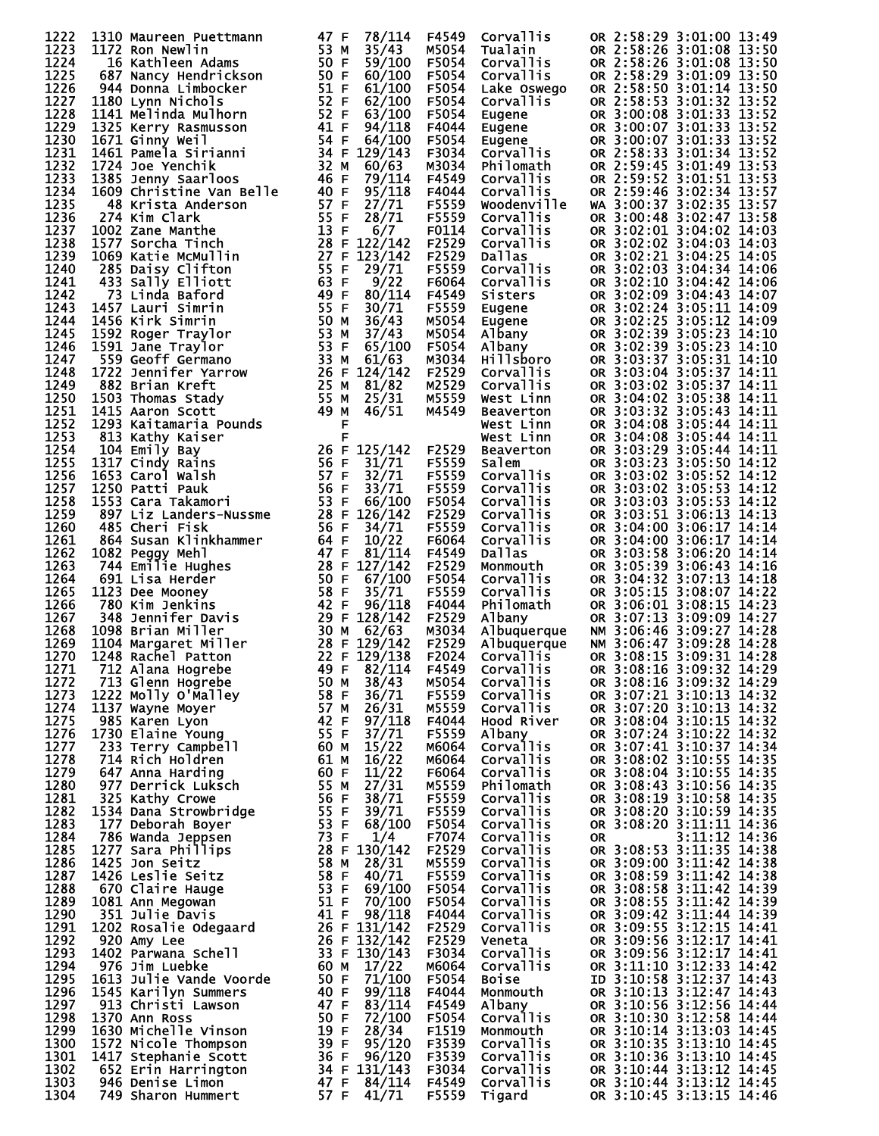| 1222         | 1310 Maureen Puettmann                                                                                                                          | 78/114<br>47 F                   | F4549          | Corvallis                            | OR 2:58:29 3:01:00 13:49                             |
|--------------|-------------------------------------------------------------------------------------------------------------------------------------------------|----------------------------------|----------------|--------------------------------------|------------------------------------------------------|
| 1223<br>1224 | 1172 Ron Newlin                                                                                                                                 | 53 M<br>35/43<br>50 F<br>59/100  | M5054<br>F5054 | Tualain                              | OR 2:58:26 3:01:08 13:50<br>OR 2:58:26 3:01:08 13:50 |
| 1225         | 16 Kathleen Adams<br>687 Nancy Hendrickson                                                                                                      | 50 F<br>60/100                   | F5054          | Corvallis<br><b>Corvallis</b>        | OR 2:58:29 3:01:09 13:50                             |
| 1226         | 944 Donna Limbocker                                                                                                                             | 51 F<br>61/100                   | F5054          | Lake Oswego                          | OR 2:58:50 3:01:14 13:50                             |
| 1227         | 1180 Lynn Nichols                                                                                                                               | 52 F<br>62/100                   | F5054          | Corvallis                            | OR 2:58:53 3:01:32 13:52                             |
| 1228         | 1141 Melinda Mulhorn                                                                                                                            | 52 F<br>63/100                   | F5054          | Eugene                               | OR 3:00:08 3:01:33 13:52                             |
| 1229         | 1325 Kerry Rasmusson                                                                                                                            | 41 F<br>94/118                   | F4044          | Eugene<br>Eugen <u>e</u>             | OR 3:00:07 3:01:33 13:52<br>OR 3:00:07 3:01:33 13:52 |
| 1230         | 1671 Ginny Weil                                                                                                                                 | 54 F<br>64/100                   | F5054          |                                      |                                                      |
| 1231         | 1461 Pamela Sirianni                                                                                                                            | 34 F 129/143                     | F3034          | Corvallis                            | OR 2:58:33 3:01:34 13:52                             |
| 1232<br>1233 | <b>1461 rame</b><br>1724 Joe Yenchik<br>1385 Jenny Saarloos<br>1609 christa Anderson<br>48 Krista Anderson<br>274 Kim Clark<br>1002 Zane Manthe | 32 M<br>60/63<br>46 F<br>79/114  | M3034<br>F4549 | Philomath<br><b>Corvallis</b>        | OR 2:59:45 3:01:49 13:53<br>OR 2:59:52 3:01:51 13:53 |
| 1234         |                                                                                                                                                 | 40 F<br>95/118                   | F4044          | Corvallis                            | OR 2:59:46 3:02:34 13:57                             |
| 1235         |                                                                                                                                                 | 57 F<br>27/71                    | F5559          | Woodenville                          | WA 3:00:37 3:02:35 13:57                             |
| 1236         |                                                                                                                                                 | 55 F<br>28/71                    | F5559          | Corvallis                            | OR 3:00:48 3:02:47 13:58                             |
| 1237         |                                                                                                                                                 | 13 F<br>6/7                      | F0114          | Corvallis                            | OR 3:02:01 3:04:02 14:03                             |
| 1238         | 1577 Sorcha Tinch                                                                                                                               | 28 F 122/142                     | F2529          | Corvallis                            | OR 3:02:02 3:04:03 14:03                             |
| 1239         | <br>  11n<br>  11n<br>  15<br>  55<br>  55<br>  55<br>  25<br>  55<br>  55<br>  49<br>  49<br>1069 Katie McMullin                               | 123/142                          | F2529          | Dallas                               | OR 3:02:21 3:04:25 14:05                             |
| 1240<br>1241 | 285 Daisy Clifton<br>433 Sally Elliott                                                                                                          | 29/71<br>9/22                    | F5559<br>F6064 | Corvallis                            | OR 3:02:03 3:04:34 14:06                             |
| 1242         | 73 Linda Baford                                                                                                                                 | 80/114                           | F4549          | Corvallis<br>Sisters                 | OR 3:02:10 3:04:42 14:06<br>OR 3:02:09 3:04:43 14:07 |
| 1243         | 1457 Lauri Simrin                                                                                                                               | 30/71                            | F5559          | Eugene                               | OR 3:02:24 3:05:11 14:09                             |
| 1244         | 1456 Kirk Simrin                                                                                                                                | 36/43                            | M5054          | Eugene                               | OR 3:02:25 3:05:12 14:09                             |
| 1245         | 1592 Roger Traylor                                                                                                                              | 37/43                            | M5054          | Albany                               | OR 3:02:39 3:05:23 14:10                             |
| 1246         | 1591 Jane Traylor                                                                                                                               | 65/100                           | F5054          | Albany                               | OR 3:02:39 3:05:23 14:10                             |
| 1247         | 559 Geoff Germano                                                                                                                               | 61/63                            | M3034          | <b>Hillsboro</b>                     | OR 3:03:37 3:05:31 14:10                             |
| 1248         | 1722 Jennifer Yarrow                                                                                                                            | 26 F 124/142                     | F2529          | Corvallis                            | OR 3:03:04 3:05:37 14:11                             |
| 1249<br>1250 | 882 Brian Kreft<br>1503 Thomas Stady                                                                                                            | 81/82                            | M2529          | <b>Corvallis</b>                     | OR 3:03:02 3:05:37 14:11<br>OR 3:04:02 3:05:38 14:11 |
| 1251         | 1415 Aaron Scott                                                                                                                                | 25/31<br>46/51                   | M5559<br>M4549 | West Linn<br>Beaverton               | OR 3:03:32 3:05:43 14:11                             |
| 1252         | 1293 Kaitamaria Pounds                                                                                                                          | F                                |                | West Linn                            | OR 3:04:08 3:05:44 14:11                             |
| 1253         | 813 Kathy Kaiser                                                                                                                                | F                                |                | West Linn                            | OR 3:04:08 3:05:44 14:11                             |
| 1254         | 104 Emily Bay                                                                                                                                   | 26 F 125/142                     | F2529          | Beaverton                            | OR 3:03:29 3:05:44 14:11                             |
| 1255         | 1317 Cindy Rains<br>1653 Carol Walsh                                                                                                            | 56 F<br>31/71                    | F5559          | Salem                                | OR 3:03:23 3:05:50 14:12                             |
| 1256         |                                                                                                                                                 | 57 F<br>32/71                    | F5559          | Corvallis                            | OR 3:03:02 3:05:52 14:12                             |
| 1257         | 1250 Patti Pauk                                                                                                                                 | 56 F<br>33/71                    | F5559          | <b>Corvallis</b>                     | OR 3:03:02 3:05:53 14:12<br>OR 3:03:03 3:05:53 14:12 |
| 1258         | 1553 Cara Takamori                                                                                                                              | 53 F<br>66/100                   | F5054          | Corvallis                            |                                                      |
| 1259<br>1260 | 897 Liz Landers-Nussme<br>485 Cheri Fisk                                                                                                        | 28 F 126/142<br>56 F<br>34/71    | F2529<br>F5559 | <b>Corvallis</b><br><b>Corvallis</b> | OR 3:03:51 3:06:13 14:13<br>OR 3:04:00 3:06:17 14:14 |
| 1261         | 864 Susan Klinkhammer                                                                                                                           | 64 F<br>10/22                    | F6064          | Corvallis                            | OR 3:04:00 3:06:17 14:14                             |
| 1262         | 1082 Peggy Mehl                                                                                                                                 | 47 F<br>81/114                   | F4549          | Dallas                               | OR 3:03:58 3:06:20 14:14                             |
| 1263         | 744 Emilie Hughes                                                                                                                               | 28 F 127/142                     | F2529          | Monmouth                             | OR 3:05:39 3:06:43 14:16                             |
| 1264         | 691 Lisa Herder                                                                                                                                 | 50 F<br>67/100                   | F5054          | Corvallis                            | OR 3:04:32 3:07:13 14:18                             |
| 1265         | 1123 Dee Mooney                                                                                                                                 | 58 F<br>35/71                    | F5559          | Corvallis                            | OR 3:05:15 3:08:07 14:22                             |
| 1266         | 780 Kim Jenkins                                                                                                                                 | 42 F<br>96/118                   | F4044          | Philomath                            | OR 3:06:01 3:08:15 14:23                             |
| 1267         | 348 Jennifer Davis                                                                                                                              | 29 F 128/142                     | F2529          | Albany                               | OR 3:07:13 3:09:09 14:27                             |
| 1268<br>1269 | 1098 Brian Miller                                                                                                                               | 30 M<br>62/63<br>28 F 129/142    | M3034          | Albuquerque                          | NM 3:06:46 3:09:27 14:28<br>NM 3:06:47 3:09:28 14:28 |
| 1270         | 1104 Margaret Miller<br>1248 Rachel Patton                                                                                                      | 22 F 129/138                     | F2529<br>F2024 | Albuquerque<br><b>Corvallis</b>      | OR 3:08:15 3:09:31 14:28                             |
| 1271         | 712 Alana Hogrebe                                                                                                                               | 49 F<br>82/114                   | F4549          | Corvallis                            | OR 3:08:16 3:09:32 14:29                             |
| 1272         | 713 Glenn Hogrebe                                                                                                                               | 38/43<br>50 M                    | M5054          | Corvallis                            | OR 3:08:16 3:09:32 14:29                             |
| 1273         | 1222 Molly O'Malley                                                                                                                             | 58 F<br>36/71                    | F5559          | Corvallis                            |                                                      |
| 1274         | 1137 Wayne Moyer                                                                                                                                | 57 M<br>26/31                    | M5559          | Corvallis                            | OR 3:07:21 3:10:13 14:32<br>OR 3:07:20 3:10:13 14:32 |
| 1275         | 985 Karen Lyon                                                                                                                                  | 42 F<br>97/118                   | F4044          | Hood River                           | OR 3:08:04 3:10:15 14:32<br>OR 3:07:24 3:10:22 14:32 |
| 1276         | 1730 Elaine Young                                                                                                                               | 55 F<br>37/71                    | F5559          | Albany                               | OR 3:07:41 3:10:37 14:34                             |
| 1277<br>1278 | 233 Terry Campbell<br>714 Rich Holdren                                                                                                          | 60 M<br>15/22<br>61 M<br>16/22   | M6064<br>M6064 | <b>Corvallis</b><br>Corvallis        | OR 3:08:02 3:10:55 14:35                             |
| 1279         | 647 Anna Harding                                                                                                                                | 60 F<br>11/22                    | F6064          | Corvallis                            | OR 3:08:04 3:10:55 14:35                             |
| 1280         | 977 Derrick Luksch                                                                                                                              | 55 M<br>27/31                    | M5559          | Philomath                            | OR 3:08:43 3:10:56 14:35                             |
| 1281         | 325 Kathy Crowe                                                                                                                                 | 56 F<br>38/71                    | F5559          | <b>Corvallis</b>                     | OR 3:08:19 3:10:58 14:35                             |
| 1282         | 1534 Dana Strowbridge                                                                                                                           | 55 F<br>39/71                    | F5559          | Corvallis                            | OR 3:08:20 3:10:59 14:35                             |
| 1283         | 177 Deborah Boyer                                                                                                                               | 53 F<br>68/100                   | F5054          | <b>Corvallis</b>                     | OR 3:08:20 3:11:11 14:36                             |
| 1284         | 786 Wanda Jeppsen                                                                                                                               | 73 F<br>1/4                      | F7074          | Corvallis                            | $3:11:12$ $14:36$<br><b>OR</b>                       |
| 1285         | 1277 Sara Phillips                                                                                                                              | 28 F 130/142                     | F2529          | Corvallis                            | OR 3:08:53 3:11:35 14:38                             |
| 1286<br>1287 | 1425 Jon Seitz<br>1426 Leslie Seitz                                                                                                             | 58 M<br>28/31<br>58 F<br>40/71   | M5559<br>F5559 | Corvallis<br>Corvallis               | OR 3:09:00 3:11:42 14:38                             |
| 1288         | 670 Claire Hauge                                                                                                                                | 53 F<br>69/100                   | F5054          | Corvallis                            | OR 3:08:59 3:11:42 14:38<br>OR 3:08:58 3:11:42 14:39 |
| 1289         | 1081 Ann Megowan                                                                                                                                | 51 F<br>70/100                   | F5054          | Corvallis                            | OR 3:08:55 3:11:42 14:39                             |
| 1290         | 351 Julie Davis                                                                                                                                 | 41 F<br>98/118                   | F4044          | Corvallis                            | OR 3:09:42 3:11:44 14:39                             |
| 1291         | 1202 Rosalie Odegaard                                                                                                                           | 26 F 131/142                     | F2529          | <b>Corvallis</b>                     | OR 3:09:55 3:12:15 14:41                             |
| 1292         | 920 Amy Lee                                                                                                                                     | 26 F 132/142                     | F2529          | Veneta                               | OR 3:09:56 3:12:17 14:41                             |
| 1293         | 1402 Parwana Schell                                                                                                                             | 33 F 130/143                     | F3034          | <b>Corvallis</b>                     | OR 3:09:56 3:12:17 14:41                             |
| 1294         | 976 Jim Luebke                                                                                                                                  | 60 M<br>17/22                    | M6064          | Corvallis                            | OR 3:11:10 3:12:33 14:42                             |
| 1295<br>1296 | 1613 Julie Vande Voorde<br>1545 Karilyn Summers                                                                                                 | 50 F<br>71/100<br>40 F<br>99/118 | F5054<br>F4044 | <b>Bojse</b><br>Monmouth             | ID 3:10:58 3:12:37 14:43<br>OR 3:10:13 3:12:47 14:43 |
| 1297         |                                                                                                                                                 |                                  | F4549          | Albany                               | OR 3:10:56 3:12:56 14:44                             |
|              |                                                                                                                                                 |                                  |                |                                      |                                                      |
|              | 913 Christi Lawson                                                                                                                              | 47 F<br>83/114                   |                |                                      |                                                      |
| 1298<br>1299 | 1370 Ann Ross<br>1630 Michelle Vinson                                                                                                           | 50 F<br>72/100<br>19 F<br>28/34  | F5054<br>F1519 | <b>Corvallis</b><br>Monmouth         | OR 3:10:30 3:12:58 14:44                             |
| 1300         | 1572 Nicole Thompson                                                                                                                            | 39 F<br>95/120                   | F3539          | Corvallis                            | OR 3:10:14 3:13:03 14:45<br>OR 3:10:35 3:13:10 14:45 |
| 1301         | 1417 Stephanie Scott                                                                                                                            | 36 F<br>96/120                   | F3539          | Corvallis                            | OR 3:10:36 3:13:10 14:45                             |
| 1302         | 652 Erin Harrington                                                                                                                             | 34 F 131/143                     | F3034          | Corvallis                            | OR 3:10:44 3:13:12 14:45                             |
| 1303<br>1304 | 946 Denise Limon<br>749 Sharon Hummert                                                                                                          | 47 F<br>84/114<br>57 F<br>41/71  | F4549<br>F5559 | Corvallis<br>Tigard                  | OR 3:10:44 3:13:12 14:45<br>OR 3:10:45 3:13:15 14:46 |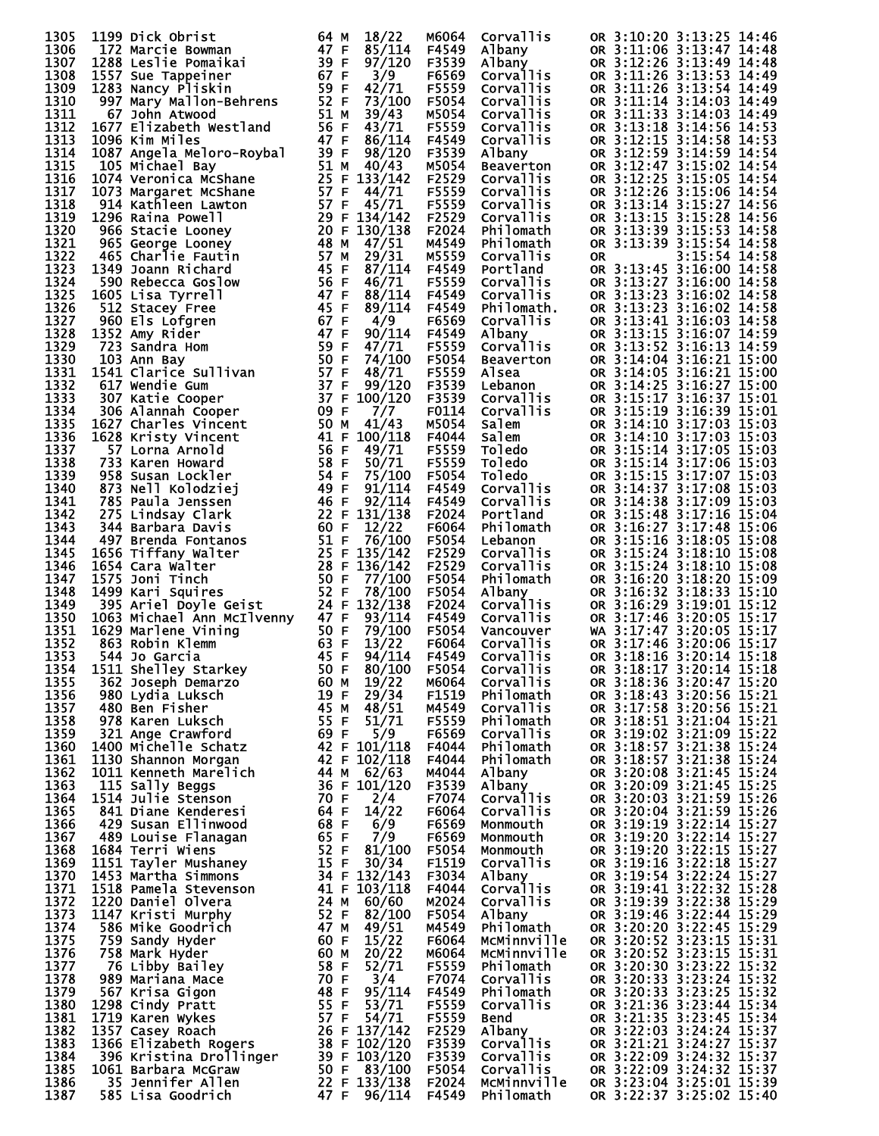| 1305         | 1199 Dick Obrist                                               | 64 M<br>18/22                    | M6064          | Corvallis                            | OR 3:10:20 3:13:25 14:46                             |
|--------------|----------------------------------------------------------------|----------------------------------|----------------|--------------------------------------|------------------------------------------------------|
| 1306         | 172 Marcie Bowman                                              | 47 F<br>85/114                   | F4549          | Albany                               | OR 3:11:06 3:13:47 14:48                             |
| 1307<br>1308 | 1288 Leslie Pomaikai<br>1557 Sue Tappeiner                     | 39 F<br>97/120<br>67 F<br>3/9    | F3539<br>F6569 | Albany<br>Corvallis                  | OR 3:12:26 3:13:49 14:48<br>OR 3:11:26 3:13:53 14:49 |
| 1309         | 1283 Nancy Pliskin                                             | 59 F<br>42/71                    | F5559          | Corvallis                            | OR 3:11:26 3:13:54 14:49                             |
| 1310         | 997 Mary Mallon-Behrens                                        | 52 F<br>73/100                   | F5054          | Corvallis                            | OR 3:11:14 3:14:03 14:49                             |
| 1311         | 67 John Atwood                                                 | 51 M<br>39/43                    | M5054          | <b>Corvallis</b>                     | OR 3:11:33 3:14:03 14:49                             |
| 1312         | 1677 Elizabeth Westland                                        | 56 F<br>43/71<br>47 F            | F5559          | Corvallis                            | OR 3:13:18 3:14:56 14:53                             |
| 1313<br>1314 | 1096 Kim Miles<br>1087 Angela Meloro-Roybal                    | 86/114<br>39 F<br>98/120         | F4549<br>F3539 | Corvallis<br>Albany                  | OR 3:12:15 3:14:58 14:53<br>OR 3:12:59 3:14:59 14:54 |
| 1315         | 105 Michael Bay                                                | $51 M$ 40/43                     | M5054          | Beaverton                            | OR 3:12:47 3:15:02 14:54                             |
| 1316         | 1074 Veronica McShane                                          | 25 F 133/142                     | F2529          | Corvallis                            | OR 3:12:25 3:15:05 14:54                             |
| 1317         | 1073 Margaret McShane                                          | 57 F<br>44/71                    | F5559          | Corvallis                            | OR 3:12:26 3:15:06 14:54                             |
| 1318<br>1319 | 914 Kathleen Lawton<br>1296 Raina Powell                       | 57 F 45/71<br>29 F 134/142       | F5559<br>F2529 | <b>Corvallis</b><br><b>Corvallis</b> | OR 3:13:14 3:15:27 14:56<br>OR 3:13:15 3:15:28 14:56 |
| 1320         | 966 Stacie Looney                                              | 20 F 130/138                     | F2024          | Philomath                            | OR 3:13:39 3:15:53 14:58                             |
| 1321         | 965 George Looney                                              | 48 M<br>47/51                    | M4549          | Philomath                            | OR 3:13:39 3:15:54 14:58                             |
| 1322         | 465 Charlie Fautin                                             | 57 M<br>29/31                    | M5559          | Corvallis                            | 3:15:54 14:58<br><b>OR</b>                           |
| 1323<br>1324 | 1349 Joann Richard                                             | 45 F<br>87/114<br>56 F<br>46/71  | F4549<br>F5559 | Portland<br>Corvallis                | OR 3:13:45 3:16:00 14:58<br>OR 3:13:27 3:16:00 14:58 |
| 1325         | 590 Rebecca Goslow<br>1605 Lisa Tyrrell                        | 47 F<br>88/114                   | F4549          | <b>Corvallis</b>                     | OR 3:13:23 3:16:02 14:58                             |
| 1326         | 512 Stacey Free                                                | 45 F<br>89/114                   | F4549          | Philomath.                           | OR 3:13:23 3:16:02 14:58                             |
| 1327         | 960 Els Lofgren                                                | 67 F<br>4/9                      | F6569          | Corvallis                            | OR 3:13:41 3:16:03 14:58                             |
| 1328         | 1352 Amy Rider                                                 | 47 F<br>90/114                   | F4549          | Albany                               | OR 3:13:15 3:16:07 14:59                             |
| 1329<br>1330 | 723 Sandra Hom<br>103 Ann Bay                                  | 59 F<br>47/71<br>50 F<br>74/100  | F5559<br>F5054 | Corvallis<br>Beaverton               | OR 3:13:52 3:16:13 14:59<br>OR 3:14:04 3:16:21 15:00 |
| 1331         | 1541 Clarice Sullivan                                          | 57 F<br>48/71                    | F5559          | Alsea                                | OR 3:14:05 3:16:21 15:00                             |
| 1332         | 617 Wendie Gum                                                 | 37 F<br>99/120                   | F3539          | Lebanon                              | OR 3:14:25 3:16:27 15:00                             |
| 1333         | 307 Katie Cooper                                               | 37 F 100/120                     | F3539          | Corvallis                            | OR 3:15:17 3:16:37 15:01                             |
| 1334         | 306 Alannah Cooper                                             | 09 F<br>7/7                      | F0114          | <b>Corvallis</b>                     | OR 3:15:19 3:16:39 15:01                             |
| 1335<br>1336 | 1627 Charles Vincent<br>1628 Kristy Vincent                    | 50 M<br>41/43<br>41 F<br>100/118 | M5054<br>F4044 | Salem<br>Salem                       | OR 3:14:10 3:17:03 15:03<br>OR 3:14:10 3:17:03 15:03 |
| 1337         | 57 Lorna Arnold                                                | 56 F<br>49/71                    | F5559          | Toledo                               | OR 3:15:14 3:17:05 15:03                             |
| 1338         | 733 Karen Howard                                               | 58 F<br>50/71                    | F5559          | Toledo                               | OR 3:15:14 3:17:06 15:03                             |
| 1339         | 958 Susan Lockler                                              | 54 F<br>75/100                   | F5054          | Toledo                               | OR 3:15:15 3:17:07 15:03                             |
| 1340         | 873 Nell Kolodziej                                             | 49 F<br>91/114                   | F4549          | Corvallis                            | OR 3:14:37 3:17:08 15:03                             |
| 1341<br>1342 | 785 Paula Jenssen<br>275 Lindsay Clark                         | 46 F<br>92/114<br>22 F 131/138   | F4549<br>F2024 | Corvallis<br>Portland                | OR 3:14:38 3:17:09 15:03<br>OR 3:15:48 3:17:16 15:04 |
| 1343         | 344 Barbara Davis                                              | 60 F<br>12/22                    | F6064          | Philomath                            | OR 3:16:27 3:17:48 15:06                             |
| 1344         | 497 Brenda Fontanos                                            | 51 F<br>76/100                   | F5054          | Lebanon                              | OR 3:15:16 3:18:05 15:08                             |
| 1345         | 1656 Tiffany Walter                                            | 25 F 135/142                     | F2529          | Corvallis                            | OR 3:15:24 3:18:10 15:08                             |
| 1346         | 1654 Cara Walter                                               | 28 F 136/142                     | F2529          | <b>Corvallis</b>                     | OR 3:15:24 3:18:10 15:08                             |
| 1347<br>1348 | 1575 Joni Tinch<br>1499 Kari Squires                           | 50 F<br>77/100<br>52 F<br>78/100 | F5054<br>F5054 | Philomath                            | OR 3:16:20 3:18:20 15:09<br>OR 3:16:32 3:18:33 15:10 |
| 1349         | 395 Ariel Doyle Geist                                          | 24 F 132/138                     | F2024          | Albany<br>Corva <u>l</u> lis         | OR 3:16:29 3:19:01 15:12                             |
| 1350         | 1063 Michael Ann McIlvenny                                     | 47 F<br>93/114                   | F4549          | <b>Corvallis</b>                     | OR 3:17:46 3:20:05 15:17                             |
| 1351         | 1629 Marlene Vining                                            | 79/100                           | F5054          | Vancouver                            | WA 3:17:47 3:20:05 15:17                             |
| 1352<br>1353 | $50 F$<br>$63 F$<br>$45 F$<br>863 Robin Klemm<br>544 Jo Garcia | 13/22<br>45 F<br>94/114          | F6064<br>F4549 | <b>Corvallis</b><br><b>Corvallis</b> | OR 3:17:46 3:20:06 15:17<br>OR 3:18:16 3:20:14 15:18 |
| 1354         | 1511 Shelley Starkey                                           | 50 F<br>80/100                   | F5054          | <b>Corvallis</b>                     | OR 3:18:17 3:20:14 15:18                             |
| 1355         | 362 Joseph Demarzo                                             | 19/22<br>60 M                    | M6064          | Corvallis                            | OR 3:18:36 3:20:47 15:20                             |
| 1356         | 980 Lydia Luksch                                               | 19 F<br>29/34                    | F1519          | Philomath                            | OR 3:18:43 3:20:56 15:21                             |
| 1357         | 480 Ben Fisher                                                 | 45 M<br>48/51                    | M4549          | Corvallis                            | OR 3:17:58 3:20:56 15:21                             |
| 1358<br>1359 | 978 Karen Luksch<br>321 Ange Crawford                          | 55 F<br>51/71<br>69 F<br>5/9     | F5559<br>F6569 | Philomath<br>Corvallis               | OR 3:18:51 3:21:04 15:21<br>OR 3:19:02 3:21:09 15:22 |
| 1360         | 1400 Michelle Schatz                                           | 42 F 101/118                     | F4044          | Philomath                            | OR 3:18:57 3:21:38 15:24                             |
| 1361         | 1130 Shannon Morgan                                            | 42 F 102/118                     | F4044          | Philomath                            | OR 3:18:57 3:21:38 15:24                             |
| 1362         | 1011 Kenneth Marelich                                          | 44 M 62/63                       | M4044          | <b>Albany</b>                        | OR 3:20:08 3:21:45 15:24                             |
| 1363<br>1364 | 115 Sally Beggs<br>1514 Julie Stenson                          | 36 F 101/120<br>70 F<br>2/4      | F3539<br>F7074 | Albany<br><b>Corvallis</b>           | OR 3:20:09 3:21:45 15:25<br>OR 3:20:03 3:21:59 15:26 |
| 1365         | 841 Diane Kenderesi                                            | 64 F<br>14/22                    | F6064          | <b>Corvallis</b>                     | OR 3:20:04 3:21:59 15:26                             |
| 1366         | 429 Susan Ellinwood                                            | 68 F<br>6/9                      | F6569          | Monmouth                             | OR 3:19:19 3:22:14 15:27                             |
| 1367         | 489 Louise Flanagan                                            | 65 F<br>7/9                      | F6569          | Monmouth                             | OR 3:19:20 3:22:14 15:27                             |
| 1368         | 1684 Terri Wiens                                               | 52 F<br>81/100                   | F5054          | Monmouth                             | OR 3:19:20 3:22:15 15:27                             |
| 1369<br>1370 | 1151 Tayler Mushaney<br>1453 Martha Simmons                    | 15 F<br>30/34<br>34 F 132/143    | F1519<br>F3034 | <b>Corvallis</b><br>Albany           | OR 3:19:16 3:22:18 15:27<br>OR 3:19:54 3:22:24 15:27 |
| 1371         | 1518 Pamela Stevenson                                          | 41 F 103/118                     | F4044          | Corvallis                            | OR 3:19:41 3:22:32 15:28                             |
| 1372         | 1220 Daniel Olvera                                             | 24 M<br>60/60                    | M2024          | Corvallis                            | OR 3:19:39 3:22:38 15:29                             |
| 1373         | 1147 Kristi Murphy                                             | 52 F<br>82/100                   | F5054          | Albany                               | OR 3:19:46 3:22:44 15:29                             |
| 1374         | 586 Mike Goodrich                                              | 47 M<br>49/51                    | M4549          | Philomath                            | OR 3:20:20 3:22:45 15:29                             |
| 1375<br>1376 | 759 Sandy Hyder<br>758 Mark Hyder                              | 60 F<br>15/22<br>60 M<br>20/22   | F6064<br>M6064 | McMinnville<br>MCMinnville           | OR 3:20:52 3:23:15 15:31<br>OR 3:20:52 3:23:15 15:31 |
| 1377         | 76 Libby Bailey                                                | 58 F<br>52/71                    | F5559          | Philomath                            | OR 3:20:30 3:23:22 15:32                             |
| 1378         | 989 Mariana Mace                                               | 70 F<br>3/4                      | F7074          | Corvallis                            | OR 3:20:33 3:23:24 15:32                             |
| 1379         | 567 Krisa Gigon                                                | 48 F<br>95/114                   | F4549          | Philomath                            | OR 3:20:33 3:23:25 15:32                             |
| 1380         | 1298 Cindy Pratt                                               | 55 F<br>53/71                    | F5559          | Corvallis                            | OR 3:21:36 3:23:44 15:34                             |
| 1381<br>1382 | 1719 Karen Wykes<br>1357 Casey Roach                           | 57 F<br>54/71<br>26 F 137/142    | F5559<br>F2529 | <b>Bend</b><br>Albany                | OR 3:21:35 3:23:45 15:34<br>OR 3:22:03 3:24:24 15:37 |
| 1383         | 1366 Elizabeth Rogers                                          | 38 F 102/120                     | F3539          | Corvallis                            | OR 3:21:21 3:24:27 15:37                             |
| 1384         | 396 Kristina Drollinger                                        | 39 F 103/120                     | F3539          | Corvallis                            | OR 3:22:09 3:24:32 15:37                             |
| 1385         | 1061 Barbara McGraw                                            | 50 F 83/100                      | F5054          | <b>Corvallis</b>                     | OR 3:22:09 3:24:32 15:37                             |
| 1386<br>1387 | 35 Jennifer Allen<br>585 Lisa Goodrich                         | 22 F 133/138<br>47 F<br>96/114   | F2024<br>F4549 | MCMinnville<br>Philomath             | OR 3:23:04 3:25:01 15:39<br>OR 3:22:37 3:25:02 15:40 |
|              |                                                                |                                  |                |                                      |                                                      |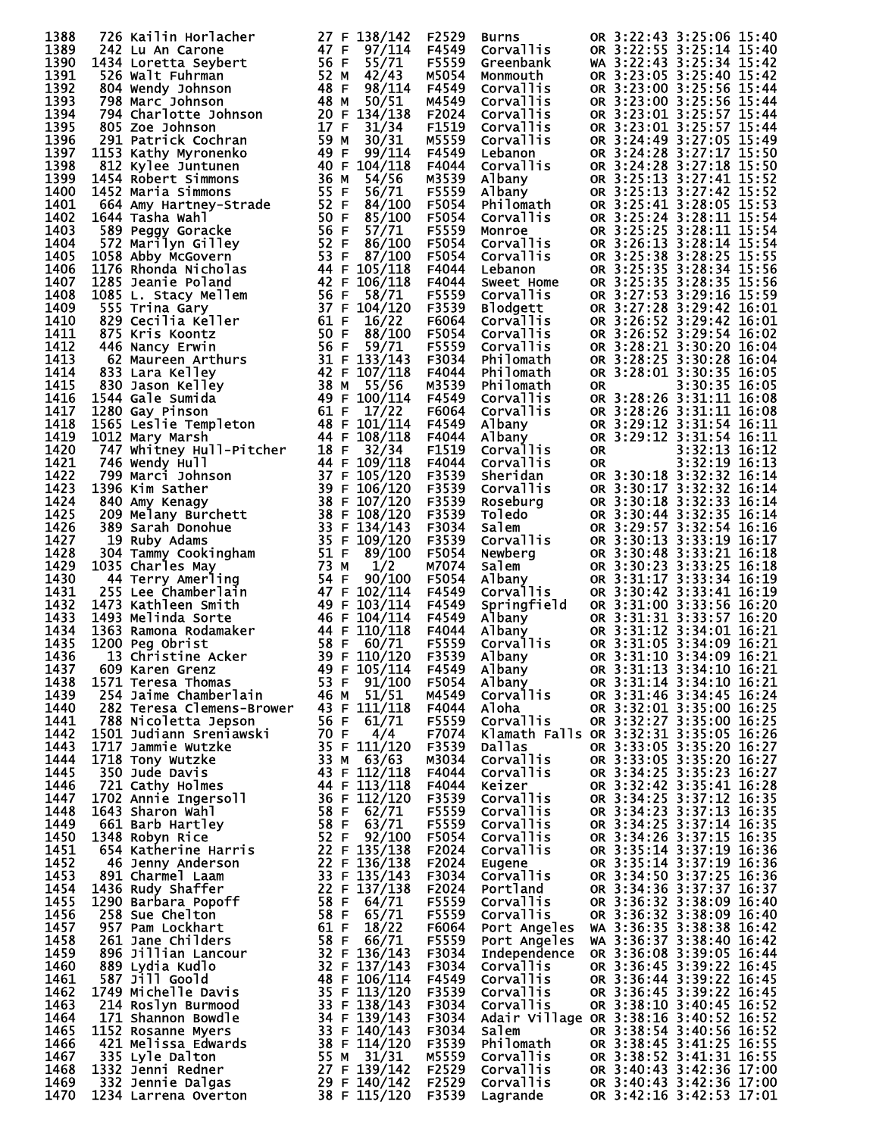| 1388         | 726 Kailin Horlacher                                                                                                                                                                                                                                                                  | 27 F 138/142 |         | F2529          | <b>Burns</b>                                                                          |            | OR 3:22:43 3:25:06 15:40                                                                                                                                                                                                                                     |
|--------------|---------------------------------------------------------------------------------------------------------------------------------------------------------------------------------------------------------------------------------------------------------------------------------------|--------------|---------|----------------|---------------------------------------------------------------------------------------|------------|--------------------------------------------------------------------------------------------------------------------------------------------------------------------------------------------------------------------------------------------------------------|
| 1389         | 242 Lu An Carone                                                                                                                                                                                                                                                                      | 47 F         | 97/114  | F4549          | Corvallis                                                                             |            | OR 3:22:55 3:25:14 15:40                                                                                                                                                                                                                                     |
| 1390         | 1434 Loretta Seybert                                                                                                                                                                                                                                                                  | 56 F         | 55/71   | F5559          | Greenbank                                                                             |            | WA 3:22:43 3:25:34 15:42                                                                                                                                                                                                                                     |
| 1391         | 526 Walt Fuhrman                                                                                                                                                                                                                                                                      | 52 M         | 42/43   | M5054          | Monmouth                                                                              |            | OR 3:23:05 3:25:40 15:42                                                                                                                                                                                                                                     |
| 1392         | 804 Wendy Johnson                                                                                                                                                                                                                                                                     | 48 F         | 98/114  | F4549          | <b>Corvallis</b>                                                                      |            | OR 3:23:00 3:25:56 15:44                                                                                                                                                                                                                                     |
| 1393         | 798 Marc Johnson                                                                                                                                                                                                                                                                      | 48 M         | 50/51   | M4549          | <b>Corvallis</b>                                                                      |            | OR 3:23:00 3:25:56 15:44                                                                                                                                                                                                                                     |
| 1394         | 794 Charlotte Johnson                                                                                                                                                                                                                                                                 | 20 F 134/138 |         | F2024          | <b>Corvallis</b>                                                                      |            | OR 3:23:01 3:25:57 15:44                                                                                                                                                                                                                                     |
| 1395         |                                                                                                                                                                                                                                                                                       | 17 F         |         | F1519          |                                                                                       |            | OR 3:23:01 3:25:57 15:44                                                                                                                                                                                                                                     |
| 1396         | 805 Zoe Johnson                                                                                                                                                                                                                                                                       | 59 M         | 31/34   | M5559          | <b>Corvallis</b>                                                                      |            |                                                                                                                                                                                                                                                              |
|              |                                                                                                                                                                                                                                                                                       |              | 30/31   |                | <b>Corvallis</b>                                                                      |            | OR 3:24:49 3:27:05 15:49                                                                                                                                                                                                                                     |
| 1397         | 1153 Kathy Myronenko                                                                                                                                                                                                                                                                  | 49 F         | 99/114  | F4549          | Lebanon                                                                               |            | OR 3:24:28 3:27:17 15:50                                                                                                                                                                                                                                     |
| 1398         |                                                                                                                                                                                                                                                                                       | 40 F 104/118 |         | F4044          | Corvallis                                                                             |            | OR 3:24:28 3:27:18 15:50                                                                                                                                                                                                                                     |
| 1399         | 1454 Robert Simmons                                                                                                                                                                                                                                                                   | 36 M         | 54/56   | M3539          | Albany                                                                                |            | OR 3:25:13 3:27:41 15:52                                                                                                                                                                                                                                     |
| 1400         | 1452 Maria Simmons                                                                                                                                                                                                                                                                    | 55 F         | 56/71   | F5559          |                                                                                       |            | OR 3:25:13 3:27:42 15:52                                                                                                                                                                                                                                     |
| 1401         | 91 Patrick Coden<br>53 Kathy Myronenko<br>512 Kylee Juntunen<br>454 Robert Simmons<br>452 Maria Simmons<br>664 Amy Hartney-Strade<br>1644 Tasha Wahl<br>1644 Tasha Wahl                                                                                                               | 52 F         | 84/100  | F5054          |                                                                                       |            | OR 3:25:41 3:28:05 15:53                                                                                                                                                                                                                                     |
| 1402         | 1644 Tasha Wahl                                                                                                                                                                                                                                                                       | 50 F         | 85/100  | F5054          |                                                                                       |            | OR 3:25:24 3:28:11 15:54                                                                                                                                                                                                                                     |
| 1403         |                                                                                                                                                                                                                                                                                       | 56 F         | 57/71   | F5559          |                                                                                       |            | OR 3:25:25 3:28:11 15:54                                                                                                                                                                                                                                     |
| 1404         |                                                                                                                                                                                                                                                                                       | 52 F         | 86/100  | F5054          |                                                                                       |            | OR 3:26:13 3:28:14 15:54                                                                                                                                                                                                                                     |
| 1405         |                                                                                                                                                                                                                                                                                       | 53 F         | 87/100  | F5054          | <b>Albany<br/>Albany<br/>Philomath<br/>Corvallis<br/>Corvallis<br/>Corvallis</b>      | OR 3:25:38 | 3:28:25 15:55                                                                                                                                                                                                                                                |
| 1406         |                                                                                                                                                                                                                                                                                       | 44 F 105/118 |         | F4044          | Lebanon                                                                               |            | OR 3:25:35 3:28:34 15:56                                                                                                                                                                                                                                     |
| 1407         |                                                                                                                                                                                                                                                                                       | 42 F 106/118 |         | F4044          | Sweet Home                                                                            |            | OR 3:25:35 3:28:35 15:56                                                                                                                                                                                                                                     |
| 1408         |                                                                                                                                                                                                                                                                                       | 56 F         | 58/71   | F5559          |                                                                                       |            | OR 3:27:53 3:29:16 15:59                                                                                                                                                                                                                                     |
| 1409         |                                                                                                                                                                                                                                                                                       | 37 F 104/120 |         | F3539          |                                                                                       |            | OR 3:27:28 3:29:42 16:01                                                                                                                                                                                                                                     |
| 1410         |                                                                                                                                                                                                                                                                                       | 61 F         | 16/22   | F6064          | <b>Corvallis<br/>Blodgett<br/>Corvallis<br/>Corvallis<br/>Corvallis<br/>Philomath</b> |            | OR 3:26:52 3:29:42 16:01                                                                                                                                                                                                                                     |
| 1411         |                                                                                                                                                                                                                                                                                       | 50 F         | 88/100  | F5054          |                                                                                       |            | OR 3:26:52 3:29:54 16:02                                                                                                                                                                                                                                     |
| 1412         |                                                                                                                                                                                                                                                                                       | 56 F         | 59/71   | F5559          |                                                                                       |            | OR 3:28:21 3:30:20 16:04                                                                                                                                                                                                                                     |
| 1413         |                                                                                                                                                                                                                                                                                       | 31 F 133/143 |         | F3034          |                                                                                       |            | OR 3:28:25 3:30:28 16:04                                                                                                                                                                                                                                     |
| 1414         |                                                                                                                                                                                                                                                                                       | 42 F 107/118 |         | F4044          | Philomath                                                                             |            | OR 3:28:01 3:30:35 16:05                                                                                                                                                                                                                                     |
| 1415         |                                                                                                                                                                                                                                                                                       | 38 M         | 55/56   | M3539          | Philomath                                                                             | <b>OR</b>  | 3:30:35 16:05                                                                                                                                                                                                                                                |
| 1416         |                                                                                                                                                                                                                                                                                       | 49 F 100/114 |         | F4549          | Corvallis                                                                             |            | OR 3:28:26 3:31:11 16:08                                                                                                                                                                                                                                     |
| 1417         |                                                                                                                                                                                                                                                                                       | 61 F         | 17/22   | F6064          | Corvallis                                                                             |            | OR 3:28:26 3:31:11 16:08                                                                                                                                                                                                                                     |
| 1418         |                                                                                                                                                                                                                                                                                       | 48 F 101/114 |         | F4549          | Albany                                                                                |            | OR 3:29:12 3:31:54 16:11                                                                                                                                                                                                                                     |
| 1419         | 589 Peggy Goracke<br>572 Marilyn Gilley<br>1058 Abby McGovern<br>1176 Rhonda Nicholas<br>1285 Jeanie Poland<br>1085 L. Stacy Mellem<br>555 Trina Gary<br>829 Cecilia Keller<br>875 Kris Koontz<br>446 Nancy Erwin<br>62 Maureen Arthurs<br>830 Jason Kelley<br>154<br>1012 Mary Marsh | 44 F 108/118 |         | F4044          | Albany                                                                                |            | OR 3:29:12 3:31:54 16:11                                                                                                                                                                                                                                     |
| 1420         |                                                                                                                                                                                                                                                                                       | 18 F         | 32/34   | F1519          | Corvallis                                                                             | <b>OR</b>  | 3:32:13 16:12                                                                                                                                                                                                                                                |
| 1421         |                                                                                                                                                                                                                                                                                       | 44 F 109/118 |         | F4044          | <b>Corvallis</b>                                                                      | <b>OR</b>  | $3:32:19$ $\overline{16:13}$                                                                                                                                                                                                                                 |
| 1422         |                                                                                                                                                                                                                                                                                       | 37 F 105/120 |         | F3539          | Sheridan                                                                              |            | OR 3:30:18 3:32:32 16:14                                                                                                                                                                                                                                     |
| 1423         | 1396 Kim Sather                                                                                                                                                                                                                                                                       | 39 F 106/120 |         | F3539          | <b>Corvallis</b>                                                                      |            | OR 3:30:17 3:32:32 16:14                                                                                                                                                                                                                                     |
| 1424         |                                                                                                                                                                                                                                                                                       | 38 F 107/120 |         | F3539          | Roseburg                                                                              |            | OR 3:30:18 3:32:33 16:14                                                                                                                                                                                                                                     |
| 1425         |                                                                                                                                                                                                                                                                                       | 38 F 108/120 |         | F3539          | Toledo                                                                                |            | OR 3:30:44 3:32:35 16:14                                                                                                                                                                                                                                     |
| 1426         |                                                                                                                                                                                                                                                                                       | 33 F 134/143 |         | F3034          |                                                                                       |            |                                                                                                                                                                                                                                                              |
| 1427         |                                                                                                                                                                                                                                                                                       | 35 F 109/120 |         | F3539          |                                                                                       |            |                                                                                                                                                                                                                                                              |
| 1428         |                                                                                                                                                                                                                                                                                       | 51 F         | 89/100  | F5054          |                                                                                       |            |                                                                                                                                                                                                                                                              |
| 1429         | 1035 Charles May                                                                                                                                                                                                                                                                      | 73 M         | 1/2     | M7074          |                                                                                       |            |                                                                                                                                                                                                                                                              |
| 1430         | 1012 Mary Marsh<br>747 Whitney Hull-Pitcher<br>746 Wendy Hull<br>1396 Marci Johnson<br>1396 Kim Sather<br>840 Amy Kenagy<br>209 Melany Burchett<br>1889 Sarah Donohue<br>19 Ruby Adams<br>304 Tammy Cookingham<br>44 Terry Amerling<br>255 Lee Chamberlain<br>1473                    | 54 F         | 90/100  | F5054          |                                                                                       |            | value on 3:39:57 3:32:54 16:16<br>Corvallis on 3:30:13 3:33:19 16:17<br>Newberg on 3:30:48 3:33:21 16:18<br>Salem on 3:30:48 3:33:21 16:18<br>Salem on 3:30:23 3:33:25 16:18<br>Albany on 3:31:17 3:33:34 16:19<br>Corvallis on 3:30:42 3:                   |
| 1431         |                                                                                                                                                                                                                                                                                       | 47 F 102/114 |         | F4549          |                                                                                       |            |                                                                                                                                                                                                                                                              |
| 1432         | 1473 Kathleen Smith                                                                                                                                                                                                                                                                   | 49 F 103/114 |         | F4549          |                                                                                       |            |                                                                                                                                                                                                                                                              |
| 1433         | 1473 Kathleen Smith<br>1493 Melinda Sorte<br>1363 Ramona Rodamaker<br>1200 Peg Obrist<br>609 Karen Grenz                                                                                                                                                                              | 46 F 104/114 |         | F4549          |                                                                                       |            | Albany<br>MR 3:31:00 3:33:56 16:20<br>Albany<br>MR 3:31:31 3:33:57 16:20<br>Albany<br>MR 3:31:12 3:34:01 16:21<br>Corvallis<br>MR 3:31:10 3:34:09 16:21<br>Albany<br>MR 3:31:10 3:34:09 16:21<br>Albany<br>MR 2:21<br>Albany<br>MR 2:21<br>Albany<br>MR 2:21 |
| 1434         |                                                                                                                                                                                                                                                                                       | 44 F         | 110/118 | F4044          |                                                                                       |            |                                                                                                                                                                                                                                                              |
| 1435         |                                                                                                                                                                                                                                                                                       | 58 F         | 60/71   | F5559          |                                                                                       |            |                                                                                                                                                                                                                                                              |
| 1436         |                                                                                                                                                                                                                                                                                       | 39 F 110/120 |         | F3539          |                                                                                       |            |                                                                                                                                                                                                                                                              |
| 1437         | 609 Karen Grenz                                                                                                                                                                                                                                                                       | 49 F 105/114 |         | F4549          |                                                                                       |            | Albany OR 3:31:13 3:34:10 16:21                                                                                                                                                                                                                              |
| 1438         | 1571 Teresa Thomas                                                                                                                                                                                                                                                                    | 53 F 91/100  |         | F5054          | Albany                                                                                |            | OR 3:31:14 3:34:10 16:21                                                                                                                                                                                                                                     |
| 1439         | 254 Jaime Chamberlain                                                                                                                                                                                                                                                                 | 46 M $51/51$ |         | M4549          | Corvallis                                                                             |            | OR 3:31:46 3:34:45 16:24                                                                                                                                                                                                                                     |
| 1440         | 282 Teresa Clemens-Brower 43 F 111/118                                                                                                                                                                                                                                                |              |         | F4044          | Aloha                                                                                 |            | OR 3:32:01 3:35:00 16:25                                                                                                                                                                                                                                     |
| 1441         | 788 Nicoletta Jepson                                                                                                                                                                                                                                                                  | 56 F $61/71$ |         | F5559          | Corvallis                                                                             |            | OR 3:32:27 3:35:00 16:25                                                                                                                                                                                                                                     |
| 1442         |                                                                                                                                                                                                                                                                                       |              |         | F7074          |                                                                                       |            | Klamath Falls OR 3:32:31 3:35:05 16:26                                                                                                                                                                                                                       |
| 1443         |                                                                                                                                                                                                                                                                                       |              |         | F3539          | Dallas                                                                                |            | OR 3:33:05 3:35:20 16:27                                                                                                                                                                                                                                     |
| 1444         |                                                                                                                                                                                                                                                                                       |              |         | M3034          | Corvallis                                                                             |            | OR 3:33:05 3:35:20 16:27                                                                                                                                                                                                                                     |
| 1445         |                                                                                                                                                                                                                                                                                       |              |         | F4044          | <b>Corvallis</b>                                                                      |            | OR 3:34:25 3:35:23 16:27                                                                                                                                                                                                                                     |
| 1446         |                                                                                                                                                                                                                                                                                       |              |         | F4044          | Keizer                                                                                |            | OR 3:32:42 3:35:41 16:28                                                                                                                                                                                                                                     |
| 1447         |                                                                                                                                                                                                                                                                                       |              |         | F3539          | Corvallis                                                                             |            | OR 3:34:25 3:37:12 16:35                                                                                                                                                                                                                                     |
| 1448         |                                                                                                                                                                                                                                                                                       |              |         | F5559          | Corvallis                                                                             |            | OR 3:34:23 3:37:13 16:35                                                                                                                                                                                                                                     |
| 1449         |                                                                                                                                                                                                                                                                                       |              |         | F5559          | Corvallis                                                                             |            | OR 3:34:25 3:37:14 16:35                                                                                                                                                                                                                                     |
| 1450         |                                                                                                                                                                                                                                                                                       |              |         | F5054          | Corvallis                                                                             |            | OR 3:34:26 3:37:15 16:35                                                                                                                                                                                                                                     |
| 1451         |                                                                                                                                                                                                                                                                                       |              |         | F2024          | Corvallis                                                                             |            | OR 3:35:14 3:37:19 16:36                                                                                                                                                                                                                                     |
| 1452         |                                                                                                                                                                                                                                                                                       |              |         | F2024          | Eugene                                                                                |            | OR 3:35:14 3:37:19 16:36                                                                                                                                                                                                                                     |
| 1453         |                                                                                                                                                                                                                                                                                       |              |         | F3034          | Corvallis                                                                             |            | OR 3:34:50 3:37:25 16:36                                                                                                                                                                                                                                     |
| 1454         |                                                                                                                                                                                                                                                                                       |              |         | F2024          | Portland                                                                              |            | OR 3:34:36 3:37:37 16:37                                                                                                                                                                                                                                     |
| 1455         |                                                                                                                                                                                                                                                                                       |              |         | F5559          | Corvallis                                                                             |            | OR 3:36:32 3:38:09 16:40                                                                                                                                                                                                                                     |
| 1456         |                                                                                                                                                                                                                                                                                       |              |         | F5559          | Corvallis                                                                             |            | OR 3:36:32 3:38:09 16:40                                                                                                                                                                                                                                     |
| 1457         |                                                                                                                                                                                                                                                                                       |              |         | F6064          | Port Angeles                                                                          |            | WA 3:36:35 3:38:38 16:42                                                                                                                                                                                                                                     |
| 1458         |                                                                                                                                                                                                                                                                                       |              |         | F5559          | Port Angeles                                                                          |            | WA 3:36:37 3:38:40 16:42                                                                                                                                                                                                                                     |
| 1459         |                                                                                                                                                                                                                                                                                       |              |         | F3034          |                                                                                       |            | Independence OR 3:36:08 3:39:05 16:44                                                                                                                                                                                                                        |
| 1460         |                                                                                                                                                                                                                                                                                       |              |         | F3034          | <b>Corvallis</b>                                                                      |            | OR 3:36:45 3:39:22 16:45                                                                                                                                                                                                                                     |
| 1461         |                                                                                                                                                                                                                                                                                       |              |         | F4549          | Corvallis                                                                             |            | OR 3:36:44 3:39:22 16:45                                                                                                                                                                                                                                     |
| 1462         |                                                                                                                                                                                                                                                                                       |              |         | F3539          | Corvallis                                                                             |            | OR 3:36:45 3:39:22 16:45                                                                                                                                                                                                                                     |
| 1463         |                                                                                                                                                                                                                                                                                       |              |         | F3034          | Corvallis                                                                             |            | OR 3:38:10 3:40:45 16:52                                                                                                                                                                                                                                     |
| 1464         |                                                                                                                                                                                                                                                                                       |              |         | F3034          |                                                                                       |            | Adair Village OR 3:38:16 3:40:52 16:52                                                                                                                                                                                                                       |
| 1465         |                                                                                                                                                                                                                                                                                       |              |         | F3034          | Salem                                                                                 |            | OR 3:38:54 3:40:56 16:52                                                                                                                                                                                                                                     |
| 1466         |                                                                                                                                                                                                                                                                                       |              |         | F3539          | Philomath                                                                             |            | OR 3:38:45 3:41:25 16:55                                                                                                                                                                                                                                     |
| 1467         |                                                                                                                                                                                                                                                                                       |              |         | M5559          | <b>Corvallis</b>                                                                      |            | OR 3:38:52 3:41:31 16:55                                                                                                                                                                                                                                     |
| 1468         |                                                                                                                                                                                                                                                                                       |              |         | F2529          | Corvallis                                                                             |            | OR 3:40:43 3:42:36 17:00                                                                                                                                                                                                                                     |
|              |                                                                                                                                                                                                                                                                                       |              |         |                |                                                                                       |            |                                                                                                                                                                                                                                                              |
|              |                                                                                                                                                                                                                                                                                       |              |         |                |                                                                                       |            |                                                                                                                                                                                                                                                              |
| 1469<br>1470 | 282 Teresa Clemens-Brower 43 F 111/118<br>188 Nicoletta Jepson<br>16 F 61/71<br>1501 Judiann Sreniawski<br>170 F 4/4<br>1713 Tony Wutzke<br>1702 Annie Wutzke<br>1702 Annie Ingersoll<br>1643 Sharon wahl<br>1643 Sharon wahl<br>1643 Sharon wahl<br>1234 Larrena Overton             | 38 F 115/120 |         | F2529<br>F3539 | <b>Corvallis</b><br>Lagrande                                                          |            | OR 3:40:43 3:42:36 17:00<br>OR 3:42:16 3:42:53 17:01                                                                                                                                                                                                         |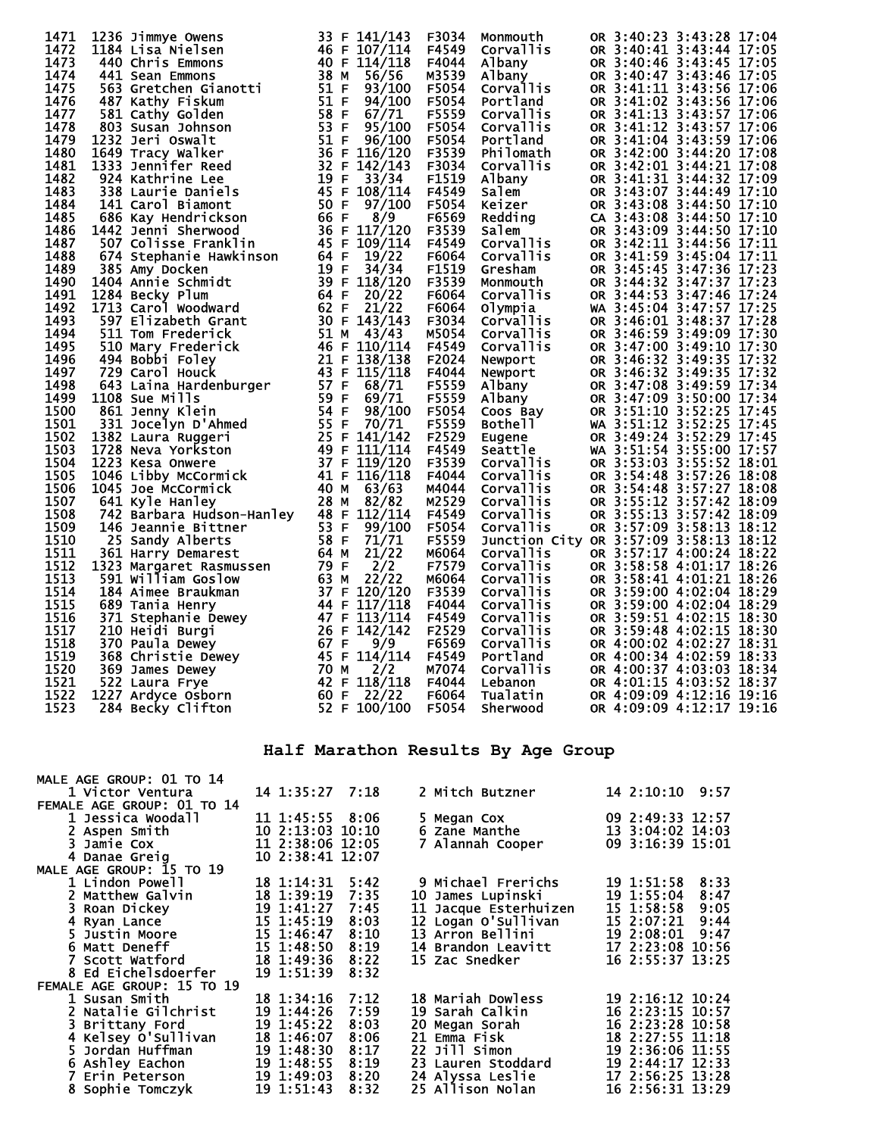| 1471 | 1236 Jimmye Owens                                                                                                                   |      | 33 F 141/143     | F3034 | Monmouth                                                                  | OR 3:40:23 3:43:28 17:04 |               |  |
|------|-------------------------------------------------------------------------------------------------------------------------------------|------|------------------|-------|---------------------------------------------------------------------------|--------------------------|---------------|--|
| 1472 | 1184 Lisa Nielsen                                                                                                                   |      | 46 F 107/114     | F4549 | Corvallis                                                                 | OR 3:40:41 3:43:44 17:05 |               |  |
| 1473 | 440 Chris Emmons                                                                                                                    |      | 40 F 114/118     | F4044 | Albany                                                                    | OR 3:40:46 3:43:45 17:05 |               |  |
| 1474 | 441 Sean Emmons                                                                                                                     | 38 M | 56/56            | M3539 | Albany                                                                    | OR 3:40:47 3:43:46 17:05 |               |  |
| 1475 | 563 Gretchen Gianotti                                                                                                               | 51 F | 93/100           | F5054 | Corvallis                                                                 | OR 3:41:11 3:43:56 17:06 |               |  |
| 1476 | 487 Kathy Fiskum                                                                                                                    | 51 F | 94/100           | F5054 | Portland                                                                  | OR 3:41:02 3:43:56 17:06 |               |  |
| 1477 | 581 Cathy Golden                                                                                                                    | 58 F | 67/71            | F5559 | Corvallis                                                                 | OR 3:41:13 3:43:57 17:06 |               |  |
| 1478 |                                                                                                                                     | 53 F |                  | F5054 |                                                                           | OR 3:41:12 3:43:57 17:06 |               |  |
| 1479 | 803 Susan Johnson                                                                                                                   | 51 F | 95/100<br>96/100 | F5054 | <b>Corvallis</b><br>Portland                                              | OR 3:41:04 3:43:59 17:06 |               |  |
|      | 1232 Jeri Oswalt                                                                                                                    |      | 36 F 116/120     |       |                                                                           |                          |               |  |
| 1480 | 1649 Tracy Walker                                                                                                                   |      |                  | F3539 | Philomath                                                                 | OR 3:42:00 3:44:20 17:08 |               |  |
| 1481 | 1333 Jennifer Reed                                                                                                                  | 32 F | 142/143          | F3034 | <b>Corvallis</b>                                                          | OR 3:42:01 3:44:21 17:08 |               |  |
| 1482 | 924 Kathrine Lee                                                                                                                    | 19 F | 33/34            | F1519 | <b>Albany</b>                                                             | OR 3:41:31 3:44:32 17:09 |               |  |
| 1483 | 338 Laurie Daniels                                                                                                                  |      | 45 F 108/114     | F4549 | Salem                                                                     | OR 3:43:07 3:44:49 17:10 |               |  |
| 1484 | 141 Carol Biamont                                                                                                                   | 50 F | 97/100           | F5054 | xa::<br>Keizer<br>Redding                                                 | OR 3:43:08 3:44:50 17:10 |               |  |
| 1485 | 686 Kay Hendrickson                                                                                                                 | 66 F | 8/9              | F6569 |                                                                           | CA 3:43:08               | 3:44:50 17:10 |  |
| 1486 | 1442 Jenni Sherwood                                                                                                                 |      | 36 F 117/120     | F3539 | Salem                                                                     | OR 3:43:09               | 3:44:50 17:10 |  |
| 1487 | 507 Colisse Franklin                                                                                                                |      | 45 F 109/114     | F4549 | Corvallis                                                                 | OR 3:42:11 3:44:56 17:11 |               |  |
| 1488 | 674 Stephanie Hawkinson                                                                                                             | 64 F | 19/22            | F6064 | Corvallis                                                                 | OR 3:41:59 3:45:04 17:11 |               |  |
| 1489 | 385 Amy Docken                                                                                                                      | 19 F | 34/34            | F1519 | Gresham                                                                   | OR 3:45:45 3:47:36 17:23 |               |  |
| 1490 | 1404 Annie Schmidt                                                                                                                  |      | 39 F 118/120     | F3539 | Monmouth                                                                  | OR 3:44:32               | 3:47:37 17:23 |  |
| 1491 | 1284 Becky Plum                                                                                                                     | 64 F | 20/22            | F6064 | <b>Corvallis</b>                                                          | OR 3:44:53               | 3:47:46 17:24 |  |
| 1492 | 1713 Carol Woodward                                                                                                                 | 62 F | 21/22            | F6064 | Olympia                                                                   | WA 3:45:04 3:47:57 17:25 |               |  |
| 1493 | 597 Elizabeth Grant                                                                                                                 |      | 30 F 143/143     | F3034 | <b>Corvallis</b>                                                          | OR 3:46:01 3:48:37 17:28 |               |  |
| 1494 | 511 Tom Frederick                                                                                                                   |      | 51 M $43/43$     | M5054 | Corvallis                                                                 | OR 3:46:59 3:49:09 17:30 |               |  |
| 1495 | 510 Mary Frederick                                                                                                                  |      | 46 F 110/114     | F4549 | Corvallis                                                                 | OR 3:47:00               | 3:49:10 17:30 |  |
| 1496 | 494 Bobbi Foley                                                                                                                     |      | 21 F 138/138     | F2024 | Newport                                                                   | OR 3:46:32 3:49:35 17:32 |               |  |
| 1497 | 729 Carol Houck                                                                                                                     |      | 43 F 115/118     | F4044 | Newport                                                                   | OR 3:46:32 3:49:35 17:32 |               |  |
| 1498 | 643 Laina Hardenburger                                                                                                              | 57 F | 68/71            | F5559 | Albany                                                                    | OR 3:47:08 3:49:59 17:34 |               |  |
| 1499 | 1108 Sue Mills                                                                                                                      | 59 F | 69/71            | F5559 |                                                                           | OR 3:47:09 3:50:00 17:34 |               |  |
| 1500 | 861 Jenny Klein                                                                                                                     | 54 F | 98/100           | F5054 | Albany<br>Coos Bay<br>Bothell                                             | OR 3:51:10 3:52:25 17:45 |               |  |
| 1501 | 331 Jocelyn D'Ahmed                                                                                                                 | 55 F | 70/71            | F5559 |                                                                           | WA 3:51:12 3:52:25 17:45 |               |  |
| 1502 | 1382 Laura Ruggeri                                                                                                                  |      | 25 F 141/142     | F2529 |                                                                           | OR 3:49:24 3:52:29 17:45 |               |  |
| 1503 | 1728 Neva Yorkston                                                                                                                  |      | 49 F 111/114     | F4549 |                                                                           | WA 3:51:54 3:55:00 17:57 |               |  |
| 1504 | 1223 Kesa Onwere                                                                                                                    |      | 37 F 119/120     | F3539 | <b>Bother</b><br>Eugene<br>Seattle<br>Corvallis<br>Corvallis<br>Corvallis | OR 3:53:03 3:55:52 18:01 |               |  |
| 1505 | 1046 Libby McCormick                                                                                                                |      | 41 F 116/118     | F4044 |                                                                           | OR 3:54:48               | 3:57:26 18:08 |  |
| 1506 | 1045 Joe McCormick                                                                                                                  | 40 M | 63/63            | M4044 | <b>Corvallis</b>                                                          | OR 3:54:48               | 3:57:27 18:08 |  |
| 1507 | 641 Kyle Hanley                                                                                                                     | 28 M | 82/82            | M2529 | Corvallis                                                                 | OR 3:55:12 3:57:42 18:09 |               |  |
| 1508 | 742 Barbara Hudson-Hanley                                                                                                           |      | 48 F 112/114     | F4549 | <b>Corvallis</b>                                                          | OR 3:55:13 3:57:42 18:09 |               |  |
| 1509 | 146 Jeannie Bittner                                                                                                                 | 53 F | 99/100           | F5054 | <b>Corvallis</b>                                                          | OR 3:57:09 3:58:13 18:12 |               |  |
| 1510 | 25 Sandy Alberts                                                                                                                    | 58 F | 71/71            | F5559 | Junction City OR 3:57:09 3:58:13 18:12                                    |                          |               |  |
| 1511 | 361 Harry Demarest                                                                                                                  | 64 M | 21/22            | M6064 | Corvallis                                                                 | OR 3:57:17 4:00:24 18:22 |               |  |
| 1512 |                                                                                                                                     | 79 F | 2/2              | F7579 | Corvallis                                                                 | OR 3:58:58 4:01:17 18:26 |               |  |
| 1513 | 1323 Margaret Rasmussen<br>591 william Goslow                                                                                       | 63 M | 22/22            |       |                                                                           | OR 3:58:41 4:01:21 18:26 |               |  |
| 1514 |                                                                                                                                     |      |                  | M6064 | Corvallis                                                                 |                          |               |  |
|      |                                                                                                                                     |      | 37 F 120/120     | F3539 | Corvallis                                                                 | OR 3:59:00 4:02:04 18:29 |               |  |
| 1515 |                                                                                                                                     |      | 44 F 117/118     | F4044 | Corvallis                                                                 | OR 3:59:00 4:02:04 18:29 |               |  |
| 1516 |                                                                                                                                     |      | 47 F 113/114     | F4549 | Corvallis                                                                 | OR 3:59:51 4:02:15 18:30 |               |  |
| 1517 |                                                                                                                                     |      | 26 F 142/142     | F2529 | Corvallis                                                                 | OR 3:59:48 4:02:15 18:30 |               |  |
| 1518 |                                                                                                                                     | 67 F | 9/9              | F6569 | Corvallis                                                                 | OR 4:00:02 4:02:27 18:31 |               |  |
| 1519 | <b>184 Aimee Braunum<br/>689 Tania Henry<br/>371 Stephanie Dewey<br/>210 Heidi Burgi<br/>370 Paula Dewey<br/>368 Christie Dewey</b> |      | 45 F 114/114     | F4549 | Portland                                                                  | OR 4:00:34 4:02:59 18:33 |               |  |
| 1520 |                                                                                                                                     | 70 M | 2/2              | M7074 | Corvallis                                                                 | OR 4:00:37 4:03:03 18:34 |               |  |
| 1521 | 522 Laura Frye                                                                                                                      |      | 42 F 118/118     | F4044 | Lebanon                                                                   | OR 4:01:15 4:03:52 18:37 |               |  |
| 1522 | 1227 Ardyce Osborn                                                                                                                  | 60 F | 22/22            | F6064 | Tualatin                                                                  | OR 4:09:09 4:12:16 19:16 |               |  |
| 1523 | 284 Becky Clifton                                                                                                                   |      | 52 F 100/100     | F5054 | Sherwood                                                                  | OR 4:09:09 4:12:17 19:16 |               |  |

## **Half Marathon Results By Age Group**

| MALE AGE GROUP: 01 TO 14   |                  |      |                       |                    |
|----------------------------|------------------|------|-----------------------|--------------------|
| 1 Victor Ventura           | 14 1:35:27 7:18  |      | 2 Mitch Butzner       | 14 2:10:10 9:57    |
| FEMALE AGE GROUP: 01 TO 14 |                  |      |                       |                    |
| 1 Jessica Woodall          | 11 1:45:55 8:06  |      | 5 Megan Cox           | 09 2:49:33 12:57   |
| 2 Aspen Smith              | 10 2:13:03 10:10 |      | 6 Zane Manthe         | 13 3:04:02 14:03   |
| 3 Jamie Cox                | 11 2:38:06 12:05 |      | 7 Alannah Cooper      | 09 3:16:39 15:01   |
| 4 Danae Greig              | 10 2:38:41 12:07 |      |                       |                    |
| MALE AGE GROUP: 15 TO 19   |                  |      |                       |                    |
| 1 Lindon Powell            | 18 1:14:31       | 5:42 | 9 Michael Frerichs    | 8:33<br>19 1:51:58 |
| 2 Matthew Galvin           | 18 1:39:19       | 7:35 | 10 James Lupinski     | 19 1:55:04<br>8:47 |
| 3 Roan Dickey              | 19 1:41:27       | 7:45 | 11 Jacque Esterhuizen | 15 1:58:58<br>9:05 |
| 4 Ryan Lance               | 15 1:45:19       | 8:03 | 12 Logan O'Sullivan   | 15 2:07:21<br>9:44 |
| 5 Justin Moore             | 15 1:46:47       | 8:10 | 13 Arron Bellini      | 19 2:08:01 9:47    |
| <b>6 Matt Deneff</b>       | 15 1:48:50       | 8:19 | 14 Brandon Leavitt    | 17 2:23:08 10:56   |
| <b>7 Scott Watford</b>     | 18 1:49:36       | 8:22 | <b>15 Zac Snedker</b> | 16 2:55:37 13:25   |
| <b>8 Ed Eichelsdoerfer</b> | 19 1:51:39       | 8:32 |                       |                    |
| FEMALE AGE GROUP: 15 TO 19 |                  |      |                       |                    |
| 1 Susan Smith              | 18 1:34:16       | 7:12 | 18 Mariah Dowless     | 19 2:16:12 10:24   |
| 2 Natalie Gilchrist        | 19 1:44:26       | 7:59 | 19 Sarah Calkin       | 16 2:23:15 10:57   |
| 3 Brittany Ford            | 19 1:45:22       | 8:03 | 20 Megan Sorah        | 16 2:23:28 10:58   |
| 4 Kelsey O'Sullivan        | 18 1:46:07       | 8:06 | 21 Emma Fisk          | 18 2:27:55 11:18   |
| 5 Jordan Huffman           | 19 1:48:30       | 8:17 | 22 Jill Simon         | 19 2:36:06 11:55   |
| 6 Ashley Eachon            | 19 1:48:55       | 8:19 | 23 Lauren Stoddard    | 19 2:44:17 12:33   |
| 7 Erin Peterson            | 19 1:49:03       | 8:20 | 24 Alyssa Leslie      | 17 2:56:25 13:28   |
| 8 Sophie Tomczyk           | 19 1:51:43       | 8:32 | 25 Allison Nolan      | 16 2:56:31 13:29   |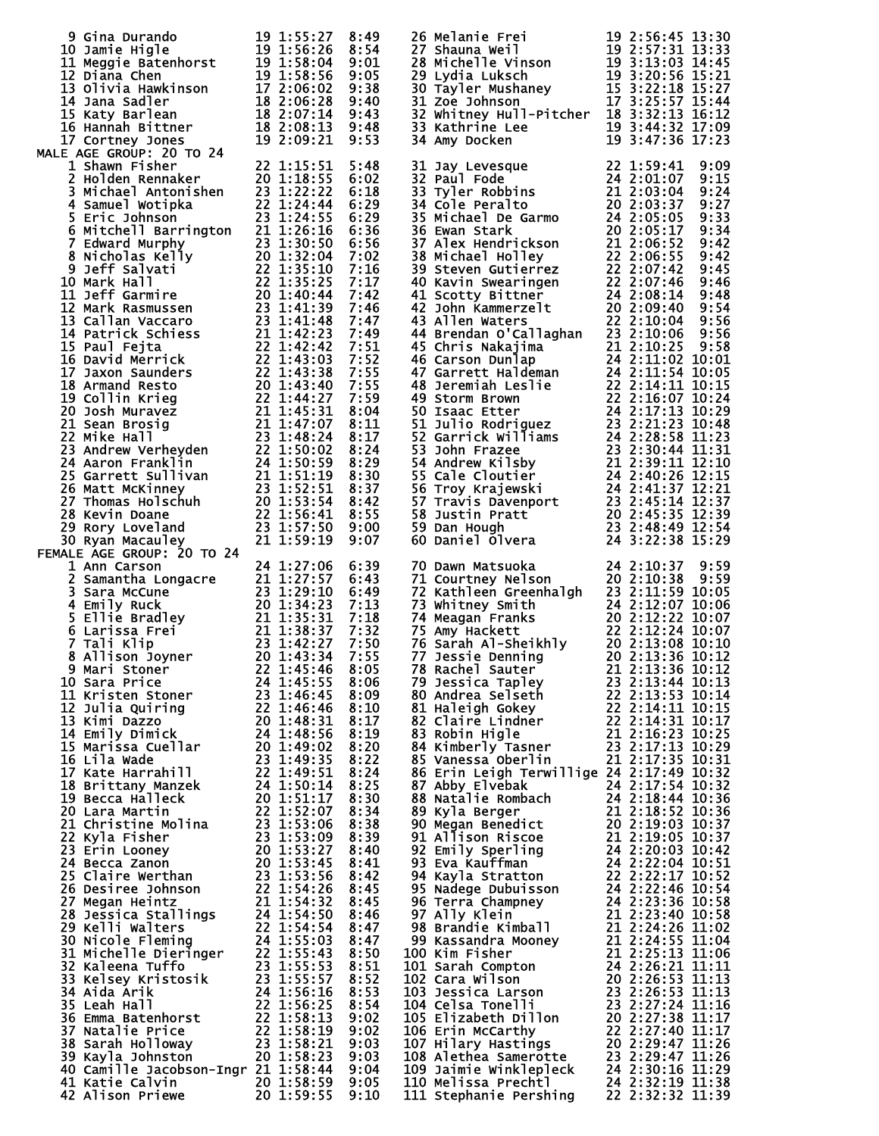| 9 Gina Durando<br>10 Jamie Higle<br>10 Jamie Higle<br>11 Meggie Batenhorst<br>12 Diana Chen<br>13 Olivia Hawkinson<br>17 2:06:02 9:38<br>14 Jana Sadler<br>15 Katy Barlean<br>16 Hannah Bittner<br>18 2:06:28 9:40<br>16 Hannah Bittner<br>18 2:07:14                                     |                                                                |              | <b>26 Melanie Frei</b><br>26 Melanie Frei<br>27 Shauna Weil<br>27 Shauna Weil<br>28 Michelle Vinson<br>29 Lydia Luksch<br>29 Lydia Luksch<br>29 Lydia Luksch<br>29 Lydia Luksch<br>29 Siles (19 3:20:56 15:21<br>30 Tayler Mushaney<br>25 Siles (19 3:22:18 15:27<br>31 Zoe Jo<br>33 Kathrine Lee<br>34 Amy Docken | 19 2:56:45 13:30<br>$19\overline{3:44:32}\overline{17:09}$<br>$19\overline{3:47:36}\overline{17:09}$ |
|-------------------------------------------------------------------------------------------------------------------------------------------------------------------------------------------------------------------------------------------------------------------------------------------|----------------------------------------------------------------|--------------|--------------------------------------------------------------------------------------------------------------------------------------------------------------------------------------------------------------------------------------------------------------------------------------------------------------------|------------------------------------------------------------------------------------------------------|
| <b>MALE AGE GROUP: 20 TO 24</b><br>17 Cortney Jones<br>18 AGE GROUP: 20 TO 24<br>19 2:09:21 9:53<br>19 2:09:21 9:53<br>19 2:09:21 9:53<br>20 11.15:51 5:48<br>20 11.15:51 5:48<br>20 11.15:51 5:48<br>4 Samuel Wotipka<br>5 Eric Johnson<br>6:22 1:24:44 6:29<br>5 Michell Barrington<br> |                                                                |              | 31 Jay Levesque<br>32 Paul Fode<br>32 Paul Fode<br>33 Tyler Robbins<br>34 Cole Peralto<br>35 Michael De Garmo<br>24 2:03:03:37<br>35 Michael De Garmo<br>24 2:05:05<br>36 Ewan Stark<br>37 Alex Hendrickson<br>21 2:06:52<br>38 Michael Holley<br>22 2:0                                                           | 9:09<br>9:15<br>9:24<br>9:27<br>9:33<br>9:34<br>9:42<br>9:42<br>9:45                                 |
|                                                                                                                                                                                                                                                                                           |                                                                |              | 43 Allen Waters<br>44 Brendan O'Callaghan 23 2:10:06                                                                                                                                                                                                                                                               | 9:46<br>9:48<br>9:54<br>9:56<br>9:56                                                                 |
|                                                                                                                                                                                                                                                                                           |                                                                |              | 44 Brendan 0'callaghan 23 2:10:06 9:56<br>45 Chris Nakajima 21 2:10:25 9:58<br>46 Carson Dunlap 24 2:11:02 10:01<br>47 Garrett Haldeman 24 2:11:54 10:05<br>48 Jeremiah Leslie 22 2:16:107 10:24<br>49 Storm Brown<br>22 2:16:07 10:24<br>49                                                                       |                                                                                                      |
| 30 Ryan Macauley<br>FEMALE AGE GROUP: 20 TO 24<br>1 Ann Carson                                                                                                                                                                                                                            | 21 1:59:19<br>24 1:27:06                                       | 9:07<br>6:39 | 70 Dawn Matsuoka                                                                                                                                                                                                                                                                                                   | 24 2:10:37<br>9:59                                                                                   |
| 1 Ann Carson<br>2 Samantha Longacre<br>3 Sara McCune<br>4 Emily Ruck<br>4 Emily Ruck<br>5 Ellie Bradley<br>5 Ellie Bradley<br>5 Larissa Frei<br>5 Larissa Frei<br>21 1:38:37 7:13<br>5 Clarissa Frei<br>21 1:38:37 7:32<br>7:13<br>7:13<br>7:13<br>7:13<br>7:1                            |                                                                |              | 70 Dawn Matsuoka<br>71 Courtney Nelson<br>72 Kathleen Greenhalgh<br>72 Kathleen Greenhalgh<br>73 Whitney Smith<br>74 24 2:12:07 10:06<br>75 Amy Hackett<br>75 Amy Hackett<br>76 Sarah Al-Sheikhly<br>76 Sarah Al-Sheikhly<br>76 Sarah Al-Sheikhly<br>                                                              |                                                                                                      |
|                                                                                                                                                                                                                                                                                           |                                                                |              | 78 Rachel Benning<br>78 Rachel Sauter 21 2:13:36 10:12<br>79 Jessica Tapley 23 2:13:44 10:13<br>80 Andrea Selseth 22 2:13:53 10:14<br>81 Haleigh Gokey 22 2:14:11 10:15<br>82 Claire Lindner 22 2:14:31 10:17<br>83 Robin Higle 21 2:16:23<br>86 Erin Leigh Terwillige 24 2:17:49 10:32                            |                                                                                                      |
|                                                                                                                                                                                                                                                                                           |                                                                |              |                                                                                                                                                                                                                                                                                                                    |                                                                                                      |
| 7 Tali Klip<br>8 Allison Joyner<br>8 Mari Stoner<br>20 1:43:27 7:55<br>9 Mari Stoner<br>22 1:45:46 8:05<br>11 Kristen Stoner<br>22 1:45:46 8:06<br>11 Kristen Stoner<br>22 1:46:45 8:09<br>12 Julia Quiring<br>22 1:46:45 8:09<br>12 Julia Quiring<br>22                                  |                                                                |              |                                                                                                                                                                                                                                                                                                                    |                                                                                                      |
| 40 Camille Jacobson-Ingr 21 1:58:44 9:04<br>41 Katie Calvin<br>42 Alison Priewe                                                                                                                                                                                                           | $20$ $\overline{1}:58:59$ $\overline{9}:05$<br>20 1:59:55 9:10 |              | 86 Erin Leigh Terwillige 24 2:17:39 10:32<br>87 Abby Elvebak 24 2:17:39 10:32<br>87 Abby Elvebak 24 2:17:54 10:32<br>88 Natalie Rombach 24 2:18:44 10:36<br>89 Kyla Berger<br>90 Megan Benedict 20 2:18:52 10:36<br>90 Megan Benedict 20 2:19:03                                                                   |                                                                                                      |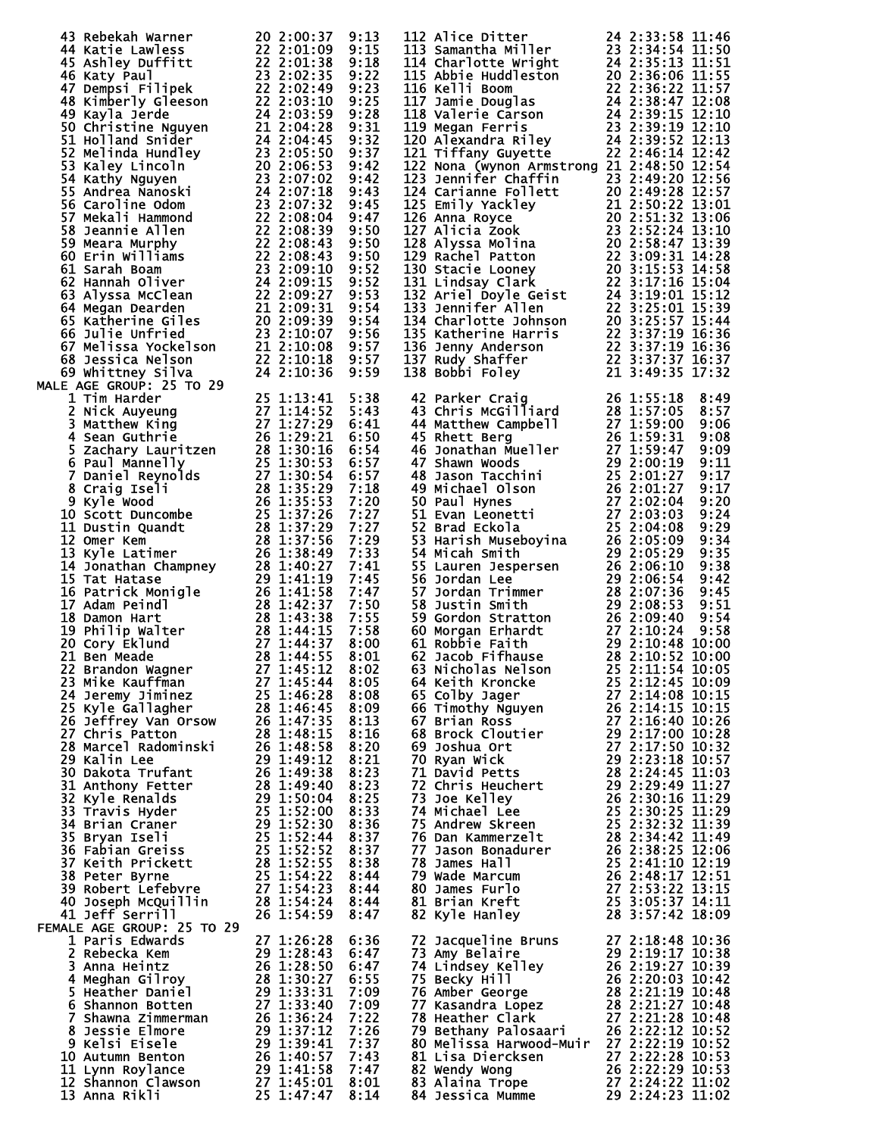| 43 Rebekah Warner<br>44 Katie Lawless<br>45 Ashley Duffitt<br>46 Katy Paul<br>45 Ashley Duffitt<br>22 2:01:38 9:18<br>46 Katy Paul<br>46 Katy Paul<br>46 Katy Paul<br>47 Demosi Filipek<br>48 Kimberly Gleeson<br>22 2:02:49 9:22<br>49 Kayla Jerde<br>4 |              | 112 Alice Ditter<br>113 Samantha Miller<br>113 Samantha Miller<br>123 2:34:54 11:50<br>114 Charlotte Wright<br>24 2:35:13 11:51<br>115 Abbie Huddleston<br>20 2:36:06 11:55<br>115 Abbie Huddleston<br>20 2:36:06 11:55<br>115 Kelli Boom<br>22 2:36              |                  |
|----------------------------------------------------------------------------------------------------------------------------------------------------------------------------------------------------------------------------------------------------------|--------------|-------------------------------------------------------------------------------------------------------------------------------------------------------------------------------------------------------------------------------------------------------------------|------------------|
|                                                                                                                                                                                                                                                          |              |                                                                                                                                                                                                                                                                   |                  |
|                                                                                                                                                                                                                                                          |              |                                                                                                                                                                                                                                                                   |                  |
|                                                                                                                                                                                                                                                          |              |                                                                                                                                                                                                                                                                   |                  |
|                                                                                                                                                                                                                                                          |              |                                                                                                                                                                                                                                                                   |                  |
|                                                                                                                                                                                                                                                          |              |                                                                                                                                                                                                                                                                   |                  |
|                                                                                                                                                                                                                                                          |              |                                                                                                                                                                                                                                                                   |                  |
|                                                                                                                                                                                                                                                          |              | 122 Nona (wynon Armstrong 21 2:48:50 12:54                                                                                                                                                                                                                        |                  |
|                                                                                                                                                                                                                                                          |              |                                                                                                                                                                                                                                                                   |                  |
|                                                                                                                                                                                                                                                          |              |                                                                                                                                                                                                                                                                   |                  |
|                                                                                                                                                                                                                                                          |              |                                                                                                                                                                                                                                                                   |                  |
|                                                                                                                                                                                                                                                          |              |                                                                                                                                                                                                                                                                   |                  |
|                                                                                                                                                                                                                                                          |              |                                                                                                                                                                                                                                                                   |                  |
|                                                                                                                                                                                                                                                          |              |                                                                                                                                                                                                                                                                   |                  |
|                                                                                                                                                                                                                                                          |              |                                                                                                                                                                                                                                                                   |                  |
|                                                                                                                                                                                                                                                          |              |                                                                                                                                                                                                                                                                   |                  |
|                                                                                                                                                                                                                                                          |              |                                                                                                                                                                                                                                                                   |                  |
|                                                                                                                                                                                                                                                          |              |                                                                                                                                                                                                                                                                   |                  |
|                                                                                                                                                                                                                                                          |              |                                                                                                                                                                                                                                                                   |                  |
|                                                                                                                                                                                                                                                          |              |                                                                                                                                                                                                                                                                   |                  |
| UE AGE GROUP: 25 TO 29<br>1 Tim Harder<br>2 Nick Auyeung<br>3 Matthew King<br>27 1:14:52<br>4 Sean Guthrie<br>5 Zachary Lauritzen<br>5 Zachary Lauritzen<br>6 Paul Mannelly<br>6 Paul Mannelly<br>7 Daniel Reynolds<br>27 1:30:53<br>7 Daniel Reynolds   |              | 122 Nona (wynon Armstrong 21 2:48:50 12:54<br>123 Jennifer Chaffin 23 2:49:20 12:56<br>124 Carianne Follett 20 2:49:28 12:57<br>125 Emily Yackley 21 2:50:22 13:01<br>126 Anna Royce 20 2:51:32 13:00<br>127 Alicia Zook 20 2:51:32 13:0                          |                  |
|                                                                                                                                                                                                                                                          | 5:38         |                                                                                                                                                                                                                                                                   |                  |
|                                                                                                                                                                                                                                                          | 5:43<br>6:41 |                                                                                                                                                                                                                                                                   |                  |
|                                                                                                                                                                                                                                                          | 6:50         |                                                                                                                                                                                                                                                                   |                  |
|                                                                                                                                                                                                                                                          | 6:54         |                                                                                                                                                                                                                                                                   |                  |
|                                                                                                                                                                                                                                                          | 6:57<br>6:57 |                                                                                                                                                                                                                                                                   |                  |
|                                                                                                                                                                                                                                                          | 7:18         |                                                                                                                                                                                                                                                                   |                  |
|                                                                                                                                                                                                                                                          | 7:20         |                                                                                                                                                                                                                                                                   |                  |
|                                                                                                                                                                                                                                                          | 7:27<br>7:27 |                                                                                                                                                                                                                                                                   |                  |
|                                                                                                                                                                                                                                                          | 7:29         |                                                                                                                                                                                                                                                                   |                  |
|                                                                                                                                                                                                                                                          | 7:33         |                                                                                                                                                                                                                                                                   |                  |
|                                                                                                                                                                                                                                                          | 7:41<br>7:45 |                                                                                                                                                                                                                                                                   |                  |
|                                                                                                                                                                                                                                                          | 7:47         |                                                                                                                                                                                                                                                                   |                  |
|                                                                                                                                                                                                                                                          | 7:50         |                                                                                                                                                                                                                                                                   |                  |
|                                                                                                                                                                                                                                                          | 7:55<br>7:58 |                                                                                                                                                                                                                                                                   |                  |
|                                                                                                                                                                                                                                                          | 8:00         |                                                                                                                                                                                                                                                                   |                  |
|                                                                                                                                                                                                                                                          | 8:01         |                                                                                                                                                                                                                                                                   |                  |
| 22 Brandon Wagner 27 1:45:12                                                                                                                                                                                                                             | 8:02         |                                                                                                                                                                                                                                                                   |                  |
|                                                                                                                                                                                                                                                          |              |                                                                                                                                                                                                                                                                   |                  |
|                                                                                                                                                                                                                                                          |              |                                                                                                                                                                                                                                                                   |                  |
|                                                                                                                                                                                                                                                          |              |                                                                                                                                                                                                                                                                   |                  |
|                                                                                                                                                                                                                                                          |              |                                                                                                                                                                                                                                                                   |                  |
|                                                                                                                                                                                                                                                          |              |                                                                                                                                                                                                                                                                   |                  |
|                                                                                                                                                                                                                                                          |              |                                                                                                                                                                                                                                                                   |                  |
|                                                                                                                                                                                                                                                          |              |                                                                                                                                                                                                                                                                   |                  |
|                                                                                                                                                                                                                                                          |              |                                                                                                                                                                                                                                                                   |                  |
|                                                                                                                                                                                                                                                          |              |                                                                                                                                                                                                                                                                   |                  |
|                                                                                                                                                                                                                                                          |              |                                                                                                                                                                                                                                                                   |                  |
|                                                                                                                                                                                                                                                          |              |                                                                                                                                                                                                                                                                   |                  |
|                                                                                                                                                                                                                                                          |              |                                                                                                                                                                                                                                                                   |                  |
|                                                                                                                                                                                                                                                          |              |                                                                                                                                                                                                                                                                   |                  |
| 21 Ben Meade<br>22 Brandon Wagner<br>22 Brandon Wagner<br>23 Mike Kauffman<br>27 1:45:12 8:02<br>25 Kyle Gallagher<br>25 1:46:28 8:08<br>25 Kyle Gallagher<br>28 1:46:28 8:08<br>25 Kyle Gallagher<br>28 1:46:28 8:08<br>29 Kalin Lee<br>29 1:48:15 8:   |              | 138 Bobbi Foley 21 3:49:35 17:32<br>42 Parker Craig 26 1:55:18 8:49<br>44 Chris McGillliard 26 1:55:18 8:49<br>44 Matthew Campbell 22 1:59:00 8:56 8:5<br>44 Matthew Campbell 22 1:59:31 9:00 8:06<br>46 Jonathan Mueller 22 1:59:31 9:00<br>46<br>82 Kyle Hanley | 28 3:57:42 18:09 |
| FEMALE AGE GROUP: 25 TO 29                                                                                                                                                                                                                               | 6:36         |                                                                                                                                                                                                                                                                   |                  |
|                                                                                                                                                                                                                                                          | 6:47         | 72 Jacqueline Bruns<br>73 Amy Belaire<br>73 Amy Belaire<br>74 Lindsey Kelley<br>75 Becky Hill<br>76 Amber George<br>76 Amber George<br>77 Kasandra Lopez<br>78 Heather Clark<br>78 Methany Palosaari<br>78 Bethany Palosaari<br>79 Bethany Palosaari              |                  |
|                                                                                                                                                                                                                                                          | 6:47         |                                                                                                                                                                                                                                                                   |                  |
|                                                                                                                                                                                                                                                          | 6:55<br>7:09 |                                                                                                                                                                                                                                                                   |                  |
|                                                                                                                                                                                                                                                          | 7:09         |                                                                                                                                                                                                                                                                   |                  |
|                                                                                                                                                                                                                                                          | 7:22         |                                                                                                                                                                                                                                                                   |                  |
|                                                                                                                                                                                                                                                          | 7:26<br>7:37 |                                                                                                                                                                                                                                                                   |                  |
| WALE AGE GROUP: 25 TO 29<br>1 Paris Edwards<br>2 Rebecka Kem<br>3 Anna Heintz<br>4 Meghan Gilroy<br>5 Heather Daniel<br>6 Shannon Botten<br>7 Shawma Zimmerman<br>7 Shawma Zimmerman<br>26 1:33:40<br>7 Shawma Zimmerman<br>26 1:36:24<br>8 Jessie Elm   | 7:43         | 80 Melissa Harwood-Muir 27 2:22:19 10:52                                                                                                                                                                                                                          |                  |
|                                                                                                                                                                                                                                                          | 7:47         | 81 Lisa Diercksen<br>82 Wendy Wong<br>82 Wendy Wong<br>83 Alaina Trope<br>84 Jessica Mumme<br>84 Jessica Mumme<br>84 Jessica Mumme<br>84 Jessica Mumme<br>84 Jessica Mumme<br>84 Jessica Mumme<br>84 2:224:23 11:02                                               |                  |
|                                                                                                                                                                                                                                                          | 8:01<br>8:14 |                                                                                                                                                                                                                                                                   |                  |
|                                                                                                                                                                                                                                                          |              |                                                                                                                                                                                                                                                                   |                  |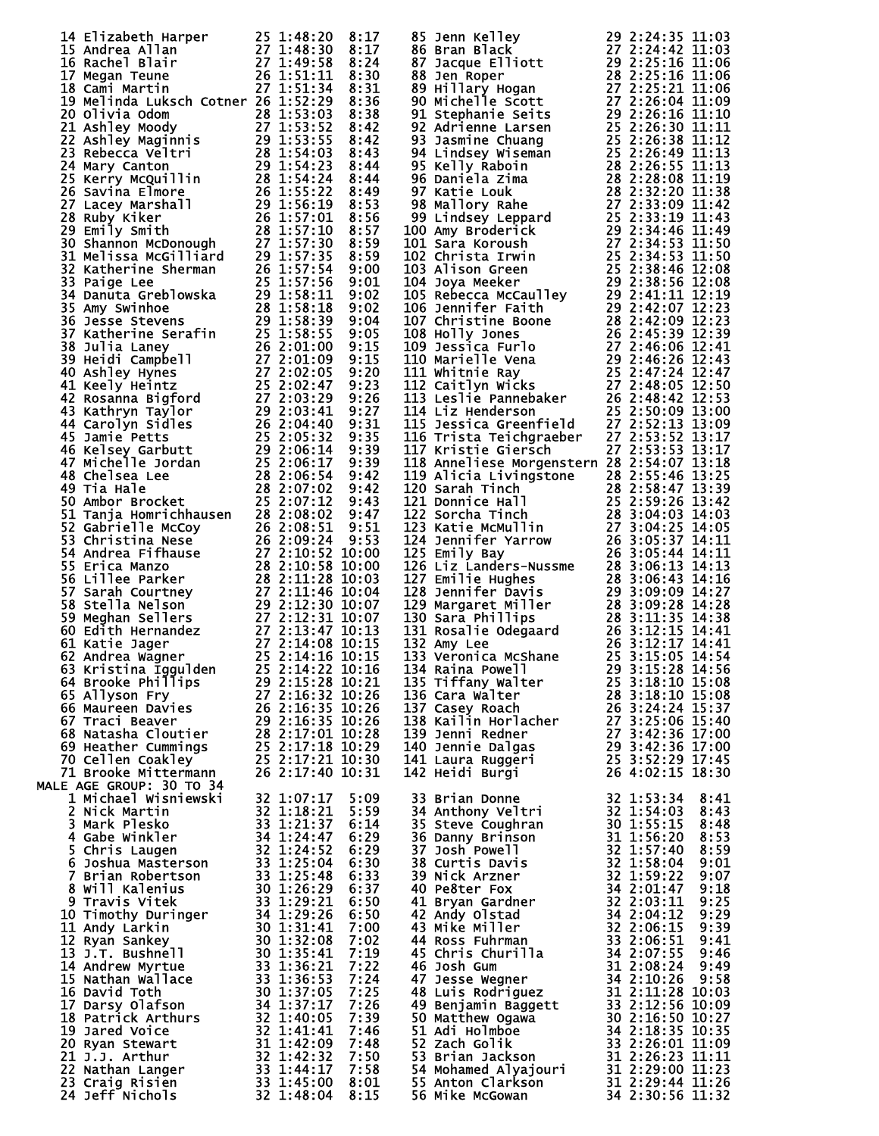| 14 Elizabeth Harper 25 1:48:20<br>15 Andrea Allan 27 1:48:30<br>16 Rachel Blair 27 1:49:58<br>17 Megan Teune 26 1:51:11<br>18 Cami Martin 27 1:51:34                                                                                                     |  | 8:17         | 85 Jenn Kelley<br>29 2:24:35 11:03<br>86 Bran Black<br>27 2:24:42 11:03<br>87 Jacque Elliott<br>29 2:25:16 11:06<br>88 Jenn Roper<br>28 2:25:16 11:06<br>89 Hillary Hogan<br>90 Michelle Scott<br>27 2:26:04 11:09<br>91 Stephanie Seits<br>27 2:26:04     |                  |              |
|----------------------------------------------------------------------------------------------------------------------------------------------------------------------------------------------------------------------------------------------------------|--|--------------|------------------------------------------------------------------------------------------------------------------------------------------------------------------------------------------------------------------------------------------------------------|------------------|--------------|
|                                                                                                                                                                                                                                                          |  | 8:17         |                                                                                                                                                                                                                                                            |                  |              |
|                                                                                                                                                                                                                                                          |  | 8:24         |                                                                                                                                                                                                                                                            |                  |              |
| 17 Megan Teune (26 1:51:11 8:30<br>18 Cami Martin 22 1:51:11 8:33<br>18 Cami Martin 227 1:51:134 8:33<br>20 Olivia Odom 27 1:51:34 8:33<br>20 Olivia Odom 27 1:51:34 8:36<br>22 Ashley Maginnis 29 1:53:52 8:442<br>23 Rebecca Velui 1:4<br>24 Mar       |  | 8:30         |                                                                                                                                                                                                                                                            |                  |              |
| 19 Melinda Luksch Cotner 26 1:52:29                                                                                                                                                                                                                      |  | 8:31<br>8:36 |                                                                                                                                                                                                                                                            |                  |              |
|                                                                                                                                                                                                                                                          |  |              |                                                                                                                                                                                                                                                            |                  |              |
|                                                                                                                                                                                                                                                          |  |              |                                                                                                                                                                                                                                                            |                  |              |
|                                                                                                                                                                                                                                                          |  |              |                                                                                                                                                                                                                                                            |                  |              |
|                                                                                                                                                                                                                                                          |  |              |                                                                                                                                                                                                                                                            |                  |              |
|                                                                                                                                                                                                                                                          |  |              |                                                                                                                                                                                                                                                            |                  |              |
|                                                                                                                                                                                                                                                          |  |              |                                                                                                                                                                                                                                                            |                  |              |
|                                                                                                                                                                                                                                                          |  |              |                                                                                                                                                                                                                                                            |                  |              |
|                                                                                                                                                                                                                                                          |  |              |                                                                                                                                                                                                                                                            |                  |              |
|                                                                                                                                                                                                                                                          |  |              |                                                                                                                                                                                                                                                            |                  |              |
|                                                                                                                                                                                                                                                          |  |              |                                                                                                                                                                                                                                                            |                  |              |
|                                                                                                                                                                                                                                                          |  |              |                                                                                                                                                                                                                                                            |                  |              |
|                                                                                                                                                                                                                                                          |  |              |                                                                                                                                                                                                                                                            |                  |              |
|                                                                                                                                                                                                                                                          |  |              |                                                                                                                                                                                                                                                            |                  |              |
|                                                                                                                                                                                                                                                          |  |              |                                                                                                                                                                                                                                                            |                  |              |
|                                                                                                                                                                                                                                                          |  |              |                                                                                                                                                                                                                                                            |                  |              |
|                                                                                                                                                                                                                                                          |  |              |                                                                                                                                                                                                                                                            |                  |              |
|                                                                                                                                                                                                                                                          |  |              |                                                                                                                                                                                                                                                            |                  |              |
|                                                                                                                                                                                                                                                          |  |              |                                                                                                                                                                                                                                                            |                  |              |
|                                                                                                                                                                                                                                                          |  |              |                                                                                                                                                                                                                                                            |                  |              |
|                                                                                                                                                                                                                                                          |  |              |                                                                                                                                                                                                                                                            |                  |              |
|                                                                                                                                                                                                                                                          |  |              |                                                                                                                                                                                                                                                            |                  |              |
|                                                                                                                                                                                                                                                          |  |              |                                                                                                                                                                                                                                                            |                  |              |
|                                                                                                                                                                                                                                                          |  |              |                                                                                                                                                                                                                                                            |                  |              |
|                                                                                                                                                                                                                                                          |  |              | 116 Trista Teichgraeber 27 2:53:52 13:17                                                                                                                                                                                                                   |                  |              |
|                                                                                                                                                                                                                                                          |  |              | 117 Kristie Giersch                                                                                                                                                                                                                                        | 27 2:53:53 13:17 |              |
|                                                                                                                                                                                                                                                          |  |              | 118 Anneliese Morgenstern 28 2:54:07 13:18                                                                                                                                                                                                                 |                  |              |
|                                                                                                                                                                                                                                                          |  |              |                                                                                                                                                                                                                                                            |                  |              |
|                                                                                                                                                                                                                                                          |  |              |                                                                                                                                                                                                                                                            |                  |              |
|                                                                                                                                                                                                                                                          |  |              |                                                                                                                                                                                                                                                            |                  |              |
|                                                                                                                                                                                                                                                          |  |              |                                                                                                                                                                                                                                                            |                  |              |
|                                                                                                                                                                                                                                                          |  |              |                                                                                                                                                                                                                                                            |                  |              |
|                                                                                                                                                                                                                                                          |  |              |                                                                                                                                                                                                                                                            |                  |              |
|                                                                                                                                                                                                                                                          |  |              | 118 Anneliese Morgenstern 28 2:54:07 13:18<br>119 Alicia Livingstone 28 2:55:46 13:25<br>120 Sarah Tinch 28 2:55:46 13:25<br>121 Donnice Hall 25 2:58:47 13:39<br>121 Donnice Hall 25 2:59:26 13:42<br>122 Sorcha Tinch 28 3:04:25 14:05                   |                  |              |
|                                                                                                                                                                                                                                                          |  |              |                                                                                                                                                                                                                                                            |                  |              |
|                                                                                                                                                                                                                                                          |  |              |                                                                                                                                                                                                                                                            |                  |              |
|                                                                                                                                                                                                                                                          |  |              |                                                                                                                                                                                                                                                            |                  |              |
|                                                                                                                                                                                                                                                          |  |              |                                                                                                                                                                                                                                                            |                  |              |
|                                                                                                                                                                                                                                                          |  |              |                                                                                                                                                                                                                                                            |                  |              |
|                                                                                                                                                                                                                                                          |  |              |                                                                                                                                                                                                                                                            |                  |              |
|                                                                                                                                                                                                                                                          |  |              |                                                                                                                                                                                                                                                            |                  |              |
|                                                                                                                                                                                                                                                          |  |              |                                                                                                                                                                                                                                                            |                  |              |
|                                                                                                                                                                                                                                                          |  |              | 135 Tiffany Walter                                                                                                                                                                                                                                         | 25 3:18:10 15:08 |              |
|                                                                                                                                                                                                                                                          |  |              | 136 Cara Walter                                                                                                                                                                                                                                            | 28 3:18:10 15:08 |              |
|                                                                                                                                                                                                                                                          |  |              | 137 Casey Roach                                                                                                                                                                                                                                            | 26 3:24:24 15:37 |              |
|                                                                                                                                                                                                                                                          |  |              | 138 Kailin Horlacher 27 3:25:06 15:40<br>139 Jenni Redner 27 3:42:36 17:00                                                                                                                                                                                 |                  |              |
|                                                                                                                                                                                                                                                          |  |              | 139 Jenni Redner                                                                                                                                                                                                                                           | 27 3:42:36 17:00 |              |
|                                                                                                                                                                                                                                                          |  |              | 29 3:42:36 17:00<br>25 3:52:29 17:45<br>26 4:02:15 18:30<br>140 Jennie Dalgas                                                                                                                                                                              |                  |              |
|                                                                                                                                                                                                                                                          |  |              | 141 Laura Ruggeri<br>142 Heidi Burgi                                                                                                                                                                                                                       |                  |              |
| MALE AGE GROUP: 30 TO 34                                                                                                                                                                                                                                 |  |              |                                                                                                                                                                                                                                                            |                  |              |
|                                                                                                                                                                                                                                                          |  | 5:09         |                                                                                                                                                                                                                                                            |                  | 8:41         |
|                                                                                                                                                                                                                                                          |  | 5:59         |                                                                                                                                                                                                                                                            |                  | 8:43         |
|                                                                                                                                                                                                                                                          |  | 6:14         | 33 Brian Donne<br>34 Anthony Veltri<br>35 Steve Coughran<br>36 Danny Brinson<br>36 Danny Brinson<br>31 1:55:15<br>36 Danny Brinson<br>31 1:55:12<br>37 Josh Powell<br>32 1:58:20<br>38 Curtis Davis<br>32 1:58:04<br>32 1:58:04<br>39 Nick Arzner<br>32 1: |                  | 8:48         |
|                                                                                                                                                                                                                                                          |  | 6:29         |                                                                                                                                                                                                                                                            |                  | 8:53         |
|                                                                                                                                                                                                                                                          |  | 6:29         |                                                                                                                                                                                                                                                            |                  | 8:59         |
|                                                                                                                                                                                                                                                          |  | 6:30         |                                                                                                                                                                                                                                                            |                  | 9:01         |
|                                                                                                                                                                                                                                                          |  | 6:33         |                                                                                                                                                                                                                                                            |                  | 9:07         |
|                                                                                                                                                                                                                                                          |  | 6:37         |                                                                                                                                                                                                                                                            |                  | 9:18         |
|                                                                                                                                                                                                                                                          |  | 6:50         |                                                                                                                                                                                                                                                            |                  | 9:25         |
|                                                                                                                                                                                                                                                          |  | 6:50<br>7:00 |                                                                                                                                                                                                                                                            |                  | 9:29<br>9:39 |
|                                                                                                                                                                                                                                                          |  | 7:02         |                                                                                                                                                                                                                                                            |                  | 9:41         |
|                                                                                                                                                                                                                                                          |  | 7:19         |                                                                                                                                                                                                                                                            |                  | 9:46         |
|                                                                                                                                                                                                                                                          |  | 7:22         |                                                                                                                                                                                                                                                            |                  | 9:49         |
|                                                                                                                                                                                                                                                          |  | 7:24         |                                                                                                                                                                                                                                                            |                  | 9:58         |
|                                                                                                                                                                                                                                                          |  | 7:25         |                                                                                                                                                                                                                                                            |                  |              |
|                                                                                                                                                                                                                                                          |  | 7:26         |                                                                                                                                                                                                                                                            |                  |              |
|                                                                                                                                                                                                                                                          |  | 7:39         |                                                                                                                                                                                                                                                            |                  |              |
|                                                                                                                                                                                                                                                          |  | 7:46         |                                                                                                                                                                                                                                                            |                  |              |
|                                                                                                                                                                                                                                                          |  | 7:48         |                                                                                                                                                                                                                                                            |                  |              |
|                                                                                                                                                                                                                                                          |  | 7:50         |                                                                                                                                                                                                                                                            |                  |              |
| 18 BOGUP: 30 TO 34<br>18 Michael Wisniewski<br>18 Michael Wisniewski<br>32 1:07:17<br>2 Nick Martin<br>32 1:18:21<br>3 Mark Plesko<br>4 Gabe Wisniewski<br>5 Chris Laugen<br>5 Chris Laugen<br>5 Schris Laugen<br>7 Brian Robertson<br>33 1:25:04<br>7 B |  | 7:58         | 47 Jesse wegner<br>48 Luis Rodriguez<br>49 Benjamin Baggett<br>49 Benjamin Baggett<br>50 Matthew Ogawa<br>50 Matthew Ogawa<br>30 2:16:50 10:27<br>51 Adi Holmbe<br>34 2:18:35 10:35<br>52 zach Golik<br>33 2:26:01 11:09<br>53 Brian Jackson<br>31 2:2     |                  |              |
|                                                                                                                                                                                                                                                          |  | 8:01<br>8:15 |                                                                                                                                                                                                                                                            |                  |              |
|                                                                                                                                                                                                                                                          |  |              |                                                                                                                                                                                                                                                            |                  |              |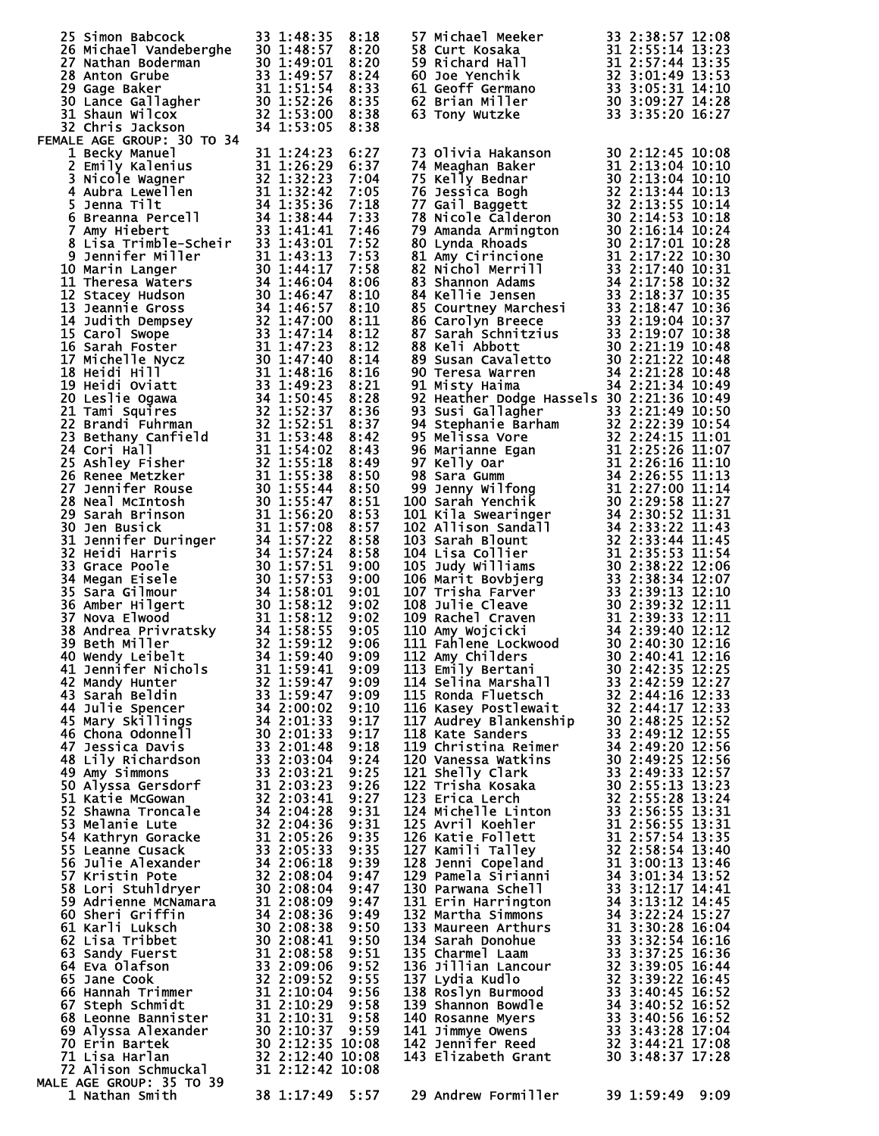| 25 simon Babcock 33 1:48:35 8:18<br>26 Michael Vandeberghe 30 1:48:57 8:20<br>27 Nathan Boderman 30 1:49:01 8:20<br>28 Anton Grube 33 1:49:57 8:24<br>29 Gage Baker 31 1:51:54 8:33<br>30 Lance Gallagher 30 1:52:26 8:35<br>31 Shaun Wilc |                 |  | 57 Michael Meeker<br>58 Curt Kosaka<br>59 Richard Hall<br>60 Joe Yenchik<br>60 Joe Yenchik<br>61 Geoff Germano<br>62 Brian Miller<br>63 Tony Wutzke<br>63 Tony Wutzke<br>83 3:05:31 14:10<br>62 Brian Miller<br>80 3:09:27 14:28<br>63 Tony Wutzke<br>83 |                 |  |
|--------------------------------------------------------------------------------------------------------------------------------------------------------------------------------------------------------------------------------------------|-----------------|--|----------------------------------------------------------------------------------------------------------------------------------------------------------------------------------------------------------------------------------------------------------|-----------------|--|
|                                                                                                                                                                                                                                            |                 |  |                                                                                                                                                                                                                                                          |                 |  |
|                                                                                                                                                                                                                                            |                 |  |                                                                                                                                                                                                                                                          |                 |  |
|                                                                                                                                                                                                                                            |                 |  |                                                                                                                                                                                                                                                          |                 |  |
|                                                                                                                                                                                                                                            |                 |  |                                                                                                                                                                                                                                                          |                 |  |
|                                                                                                                                                                                                                                            |                 |  |                                                                                                                                                                                                                                                          |                 |  |
|                                                                                                                                                                                                                                            |                 |  | 73 Olivia Hakanson<br>74 Meaghan Baker<br>75 Nelly Bednar<br>76 Jessica Bogh<br>81 2:13:04 10:10<br>76 Jessica Bogh<br>32 2:13:44 10:13<br>77 Gail Baggett<br>32 2:13:54 10:13<br>77 Gail Baggett<br>32 2:13:55 10:14<br>78 Nicole Calderon<br>30 2:14   |                 |  |
|                                                                                                                                                                                                                                            |                 |  |                                                                                                                                                                                                                                                          |                 |  |
|                                                                                                                                                                                                                                            |                 |  |                                                                                                                                                                                                                                                          |                 |  |
|                                                                                                                                                                                                                                            |                 |  |                                                                                                                                                                                                                                                          |                 |  |
|                                                                                                                                                                                                                                            |                 |  |                                                                                                                                                                                                                                                          |                 |  |
|                                                                                                                                                                                                                                            |                 |  |                                                                                                                                                                                                                                                          |                 |  |
|                                                                                                                                                                                                                                            |                 |  |                                                                                                                                                                                                                                                          |                 |  |
|                                                                                                                                                                                                                                            |                 |  |                                                                                                                                                                                                                                                          |                 |  |
|                                                                                                                                                                                                                                            |                 |  |                                                                                                                                                                                                                                                          |                 |  |
|                                                                                                                                                                                                                                            |                 |  |                                                                                                                                                                                                                                                          |                 |  |
|                                                                                                                                                                                                                                            |                 |  |                                                                                                                                                                                                                                                          |                 |  |
|                                                                                                                                                                                                                                            |                 |  |                                                                                                                                                                                                                                                          |                 |  |
| 29 Gage Baiker, 1911 1:31:14:14<br>19 Gage Baiker, 1911 1:31:14:14:14:15:14:24<br>19 Game William (1928)<br>19 Lineck, Manuel 1920 1:32:16:15:15:16:15:15:16:25:25<br>19 Lineck, Manuel 1930 1:32:16:25:25<br>19 Came Waller Higher Sta    |                 |  | 88 keli Abbott<br>180 keli Abbott<br>180 susan Cavaletto<br>180 Susan Cavaletto<br>180 Susan Cavaletto<br>180 Susan Cavaletto<br>181 Sty Haima<br>181 Sty Haima<br>181 Sty Haima<br>181 Sty Haima<br>181 Sty Haima<br>181 Sty Haima<br>181 Sty Haima<br> |                 |  |
|                                                                                                                                                                                                                                            |                 |  |                                                                                                                                                                                                                                                          |                 |  |
| <b>MALE AGE GROUP: 35 TO 39</b><br>1 Nathan Smith                                                                                                                                                                                          | 38 1:17:49 5:57 |  | 29 Andrew Formiller                                                                                                                                                                                                                                      | 39 1:59:49 9:09 |  |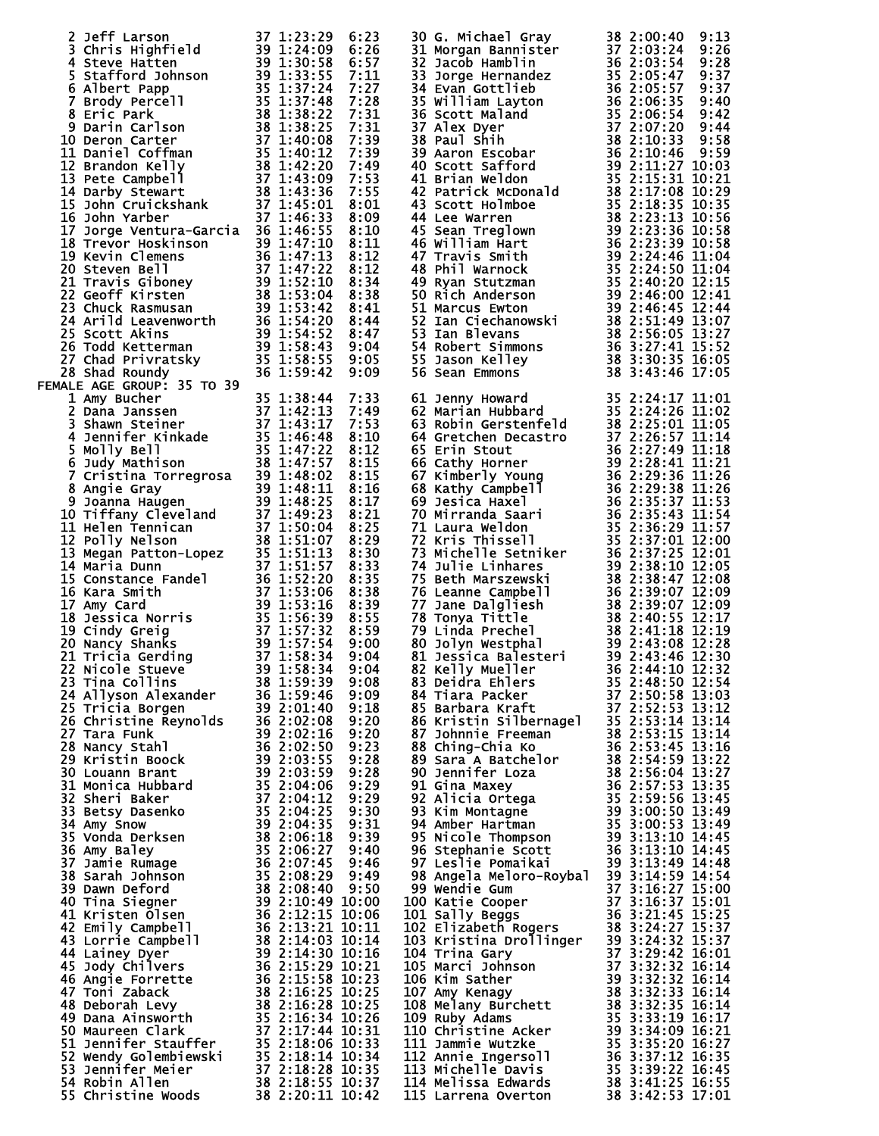|                                                                                                                                                                                                                                                                                                                                                                           |  | 30 G. Michael Gray 38 2:00:40 9:13<br>31 Morgan Bannister 37 2:03:24 9:28<br>31 Morgan Bannister 37 2:03:24 9:28<br>33 Jacob Hamblin 36 2:03:54 9:28<br>33 Jacob Hamblin 1 36 2:05:57 9:37<br>36 Scott Maland 35 2:06:35 9:47<br>36 Scott   |  |
|---------------------------------------------------------------------------------------------------------------------------------------------------------------------------------------------------------------------------------------------------------------------------------------------------------------------------------------------------------------------------|--|---------------------------------------------------------------------------------------------------------------------------------------------------------------------------------------------------------------------------------------------|--|
|                                                                                                                                                                                                                                                                                                                                                                           |  |                                                                                                                                                                                                                                             |  |
|                                                                                                                                                                                                                                                                                                                                                                           |  |                                                                                                                                                                                                                                             |  |
|                                                                                                                                                                                                                                                                                                                                                                           |  |                                                                                                                                                                                                                                             |  |
|                                                                                                                                                                                                                                                                                                                                                                           |  |                                                                                                                                                                                                                                             |  |
|                                                                                                                                                                                                                                                                                                                                                                           |  |                                                                                                                                                                                                                                             |  |
|                                                                                                                                                                                                                                                                                                                                                                           |  |                                                                                                                                                                                                                                             |  |
|                                                                                                                                                                                                                                                                                                                                                                           |  |                                                                                                                                                                                                                                             |  |
|                                                                                                                                                                                                                                                                                                                                                                           |  |                                                                                                                                                                                                                                             |  |
|                                                                                                                                                                                                                                                                                                                                                                           |  |                                                                                                                                                                                                                                             |  |
|                                                                                                                                                                                                                                                                                                                                                                           |  |                                                                                                                                                                                                                                             |  |
|                                                                                                                                                                                                                                                                                                                                                                           |  |                                                                                                                                                                                                                                             |  |
|                                                                                                                                                                                                                                                                                                                                                                           |  |                                                                                                                                                                                                                                             |  |
|                                                                                                                                                                                                                                                                                                                                                                           |  |                                                                                                                                                                                                                                             |  |
|                                                                                                                                                                                                                                                                                                                                                                           |  |                                                                                                                                                                                                                                             |  |
|                                                                                                                                                                                                                                                                                                                                                                           |  |                                                                                                                                                                                                                                             |  |
|                                                                                                                                                                                                                                                                                                                                                                           |  |                                                                                                                                                                                                                                             |  |
|                                                                                                                                                                                                                                                                                                                                                                           |  |                                                                                                                                                                                                                                             |  |
|                                                                                                                                                                                                                                                                                                                                                                           |  |                                                                                                                                                                                                                                             |  |
|                                                                                                                                                                                                                                                                                                                                                                           |  |                                                                                                                                                                                                                                             |  |
|                                                                                                                                                                                                                                                                                                                                                                           |  |                                                                                                                                                                                                                                             |  |
|                                                                                                                                                                                                                                                                                                                                                                           |  |                                                                                                                                                                                                                                             |  |
|                                                                                                                                                                                                                                                                                                                                                                           |  |                                                                                                                                                                                                                                             |  |
|                                                                                                                                                                                                                                                                                                                                                                           |  |                                                                                                                                                                                                                                             |  |
|                                                                                                                                                                                                                                                                                                                                                                           |  |                                                                                                                                                                                                                                             |  |
|                                                                                                                                                                                                                                                                                                                                                                           |  |                                                                                                                                                                                                                                             |  |
|                                                                                                                                                                                                                                                                                                                                                                           |  |                                                                                                                                                                                                                                             |  |
|                                                                                                                                                                                                                                                                                                                                                                           |  |                                                                                                                                                                                                                                             |  |
|                                                                                                                                                                                                                                                                                                                                                                           |  |                                                                                                                                                                                                                                             |  |
|                                                                                                                                                                                                                                                                                                                                                                           |  |                                                                                                                                                                                                                                             |  |
|                                                                                                                                                                                                                                                                                                                                                                           |  |                                                                                                                                                                                                                                             |  |
|                                                                                                                                                                                                                                                                                                                                                                           |  |                                                                                                                                                                                                                                             |  |
|                                                                                                                                                                                                                                                                                                                                                                           |  |                                                                                                                                                                                                                                             |  |
|                                                                                                                                                                                                                                                                                                                                                                           |  |                                                                                                                                                                                                                                             |  |
|                                                                                                                                                                                                                                                                                                                                                                           |  |                                                                                                                                                                                                                                             |  |
|                                                                                                                                                                                                                                                                                                                                                                           |  |                                                                                                                                                                                                                                             |  |
|                                                                                                                                                                                                                                                                                                                                                                           |  |                                                                                                                                                                                                                                             |  |
|                                                                                                                                                                                                                                                                                                                                                                           |  |                                                                                                                                                                                                                                             |  |
|                                                                                                                                                                                                                                                                                                                                                                           |  |                                                                                                                                                                                                                                             |  |
|                                                                                                                                                                                                                                                                                                                                                                           |  |                                                                                                                                                                                                                                             |  |
|                                                                                                                                                                                                                                                                                                                                                                           |  |                                                                                                                                                                                                                                             |  |
|                                                                                                                                                                                                                                                                                                                                                                           |  |                                                                                                                                                                                                                                             |  |
|                                                                                                                                                                                                                                                                                                                                                                           |  |                                                                                                                                                                                                                                             |  |
|                                                                                                                                                                                                                                                                                                                                                                           |  |                                                                                                                                                                                                                                             |  |
|                                                                                                                                                                                                                                                                                                                                                                           |  |                                                                                                                                                                                                                                             |  |
|                                                                                                                                                                                                                                                                                                                                                                           |  |                                                                                                                                                                                                                                             |  |
|                                                                                                                                                                                                                                                                                                                                                                           |  |                                                                                                                                                                                                                                             |  |
|                                                                                                                                                                                                                                                                                                                                                                           |  |                                                                                                                                                                                                                                             |  |
|                                                                                                                                                                                                                                                                                                                                                                           |  |                                                                                                                                                                                                                                             |  |
|                                                                                                                                                                                                                                                                                                                                                                           |  |                                                                                                                                                                                                                                             |  |
|                                                                                                                                                                                                                                                                                                                                                                           |  |                                                                                                                                                                                                                                             |  |
|                                                                                                                                                                                                                                                                                                                                                                           |  |                                                                                                                                                                                                                                             |  |
|                                                                                                                                                                                                                                                                                                                                                                           |  |                                                                                                                                                                                                                                             |  |
|                                                                                                                                                                                                                                                                                                                                                                           |  |                                                                                                                                                                                                                                             |  |
|                                                                                                                                                                                                                                                                                                                                                                           |  |                                                                                                                                                                                                                                             |  |
|                                                                                                                                                                                                                                                                                                                                                                           |  |                                                                                                                                                                                                                                             |  |
|                                                                                                                                                                                                                                                                                                                                                                           |  |                                                                                                                                                                                                                                             |  |
|                                                                                                                                                                                                                                                                                                                                                                           |  |                                                                                                                                                                                                                                             |  |
|                                                                                                                                                                                                                                                                                                                                                                           |  |                                                                                                                                                                                                                                             |  |
|                                                                                                                                                                                                                                                                                                                                                                           |  |                                                                                                                                                                                                                                             |  |
|                                                                                                                                                                                                                                                                                                                                                                           |  |                                                                                                                                                                                                                                             |  |
|                                                                                                                                                                                                                                                                                                                                                                           |  |                                                                                                                                                                                                                                             |  |
|                                                                                                                                                                                                                                                                                                                                                                           |  |                                                                                                                                                                                                                                             |  |
|                                                                                                                                                                                                                                                                                                                                                                           |  |                                                                                                                                                                                                                                             |  |
|                                                                                                                                                                                                                                                                                                                                                                           |  |                                                                                                                                                                                                                                             |  |
|                                                                                                                                                                                                                                                                                                                                                                           |  |                                                                                                                                                                                                                                             |  |
|                                                                                                                                                                                                                                                                                                                                                                           |  |                                                                                                                                                                                                                                             |  |
|                                                                                                                                                                                                                                                                                                                                                                           |  |                                                                                                                                                                                                                                             |  |
|                                                                                                                                                                                                                                                                                                                                                                           |  |                                                                                                                                                                                                                                             |  |
|                                                                                                                                                                                                                                                                                                                                                                           |  |                                                                                                                                                                                                                                             |  |
|                                                                                                                                                                                                                                                                                                                                                                           |  |                                                                                                                                                                                                                                             |  |
| $\begin{small} \textbf{2.94} & \textbf{3.13} & \textbf{1.13} & \textbf{2.13} & \textbf{2.13} & \textbf{2.13} & \textbf{2.13} & \textbf{2.13} & \textbf{2.13} & \textbf{2.13} & \textbf{2.13} & \textbf{2.13} & \textbf{2.13} & \textbf{2.13} & \textbf{2.13} & \textbf{2.13} & \textbf{2.13} & \textbf{2.13} & \textbf{2.13} & \textbf{2.13} & \textbf{2.13} & \textbf{2$ |  | 555 Dason Ealliey<br>556 Dason Kalliey<br>56 Sean Emmons 38 31:30:15 T6:05<br>186 Sean Emmons 38 31:30:15 T6:05<br>186 Sean Emmons 38 31:30:11 01<br>66 Gretchen Decesstro 37 2:22:30 11:05<br>66 Gretchen Decesstro 37 2:22:30 11:05<br>66 |  |
|                                                                                                                                                                                                                                                                                                                                                                           |  |                                                                                                                                                                                                                                             |  |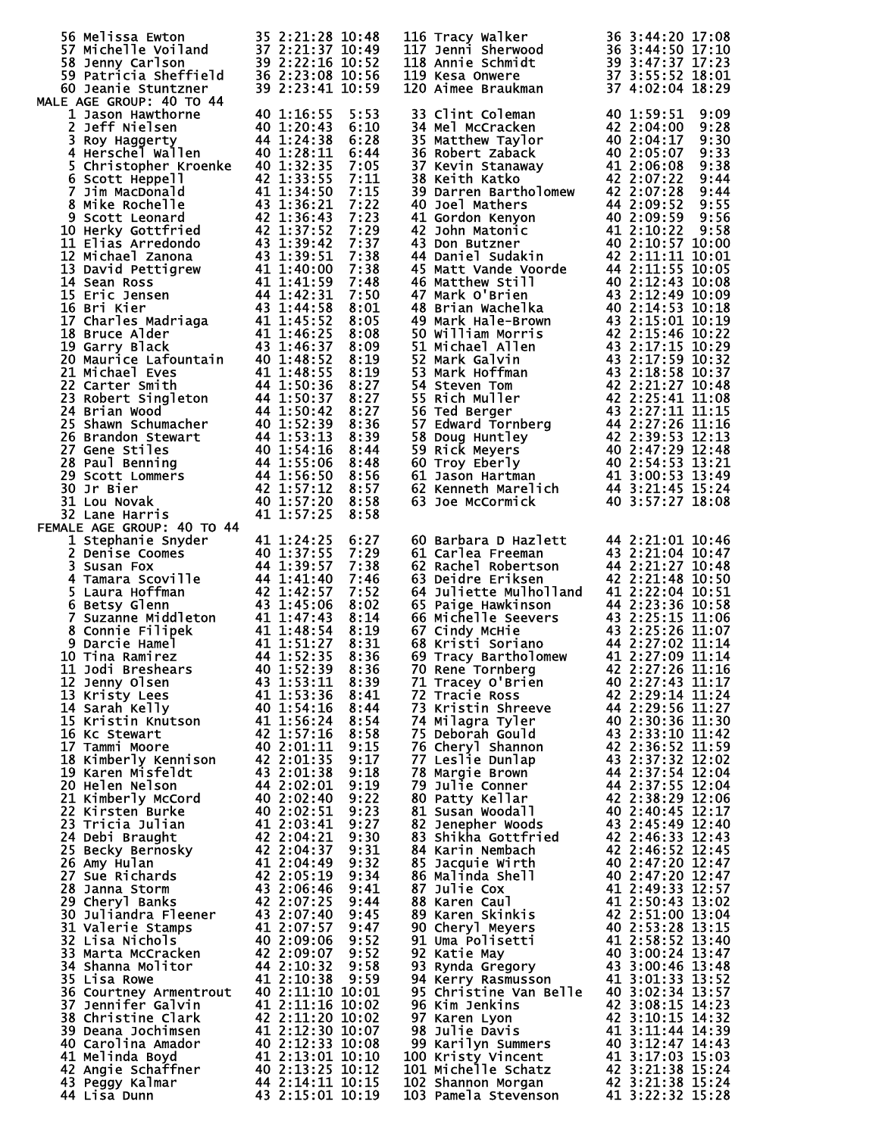| 56 Melissa Ewton 35 2:21:28 10:48<br>57 Michelle Voiland 37 2:21:37 10:49<br>58 Jenny Carlson 39 2:22:16 10:52<br>59 Patricia Sheffield 36 2:23:08 10:56<br>60 Jeanie Stuntzner 39 2:23:41 10:59                                                         |                                                                                                    |              |                                           | 116 Tracy walker<br>117 Jenni Sherwood<br>118 Annie Schmidt<br>118 Annie Schmidt<br>119 Kesa Onwere<br>120 Aimee Braukman<br>120 Aimee Braukman<br>137 3:55:52 18:01<br>120 Aimee Braukman<br>137 3:02:04 18:29                                              |
|----------------------------------------------------------------------------------------------------------------------------------------------------------------------------------------------------------------------------------------------------------|----------------------------------------------------------------------------------------------------|--------------|-------------------------------------------|--------------------------------------------------------------------------------------------------------------------------------------------------------------------------------------------------------------------------------------------------------------|
|                                                                                                                                                                                                                                                          |                                                                                                    |              |                                           |                                                                                                                                                                                                                                                              |
|                                                                                                                                                                                                                                                          |                                                                                                    |              |                                           |                                                                                                                                                                                                                                                              |
| MALE AGE GROUP: 40 TO 44                                                                                                                                                                                                                                 |                                                                                                    |              | 33 Clint Coleman                          | 40 1:59:51<br>9:09                                                                                                                                                                                                                                           |
|                                                                                                                                                                                                                                                          |                                                                                                    |              |                                           |                                                                                                                                                                                                                                                              |
|                                                                                                                                                                                                                                                          |                                                                                                    |              |                                           |                                                                                                                                                                                                                                                              |
|                                                                                                                                                                                                                                                          |                                                                                                    |              |                                           |                                                                                                                                                                                                                                                              |
|                                                                                                                                                                                                                                                          |                                                                                                    |              |                                           |                                                                                                                                                                                                                                                              |
|                                                                                                                                                                                                                                                          |                                                                                                    |              |                                           |                                                                                                                                                                                                                                                              |
|                                                                                                                                                                                                                                                          |                                                                                                    |              |                                           |                                                                                                                                                                                                                                                              |
| 60 Jeanie Stuntzner<br>1 Lason Hawthorne<br>1 ACE GROUP: 40 TO 44<br>1 116:55 5:53<br>2 Jeff Nielsen<br>2 116:55 5:53<br>2 Jeff Nielsen<br>40 1:20:34 44 1:24:38 6:28<br>3 Roy Haggerty 44 1:24:38 6:28<br>44 1:24:38 6:28<br>44 1:24:38 6:28<br>44      |                                                                                                    |              |                                           | 33 Clint Coleman 40 1:59:51 9:09<br>34 Mel McCracken 42 2:04:00 9:28<br>35 Matthew Taylor 40 2:05:07 9:33<br>36 Robert Zaback 40 2:05:07 9:33<br>37 Kevin Stanaway 41 2:06:08 9:38<br>37 Kevin Stanaway 41 2:06:08 9:38<br>38 Keith Katko<br>                |
|                                                                                                                                                                                                                                                          |                                                                                                    |              |                                           |                                                                                                                                                                                                                                                              |
|                                                                                                                                                                                                                                                          |                                                                                                    |              |                                           |                                                                                                                                                                                                                                                              |
|                                                                                                                                                                                                                                                          |                                                                                                    |              |                                           |                                                                                                                                                                                                                                                              |
|                                                                                                                                                                                                                                                          |                                                                                                    |              |                                           |                                                                                                                                                                                                                                                              |
|                                                                                                                                                                                                                                                          |                                                                                                    |              |                                           |                                                                                                                                                                                                                                                              |
|                                                                                                                                                                                                                                                          |                                                                                                    |              |                                           |                                                                                                                                                                                                                                                              |
|                                                                                                                                                                                                                                                          |                                                                                                    |              |                                           |                                                                                                                                                                                                                                                              |
|                                                                                                                                                                                                                                                          |                                                                                                    |              |                                           |                                                                                                                                                                                                                                                              |
|                                                                                                                                                                                                                                                          |                                                                                                    |              |                                           |                                                                                                                                                                                                                                                              |
|                                                                                                                                                                                                                                                          |                                                                                                    |              |                                           |                                                                                                                                                                                                                                                              |
|                                                                                                                                                                                                                                                          |                                                                                                    |              |                                           |                                                                                                                                                                                                                                                              |
|                                                                                                                                                                                                                                                          |                                                                                                    |              |                                           |                                                                                                                                                                                                                                                              |
|                                                                                                                                                                                                                                                          |                                                                                                    |              |                                           |                                                                                                                                                                                                                                                              |
|                                                                                                                                                                                                                                                          |                                                                                                    |              |                                           |                                                                                                                                                                                                                                                              |
| 32 Lane Harris<br>FEMALE AGE GROUP: 40 TO 44                                                                                                                                                                                                             | 41 1:57:25                                                                                         | 8:58         |                                           |                                                                                                                                                                                                                                                              |
| 1 Stephanie Snyder<br>2 Denise Coomes<br>3 Susan Fox<br>4 1:37:55 7:29<br>4 1:39:57 7:38<br>4 Tamara Scoville<br>5 Laura Hoffman<br>5 Laura Hoffman<br>4 1:42:57 7:52<br>6 Betsy Glenn<br>42 1:42:57 7:52<br>6 Betsy Glenn<br>42 1:42:57 7:52<br>6 Betsy |                                                                                                    |              |                                           | 60 Barbara D Hazlett 44 2:21:01 10:46                                                                                                                                                                                                                        |
|                                                                                                                                                                                                                                                          |                                                                                                    |              |                                           |                                                                                                                                                                                                                                                              |
|                                                                                                                                                                                                                                                          |                                                                                                    |              |                                           |                                                                                                                                                                                                                                                              |
|                                                                                                                                                                                                                                                          |                                                                                                    |              |                                           | 61 Carlea Freeman<br>62 Rachel Robertson<br>63 Deidre Eriksen<br>64 Juliette Mulholland<br>64 Juliette Mulholland<br>64 Juliette Mulholland<br>64 Juliette Mulholland<br>64 Juliette Mulholland<br>64 Juliette Mulholland<br>64 Juliette Mulholland<br>64 Ju |
|                                                                                                                                                                                                                                                          |                                                                                                    |              |                                           | 65 Paige Hawkinson<br>66 Michelle Seevers<br>66 Michelle Seevers<br>67 Cindy McHie<br>67 Cindy McHie<br>68 Kristi Soriano<br>69 Tracy Bartholomew<br>41 2:27:09 11:14<br>70 Rene Tornbers<br>70 Rene Tornbers                                                |
|                                                                                                                                                                                                                                                          |                                                                                                    |              |                                           |                                                                                                                                                                                                                                                              |
|                                                                                                                                                                                                                                                          |                                                                                                    |              |                                           |                                                                                                                                                                                                                                                              |
| 11 Jodi Breshears 40 1:52:39                                                                                                                                                                                                                             |                                                                                                    |              |                                           | 70 Rene Tornberg 42 2:27:26 11:16                                                                                                                                                                                                                            |
| 12 Jenny Olsen<br>13 Kristy Lees                                                                                                                                                                                                                         | 43 1:53:11<br>41 1:53:36                                                                           | 8:39<br>8:41 | 71 Tracey O'Brien<br>72 Tracie Ross       | 40 2:27:43 11:17<br>42 2:29:14 11:24                                                                                                                                                                                                                         |
| 14 Sarah Kelly                                                                                                                                                                                                                                           | $40\ \overline{1:}54:16$                                                                           | 8:44         | 73 Kristin Shreeve                        | 44 2:29:56 11:27                                                                                                                                                                                                                                             |
| 15 Kristin Knutson                                                                                                                                                                                                                                       | 41 1:56:24<br>42 1:57:16<br>40 2:01:11                                                             | 8:54         | 74 Milagra Tyler                          | 40 2:30:36 11:30                                                                                                                                                                                                                                             |
| 16 Kc Stewart<br>17 Tammi Moore                                                                                                                                                                                                                          |                                                                                                    | 8:58<br>9:15 | 75 Deborah Gould<br>76 Cheryl Shannon     | 43 2:33:10 11:42<br>42 2:36:52 11:59                                                                                                                                                                                                                         |
| 18 Kimberly Kennison                                                                                                                                                                                                                                     | $42^{2}:01:35$                                                                                     | 9:17         | 77 Leslie Dunlap                          | 43 2:37:32 12:02                                                                                                                                                                                                                                             |
| 19 Karen Misfeldt<br>20 Helen Nelson                                                                                                                                                                                                                     | 43 2:01:38<br>44 2:02:01                                                                           | 9:18<br>9:19 | 78 Margie Brown<br><b>79 Julie Conner</b> | 44 2:37:54 12:04<br>44 2:37:55 12:04                                                                                                                                                                                                                         |
| 21 Kimberly McCord                                                                                                                                                                                                                                       | 40 2:02:40<br>40 2:02:51                                                                           | 9:22         | 80 Patty Kellar                           | 42 2:38:29 12:06                                                                                                                                                                                                                                             |
| 22 Kirsten Burke<br>23 Tricia Julian                                                                                                                                                                                                                     |                                                                                                    | 9:23<br>9:27 | 81 Susan Woodall<br>82 Jenepher Woods     | 40 2:40:45 12:17<br>43 2:45:49 12:40                                                                                                                                                                                                                         |
| 24 Debi Braught                                                                                                                                                                                                                                          |                                                                                                    | 9:30         | 83 Shikha Gottfried                       | 42 2:46:33 12:43                                                                                                                                                                                                                                             |
| 25 Becky Bernosky                                                                                                                                                                                                                                        |                                                                                                    | 9:31         | 84 Karin Nembach                          | 42 2:46:52 12:45                                                                                                                                                                                                                                             |
| 26 Amy Hulan<br>27 Sue Richards                                                                                                                                                                                                                          | $41\,2:03:41$<br>$42\,2:04:21$<br>$42\,2:04:37$<br>$41\,2:04:49$<br>$42\,2:05:19$<br>$43\,2:06:46$ | 9:32<br>9:34 | 85 Jacquie Wirth<br>86 Malinda Shell      | 40 2:47:20 12:47<br>40 2:47:20 12:47                                                                                                                                                                                                                         |
| 28 Janna Storm                                                                                                                                                                                                                                           |                                                                                                    | 9:41         | 87 Julie Cox                              | 41 2:49:33 12:57<br>41 2:50:43 13:02                                                                                                                                                                                                                         |
| 29 Cheryl Banks<br>30 Juliandra Fleener 43 2:07:40                                                                                                                                                                                                       | 42 2:07:25                                                                                         | 9:44<br>9:45 | 88 Karen Caul<br>89 Karen Skinkis         | 42 2:51:00 13:04                                                                                                                                                                                                                                             |
| 31 Valerie Stamps                                                                                                                                                                                                                                        | 41 2:07:57                                                                                         | 9:47         | 90 Cheryl Meyers                          | 40 2:53:28 13:15                                                                                                                                                                                                                                             |
| 32 Lisa Nichols<br>33 Marta McCracken                                                                                                                                                                                                                    | 40 2:09:06<br>42 2:09:07                                                                           | 9:52<br>9:52 | 91 Uma Polisetti<br>92 Katie May          | 41 2:58:52 13:40<br>40 3:00:24 13:47                                                                                                                                                                                                                         |
| 34 Shanna Molitor                                                                                                                                                                                                                                        | 44 2:10:32                                                                                         | 9:58         |                                           | 93 Rynda Gregory 43 3:00:46 13:48                                                                                                                                                                                                                            |
| 35 Lisa Rowe<br>36 Courtney Armentrout 40 2:11:10 10:01                                                                                                                                                                                                  | 41 2:10:38                                                                                         | 9:59         | 94 Kerry Rasmusson                        | 41 3:01:33 13:52<br>95 Christine Van Belle 40 3:02:34 13:57                                                                                                                                                                                                  |
| 37 Jennifer Galvin                                                                                                                                                                                                                                       | 41 2:11:16 10:02                                                                                   |              | 96 Kim Jenkins                            | 42 3:08:15 14:23                                                                                                                                                                                                                                             |
| 38 Christine Clark                                                                                                                                                                                                                                       | 42 2:11:20 10:02<br>41 2:12:30 10:07                                                               |              | 97 Karen Lyon                             | 42 3:10:15 14:32<br>41 3:11:44 14:39                                                                                                                                                                                                                         |
| 39 Deana Jochimsen<br>40 Carolina Amador                                                                                                                                                                                                                 | 40 2:12:33 10:08                                                                                   |              | 98 Julie Davis<br>99 Karilyn Summers      | 40 3:12:47 14:43                                                                                                                                                                                                                                             |
| 41 Melinda Boyd                                                                                                                                                                                                                                          | 41 2:13:01 10:10<br>40 2:13:25 10:12                                                               |              | 100 Kristy Vincent                        | 41 3:17:03 15:03                                                                                                                                                                                                                                             |
| 42 Angie Schaffner<br>43 Peggy Kalmar                                                                                                                                                                                                                    | 44 2:14:11 10:15                                                                                   |              |                                           | 101 Michelle Schatz 42 3:21:38 15:24<br>102 Shannon Morgan 42 3:21:38 15:24<br>103 Pamela Stevenson 41 3:22:32 15:28                                                                                                                                         |
| 44 Lisa Dunn                                                                                                                                                                                                                                             | 43 2:15:01 10:19                                                                                   |              |                                           |                                                                                                                                                                                                                                                              |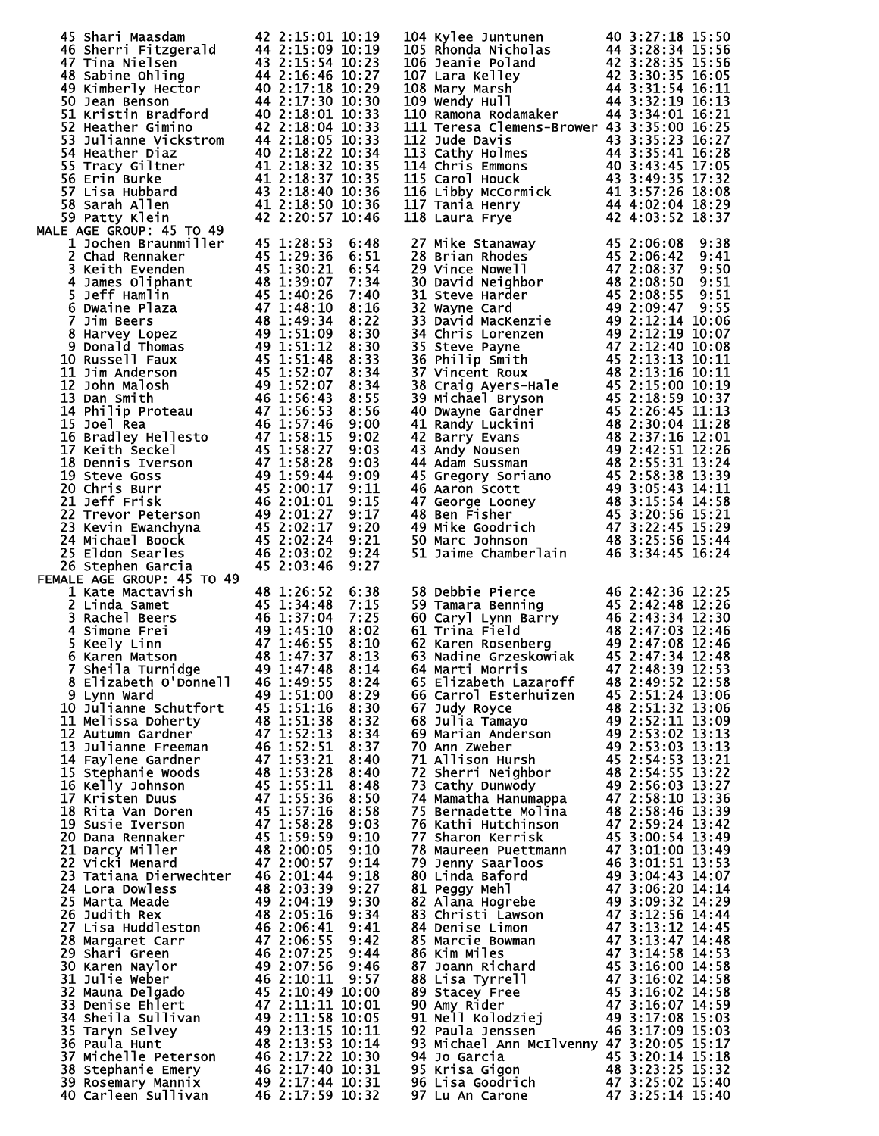| 45 Shari Maasdam<br>45 Shari Maasdam 42 2:15:01 10:19<br>46 Sherri Fitzgerald 44 2:15:09 10:19<br>47 Tina Nielsen 43 2:15:54 10:23<br>48 Sabine Ohling 44 2:16:46 10:27<br>49 Kimberly Hector 40 2:17:18 10:29<br>50 Jean Benson<br>51 Kristin Bradford 40 2:1                               |                                                                                                                                                                                                                                                                           | 42 2:15:01 10:19 | 104 kylee Juntunen<br>105 khonda Nicholas<br>105 khonda Nicholas<br>106 Jeanie Poland<br>107 Lara Kelley<br>107 Lara Kelley<br>108 Mary Marsh<br>109 Wendy Hull<br>109 Wendy Hull<br>119 Ramona Rodamaker<br>111 112 13 32:19 16:13<br>111 Ramona Ro    |                                                                              |  |
|----------------------------------------------------------------------------------------------------------------------------------------------------------------------------------------------------------------------------------------------------------------------------------------------|---------------------------------------------------------------------------------------------------------------------------------------------------------------------------------------------------------------------------------------------------------------------------|------------------|---------------------------------------------------------------------------------------------------------------------------------------------------------------------------------------------------------------------------------------------------------|------------------------------------------------------------------------------|--|
|                                                                                                                                                                                                                                                                                              |                                                                                                                                                                                                                                                                           |                  |                                                                                                                                                                                                                                                         |                                                                              |  |
|                                                                                                                                                                                                                                                                                              |                                                                                                                                                                                                                                                                           |                  |                                                                                                                                                                                                                                                         |                                                                              |  |
|                                                                                                                                                                                                                                                                                              |                                                                                                                                                                                                                                                                           |                  |                                                                                                                                                                                                                                                         |                                                                              |  |
|                                                                                                                                                                                                                                                                                              |                                                                                                                                                                                                                                                                           |                  |                                                                                                                                                                                                                                                         |                                                                              |  |
|                                                                                                                                                                                                                                                                                              |                                                                                                                                                                                                                                                                           |                  |                                                                                                                                                                                                                                                         |                                                                              |  |
|                                                                                                                                                                                                                                                                                              |                                                                                                                                                                                                                                                                           |                  | 111 Teresa Clemens-Brower 43 3:35:00 16:25                                                                                                                                                                                                              |                                                                              |  |
|                                                                                                                                                                                                                                                                                              |                                                                                                                                                                                                                                                                           |                  |                                                                                                                                                                                                                                                         |                                                                              |  |
|                                                                                                                                                                                                                                                                                              |                                                                                                                                                                                                                                                                           |                  |                                                                                                                                                                                                                                                         |                                                                              |  |
|                                                                                                                                                                                                                                                                                              |                                                                                                                                                                                                                                                                           |                  | 112 Jude Davis<br>112 Jude Davis<br>113 Cathy Holmes<br>113 Cathy Holmes<br>114 Chris Emmons<br>115 Carol Houck<br>115 Carol Houck<br>115 Carol Houck<br>116 Libby McCormick<br>117 Tania Henry<br>12 3:57:26 18:08<br>117 Tania Henry<br>12 44 4:02:0  |                                                                              |  |
|                                                                                                                                                                                                                                                                                              |                                                                                                                                                                                                                                                                           |                  |                                                                                                                                                                                                                                                         |                                                                              |  |
|                                                                                                                                                                                                                                                                                              |                                                                                                                                                                                                                                                                           |                  |                                                                                                                                                                                                                                                         |                                                                              |  |
|                                                                                                                                                                                                                                                                                              |                                                                                                                                                                                                                                                                           |                  |                                                                                                                                                                                                                                                         |                                                                              |  |
| <b>MALE AGE GROUP: 45 TO 49</b><br>14 AGE GROUP: 45 To 49<br>11 Jochen Braunmiller<br>11 Jochen Braunmiller<br>15 AGE GROUP: 45 To 49<br>12 Chad Rennaker<br>16 45 1:29:36<br>18 Neith Evenden<br>48 1:39:07<br>5 Jeff Hamlin<br>48 1:39:07<br>5 Jeff Hamlin<br>48 1:40:26<br>4 21:39:07<br> |                                                                                                                                                                                                                                                                           |                  | 116 Laura Frye<br>127 Mike Stanaway<br>28 Brian Rhodes<br>28 Brian Rhodes<br>145 2:06:08 9:38<br>29 Vince Nowell<br>47 2:08:37 9:51<br>30 David Neighbor<br>48 2:08:55 9:51<br>31 Steve Harder<br>45 2:08:55 9:51<br>33 David MacKenzie<br>49 2:12:14   |                                                                              |  |
|                                                                                                                                                                                                                                                                                              |                                                                                                                                                                                                                                                                           | 6:48             |                                                                                                                                                                                                                                                         |                                                                              |  |
|                                                                                                                                                                                                                                                                                              |                                                                                                                                                                                                                                                                           | 6:51             |                                                                                                                                                                                                                                                         |                                                                              |  |
|                                                                                                                                                                                                                                                                                              |                                                                                                                                                                                                                                                                           | 6:54             |                                                                                                                                                                                                                                                         |                                                                              |  |
|                                                                                                                                                                                                                                                                                              |                                                                                                                                                                                                                                                                           | 7:34             |                                                                                                                                                                                                                                                         |                                                                              |  |
|                                                                                                                                                                                                                                                                                              |                                                                                                                                                                                                                                                                           | 7:40<br>8:16     |                                                                                                                                                                                                                                                         |                                                                              |  |
|                                                                                                                                                                                                                                                                                              |                                                                                                                                                                                                                                                                           | 8:22             |                                                                                                                                                                                                                                                         |                                                                              |  |
|                                                                                                                                                                                                                                                                                              |                                                                                                                                                                                                                                                                           | 8:30             |                                                                                                                                                                                                                                                         |                                                                              |  |
|                                                                                                                                                                                                                                                                                              |                                                                                                                                                                                                                                                                           | 8:30             |                                                                                                                                                                                                                                                         |                                                                              |  |
|                                                                                                                                                                                                                                                                                              |                                                                                                                                                                                                                                                                           | 8:33             |                                                                                                                                                                                                                                                         |                                                                              |  |
|                                                                                                                                                                                                                                                                                              |                                                                                                                                                                                                                                                                           | 8:34             |                                                                                                                                                                                                                                                         |                                                                              |  |
|                                                                                                                                                                                                                                                                                              |                                                                                                                                                                                                                                                                           | 8:34             |                                                                                                                                                                                                                                                         |                                                                              |  |
|                                                                                                                                                                                                                                                                                              |                                                                                                                                                                                                                                                                           | 8:55             |                                                                                                                                                                                                                                                         |                                                                              |  |
|                                                                                                                                                                                                                                                                                              |                                                                                                                                                                                                                                                                           | 8:56<br>9:00     |                                                                                                                                                                                                                                                         |                                                                              |  |
|                                                                                                                                                                                                                                                                                              |                                                                                                                                                                                                                                                                           | 9:02             |                                                                                                                                                                                                                                                         |                                                                              |  |
|                                                                                                                                                                                                                                                                                              |                                                                                                                                                                                                                                                                           | 9:03             |                                                                                                                                                                                                                                                         |                                                                              |  |
|                                                                                                                                                                                                                                                                                              |                                                                                                                                                                                                                                                                           | 9:03             |                                                                                                                                                                                                                                                         |                                                                              |  |
|                                                                                                                                                                                                                                                                                              |                                                                                                                                                                                                                                                                           | 9:09             |                                                                                                                                                                                                                                                         |                                                                              |  |
|                                                                                                                                                                                                                                                                                              |                                                                                                                                                                                                                                                                           | 9:11             |                                                                                                                                                                                                                                                         |                                                                              |  |
|                                                                                                                                                                                                                                                                                              |                                                                                                                                                                                                                                                                           | 9:15             |                                                                                                                                                                                                                                                         |                                                                              |  |
|                                                                                                                                                                                                                                                                                              |                                                                                                                                                                                                                                                                           | 9:17             |                                                                                                                                                                                                                                                         |                                                                              |  |
|                                                                                                                                                                                                                                                                                              |                                                                                                                                                                                                                                                                           | 9:20<br>9:21     |                                                                                                                                                                                                                                                         |                                                                              |  |
|                                                                                                                                                                                                                                                                                              |                                                                                                                                                                                                                                                                           | 9:24             |                                                                                                                                                                                                                                                         |                                                                              |  |
| 26 Stephen Garcia                                                                                                                                                                                                                                                                            | 45 2:03:46                                                                                                                                                                                                                                                                | 9:27             |                                                                                                                                                                                                                                                         |                                                                              |  |
| FEMALE AGE GROUP: 45 TO 49                                                                                                                                                                                                                                                                   |                                                                                                                                                                                                                                                                           |                  |                                                                                                                                                                                                                                                         |                                                                              |  |
| 1 Kate Mactavish<br>2 Linda Samet<br>3 Rachel Beers<br>48 1:26:52 6:38<br>2 Linda Samet<br>45 1:34:48 7:15<br>3 Rachel Beers<br>46 1:37:04 7:25<br>46 1:37:04 7:25<br>46 1:37:04 7:25<br>5 Keely Linn<br>47 1:46:55 8:10<br>6 Karen Matson<br>48 1:47:37                                     |                                                                                                                                                                                                                                                                           |                  | 30 Debbie Pierce<br>59 Tamara Benning<br>60 Caryl Lynn Barry<br>60 Caryl Lynn Barry<br>61 Trina Field<br>62:43:34 12:30<br>61 Trina Field<br>62:47:03 12:46<br>63 Nadine Grzeskowiak<br>63 Nadine Grzeskowiak<br>64 Marti Morris<br>65 Elizabeth<br>65  |                                                                              |  |
|                                                                                                                                                                                                                                                                                              |                                                                                                                                                                                                                                                                           |                  |                                                                                                                                                                                                                                                         |                                                                              |  |
|                                                                                                                                                                                                                                                                                              |                                                                                                                                                                                                                                                                           |                  |                                                                                                                                                                                                                                                         |                                                                              |  |
|                                                                                                                                                                                                                                                                                              |                                                                                                                                                                                                                                                                           |                  |                                                                                                                                                                                                                                                         |                                                                              |  |
|                                                                                                                                                                                                                                                                                              |                                                                                                                                                                                                                                                                           |                  |                                                                                                                                                                                                                                                         |                                                                              |  |
|                                                                                                                                                                                                                                                                                              |                                                                                                                                                                                                                                                                           |                  |                                                                                                                                                                                                                                                         |                                                                              |  |
| 8 Elizabeth O'Donnell                                                                                                                                                                                                                                                                        | 46 1:49:55                                                                                                                                                                                                                                                                | 8:24             | 65 Elizabeth Lazaroff                                                                                                                                                                                                                                   | 48 2:49:52 12:58                                                             |  |
| 9 Lynn Ward                                                                                                                                                                                                                                                                                  | 49 1:51:00                                                                                                                                                                                                                                                                | 8:29             | 66 Carrol Esterhuizen                                                                                                                                                                                                                                   | 45 2:51:24 13:06                                                             |  |
| 10 Julianne Schutfort                                                                                                                                                                                                                                                                        | 45 1:51:16<br>48 1:51:38                                                                                                                                                                                                                                                  | 8:30             | 67 Judy Royce                                                                                                                                                                                                                                           | 48 2:51:32 13:06                                                             |  |
| 11 Melissa Doherty<br>11 Melissa Doherty<br>12 Autumn Gardner<br>13 Julianne Freeman<br>14 Taylene Gardner<br>15 Stephanie Woods<br>15 Stephanie Woods<br>15 Stephanie Woods<br>16 Kelly Johnson<br>15 1:53:28<br>16 Kelly Johnson<br>16 1:55:11<br>17 Kristen Duus<br>17 Kr                 |                                                                                                                                                                                                                                                                           | 8:32             | 68 Julia Tamayo                                                                                                                                                                                                                                         | 49 2:52:11 13:09                                                             |  |
|                                                                                                                                                                                                                                                                                              |                                                                                                                                                                                                                                                                           | 8:34<br>8:37     | 69 Marian Anderson<br>70 Ann Zweber                                                                                                                                                                                                                     | 49 2:53:02 13:13<br>49 2:53:03 13:13<br>45 2:54:53 13:21                     |  |
|                                                                                                                                                                                                                                                                                              |                                                                                                                                                                                                                                                                           | 8:40             | 71 Allison Hursh                                                                                                                                                                                                                                        |                                                                              |  |
|                                                                                                                                                                                                                                                                                              |                                                                                                                                                                                                                                                                           | 8:40             | 72 Sherri Neighbor                                                                                                                                                                                                                                      | 48 2:54:55 13:22                                                             |  |
|                                                                                                                                                                                                                                                                                              |                                                                                                                                                                                                                                                                           | 8:48             | 73 Cathy Dunwody                                                                                                                                                                                                                                        | 49 2:56:03 13:27                                                             |  |
|                                                                                                                                                                                                                                                                                              |                                                                                                                                                                                                                                                                           | 8:50             | 74 Mamatha Hanumappa 47 2:58:10 13:36                                                                                                                                                                                                                   |                                                                              |  |
|                                                                                                                                                                                                                                                                                              |                                                                                                                                                                                                                                                                           | 8:58             | 75 Bernadette Molina                                                                                                                                                                                                                                    | 48 2:58:46 13:39                                                             |  |
|                                                                                                                                                                                                                                                                                              |                                                                                                                                                                                                                                                                           | 9:03             | 76 Kathi Hutchinson                                                                                                                                                                                                                                     | 47 2:59:24 13:42                                                             |  |
|                                                                                                                                                                                                                                                                                              |                                                                                                                                                                                                                                                                           | 9:10<br>9:10     | 77 Sharon Kerrisk                                                                                                                                                                                                                                       | 45 3:00:54 13:49                                                             |  |
|                                                                                                                                                                                                                                                                                              |                                                                                                                                                                                                                                                                           | 9:14             |                                                                                                                                                                                                                                                         |                                                                              |  |
|                                                                                                                                                                                                                                                                                              |                                                                                                                                                                                                                                                                           | 9:18             |                                                                                                                                                                                                                                                         |                                                                              |  |
| 24 Lora Dowless                                                                                                                                                                                                                                                                              |                                                                                                                                                                                                                                                                           |                  |                                                                                                                                                                                                                                                         |                                                                              |  |
| 25 Marta Meade                                                                                                                                                                                                                                                                               |                                                                                                                                                                                                                                                                           |                  |                                                                                                                                                                                                                                                         |                                                                              |  |
| 26 Judith Rex                                                                                                                                                                                                                                                                                |                                                                                                                                                                                                                                                                           |                  |                                                                                                                                                                                                                                                         |                                                                              |  |
| 27 Lisa Huddleston                                                                                                                                                                                                                                                                           |                                                                                                                                                                                                                                                                           |                  | 81 Peggy Mehl<br>82 Alana Hogrebe<br>83 Christi Lawson<br>83 Christi Lawson<br>84 Denise Limon<br>84 Denise Limon<br>86 Kim Miles<br>86 Kim Miles<br>86 Kim Miles<br>87 Joann Richard<br>87 Joann Richard<br>87 Joann Richard<br>87 Joann Richard<br>87 |                                                                              |  |
| 28 Margaret Carr                                                                                                                                                                                                                                                                             |                                                                                                                                                                                                                                                                           |                  |                                                                                                                                                                                                                                                         |                                                                              |  |
| 29 Shari Green<br>30 Karen Naylor                                                                                                                                                                                                                                                            |                                                                                                                                                                                                                                                                           |                  |                                                                                                                                                                                                                                                         |                                                                              |  |
| 31 Julie Weber                                                                                                                                                                                                                                                                               |                                                                                                                                                                                                                                                                           |                  |                                                                                                                                                                                                                                                         |                                                                              |  |
| 32 Mauna Delgado                                                                                                                                                                                                                                                                             |                                                                                                                                                                                                                                                                           |                  |                                                                                                                                                                                                                                                         |                                                                              |  |
| 33 Denise Ehlert                                                                                                                                                                                                                                                                             |                                                                                                                                                                                                                                                                           |                  |                                                                                                                                                                                                                                                         |                                                                              |  |
| 34 Sheila Sullivan                                                                                                                                                                                                                                                                           |                                                                                                                                                                                                                                                                           |                  |                                                                                                                                                                                                                                                         |                                                                              |  |
| 35 Taryn Selvey                                                                                                                                                                                                                                                                              |                                                                                                                                                                                                                                                                           |                  | 92 Paula Jenssen                                                                                                                                                                                                                                        | 46 3:17:09 15:03                                                             |  |
|                                                                                                                                                                                                                                                                                              |                                                                                                                                                                                                                                                                           |                  |                                                                                                                                                                                                                                                         |                                                                              |  |
| 36 Paula Hunt                                                                                                                                                                                                                                                                                |                                                                                                                                                                                                                                                                           |                  | 93 Michael Ann McIlvenny 47 3:20:05 15:17                                                                                                                                                                                                               |                                                                              |  |
|                                                                                                                                                                                                                                                                                              | $\begin{array}{rl} 46 & 2:01:44 & 9:18 \ 48 & 2:03:39 & 9:27 \ 49 & 2:04:19 & 9:30 \ 48 & 2:05:16 & 9:34 \ 46 & 2:06:41 & 9:41 \ 47 & 2:06:55 & 9:42 \ 46 & 2:07:25 & 9:44 \ 49 & 2:07:56 & 9:46 \ 49 & 2:07:56 & 9:57 \ 45 & 2:10:49 & 10:00 \ 47 & 2:11:11 & 10:01 \ 4$ |                  | 94 Jo Garcia                                                                                                                                                                                                                                            |                                                                              |  |
|                                                                                                                                                                                                                                                                                              |                                                                                                                                                                                                                                                                           |                  | 95 Krisa Gigon                                                                                                                                                                                                                                          |                                                                              |  |
| 30 Paula Hunt<br>37 Michelle Peterson<br>38 Stephanie Emery<br>39 Rosemary Mannix<br>39 Rosemary Mannix<br>49 2:17:44 10:31<br>40 Carleen Sullivan<br>46 2:17:59 10:32                                                                                                                       |                                                                                                                                                                                                                                                                           |                  | 96 Lisa Goodrich<br>97 Lu An Carone                                                                                                                                                                                                                     | 45 3:20:14 15:18<br>48 3:23:25 15:32<br>47 3:25:02 15:40<br>47 3:25:14 15:40 |  |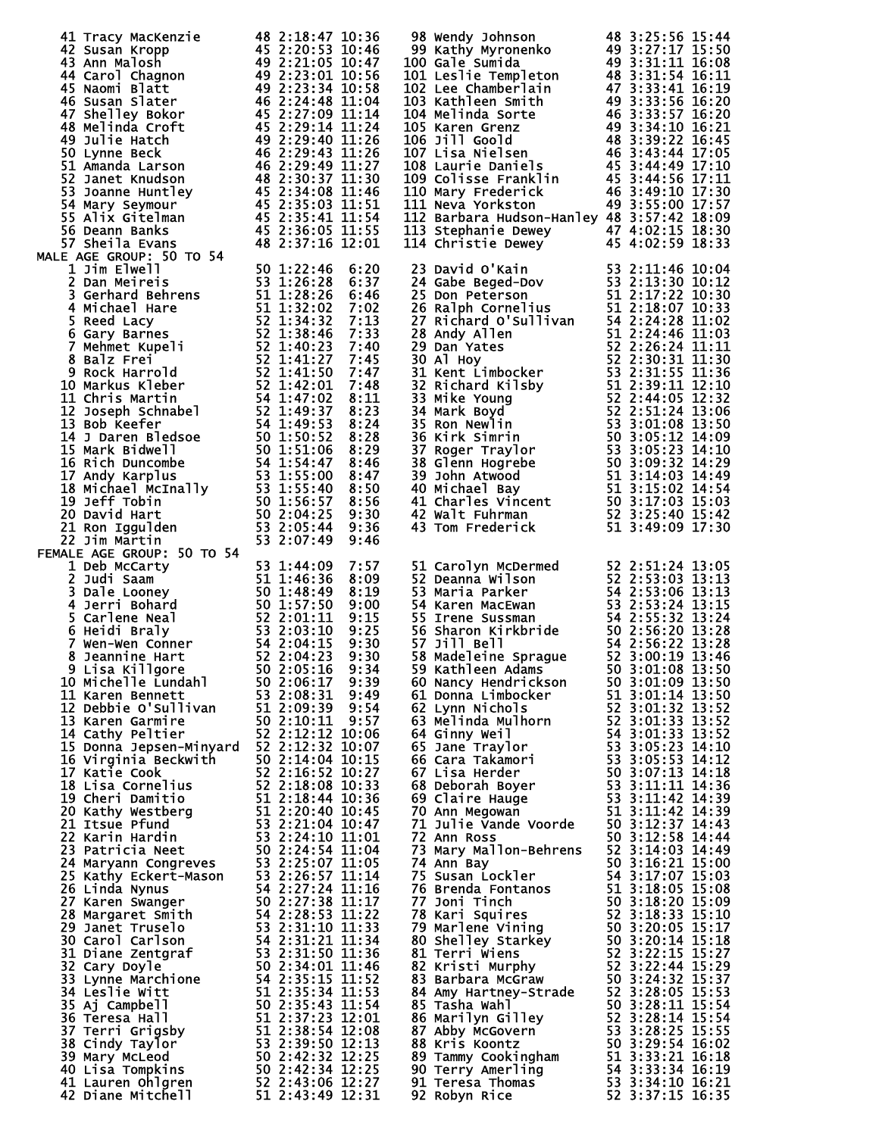| 41 Tracy MacKenzie<br>44 2.18:47 10:36<br>44 2.18:17 10:36<br>44 2.20:573 10:36<br>44 Carol Chagnon<br>44 2.221:05 10:47<br>44 Carol Chagnon<br>44 2.221:05 10:47<br>44 2.221:05 10:47<br>46 Susan Slater<br>46 Susan Slater<br>46 2:22:14 11:58<br>4        |  |  | 98 Wendy Johnson 48 3:25:56 15:44<br>99 Kathy Myronenko 49 3:27:17 15:50<br>100 Gale Sumida 49 3:27:17 15:50<br>101 Leslie Templeton 48 3:31:54 16:11<br>102 Lee Chamberlain 47 3:33:41 16:19<br>103 Kathleen Smith 49 3:33:56 16:20<br>10             |                  |  |
|--------------------------------------------------------------------------------------------------------------------------------------------------------------------------------------------------------------------------------------------------------------|--|--|--------------------------------------------------------------------------------------------------------------------------------------------------------------------------------------------------------------------------------------------------------|------------------|--|
|                                                                                                                                                                                                                                                              |  |  | 112 Barbara Hudson-Hanley 48 3:57:42 18:09<br>113 Stephanie Dewey 47 4:02:15 18:30<br>114 Christie Dewey 45 4:02:59 18:33                                                                                                                              |                  |  |
|                                                                                                                                                                                                                                                              |  |  |                                                                                                                                                                                                                                                        |                  |  |
|                                                                                                                                                                                                                                                              |  |  | 114 Christie Dewey<br>23 David O'Kain<br>24 Gabe Beged-Dov<br>24 Gabe Beged-Dov<br>53 2:11:46 10:04<br>25 Don Peterson<br>51 2:17:22 10:33<br>27 Richard O'Sullivan<br>51 2:18:07 10:33<br>27 Richard O'Sullivan<br>54 2:24:28 11:02<br>28 Andy Alle   |                  |  |
|                                                                                                                                                                                                                                                              |  |  |                                                                                                                                                                                                                                                        |                  |  |
|                                                                                                                                                                                                                                                              |  |  |                                                                                                                                                                                                                                                        |                  |  |
|                                                                                                                                                                                                                                                              |  |  |                                                                                                                                                                                                                                                        |                  |  |
|                                                                                                                                                                                                                                                              |  |  |                                                                                                                                                                                                                                                        |                  |  |
|                                                                                                                                                                                                                                                              |  |  |                                                                                                                                                                                                                                                        |                  |  |
|                                                                                                                                                                                                                                                              |  |  |                                                                                                                                                                                                                                                        |                  |  |
|                                                                                                                                                                                                                                                              |  |  |                                                                                                                                                                                                                                                        |                  |  |
|                                                                                                                                                                                                                                                              |  |  |                                                                                                                                                                                                                                                        |                  |  |
|                                                                                                                                                                                                                                                              |  |  |                                                                                                                                                                                                                                                        |                  |  |
|                                                                                                                                                                                                                                                              |  |  |                                                                                                                                                                                                                                                        |                  |  |
|                                                                                                                                                                                                                                                              |  |  |                                                                                                                                                                                                                                                        |                  |  |
|                                                                                                                                                                                                                                                              |  |  |                                                                                                                                                                                                                                                        |                  |  |
|                                                                                                                                                                                                                                                              |  |  |                                                                                                                                                                                                                                                        |                  |  |
|                                                                                                                                                                                                                                                              |  |  |                                                                                                                                                                                                                                                        |                  |  |
|                                                                                                                                                                                                                                                              |  |  | 51 Carolyn McDermed<br>52 2:51:24 13:05<br>52 Deanna Wilson<br>52 2:53:03 13:13<br>53 Maria Parker<br>54 2:53:06 13:13<br>54 Karen MacEwan<br>53 2:53:24 13:15<br>55 Irene Sussman<br>54 2:55:32 13:24<br>55 Simple 1<br>56 Satable 1<br>54 2:56:20 13 |                  |  |
|                                                                                                                                                                                                                                                              |  |  |                                                                                                                                                                                                                                                        |                  |  |
|                                                                                                                                                                                                                                                              |  |  |                                                                                                                                                                                                                                                        |                  |  |
|                                                                                                                                                                                                                                                              |  |  |                                                                                                                                                                                                                                                        |                  |  |
|                                                                                                                                                                                                                                                              |  |  |                                                                                                                                                                                                                                                        |                  |  |
|                                                                                                                                                                                                                                                              |  |  | 60 Nancy Hendrickson                                                                                                                                                                                                                                   | 50 3:01:09 13:50 |  |
|                                                                                                                                                                                                                                                              |  |  |                                                                                                                                                                                                                                                        |                  |  |
|                                                                                                                                                                                                                                                              |  |  |                                                                                                                                                                                                                                                        |                  |  |
|                                                                                                                                                                                                                                                              |  |  |                                                                                                                                                                                                                                                        |                  |  |
|                                                                                                                                                                                                                                                              |  |  |                                                                                                                                                                                                                                                        |                  |  |
|                                                                                                                                                                                                                                                              |  |  |                                                                                                                                                                                                                                                        |                  |  |
|                                                                                                                                                                                                                                                              |  |  |                                                                                                                                                                                                                                                        |                  |  |
|                                                                                                                                                                                                                                                              |  |  |                                                                                                                                                                                                                                                        |                  |  |
|                                                                                                                                                                                                                                                              |  |  | 30 Nancy Hendrickson<br>60 Nancy Hendrickson<br>61 Donna Limbocker<br>62 Lynn Nichols<br>62 Lynn Nichols<br>62 Lynn Nichols<br>62 Same Traylor<br>62 Ginny Weil<br>62 Same Traylor<br>52 3:01:32 13:52<br>63 3:01:33 13:52<br>64 Ginny Weil<br>52 3:01 |                  |  |
|                                                                                                                                                                                                                                                              |  |  |                                                                                                                                                                                                                                                        |                  |  |
|                                                                                                                                                                                                                                                              |  |  |                                                                                                                                                                                                                                                        |                  |  |
|                                                                                                                                                                                                                                                              |  |  |                                                                                                                                                                                                                                                        |                  |  |
|                                                                                                                                                                                                                                                              |  |  |                                                                                                                                                                                                                                                        |                  |  |
|                                                                                                                                                                                                                                                              |  |  |                                                                                                                                                                                                                                                        |                  |  |
| 20 David Martin 1907<br>21 Ron Iggulden<br>22 Jim Martin 1907<br>1914 AER AGE GROUP: 50 TO 54<br>21 Ron Iggulden<br>22 Judi Saam<br>3 Dale Looney 50 TO 54<br>2 Judi Saam<br>3 Dale Looney 55 1:446:36 8:09<br>3 Dale Looney 55 1:446:36 8:09<br>4 Jerri Boh |  |  | 71 Julie Vande Voorde<br>72 Ann Ross 50 3:12:58 14:44<br>73 Mary Mallon-Behrens 52 3:14:03 14:49<br>74 Ann Bay 50 3:12:58 14:49<br>74 Ann Bay 50 3:16:21 15:00<br>75 Susan Lockler 54 3:17:07 15:03<br>76 Brenda Fontanos 51 3:18:20 15:09             |                  |  |
|                                                                                                                                                                                                                                                              |  |  |                                                                                                                                                                                                                                                        |                  |  |
|                                                                                                                                                                                                                                                              |  |  |                                                                                                                                                                                                                                                        |                  |  |
|                                                                                                                                                                                                                                                              |  |  |                                                                                                                                                                                                                                                        |                  |  |
|                                                                                                                                                                                                                                                              |  |  |                                                                                                                                                                                                                                                        |                  |  |
|                                                                                                                                                                                                                                                              |  |  |                                                                                                                                                                                                                                                        |                  |  |
|                                                                                                                                                                                                                                                              |  |  |                                                                                                                                                                                                                                                        |                  |  |
|                                                                                                                                                                                                                                                              |  |  |                                                                                                                                                                                                                                                        |                  |  |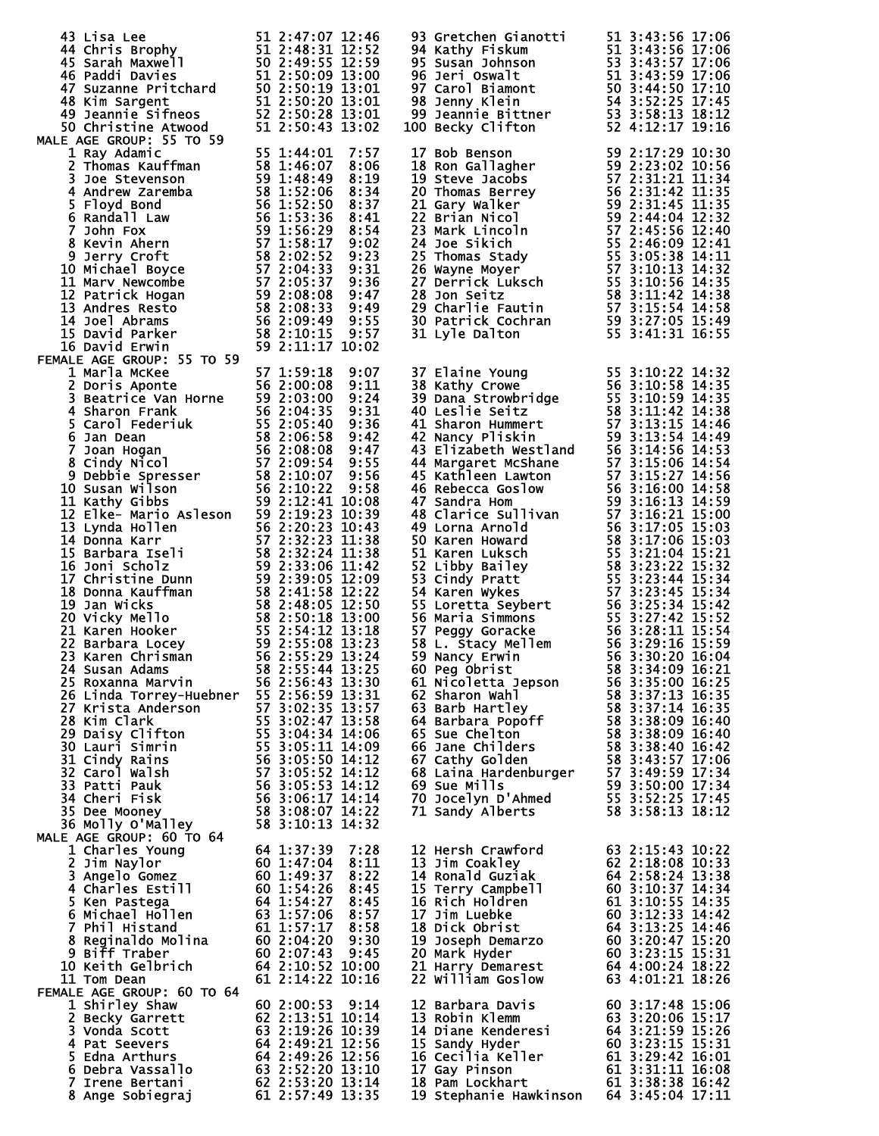| 43 Lisa Lee 51 2:47:07 12:46<br>44 Chris Brophy 51 2:48:31 12:52<br>45 Sarah Maxwell 50 2:49:55 12:59<br>46 Paddi Davies 51 2:50:09 13:00<br>47 Suzanne Pritchard 50 2:50:19 13:01<br>48 Kim Sargent 51 2:50:20 13:01<br>49 Jeannie Sifneos 52 2<br>MALE AGE GROUP: 55 TO 59                                                                                                                                                                                                                                                                                                                                                                                                                                                                                                                                                                                                                                                                                                   |                                                                                                                                                                                               | 93 Gretchen Gianotti<br>94 Kathy Fiskum<br>95 Susan Johnson<br>96 Jeri Oswalt<br>97 Carol Biamont<br>98 Jenny Klein<br>99 Jeannie Bittner<br>99 Jeannie Bittner<br>99 Jeannie Bittner<br>99 Jeannie Bittner<br>99 Jeannie Bittner<br>50 3:44:50 17:1<br>100 Becky Clifton                                                                                                                                             |                                                                                                                                                                                                            |
|--------------------------------------------------------------------------------------------------------------------------------------------------------------------------------------------------------------------------------------------------------------------------------------------------------------------------------------------------------------------------------------------------------------------------------------------------------------------------------------------------------------------------------------------------------------------------------------------------------------------------------------------------------------------------------------------------------------------------------------------------------------------------------------------------------------------------------------------------------------------------------------------------------------------------------------------------------------------------------|-----------------------------------------------------------------------------------------------------------------------------------------------------------------------------------------------|-----------------------------------------------------------------------------------------------------------------------------------------------------------------------------------------------------------------------------------------------------------------------------------------------------------------------------------------------------------------------------------------------------------------------|------------------------------------------------------------------------------------------------------------------------------------------------------------------------------------------------------------|
| 1 Ray Adamic<br>1 Ray Adamic 55 1:44:01 7:57<br>2 Thomas Kauffman 58 1:46:07 8:06<br>3 Joe Stevenson 59 1:48:49 8:19<br>4 Andrew Zaremba 58 1:52:06 8:34<br>5 Floyd Bond 56 1:52:50 8:34<br>6 Randall Law 56 1:53:36 8:44<br>7 John Fox<br>7 John Fox<br>8 Kev<br>FEMALE AGE GROUP: 55 TO 59                                                                                                                                                                                                                                                                                                                                                                                                                                                                                                                                                                                                                                                                                   | 55 1:44:01<br>7:57                                                                                                                                                                            | 17 Bob Benson<br>18 Ron Gallagher<br>19 Steve Jacobs<br>20 Thomas Berrey<br>59 2:23:02 10:56<br>57 2:31:21 11:34<br>20 Thomas Berrey<br>56 2:31:21 11:35<br>21 Gary Walker<br>59 2:31:42 11:35<br>22 Brian Nicol<br>59 2:31:45 11:35<br>22 Brian Nicol                                                                                                                                                                | 59 2:17:29 10:30                                                                                                                                                                                           |
| 1 Marla McKee<br>2 Doris Aponte<br>3 Beatrice Van Horne<br>56 2:00:08 9:11<br>3 Beatrice Van Horne<br>56 2:00:08 9:24<br>4 Sharon Frank<br>56 2:04:35 9:31<br>5 Carol Federiuk<br>55 2:05:40 9:36<br>6 Jan Dean<br>7 Joan Hogan<br>7 Joan Hogan<br>8 Cin<br>12 Elke- Mario Asleson 59 2:19:23 10:39<br>13 Lynda Hollen 56 2:20:23 10:43<br>14 Donna Karr 57 2:32:23 11:38<br>15 Barbara Iseli 58 2:32:24 11:38<br>16 Joni Scholz 59 2:33:06 11:42<br>17 Christine Dunn 59 2:39:05 12:09<br>18 Donna Ka<br>24 Susan Adams 58 2:55:44 13:25<br>25 Roxanna Marvin 56 2:56:43 13:30<br>25 Roxanna Marvin<br>26 Linda Torrey-Huebner 55 2:56:59 13:31<br>20 Erista Anderson<br>28 Kim Clark<br>29 Daisy Clifton<br>30 Lauri Simrin<br>31 Cindy Rains<br>31 Cindy Rains<br>31 Cindy Rains<br>31 Cindy Rains<br>32 Carol Walsh<br>33 Patti Pauk<br>34 Cheri Fisk<br>34 Cheri Fisk<br>36 3:05:52 14:12<br>34 Cheri F<br>35 Dee Mooney<br>36 Molly O'Malley<br>MALE AGE GROUP: 60 TO 64 | 57 1:59:18<br>9:07<br>56 2:56:43 13:30<br>58 3:08:07 14:22<br>58 3:10:13 14:32                                                                                                                | 37 Elaine Young<br>55 3:10:22 14:32<br>39 Dana Strowbridge<br>56 3:10:59 14:32<br>40 Leslie Seitz<br>40 Leslie Seitz<br>40 Leslie Seitz<br>40 Leslie Seitz<br>42 Nancy Pliskin<br>42 Nancy Pliskin<br>42 Nancy Pliskin<br>42 Nancy Pliskin<br>44 Marga                                                                                                                                                                |                                                                                                                                                                                                            |
| 1 Charles Young<br>2 Jim Naylor<br><b>3 Angelo Gomez</b><br>4 Charles Estill<br>5 Ken Pastega<br>6 Michael Hollen 63 1:57:06<br>7 Phil Histand<br>7 Phil Histand<br>8 Reginaldo Molina       60 2:04:20  9:30<br>9 Biff Traber<br><b>10 Keith Gelbrich</b><br>11 Tom Dean                                                                                                                                                                                                                                                                                                                                                                                                                                                                                                                                                                                                                                                                                                      | 64 1:37:39 7:28<br>60 1:47:04<br>60 1:49:37<br>8:11<br>8:22<br>60 1:54:26<br>8:45<br>64 1:54:27<br>8:45<br>8:57<br>61 1:57:17 8:58<br>60 2:07:43 9:45<br>64 2:10:52 10:00<br>61 2:14:22 10:16 | 12 Hersh Crawford<br>13 Jim Coakley<br>I4 Ronald Guziak<br>14 Ronald Guziak<br>15 Terry Cam<br>15 Terry Campbell<br><b>16 Rich Holdren</b><br>17 Jim Luebke<br>20 JOSEPH Demarzo<br>20 Mark Hyder<br>20 Mark Hyder<br>21 Harry Demarest<br>21 Harry Demarest<br>22 William Goslow<br>22 William Goslow<br>23 Mark Demarest<br>23 Mark Demarest<br>23 Mark Demarest<br>24 Mark Demarts<br>24 Mark Demarts<br>24 Mark D | 63 2:15:43 10:22<br>62 2:18:08 10:33<br>64 2:58:24 13:38<br>$\begin{array}{r} 60 \ \ 3:10:37 \ \ 14:34 \ \ 61 \ \ 3:10:55 \ \ 14:35 \ \ 60 \ \ 3:12:33 \ \ 14:42 \ \ 64 \ \ 3:13:25 \ \ 14:46 \end{array}$ |
| FEMALE AGE GROUP: 60 TO 64<br>1 Shirley Shaw<br>2 Becky Garrett<br>3 Vonda Scott<br>4 Pat Seevers<br>5 Edna Arthurs<br>6 Debra Vassallo 63 2:52:20 13:10<br>7 Irene Bertani 62 2:53:20 13:14<br>8 Ange Sobiegraj 61 2:57:49 13:35                                                                                                                                                                                                                                                                                                                                                                                                                                                                                                                                                                                                                                                                                                                                              | 60 2:00:53 9:14<br>62 2:13:51 10:14<br>62 2:13:31 10:39<br>63 2:19:26 10:39<br>63 2:19:21 12:56<br><b>64 2:49:21 12:56<br/>64 2:49:26 12:56</b>                                               | 12 Barbara Davis<br>13 Robin Klemm<br>13 Robin Klemm<br>14 Diane Kenderesi<br>15 Sandy Hyder<br>15 Sandy Hyder<br>16 Cecilia Keller<br>16 Cecilia Keller<br>17 Gay Pinson<br>18 Pam Lockhart<br>18 Pam Lockhart<br>19 Stephanie Hawkinson<br>16 3:38:38 16:42<br>19 Stepha                                                                                                                                            | 60 3:17:48 15:06                                                                                                                                                                                           |